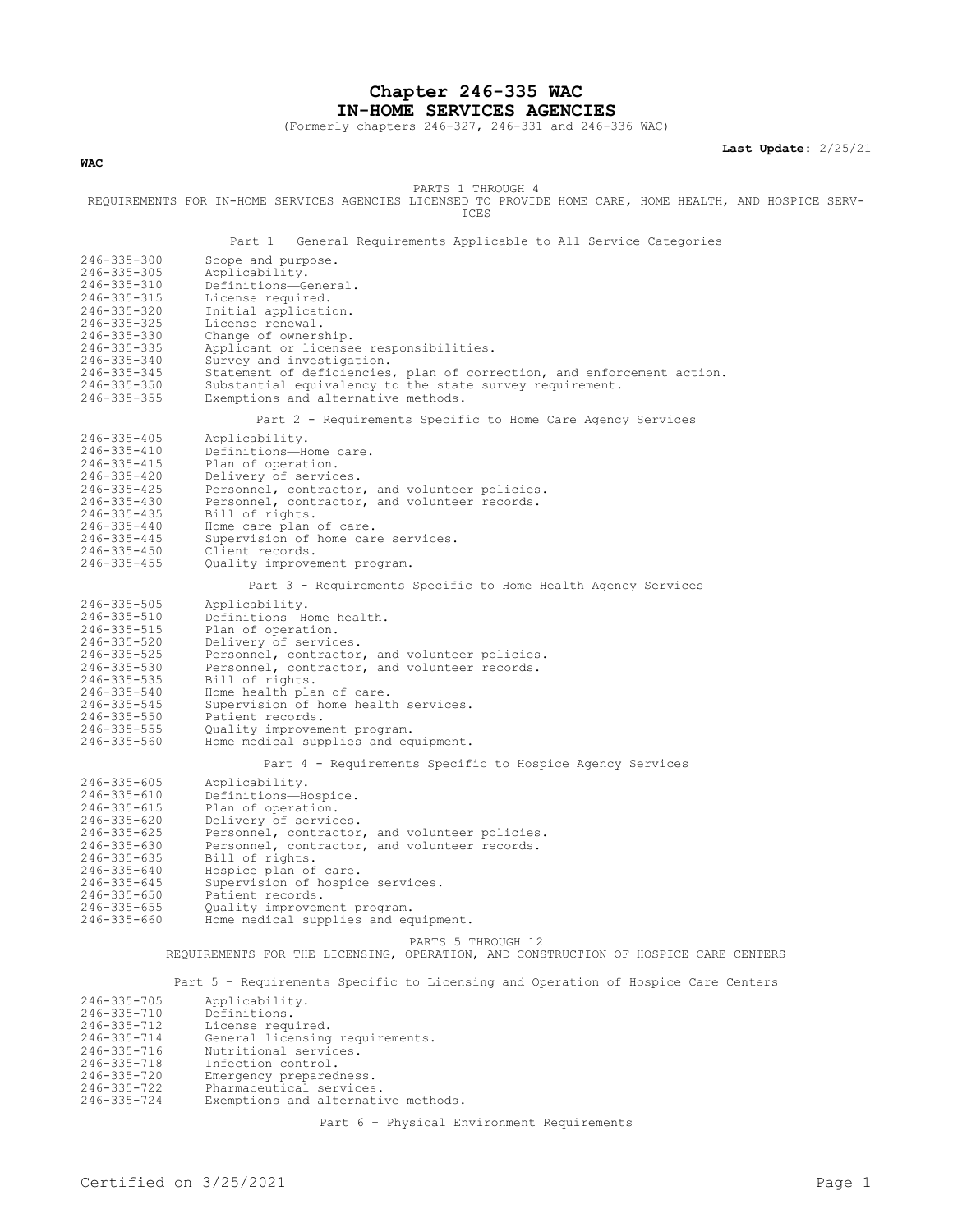**Chapter 246-335 WAC IN-HOME SERVICES AGENCIES**

(Formerly chapters 246-327, 246-331 and 246-336 WAC)

**Last Update:** 2/25/21

**WAC**

PARTS 1 THROUGH 4

REQUIREMENTS FOR IN-HOME SERVICES AGENCIES LICENSED TO PROVIDE HOME CARE, HOME HEALTH, AND HOSPICE SERV-ICES

Part 1 – General Requirements Applicable to All Service Categories

| 246-335-300                            | Scope and purpose.                                                                  |
|----------------------------------------|-------------------------------------------------------------------------------------|
| $246 - 335 - 305$                      | Applicability.                                                                      |
| 246-335-310                            | Definitions-General.                                                                |
| 246-335-315                            | License required.                                                                   |
| 246-335-320                            | Initial application.                                                                |
| 246-335-325<br>246-335-330             | License renewal.                                                                    |
| 246-335-335                            | Change of ownership.<br>Applicant or licensee responsibilities.                     |
| 246-335-340                            | Survey and investigation.                                                           |
| $246 - 335 - 345$                      | Statement of deficiencies, plan of correction, and enforcement action.              |
| $246 - 335 - 350$                      | Substantial equivalency to the state survey requirement.                            |
| 246-335-355                            | Exemptions and alternative methods.                                                 |
|                                        |                                                                                     |
|                                        | Part 2 - Requirements Specific to Home Care Agency Services                         |
| $246 - 335 - 405$                      | Applicability.                                                                      |
| $246 - 335 - 410$                      | Definitions-Home care.                                                              |
| $246 - 335 - 415$                      | Plan of operation.                                                                  |
| 246-335-420                            | Delivery of services.                                                               |
| $246 - 335 - 425$                      | Personnel, contractor, and volunteer policies.                                      |
| 246-335-430                            | Personnel, contractor, and volunteer records.                                       |
| $246 - 335 - 435$<br>$246 - 335 - 440$ | Bill of rights.<br>Home care plan of care.                                          |
| 246-335-445                            | Supervision of home care services.                                                  |
| $246 - 335 - 450$                      | Client records.                                                                     |
| $246 - 335 - 455$                      | Quality improvement program.                                                        |
|                                        |                                                                                     |
|                                        | Part 3 - Requirements Specific to Home Health Agency Services                       |
| $246 - 335 - 505$                      | Applicability.                                                                      |
| 246-335-510                            | Definitions-Home health.                                                            |
| 246-335-515                            | Plan of operation.                                                                  |
| 246-335-520                            | Delivery of services.                                                               |
| 246-335-525                            | Personnel, contractor, and volunteer policies.                                      |
| $246 - 335 - 530$                      | Personnel, contractor, and volunteer records.                                       |
| 246-335-535<br>246-335-540             | Bill of rights.<br>Home health plan of care.                                        |
| 246-335-545                            | Supervision of home health services.                                                |
| $246 - 335 - 550$                      | Patient records.                                                                    |
| $246 - 335 - 555$                      | Quality improvement program.                                                        |
| 246-335-560                            | Home medical supplies and equipment.                                                |
|                                        |                                                                                     |
|                                        | Part 4 - Requirements Specific to Hospice Agency Services                           |
| $246 - 335 - 605$                      | Applicability.                                                                      |
| 246-335-610                            | Definitions-Hospice.                                                                |
| $246 - 335 - 615$                      | Plan of operation.                                                                  |
| $246 - 335 - 620$                      | Delivery of services.                                                               |
| $246 - 335 - 625$                      | Personnel, contractor, and volunteer policies.                                      |
| 246-335-630<br>246-335-635             | Personnel, contractor, and volunteer records.<br>Bill of rights.                    |
| 246-335-640                            | Hospice plan of care.                                                               |
| $246 - 335 - 645$                      | Supervision of hospice services.                                                    |
| 246-335-650                            | Patient records.                                                                    |
| $246 - 335 - 655$                      | Quality improvement program.                                                        |
| 246-335-660                            | Home medical supplies and equipment.                                                |
|                                        | PARTS 5 THROUGH 12                                                                  |
|                                        | REQUIREMENTS FOR THE LICENSING, OPERATION, AND CONSTRUCTION OF HOSPICE CARE CENTERS |
|                                        |                                                                                     |
|                                        | Part 5 - Requirements Specific to Licensing and Operation of Hospice Care Centers   |
| 246-335-705                            | Applicability.                                                                      |
| 246-335-710                            | Definitions.                                                                        |
| 246-335-712                            | License required.                                                                   |
| 246-335-714                            | General licensing requirements.                                                     |
| 246-335-716                            | Nutritional services.                                                               |
| 246-335-718                            | Infection control.                                                                  |
| 246-335-720                            | Emergency preparedness.                                                             |
| 246-335-722                            | Pharmaceutical services.                                                            |
| 246-335-724                            | Exemptions and alternative methods.                                                 |
|                                        |                                                                                     |

Part 6 – Physical Environment Requirements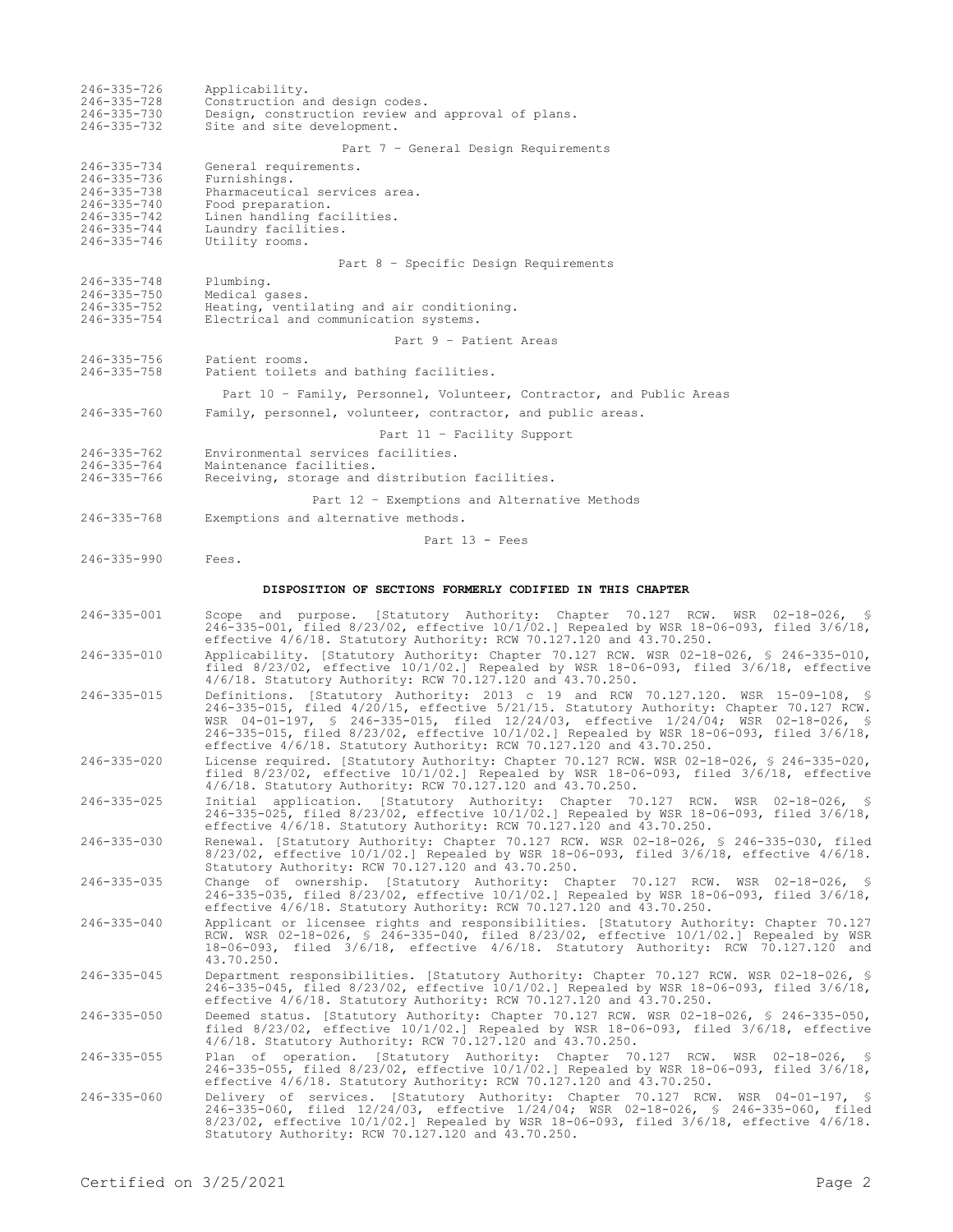| 246-335-726<br>246-335-728<br>246-335-730<br>246-335-732                               | Applicability.<br>Construction and design codes.<br>Design, construction review and approval of plans.<br>Site and site development.                                                                                                                                                                                                                                                                                                  |
|----------------------------------------------------------------------------------------|---------------------------------------------------------------------------------------------------------------------------------------------------------------------------------------------------------------------------------------------------------------------------------------------------------------------------------------------------------------------------------------------------------------------------------------|
|                                                                                        | Part 7 - General Design Requirements                                                                                                                                                                                                                                                                                                                                                                                                  |
| 246-335-734<br>246-335-736<br>246-335-738<br>246-335-740<br>246-335-742<br>246-335-744 | General requirements.<br>Furnishings.<br>Pharmaceutical services area.<br>Food preparation.<br>Linen handling facilities.<br>Laundry facilities.                                                                                                                                                                                                                                                                                      |
| 246-335-746                                                                            | Utility rooms.<br>Part 8 - Specific Design Requirements                                                                                                                                                                                                                                                                                                                                                                               |
| 246-335-748                                                                            | Plumbing.                                                                                                                                                                                                                                                                                                                                                                                                                             |
| 246-335-750<br>246-335-752<br>246-335-754                                              | Medical gases.<br>Heating, ventilating and air conditioning.<br>Electrical and communication systems.                                                                                                                                                                                                                                                                                                                                 |
|                                                                                        | Part 9 - Patient Areas                                                                                                                                                                                                                                                                                                                                                                                                                |
| 246-335-756<br>246-335-758                                                             | Patient rooms.<br>Patient toilets and bathing facilities.                                                                                                                                                                                                                                                                                                                                                                             |
|                                                                                        | Part 10 - Family, Personnel, Volunteer, Contractor, and Public Areas                                                                                                                                                                                                                                                                                                                                                                  |
| 246-335-760                                                                            | Family, personnel, volunteer, contractor, and public areas.                                                                                                                                                                                                                                                                                                                                                                           |
|                                                                                        | Part 11 - Facility Support                                                                                                                                                                                                                                                                                                                                                                                                            |
| $246 - 335 - 762$<br>246-335-764<br>246-335-766                                        | Environmental services facilities.<br>Maintenance facilities.<br>Receiving, storage and distribution facilities.                                                                                                                                                                                                                                                                                                                      |
|                                                                                        | Part 12 - Exemptions and Alternative Methods                                                                                                                                                                                                                                                                                                                                                                                          |
| 246-335-768                                                                            | Exemptions and alternative methods.                                                                                                                                                                                                                                                                                                                                                                                                   |
| 246-335-990                                                                            | Part $13$ - Fees<br>Fees.                                                                                                                                                                                                                                                                                                                                                                                                             |
|                                                                                        | DISPOSITION OF SECTIONS FORMERLY CODIFIED IN THIS CHAPTER                                                                                                                                                                                                                                                                                                                                                                             |
| 246-335-001                                                                            | Scope and purpose. [Statutory Authority: Chapter 70.127 RCW. WSR 02-18-026, §<br>246-335-001, filed 8/23/02, effective $10/1/02$ . Repealed by WSR 18-06-093, filed 3/6/18,<br>effective $4/6/18$ . Statutory Authority: RCW 70.127.120 and $43.70.250$ .                                                                                                                                                                             |
| 246-335-010                                                                            | Applicability. [Statutory Authority: Chapter 70.127 RCW. WSR 02-18-026, \$ 246-335-010,<br>filed $8/23/02$ , effective $10/1/02$ . Repealed by WSR 18-06-093, filed $3/6/18$ , effective<br>4/6/18. Statutory Authority: RCW 70.127.120 and 43.70.250.                                                                                                                                                                                |
| 246-335-015                                                                            | Definitions. [Statutory Authority: 2013 c 19 and RCW 70.127.120. WSR 15-09-108, §<br>246-335-015, filed 4/20/15, effective 5/21/15. Statutory Authority: Chapter 70.127 RCW.<br>WSR 04-01-197, § 246-335-015, filed 12/24/03, effective 1/24/04; WSR 02-18-026, §<br>246-335-015, filed 8/23/02, effective 10/1/02.] Repealed by WSR 18-06-093, filed 3/6/18,<br>effective 4/6/18. Statutory Authority: RCW 70.127.120 and 43.70.250. |
| 246-335-020                                                                            | License required. [Statutory Authority: Chapter 70.127 RCW. WSR 02-18-026, § 246-335-020,<br>filed $8/23/02$ , effective $10/1/02$ .] Repealed by WSR 18-06-093, filed $3/6/18$ , effective<br>4/6/18. Statutory Authority: RCW 70.127.120 and 43.70.250.                                                                                                                                                                             |
| 246-335-025                                                                            | Initial application. [Statutory Authority: Chapter 70.127 RCW. WSR 02-18-026, \$<br>246-335-025, filed 8/23/02, effective 10/1/02.] Repealed by WSR 18-06-093, filed 3/6/18,<br>effective 4/6/18. Statutory Authority: RCW 70.127.120 and 43.70.250.                                                                                                                                                                                  |
| 246-335-030                                                                            | Renewal. [Statutory Authority: Chapter 70.127 RCW. WSR 02-18-026, § 246-335-030, filed<br>$8/23/02$ , effective $10/1/02$ . Repealed by WSR 18-06-093, filed $3/6/18$ , effective $4/6/18$ .<br>Statutory Authority: RCW 70.127.120 and 43.70.250.                                                                                                                                                                                    |
| 246-335-035                                                                            | Change of ownership. [Statutory Authority: Chapter 70.127 RCW. WSR 02-18-026, §<br>246-335-035, filed 8/23/02, effective 10/1/02.] Repealed by WSR 18-06-093, filed 3/6/18,<br>effective $4/6/18$ . Statutory Authority: RCW 70.127.120 and 43.70.250.                                                                                                                                                                                |
| 246-335-040                                                                            | Applicant or licensee rights and responsibilities. [Statutory Authority: Chapter 70.127<br>RCW. WSR 02-18-026, \$ 246-335-040, filed 8/23/02, effective 10/1/02.] Repealed by WSR<br>18-06-093, filed 3/6/18, effective 4/6/18. Statutory Authority: RCW 70.127.120 and<br>43.70.250.                                                                                                                                                 |
| 246-335-045                                                                            | Department responsibilities. [Statutory Authority: Chapter 70.127 RCW. WSR 02-18-026, §<br>246-335-045, filed 8/23/02, effective 10/1/02.] Repealed by WSR 18-06-093, filed 3/6/18,<br>effective $4/6/18$ . Statutory Authority: RCW 70.127.120 and $43.70.250$ .                                                                                                                                                                     |
| $246 - 335 - 050$                                                                      | Deemed status. [Statutory Authority: Chapter 70.127 RCW. WSR 02-18-026, \$ 246-335-050,<br>filed $8/23/02$ , effective $10/1/02$ . Repealed by WSR 18-06-093, filed $3/6/18$ , effective<br>4/6/18. Statutory Authority: RCW 70.127.120 and 43.70.250.                                                                                                                                                                                |
| $246 - 335 - 055$                                                                      | Plan of operation. [Statutory Authority: Chapter 70.127 RCW. WSR 02-18-026, §<br>246-335-055, filed 8/23/02, effective 10/1/02.] Repealed by WSR 18-06-093, filed 3/6/18,<br>effective $4/6/18$ . Statutory Authority: RCW 70.127.120 and $43.70.250$ .                                                                                                                                                                               |
| 246-335-060                                                                            | Delivery of services. [Statutory Authority: Chapter 70.127 RCW. WSR 04-01-197, §<br>246-335-060, filed 12/24/03, effective 1/24/04; WSR 02-18-026, § 246-335-060, filed<br>$8/23/02$ , effective $10/1/02$ . Repealed by WSR 18-06-093, filed $3/6/18$ , effective $4/6/18$ .<br>Statutory Authority: RCW 70.127.120 and 43.70.250.                                                                                                   |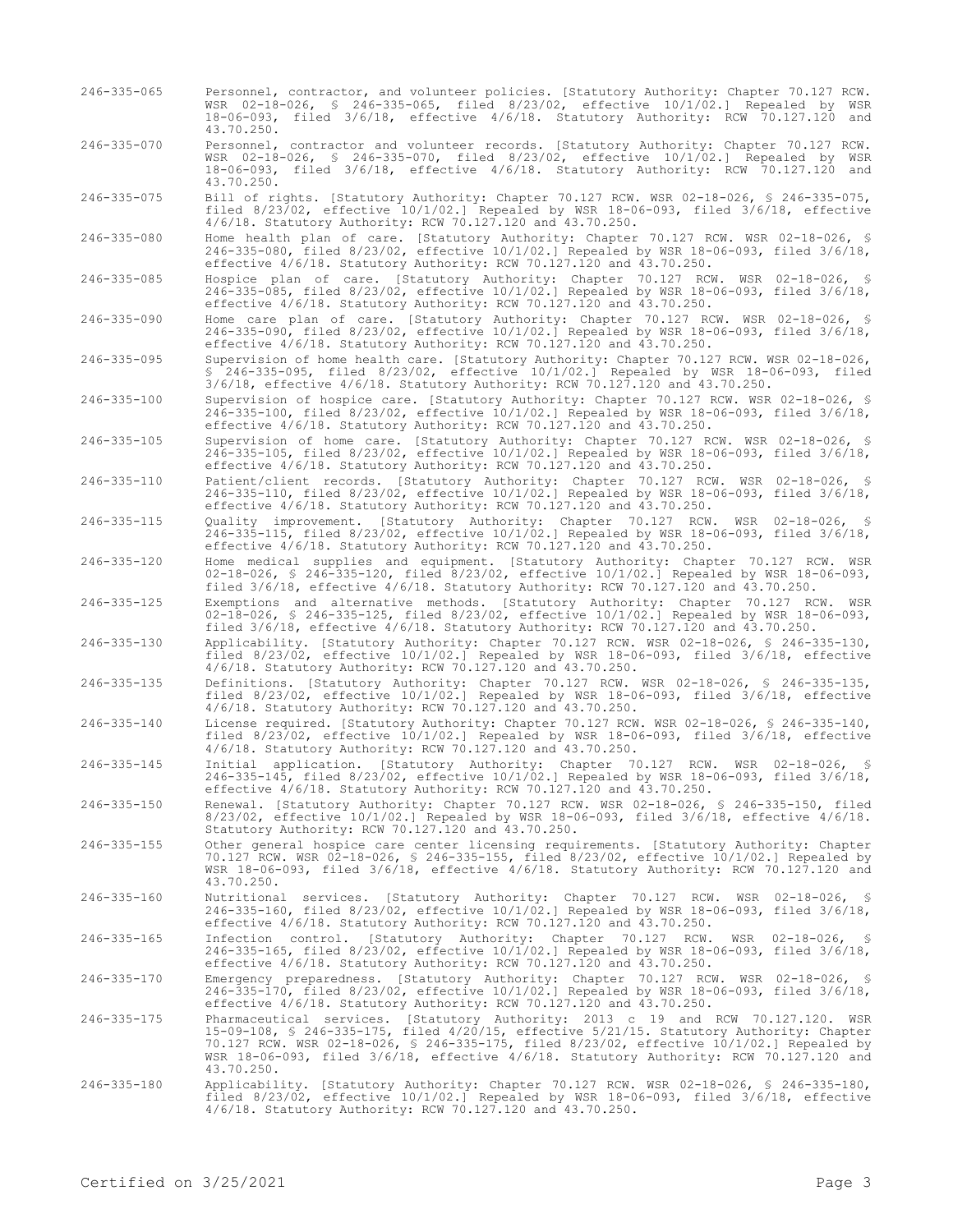- 246-335-065 Personnel, contractor, and volunteer policies. [Statutory Authority: Chapter 70.127 RCW. WSR 02-18-026, § 246-335-065, filed 8/23/02, effective 10/1/02.] Repealed by WSR 18-06-093, filed 3/6/18, effective 4/6/18. Statutory Authority: RCW 70.127.120 and 43.70.250.
- 246-335-070 Personnel, contractor and volunteer records. [Statutory Authority: Chapter 70.127 RCW. WSR 02-18-026, § 246-335-070, filed 8/23/02, effective 10/1/02.] Repealed by WSR 18-06-093, filed 3/6/18, effective 4/6/18. Statutory Authority: RCW 70.127.120 and 43.70.250.

246-335-075 Bill of rights. [Statutory Authority: Chapter 70.127 RCW. WSR 02-18-026, § 246-335-075, filed 8/23/02, effective 10/1/02.] Repealed by WSR 18-06-093, filed 3/6/18, effective 4/6/18. Statutory Authority: RCW 70.127.120 and 43.70.250.

246-335-080 Home health plan of care. [Statutory Authority: Chapter 70.127 RCW. WSR 02-18-026, § 246-335-080, filed 8/23/02, effective 10/1/02.] Repealed by WSR 18-06-093, filed 3/6/18, effective 4/6/18. Statutory Authority: RCW 70.127.120 and 43.70.250.

246-335-085 Hospice plan of care. [Statutory Authority: Chapter 70.127 RCW. WSR 02-18-026, § 246-335-085, filed 8/23/02, effective 10/1/02.] Repealed by WSR 18-06-093, filed 3/6/18, effective 4/6/18. Statutory Authority: RCW 70.127.120 and 43.70.250.

246-335-090 Home care plan of care. [Statutory Authority: Chapter 70.127 RCW. WSR 02-18-026, § 246-335-090, filed 8/23/02, effective 10/1/02.] Repealed by WSR 18-06-093, filed 3/6/18, effective 4/6/18. Statutory Authority: RCW 70.127.120 and 43.70.250.

246-335-095 Supervision of home health care. [Statutory Authority: Chapter 70.127 RCW. WSR 02-18-026, § 246-335-095, filed 8/23/02, effective 10/1/02.] Repealed by WSR 18-06-093, filed 3/6/18, effective 4/6/18. Statutory Authority: RCW 70.127.120 and 43.70.250.

246-335-100 Supervision of hospice care. [Statutory Authority: Chapter 70.127 RCW. WSR 02-18-026, § 246-335-100, filed 8/23/02, effective 10/1/02.] Repealed by WSR 18-06-093, filed 3/6/18, effective 4/6/18. Statutory Authority: RCW 70.127.120 and 43.70.250.

246-335-105 Supervision of home care. [Statutory Authority: Chapter 70.127 RCW. WSR 02-18-026, § 246-335-105, filed 8/23/02, effective 10/1/02.] Repealed by WSR 18-06-093, filed 3/6/18, effective 4/6/18. Statutory Authority: RCW 70.127.120 and 43.70.250.

246-335-110 Patient/client records. [Statutory Authority: Chapter 70.127 RCW. WSR 02-18-026, § 246-335-110, filed 8/23/02, effective 10/1/02.] Repealed by WSR 18-06-093, filed 3/6/18, effective 4/6/18. Statutory Authority: RCW 70.127.120 and 43.70.250.

246-335-115 Quality improvement. [Statutory Authority: Chapter 70.127 RCW. WSR 02-18-026, § 246-335-115, filed 8/23/02, effective 10/1/02.] Repealed by WSR 18-06-093, filed 3/6/18, effective 4/6/18. Statutory Authority: RCW 70.127.120 and 43.70.250.

246-335-120 Home medical supplies and equipment. [Statutory Authority: Chapter 70.127 RCW. WSR 02-18-026, § 246-335-120, filed 8/23/02, effective 10/1/02.] Repealed by WSR 18-06-093, filed 3/6/18, effective 4/6/18. Statutory Authority: RCW 70.127.120 and 43.70.250.

246-335-125 Exemptions and alternative methods. [Statutory Authority: Chapter 70.127 RCW. WSR 02-18-026, § 246-335-125, filed 8/23/02, effective 10/1/02.] Repealed by WSR 18-06-093, filed 3/6/18, effective 4/6/18. Statutory Authority: RCW 70.127.120 and 43.70.250.

246-335-130 Applicability. [Statutory Authority: Chapter 70.127 RCW. WSR 02-18-026, § 246-335-130, filed 8/23/02, effective 10/1/02.] Repealed by WSR 18-06-093, filed 3/6/18, effective 4/6/18. Statutory Authority: RCW 70.127.120 and 43.70.250.

246-335-135 Definitions. [Statutory Authority: Chapter 70.127 RCW. WSR 02-18-026, § 246-335-135, filed 8/23/02, effective 10/1/02.] Repealed by WSR 18-06-093, filed 3/6/18, effective 4/6/18. Statutory Authority: RCW 70.127.120 and 43.70.250.

246-335-140 License required. [Statutory Authority: Chapter 70.127 RCW. WSR 02-18-026, § 246-335-140, filed 8/23/02, effective 10/1/02.] Repealed by WSR 18-06-093, filed 3/6/18, effective 4/6/18. Statutory Authority: RCW 70.127.120 and 43.70.250.

246-335-145 Initial application. [Statutory Authority: Chapter 70.127 RCW. WSR 02-18-026, § 246-335-145, filed 8/23/02, effective 10/1/02.] Repealed by WSR 18-06-093, filed 3/6/18, effective 4/6/18. Statutory Authority: RCW 70.127.120 and 43.70.250.

246-335-150 Renewal. [Statutory Authority: Chapter 70.127 RCW. WSR 02-18-026, § 246-335-150, filed 8/23/02, effective 10/1/02.] Repealed by WSR 18-06-093, filed 3/6/18, effective 4/6/18. Statutory Authority: RCW 70.127.120 and 43.70.250.

246-335-155 Other general hospice care center licensing requirements. [Statutory Authority: Chapter 70.127 RCW. WSR 02-18-026, § 246-335-155, filed 8/23/02, effective 10/1/02.] Repealed by WSR 18-06-093, filed 3/6/18, effective 4/6/18. Statutory Authority: RCW 70.127.120 and 43.70.250.

246-335-160 Nutritional services. [Statutory Authority: Chapter 70.127 RCW. WSR 02-18-026, § 246-335-160, filed 8/23/02, effective 10/1/02.] Repealed by WSR 18-06-093, filed 3/6/18, effective 4/6/18. Statutory Authority: RCW 70.127.120 and 43.70.250.

246-335-165 Infection control. [Statutory Authority: Chapter 70.127 RCW. WSR 02-18-026, § 246-335-165, filed 8/23/02, effective 10/1/02.] Repealed by WSR 18-06-093, filed 3/6/18, effective 4/6/18. Statutory Authority: RCW 70.127.120 and 43.70.250.

246-335-170 Emergency preparedness. [Statutory Authority: Chapter 70.127 RCW. WSR 02-18-026, § 246-335-170, filed 8/23/02, effective 10/1/02.] Repealed by WSR 18-06-093, filed 3/6/18, effective 4/6/18. Statutory Authority: RCW 70.127.120 and 43.70.250.

246-335-175 Pharmaceutical services. [Statutory Authority: 2013 c 19 and RCW 70.127.120. WSR<br>15-09-108, \$ 246-335-175, filed 4/20/15, effective 5/21/15. Statutory Authority: Chapter<br>70.127 RCW. WSR 02-18-026, \$ 246-335-175 WSR 18-06-093, filed 3/6/18, effective 4/6/18. Statutory Authority: RCW 70.127.120 and 43.70.250.

246-335-180 Applicability. [Statutory Authority: Chapter 70.127 RCW. WSR 02-18-026, § 246-335-180, filed 8/23/02, effective 10/1/02.] Repealed by WSR 18-06-093, filed 3/6/18, effective 4/6/18. Statutory Authority: RCW 70.127.120 and 43.70.250.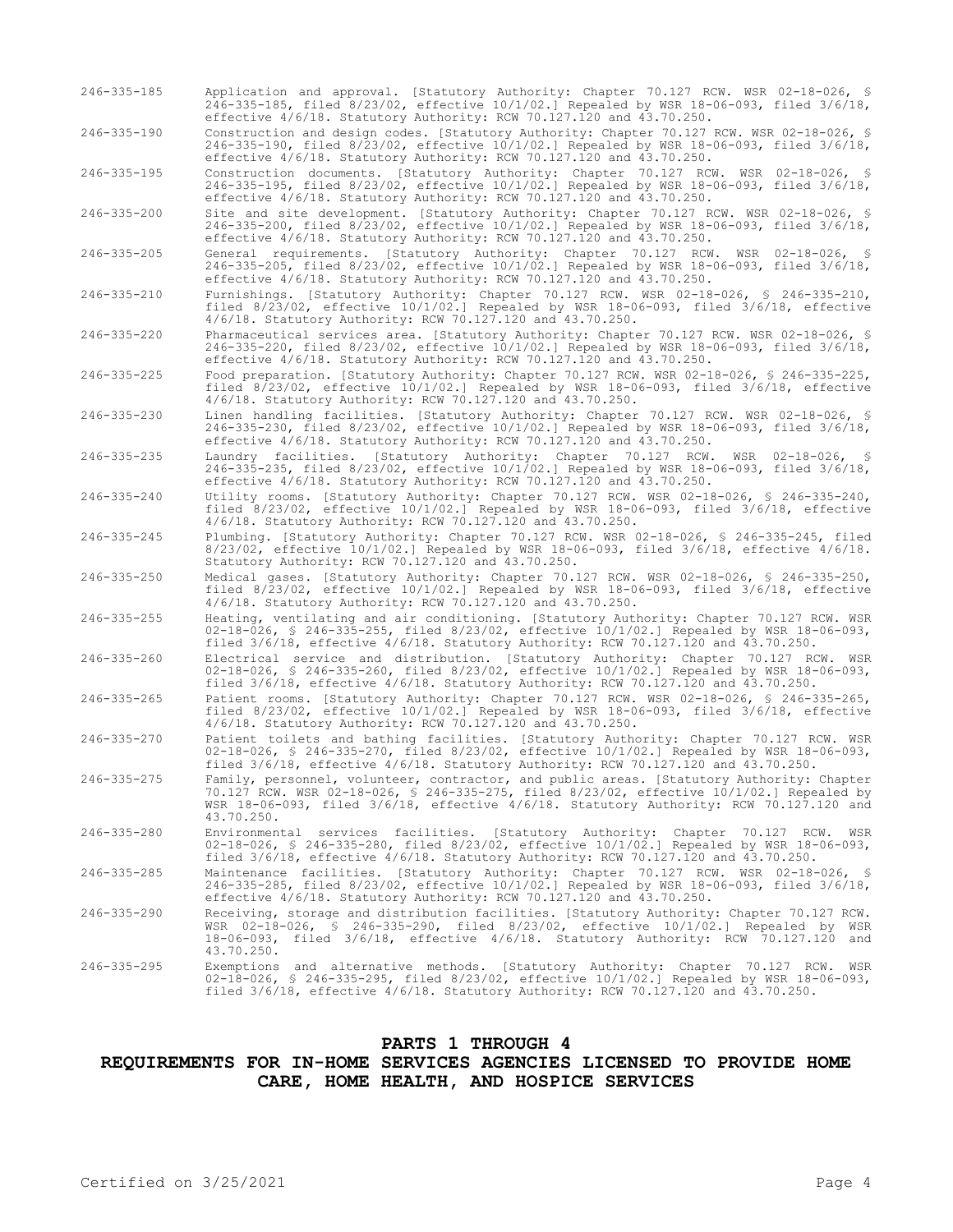- 246-335-185 Application and approval. [Statutory Authority: Chapter 70.127 RCW. WSR 02-18-026, § 246-335-185, filed 8/23/02, effective 10/1/02.] Repealed by WSR 18-06-093, filed 3/6/18, effective 4/6/18. Statutory Authority: RCW 70.127.120 and 43.70.250.
- 246-335-190 Construction and design codes. [Statutory Authority: Chapter 70.127 RCW. WSR 02-18-026, § 246-335-190, filed 8/23/02, effective 10/1/02.] Repealed by WSR 18-06-093, filed 3/6/18, effective 4/6/18. Statutory Authority: RCW 70.127.120 and 43.70.250.

246-335-195 Construction documents. [Statutory Authority: Chapter 70.127 RCW. WSR 02-18-026, § 246-335-195, filed 8/23/02, effective 10/1/02.] Repealed by WSR 18-06-093, filed 3/6/18, effective 4/6/18. Statutory Authority: RCW 70.127.120 and 43.70.250.

246-335-200 Site and site development. [Statutory Authority: Chapter 70.127 RCW. WSR 02-18-026, § 246-335-200, filed 8/23/02, effective 10/1/02.] Repealed by WSR 18-06-093, filed 3/6/18, effective 4/6/18. Statutory Authority: RCW 70.127.120 and 43.70.250.

246-335-205 General requirements. [Statutory Authority: Chapter 70.127 RCW. WSR 02-18-026, § 246-335-205, filed 8/23/02, effective 10/1/02.] Repealed by WSR 18-06-093, filed 3/6/18, effective 4/6/18. Statutory Authority: RCW 70.127.120 and 43.70.250.

246-335-210 Furnishings. [Statutory Authority: Chapter 70.127 RCW. WSR 02-18-026, § 246-335-210, filed 8/23/02, effective 10/1/02.] Repealed by WSR 18-06-093, filed 3/6/18, effective 4/6/18. Statutory Authority: RCW 70.127.120 and 43.70.250.

- 246-335-220 Pharmaceutical services area. [Statutory Authority: Chapter 70.127 RCW. WSR 02-18-026, § 246-335-220, filed 8/23/02, effective 10/1/02.] Repealed by WSR 18-06-093, filed 3/6/18, effective 4/6/18. Statutory Authority: RCW 70.127.120 and 43.70.250.
- 246-335-225 Food preparation. [Statutory Authority: Chapter 70.127 RCW. WSR 02-18-026, § 246-335-225, filed 8/23/02, effective 10/1/02.] Repealed by WSR 18-06-093, filed 3/6/18, effective 4/6/18. Statutory Authority: RCW 70.127.120 and 43.70.250.

246-335-230 Linen handling facilities. [Statutory Authority: Chapter 70.127 RCW. WSR 02-18-026, § 246-335-230, filed 8/23/02, effective 10/1/02.] Repealed by WSR 18-06-093, filed 3/6/18, effective 4/6/18. Statutory Authority: RCW 70.127.120 and 43.70.250.

- 246-335-235 Laundry facilities. [Statutory Authority: Chapter 70.127 RCW. WSR 02-18-026, § 246-335-235, filed 8/23/02, effective 10/1/02.] Repealed by WSR 18-06-093, filed 3/6/18, effective 4/6/18. Statutory Authority: RCW 70.127.120 and 43.70.250.
- 246-335-240 Utility rooms. [Statutory Authority: Chapter 70.127 RCW. WSR 02-18-026, § 246-335-240, filed 8/23/02, effective 10/1/02.] Repealed by WSR 18-06-093, filed 3/6/18, effective 4/6/18. Statutory Authority: RCW 70.127.120 and 43.70.250.
- 246-335-245 Plumbing. [Statutory Authority: Chapter 70.127 RCW. WSR 02-18-026, § 246-335-245, filed 8/23/02, effective 10/1/02.] Repealed by WSR 18-06-093, filed 3/6/18, effective 4/6/18. Statutory Authority: RCW 70.127.120 and 43.70.250.
- 246-335-250 Medical gases. [Statutory Authority: Chapter 70.127 RCW. WSR 02-18-026, § 246-335-250, filed 8/23/02, effective 10/1/02.] Repealed by WSR 18-06-093, filed 3/6/18, effective 4/6/18. Statutory Authority: RCW 70.127.120 and 43.70.250.
- 246-335-255 Heating, ventilating and air conditioning. [Statutory Authority: Chapter 70.127 RCW. WSR 02-18-026, § 246-335-255, filed 8/23/02, effective 10/1/02.] Repealed by WSR 18-06-093, filed 3/6/18, effective 4/6/18. Statutory Authority: RCW 70.127.120 and 43.70.250.
- 246-335-260 Electrical service and distribution. [Statutory Authority: Chapter 70.127 RCW. WSR 02-18-026, § 246-335-260, filed 8/23/02, effective 10/1/02.] Repealed by WSR 18-06-093, filed 3/6/18, effective 4/6/18. Statutory Authority: RCW 70.127.120 and 43.70.250.
- 246-335-265 Patient rooms. [Statutory Authority: Chapter 70.127 RCW. WSR 02-18-026, § 246-335-265, filed 8/23/02, effective 10/1/02.] Repealed by WSR 18-06-093, filed 3/6/18, effective 4/6/18. Statutory Authority: RCW 70.127.120 and 43.70.250.
- 246-335-270 Patient toilets and bathing facilities. [Statutory Authority: Chapter 70.127 RCW. WSR 02-18-026, § 246-335-270, filed 8/23/02, effective 10/1/02.] Repealed by WSR 18-06-093, filed 3/6/18, effective 4/6/18. Statutory Authority: RCW 70.127.120 and 43.70.250.
- 246-335-275 Family, personnel, volunteer, contractor, and public areas. [Statutory Authority: Chapter 70.127 RCW. WSR 02-18-026, § 246-335-275, filed 8/23/02, effective 10/1/02.] Repealed by WSR 18-06-093, filed 3/6/18, effective 4/6/18. Statutory Authority: RCW 70.127.120 and 43.70.250.
- 246-335-280 Environmental services facilities. [Statutory Authority: Chapter 70.127 RCW. WSR 02-18-026, § 246-335-280, filed 8/23/02, effective 10/1/02.] Repealed by WSR 18-06-093, filed 3/6/18, effective 4/6/18. Statutory Authority: RCW 70.127.120 and 43.70.250.
- 246-335-285 Maintenance facilities. [Statutory Authority: Chapter 70.127 RCW. WSR 02-18-026, § 246-335-285, filed 8/23/02, effective 10/1/02.] Repealed by WSR 18-06-093, filed 3/6/18, effective 4/6/18. Statutory Authority: RCW 70.127.120 and 43.70.250.
- 246-335-290 Receiving, storage and distribution facilities. [Statutory Authority: Chapter 70.127 RCW. WSR 02-18-026, § 246-335-290, filed 8/23/02, effective 10/1/02.] Repealed by WSR 18-06-093, filed 3/6/18, effective 4/6/18. Statutory Authority: RCW 70.127.120 and 43.70.250.
- 246-335-295 Exemptions and alternative methods. [Statutory Authority: Chapter 70.127 RCW. WSR 02-18-026, § 246-335-295, filed 8/23/02, effective 10/1/02.] Repealed by WSR 18-06-093, filed 3/6/18, effective 4/6/18. Statutory Authority: RCW 70.127.120 and 43.70.250.

#### **PARTS 1 THROUGH 4**

### **REQUIREMENTS FOR IN-HOME SERVICES AGENCIES LICENSED TO PROVIDE HOME CARE, HOME HEALTH, AND HOSPICE SERVICES**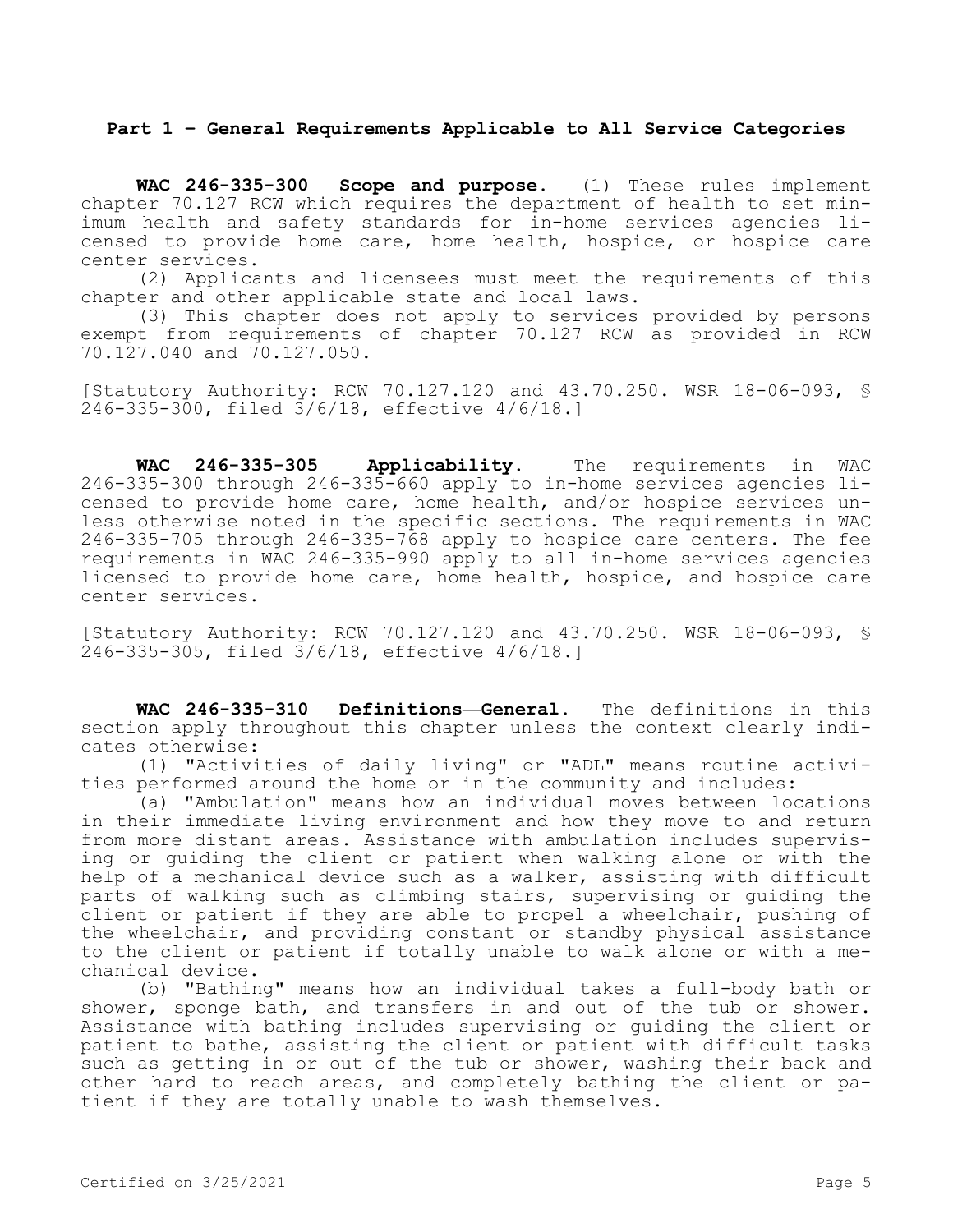### **Part 1 – General Requirements Applicable to All Service Categories**

**WAC 246-335-300 Scope and purpose.** (1) These rules implement chapter 70.127 RCW which requires the department of health to set minimum health and safety standards for in-home services agencies licensed to provide home care, home health, hospice, or hospice care center services.

(2) Applicants and licensees must meet the requirements of this chapter and other applicable state and local laws.

(3) This chapter does not apply to services provided by persons exempt from requirements of chapter 70.127 RCW as provided in RCW 70.127.040 and 70.127.050.

[Statutory Authority: RCW 70.127.120 and 43.70.250. WSR 18-06-093, § 246-335-300, filed 3/6/18, effective 4/6/18.]

**WAC 246-335-305 Applicability.** The requirements in WAC 246-335-300 through 246-335-660 apply to in-home services agencies licensed to provide home care, home health, and/or hospice services unless otherwise noted in the specific sections. The requirements in WAC 246-335-705 through 246-335-768 apply to hospice care centers. The fee requirements in WAC 246-335-990 apply to all in-home services agencies licensed to provide home care, home health, hospice, and hospice care center services.

[Statutory Authority: RCW 70.127.120 and 43.70.250. WSR 18-06-093, § 246-335-305, filed 3/6/18, effective 4/6/18.]

**WAC 246-335-310 Definitions—General.** The definitions in this section apply throughout this chapter unless the context clearly indicates otherwise:

(1) "Activities of daily living" or "ADL" means routine activities performed around the home or in the community and includes:

(a) "Ambulation" means how an individual moves between locations in their immediate living environment and how they move to and return from more distant areas. Assistance with ambulation includes supervising or guiding the client or patient when walking alone or with the help of a mechanical device such as a walker, assisting with difficult parts of walking such as climbing stairs, supervising or guiding the client or patient if they are able to propel a wheelchair, pushing of the wheelchair, and providing constant or standby physical assistance to the client or patient if totally unable to walk alone or with a mechanical device.

(b) "Bathing" means how an individual takes a full-body bath or shower, sponge bath, and transfers in and out of the tub or shower. Assistance with bathing includes supervising or guiding the client or patient to bathe, assisting the client or patient with difficult tasks such as getting in or out of the tub or shower, washing their back and other hard to reach areas, and completely bathing the client or patient if they are totally unable to wash themselves.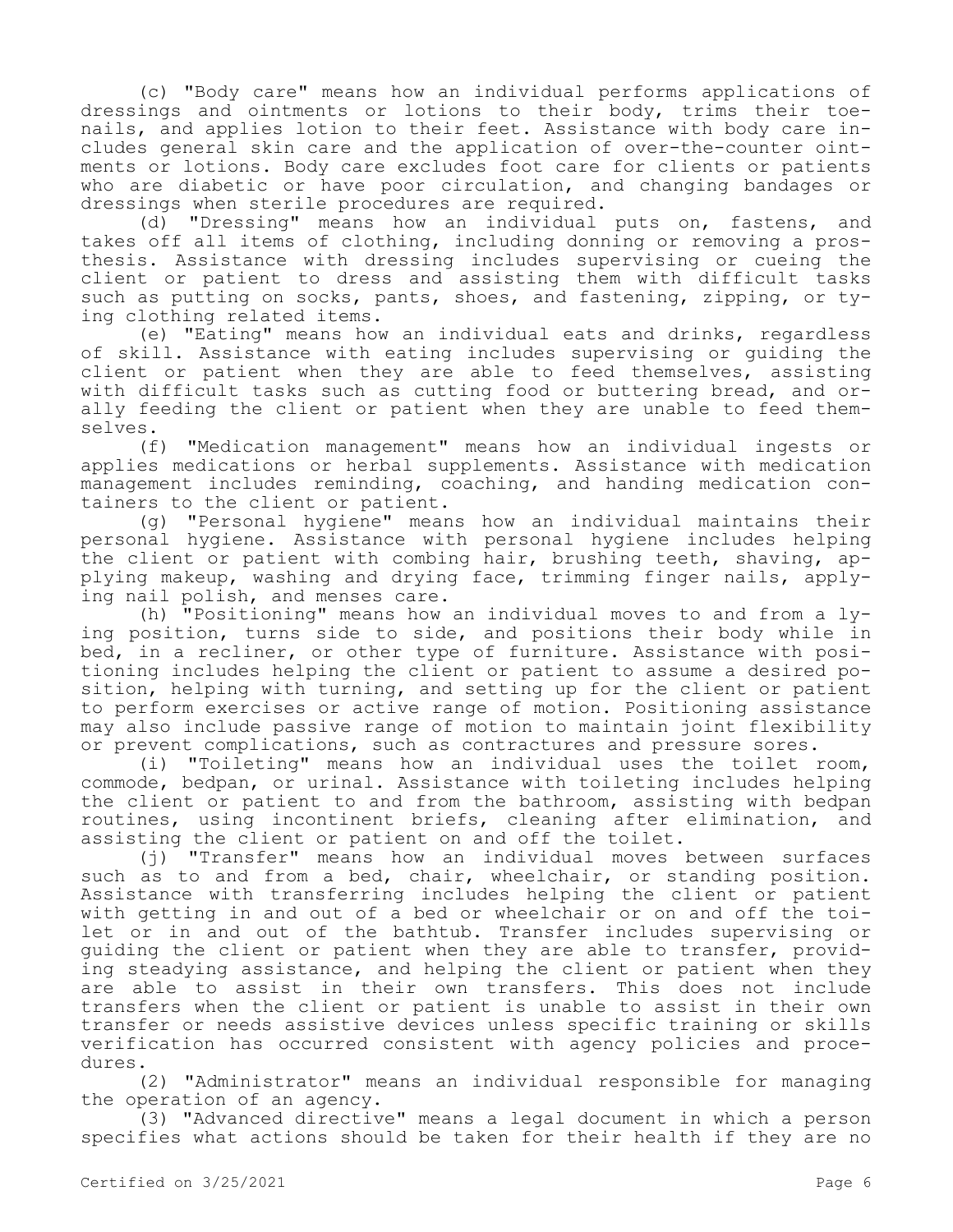(c) "Body care" means how an individual performs applications of dressings and ointments or lotions to their body, trims their toenails, and applies lotion to their feet. Assistance with body care includes general skin care and the application of over-the-counter ointments or lotions. Body care excludes foot care for clients or patients who are diabetic or have poor circulation, and changing bandages or dressings when sterile procedures are required.

(d) "Dressing" means how an individual puts on, fastens, and takes off all items of clothing, including donning or removing a prosthesis. Assistance with dressing includes supervising or cueing the client or patient to dress and assisting them with difficult tasks such as putting on socks, pants, shoes, and fastening, zipping, or tying clothing related items.

(e) "Eating" means how an individual eats and drinks, regardless of skill. Assistance with eating includes supervising or guiding the client or patient when they are able to feed themselves, assisting with difficult tasks such as cutting food or buttering bread, and orally feeding the client or patient when they are unable to feed themselves.

(f) "Medication management" means how an individual ingests or applies medications or herbal supplements. Assistance with medication management includes reminding, coaching, and handing medication containers to the client or patient.

(g) "Personal hygiene" means how an individual maintains their personal hygiene. Assistance with personal hygiene includes helping the client or patient with combing hair, brushing teeth, shaving, applying makeup, washing and drying face, trimming finger nails, applying nail polish, and menses care.

(h) "Positioning" means how an individual moves to and from a lying position, turns side to side, and positions their body while in bed, in a recliner, or other type of furniture. Assistance with positioning includes helping the client or patient to assume a desired position, helping with turning, and setting up for the client or patient to perform exercises or active range of motion. Positioning assistance may also include passive range of motion to maintain joint flexibility or prevent complications, such as contractures and pressure sores.

(i) "Toileting" means how an individual uses the toilet room, commode, bedpan, or urinal. Assistance with toileting includes helping the client or patient to and from the bathroom, assisting with bedpan routines, using incontinent briefs, cleaning after elimination, and assisting the client or patient on and off the toilet.

(j) "Transfer" means how an individual moves between surfaces such as to and from a bed, chair, wheelchair, or standing position. Assistance with transferring includes helping the client or patient with getting in and out of a bed or wheelchair or on and off the toilet or in and out of the bathtub. Transfer includes supervising or guiding the client or patient when they are able to transfer, providing steadying assistance, and helping the client or patient when they are able to assist in their own transfers. This does not include transfers when the client or patient is unable to assist in their own transfer or needs assistive devices unless specific training or skills verification has occurred consistent with agency policies and procedures.

(2) "Administrator" means an individual responsible for managing the operation of an agency.

(3) "Advanced directive" means a legal document in which a person specifies what actions should be taken for their health if they are no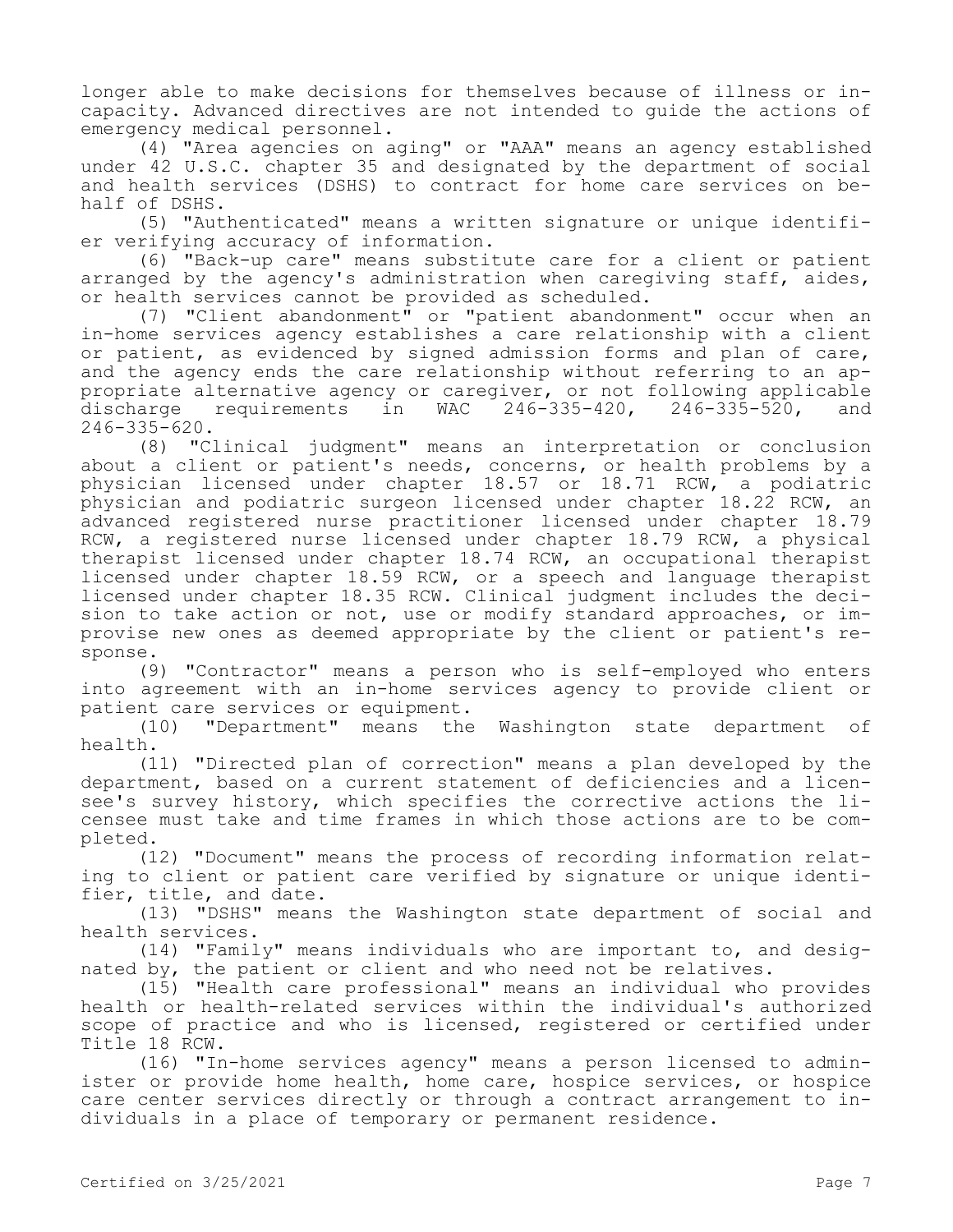longer able to make decisions for themselves because of illness or incapacity. Advanced directives are not intended to guide the actions of emergency medical personnel.

(4) "Area agencies on aging" or "AAA" means an agency established under 42 U.S.C. chapter 35 and designated by the department of social and health services (DSHS) to contract for home care services on behalf of DSHS.

(5) "Authenticated" means a written signature or unique identifier verifying accuracy of information.

(6) "Back-up care" means substitute care for a client or patient arranged by the agency's administration when caregiving staff, aides, or health services cannot be provided as scheduled.

(7) "Client abandonment" or "patient abandonment" occur when an in-home services agency establishes a care relationship with a client or patient, as evidenced by signed admission forms and plan of care, and the agency ends the care relationship without referring to an appropriate alternative agency or caregiver, or not following applicable<br>discharge requirements in WAC 246-335-420, 246-335-520, and discharge requirements in WAC 246-335-420, 246-335-520, and 246-335-620.

(8) "Clinical judgment" means an interpretation or conclusion about a client or patient's needs, concerns, or health problems by a physician licensed under chapter 18.57 or 18.71 RCW, a podiatric physician and podiatric surgeon licensed under chapter 18.22 RCW, an advanced registered nurse practitioner licensed under chapter 18.79 RCW, a registered nurse licensed under chapter 18.79 RCW, a physical therapist licensed under chapter 18.74 RCW, an occupational therapist licensed under chapter 18.59 RCW, or a speech and language therapist licensed under chapter 18.35 RCW. Clinical judgment includes the decision to take action or not, use or modify standard approaches, or improvise new ones as deemed appropriate by the client or patient's response.

(9) "Contractor" means a person who is self-employed who enters into agreement with an in-home services agency to provide client or patient care services or equipment.

(10) "Department" means the Washington state department of health.

(11) "Directed plan of correction" means a plan developed by the department, based on a current statement of deficiencies and a licensee's survey history, which specifies the corrective actions the licensee must take and time frames in which those actions are to be completed.

(12) "Document" means the process of recording information relating to client or patient care verified by signature or unique identifier, title, and date.

(13) "DSHS" means the Washington state department of social and health services.

(14) "Family" means individuals who are important to, and designated by, the patient or client and who need not be relatives.

(15) "Health care professional" means an individual who provides health or health-related services within the individual's authorized scope of practice and who is licensed, registered or certified under Title 18 RCW.

(16) "In-home services agency" means a person licensed to administer or provide home health, home care, hospice services, or hospice care center services directly or through a contract arrangement to individuals in a place of temporary or permanent residence.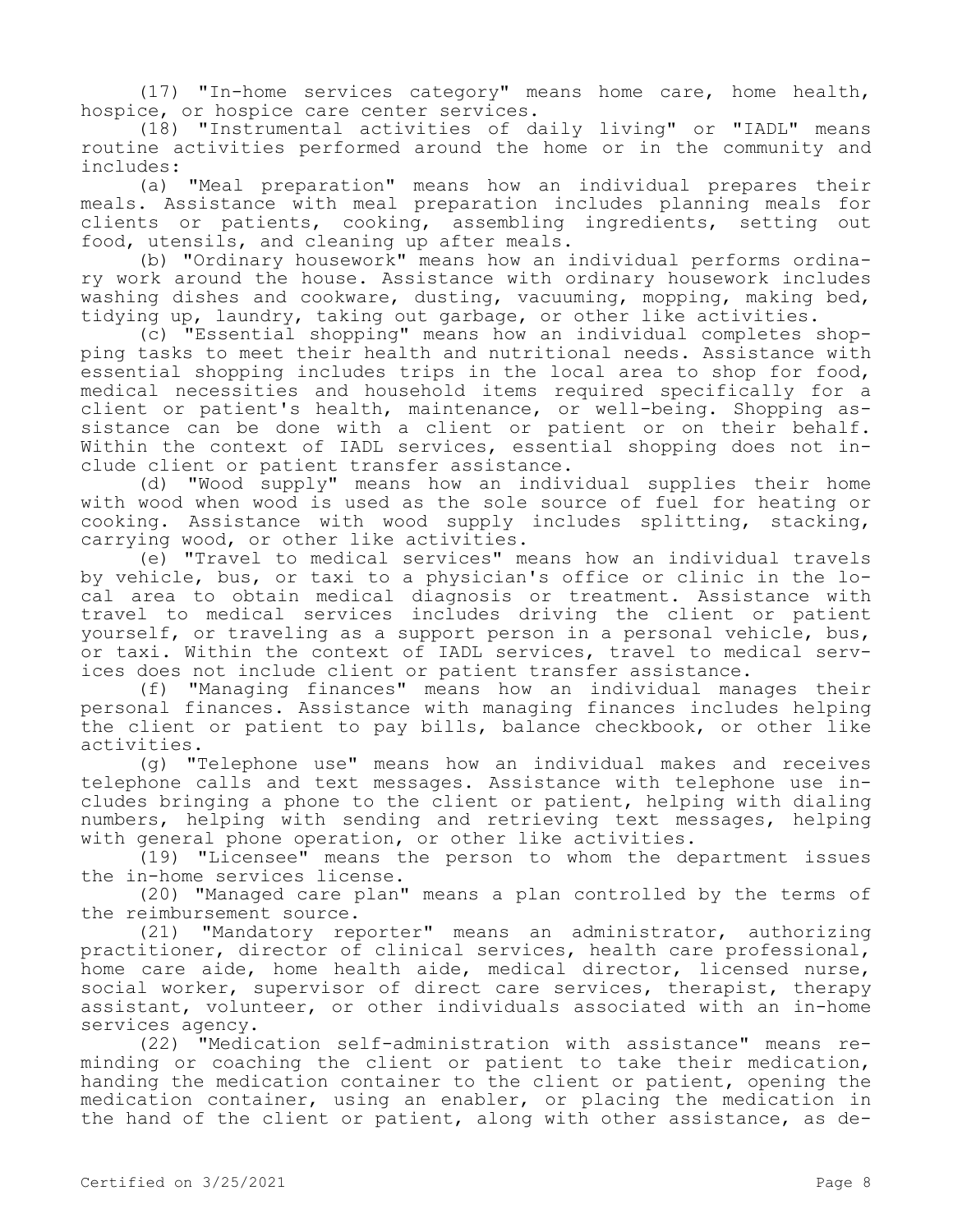(17) "In-home services category" means home care, home health, hospice, or hospice care center services.

(18) "Instrumental activities of daily living" or "IADL" means routine activities performed around the home or in the community and includes:

(a) "Meal preparation" means how an individual prepares their meals. Assistance with meal preparation includes planning meals for clients or patients, cooking, assembling ingredients, setting out food, utensils, and cleaning up after meals.

(b) "Ordinary housework" means how an individual performs ordinary work around the house. Assistance with ordinary housework includes washing dishes and cookware, dusting, vacuuming, mopping, making bed, tidying up, laundry, taking out garbage, or other like activities.

(c) "Essential shopping" means how an individual completes shopping tasks to meet their health and nutritional needs. Assistance with essential shopping includes trips in the local area to shop for food, medical necessities and household items required specifically for a client or patient's health, maintenance, or well-being. Shopping assistance can be done with a client or patient or on their behalf. Within the context of IADL services, essential shopping does not include client or patient transfer assistance.

(d) "Wood supply" means how an individual supplies their home with wood when wood is used as the sole source of fuel for heating or cooking. Assistance with wood supply includes splitting, stacking, carrying wood, or other like activities.

(e) "Travel to medical services" means how an individual travels by vehicle, bus, or taxi to a physician's office or clinic in the local area to obtain medical diagnosis or treatment. Assistance with travel to medical services includes driving the client or patient yourself, or traveling as a support person in a personal vehicle, bus, or taxi. Within the context of IADL services, travel to medical services does not include client or patient transfer assistance.

(f) "Managing finances" means how an individual manages their personal finances. Assistance with managing finances includes helping the client or patient to pay bills, balance checkbook, or other like activities.

(g) "Telephone use" means how an individual makes and receives telephone calls and text messages. Assistance with telephone use includes bringing a phone to the client or patient, helping with dialing numbers, helping with sending and retrieving text messages, helping with general phone operation, or other like activities.

(19) "Licensee" means the person to whom the department issues the in-home services license.

(20) "Managed care plan" means a plan controlled by the terms of the reimbursement source.

(21) "Mandatory reporter" means an administrator, authorizing practitioner, director of clinical services, health care professional, home care aide, home health aide, medical director, licensed nurse, social worker, supervisor of direct care services, therapist, therapy assistant, volunteer, or other individuals associated with an in-home services agency.

(22) "Medication self-administration with assistance" means reminding or coaching the client or patient to take their medication, handing the medication container to the client or patient, opening the medication container, using an enabler, or placing the medication in the hand of the client or patient, along with other assistance, as de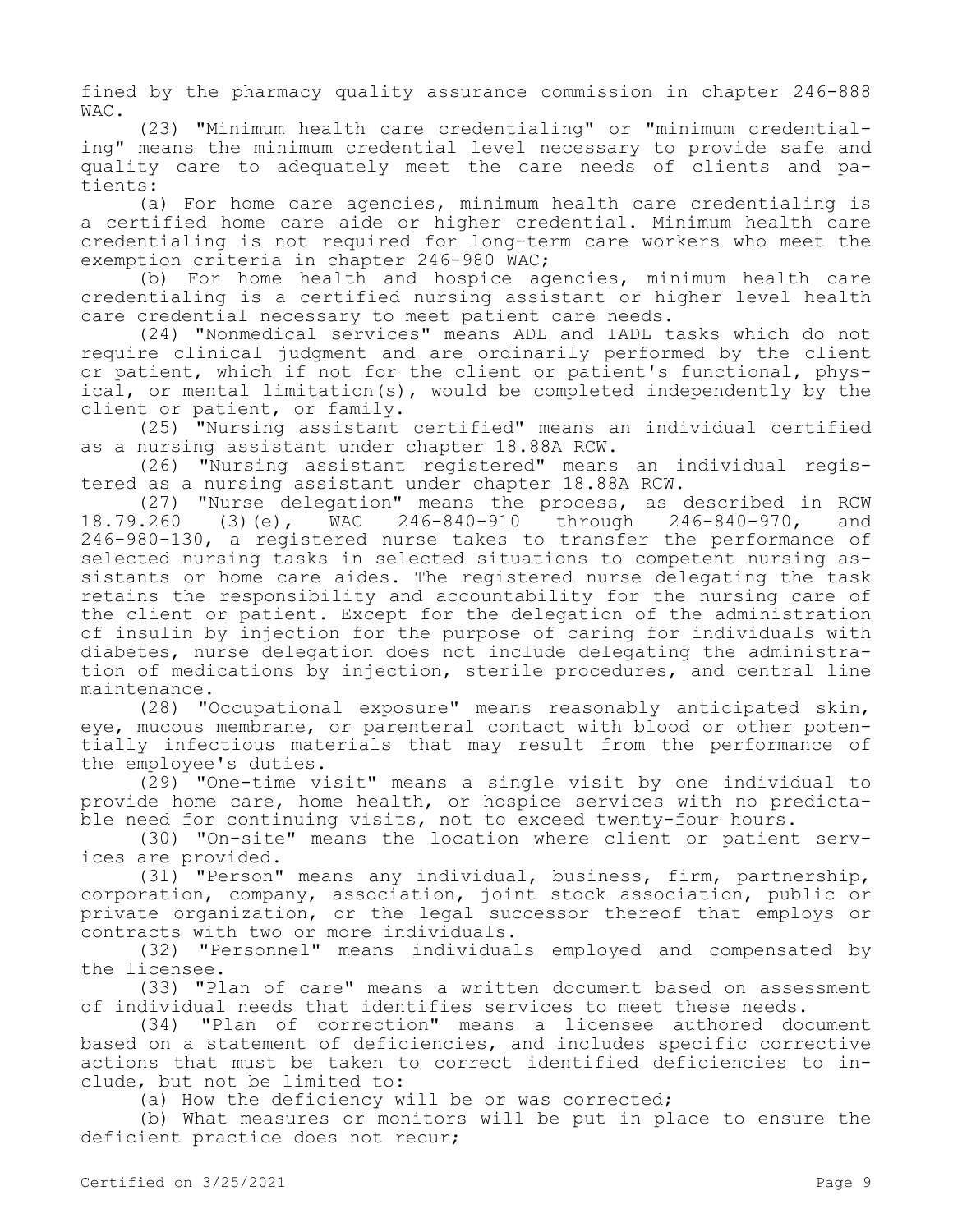fined by the pharmacy quality assurance commission in chapter 246-888 WAC.

(23) "Minimum health care credentialing" or "minimum credentialing" means the minimum credential level necessary to provide safe and quality care to adequately meet the care needs of clients and patients:

(a) For home care agencies, minimum health care credentialing is a certified home care aide or higher credential. Minimum health care credentialing is not required for long-term care workers who meet the exemption criteria in chapter 246-980 WAC;

(b) For home health and hospice agencies, minimum health care credentialing is a certified nursing assistant or higher level health care credential necessary to meet patient care needs.

(24) "Nonmedical services" means ADL and IADL tasks which do not require clinical judgment and are ordinarily performed by the client or patient, which if not for the client or patient's functional, physical, or mental limitation(s), would be completed independently by the client or patient, or family.

(25) "Nursing assistant certified" means an individual certified as a nursing assistant under chapter 18.88A RCW.

(26) "Nursing assistant registered" means an individual registered as a nursing assistant under chapter 18.88A RCW.

(27) "Nurse delegation" means the process, as described in RCW<br>.260 (3)(e), WAC 246-840-910 through 246-840-970, and 18.79.260 (3)(e), WAC 246-840-910 through 246-840-970, and 246-980-130, a registered nurse takes to transfer the performance of selected nursing tasks in selected situations to competent nursing assistants or home care aides. The registered nurse delegating the task retains the responsibility and accountability for the nursing care of the client or patient. Except for the delegation of the administration of insulin by injection for the purpose of caring for individuals with diabetes, nurse delegation does not include delegating the administration of medications by injection, sterile procedures, and central line maintenance.

(28) "Occupational exposure" means reasonably anticipated skin, eye, mucous membrane, or parenteral contact with blood or other potentially infectious materials that may result from the performance of the employee's duties.

(29) "One-time visit" means a single visit by one individual to provide home care, home health, or hospice services with no predictable need for continuing visits, not to exceed twenty-four hours.

(30) "On-site" means the location where client or patient services are provided.

(31) "Person" means any individual, business, firm, partnership, corporation, company, association, joint stock association, public or private organization, or the legal successor thereof that employs or contracts with two or more individuals.

(32) "Personnel" means individuals employed and compensated by the licensee.

(33) "Plan of care" means a written document based on assessment of individual needs that identifies services to meet these needs.

(34) "Plan of correction" means a licensee authored document based on a statement of deficiencies, and includes specific corrective actions that must be taken to correct identified deficiencies to include, but not be limited to:

(a) How the deficiency will be or was corrected;

(b) What measures or monitors will be put in place to ensure the deficient practice does not recur;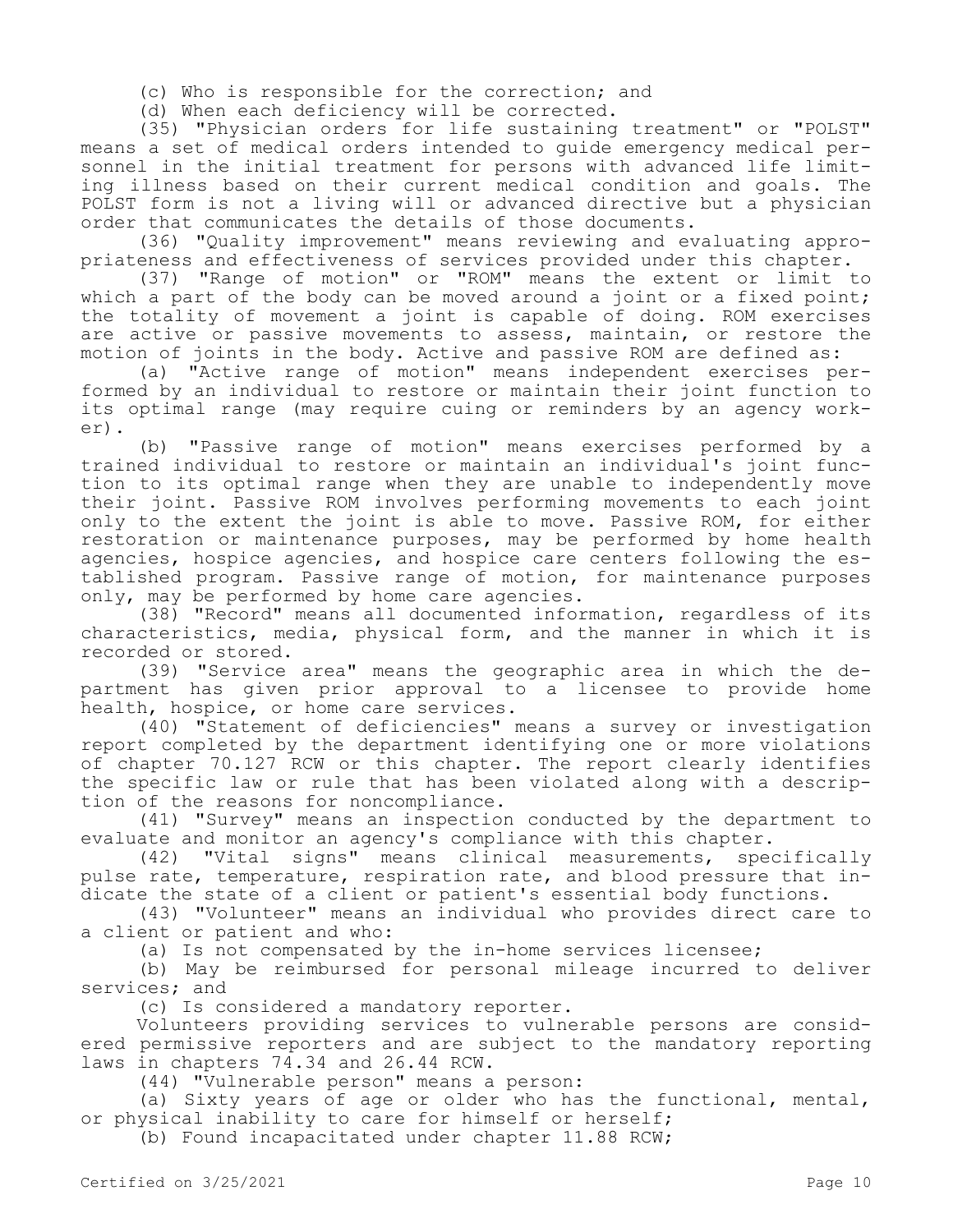(c) Who is responsible for the correction; and

(d) When each deficiency will be corrected.

(35) "Physician orders for life sustaining treatment" or "POLST" means a set of medical orders intended to guide emergency medical personnel in the initial treatment for persons with advanced life limiting illness based on their current medical condition and goals. The POLST form is not a living will or advanced directive but a physician order that communicates the details of those documents.

(36) "Quality improvement" means reviewing and evaluating appropriateness and effectiveness of services provided under this chapter.

(37) "Range of motion" or "ROM" means the extent or limit to which a part of the body can be moved around a joint or a fixed point; the totality of movement a joint is capable of doing. ROM exercises are active or passive movements to assess, maintain, or restore the motion of joints in the body. Active and passive ROM are defined as:

(a) "Active range of motion" means independent exercises performed by an individual to restore or maintain their joint function to its optimal range (may require cuing or reminders by an agency worker).

(b) "Passive range of motion" means exercises performed by a trained individual to restore or maintain an individual's joint function to its optimal range when they are unable to independently move their joint. Passive ROM involves performing movements to each joint only to the extent the joint is able to move. Passive ROM, for either restoration or maintenance purposes, may be performed by home health agencies, hospice agencies, and hospice care centers following the established program. Passive range of motion, for maintenance purposes only, may be performed by home care agencies.

(38) "Record" means all documented information, regardless of its characteristics, media, physical form, and the manner in which it is recorded or stored.

(39) "Service area" means the geographic area in which the department has given prior approval to a licensee to provide home health, hospice, or home care services.

(40) "Statement of deficiencies" means a survey or investigation report completed by the department identifying one or more violations of chapter 70.127 RCW or this chapter. The report clearly identifies the specific law or rule that has been violated along with a description of the reasons for noncompliance.

(41) "Survey" means an inspection conducted by the department to evaluate and monitor an agency's compliance with this chapter.

(42) "Vital signs" means clinical measurements, specifically pulse rate, temperature, respiration rate, and blood pressure that indicate the state of a client or patient's essential body functions.

(43) "Volunteer" means an individual who provides direct care to a client or patient and who:

(a) Is not compensated by the in-home services licensee;

(b) May be reimbursed for personal mileage incurred to deliver services; and

(c) Is considered a mandatory reporter.

Volunteers providing services to vulnerable persons are considered permissive reporters and are subject to the mandatory reporting laws in chapters 74.34 and 26.44 RCW.

(44) "Vulnerable person" means a person:

(a) Sixty years of age or older who has the functional, mental, or physical inability to care for himself or herself;

(b) Found incapacitated under chapter 11.88 RCW;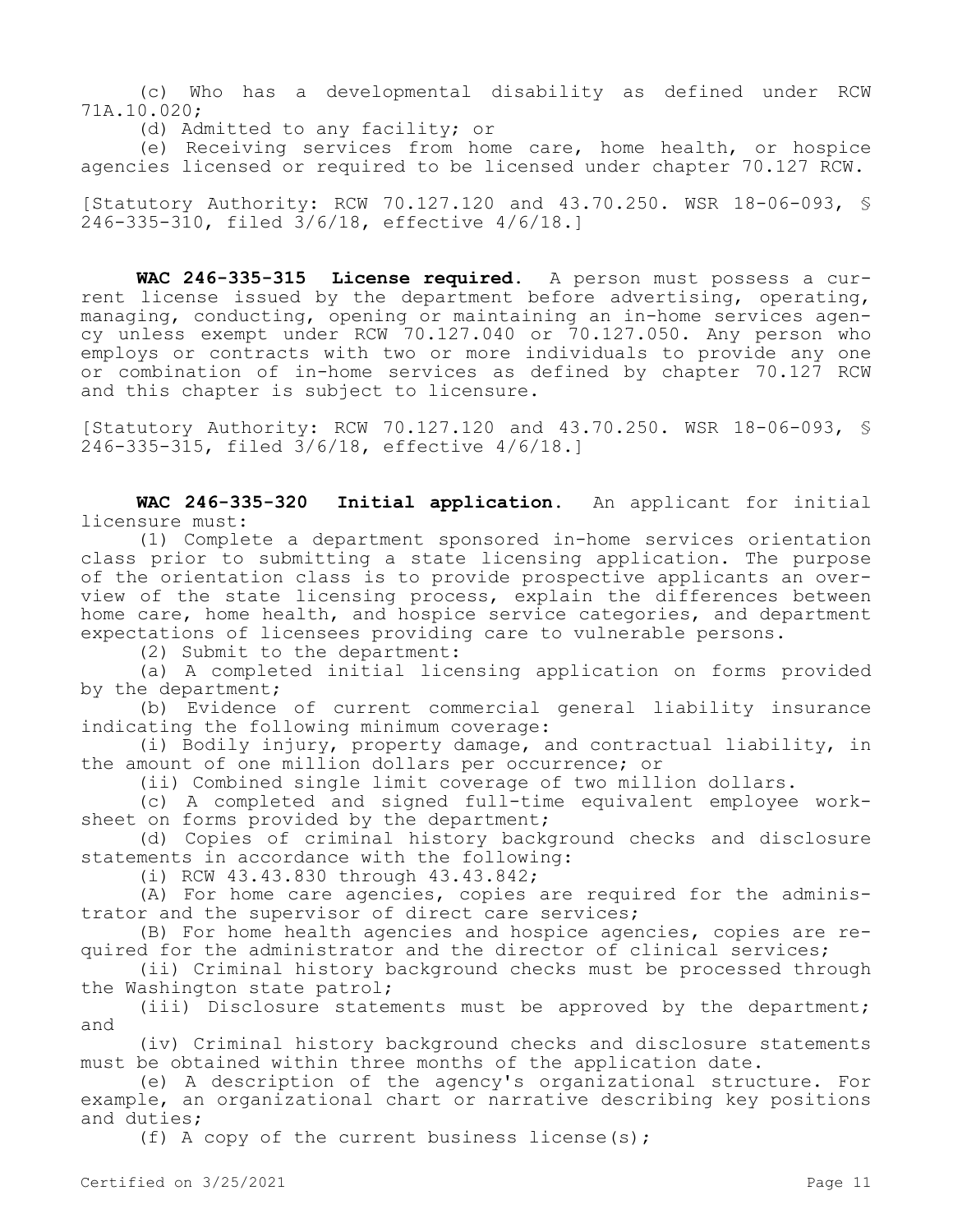(c) Who has a developmental disability as defined under RCW 71A.10.020;

(d) Admitted to any facility; or

(e) Receiving services from home care, home health, or hospice agencies licensed or required to be licensed under chapter 70.127 RCW.

[Statutory Authority: RCW 70.127.120 and 43.70.250. WSR 18-06-093, § 246-335-310, filed 3/6/18, effective 4/6/18.]

**WAC 246-335-315 License required.** A person must possess a current license issued by the department before advertising, operating, managing, conducting, opening or maintaining an in-home services agency unless exempt under RCW 70.127.040 or 70.127.050. Any person who employs or contracts with two or more individuals to provide any one or combination of in-home services as defined by chapter 70.127 RCW and this chapter is subject to licensure.

[Statutory Authority: RCW 70.127.120 and 43.70.250. WSR 18-06-093, § 246-335-315, filed 3/6/18, effective 4/6/18.]

**WAC 246-335-320 Initial application.** An applicant for initial licensure must:

(1) Complete a department sponsored in-home services orientation class prior to submitting a state licensing application. The purpose of the orientation class is to provide prospective applicants an overview of the state licensing process, explain the differences between home care, home health, and hospice service categories, and department expectations of licensees providing care to vulnerable persons.

(2) Submit to the department:

(a) A completed initial licensing application on forms provided by the department;

(b) Evidence of current commercial general liability insurance indicating the following minimum coverage:

(i) Bodily injury, property damage, and contractual liability, in the amount of one million dollars per occurrence; or

(ii) Combined single limit coverage of two million dollars.

(c) A completed and signed full-time equivalent employee worksheet on forms provided by the department;

(d) Copies of criminal history background checks and disclosure statements in accordance with the following:

(i) RCW 43.43.830 through 43.43.842;

(A) For home care agencies, copies are required for the administrator and the supervisor of direct care services;

(B) For home health agencies and hospice agencies, copies are required for the administrator and the director of clinical services;

(ii) Criminal history background checks must be processed through the Washington state patrol;

(iii) Disclosure statements must be approved by the department; and

(iv) Criminal history background checks and disclosure statements must be obtained within three months of the application date.

(e) A description of the agency's organizational structure. For example, an organizational chart or narrative describing key positions and duties;

(f) A copy of the current business license(s);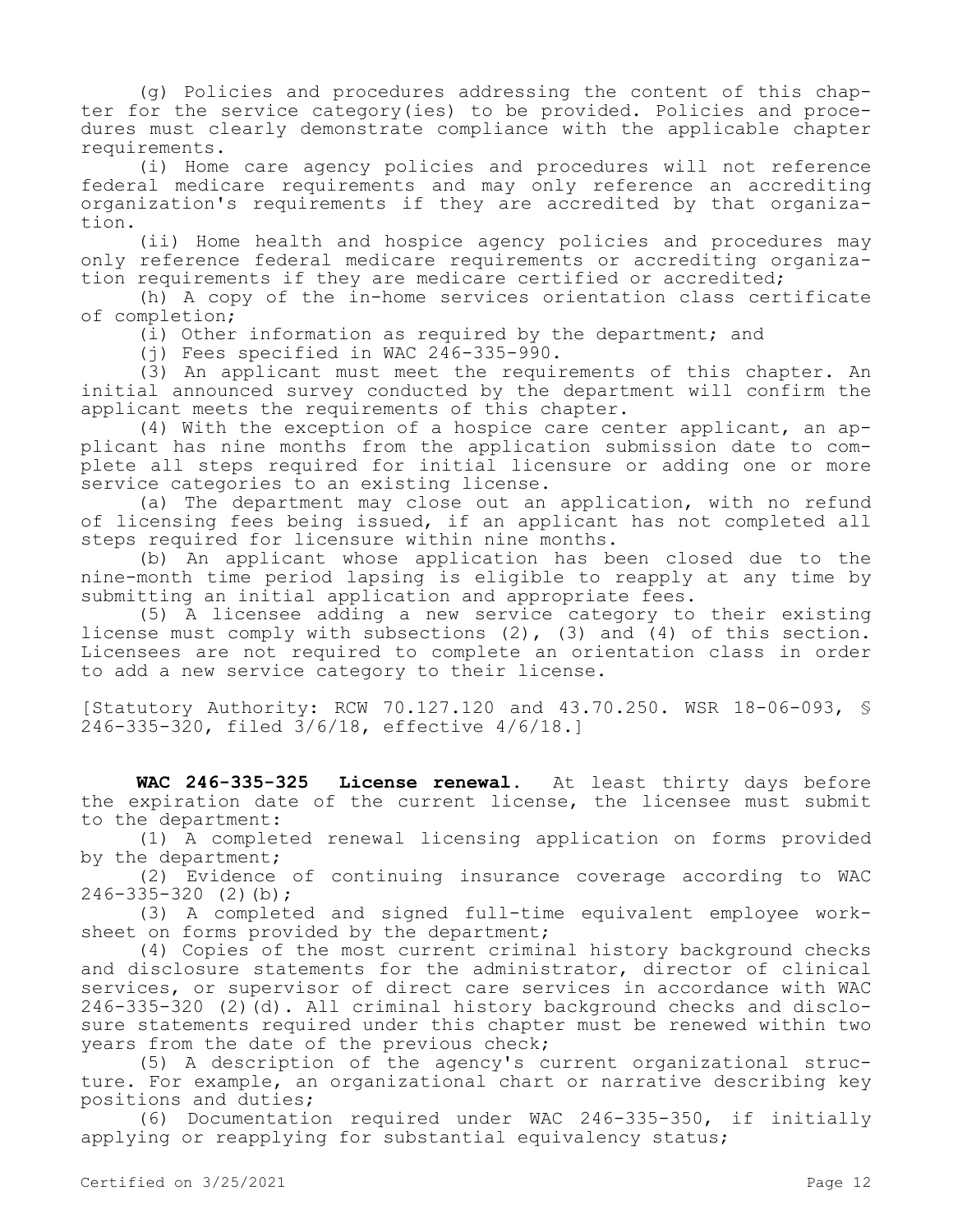(g) Policies and procedures addressing the content of this chapter for the service category(ies) to be provided. Policies and procedures must clearly demonstrate compliance with the applicable chapter requirements.

(i) Home care agency policies and procedures will not reference federal medicare requirements and may only reference an accrediting organization's requirements if they are accredited by that organization.

(ii) Home health and hospice agency policies and procedures may only reference federal medicare requirements or accrediting organization requirements if they are medicare certified or accredited;

(h) A copy of the in-home services orientation class certificate of completion;

(i) Other information as required by the department; and

(i) Fees specified in WAC  $246-335-990$ .

(3) An applicant must meet the requirements of this chapter. An initial announced survey conducted by the department will confirm the applicant meets the requirements of this chapter.

(4) With the exception of a hospice care center applicant, an applicant has nine months from the application submission date to complete all steps required for initial licensure or adding one or more service categories to an existing license.

(a) The department may close out an application, with no refund of licensing fees being issued, if an applicant has not completed all steps required for licensure within nine months.

(b) An applicant whose application has been closed due to the nine-month time period lapsing is eligible to reapply at any time by submitting an initial application and appropriate fees.

(5) A licensee adding a new service category to their existing license must comply with subsections (2), (3) and (4) of this section. Licensees are not required to complete an orientation class in order to add a new service category to their license.

[Statutory Authority: RCW 70.127.120 and 43.70.250. WSR 18-06-093, § 246-335-320, filed 3/6/18, effective 4/6/18.]

**WAC 246-335-325 License renewal.** At least thirty days before the expiration date of the current license, the licensee must submit to the department:

(1) A completed renewal licensing application on forms provided by the department;

(2) Evidence of continuing insurance coverage according to WAC 246-335-320 (2)(b);

(3) A completed and signed full-time equivalent employee worksheet on forms provided by the department;

(4) Copies of the most current criminal history background checks and disclosure statements for the administrator, director of clinical services, or supervisor of direct care services in accordance with WAC 246-335-320 (2)(d). All criminal history background checks and disclosure statements required under this chapter must be renewed within two years from the date of the previous check;

(5) A description of the agency's current organizational structure. For example, an organizational chart or narrative describing key positions and duties;

(6) Documentation required under WAC 246-335-350, if initially applying or reapplying for substantial equivalency status;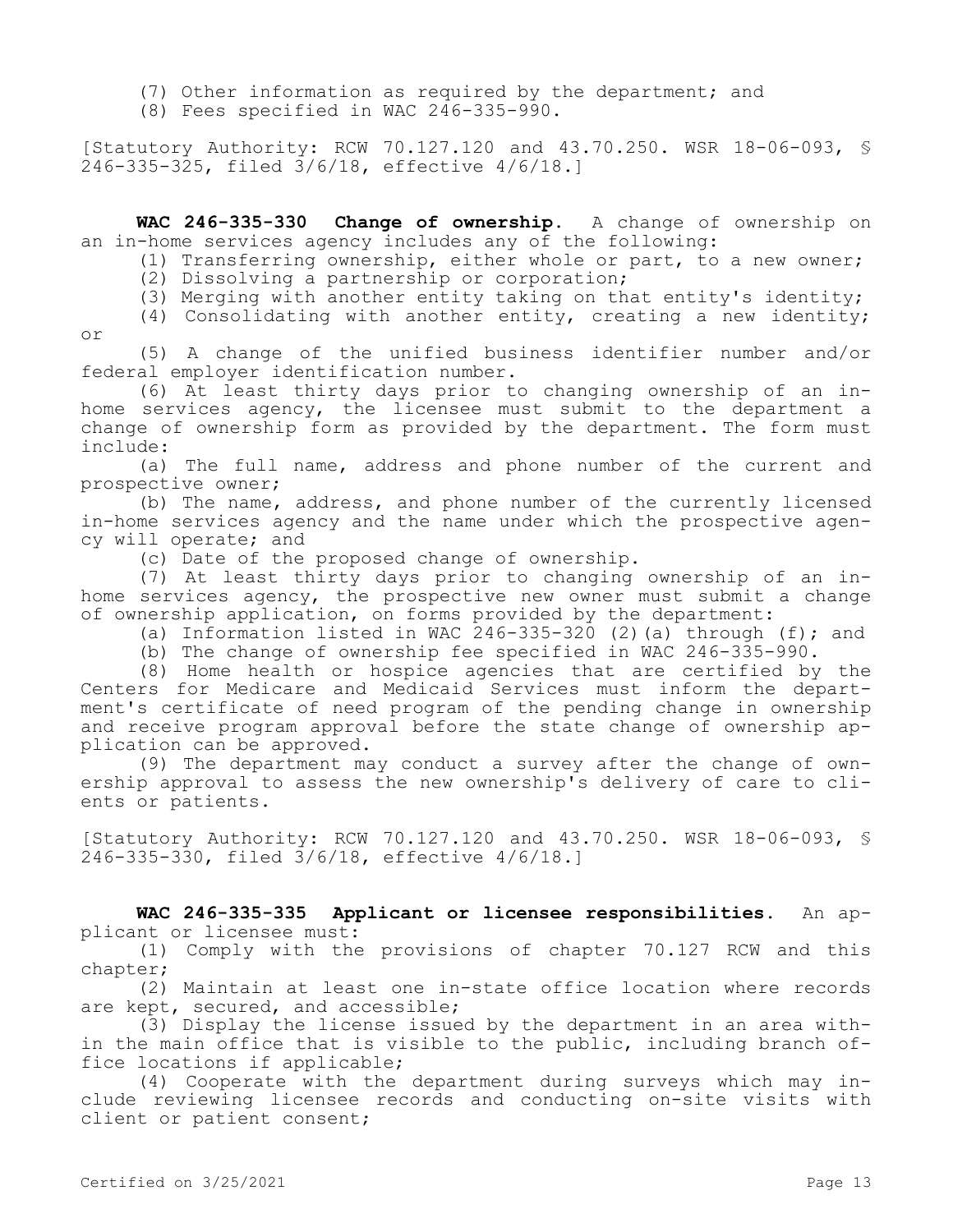- (7) Other information as required by the department; and
- (8) Fees specified in WAC  $246-335-990$ .

[Statutory Authority: RCW 70.127.120 and 43.70.250. WSR 18-06-093, § 246-335-325, filed 3/6/18, effective 4/6/18.]

**WAC 246-335-330 Change of ownership.** A change of ownership on an in-home services agency includes any of the following:

(1) Transferring ownership, either whole or part, to a new owner;

(2) Dissolving a partnership or corporation;

(3) Merging with another entity taking on that entity's identity;

(4) Consolidating with another entity, creating a new identity; or

(5) A change of the unified business identifier number and/or federal employer identification number.

(6) At least thirty days prior to changing ownership of an inhome services agency, the licensee must submit to the department a change of ownership form as provided by the department. The form must include:

(a) The full name, address and phone number of the current and prospective owner;

(b) The name, address, and phone number of the currently licensed in-home services agency and the name under which the prospective agency will operate; and

(c) Date of the proposed change of ownership.

(7) At least thirty days prior to changing ownership of an inhome services agency, the prospective new owner must submit a change of ownership application, on forms provided by the department:

- (a) Information listed in WAC 246-335-320 (2)(a) through (f); and
- (b) The change of ownership fee specified in WAC 246-335-990.

(8) Home health or hospice agencies that are certified by the Centers for Medicare and Medicaid Services must inform the department's certificate of need program of the pending change in ownership and receive program approval before the state change of ownership application can be approved.

(9) The department may conduct a survey after the change of ownership approval to assess the new ownership's delivery of care to clients or patients.

[Statutory Authority: RCW 70.127.120 and 43.70.250. WSR 18-06-093, § 246-335-330, filed 3/6/18, effective 4/6/18.]

**WAC 246-335-335 Applicant or licensee responsibilities.** An applicant or licensee must:

(1) Comply with the provisions of chapter 70.127 RCW and this chapter;

(2) Maintain at least one in-state office location where records are kept, secured, and accessible;

(3) Display the license issued by the department in an area within the main office that is visible to the public, including branch office locations if applicable;

(4) Cooperate with the department during surveys which may include reviewing licensee records and conducting on-site visits with client or patient consent;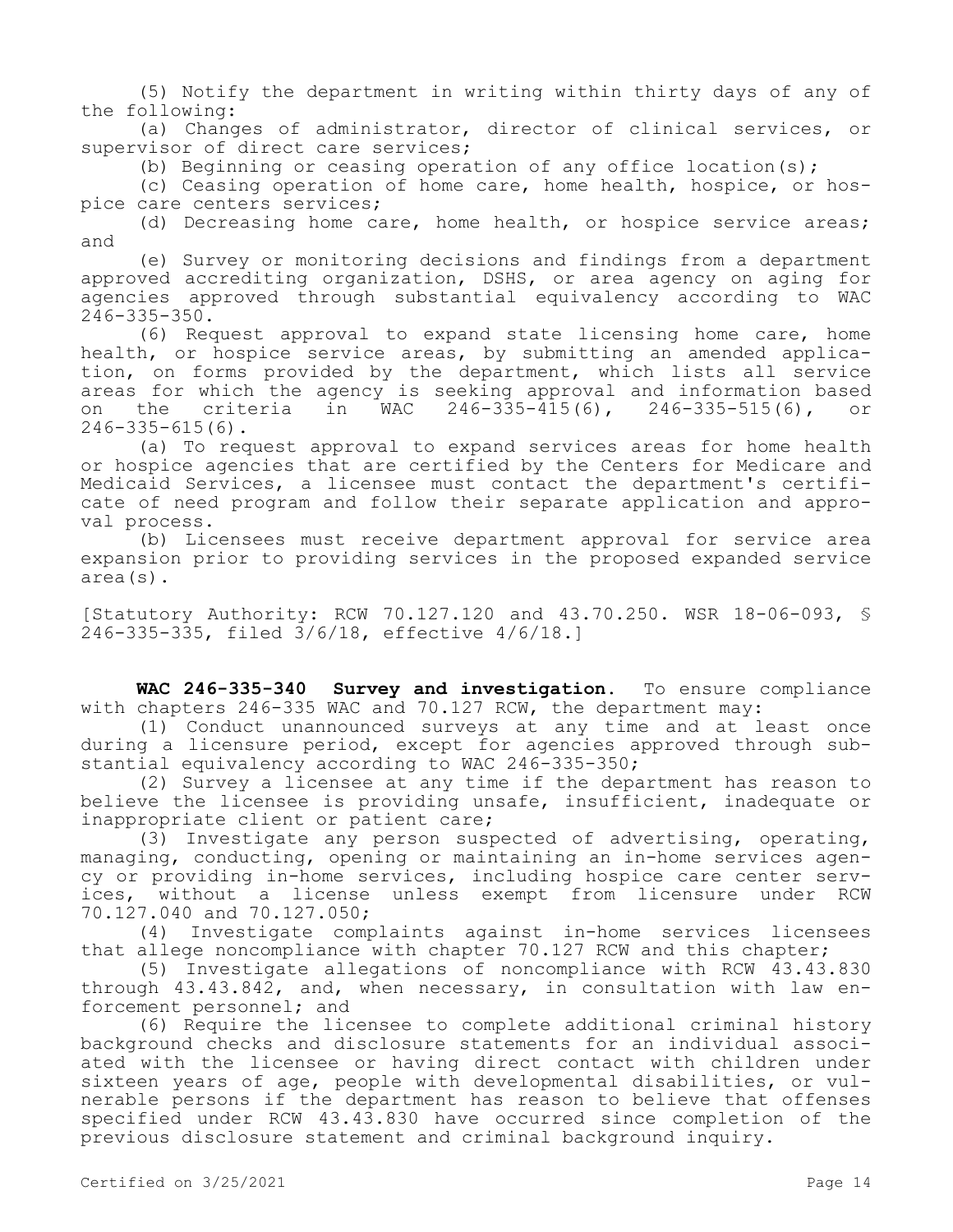(5) Notify the department in writing within thirty days of any of the following:

(a) Changes of administrator, director of clinical services, or supervisor of direct care services;

(b) Beginning or ceasing operation of any office location(s);

(c) Ceasing operation of home care, home health, hospice, or hospice care centers services;

(d) Decreasing home care, home health, or hospice service areas; and

(e) Survey or monitoring decisions and findings from a department approved accrediting organization, DSHS, or area agency on aging for agencies approved through substantial equivalency according to WAC 246-335-350.

(6) Request approval to expand state licensing home care, home health, or hospice service areas, by submitting an amended application, on forms provided by the department, which lists all service areas for which the agency is seeking approval and information based<br>on the criteria in WAC 246-335-415(6), 246-335-515(6), or on the criteria in WAC 246-335-415(6), 246-335-515(6), or 246-335-615(6).

(a) To request approval to expand services areas for home health or hospice agencies that are certified by the Centers for Medicare and Medicaid Services, a licensee must contact the department's certificate of need program and follow their separate application and approval process.

(b) Licensees must receive department approval for service area expansion prior to providing services in the proposed expanded service area(s).

[Statutory Authority: RCW 70.127.120 and 43.70.250. WSR 18-06-093, § 246-335-335, filed 3/6/18, effective 4/6/18.]

**WAC 246-335-340 Survey and investigation.** To ensure compliance with chapters 246-335 WAC and 70.127 RCW, the department may:

(1) Conduct unannounced surveys at any time and at least once during a licensure period, except for agencies approved through substantial equivalency according to WAC 246-335-350;

(2) Survey a licensee at any time if the department has reason to believe the licensee is providing unsafe, insufficient, inadequate or inappropriate client or patient care;

(3) Investigate any person suspected of advertising, operating, managing, conducting, opening or maintaining an in-home services agency or providing in-home services, including hospice care center services, without a license unless exempt from licensure under RCW 70.127.040 and 70.127.050;

(4) Investigate complaints against in-home services licensees that allege noncompliance with chapter 70.127 RCW and this chapter;

(5) Investigate allegations of noncompliance with RCW 43.43.830 through 43.43.842, and, when necessary, in consultation with law enforcement personnel; and

(6) Require the licensee to complete additional criminal history background checks and disclosure statements for an individual associated with the licensee or having direct contact with children under sixteen years of age, people with developmental disabilities, or vulnerable persons if the department has reason to believe that offenses specified under RCW 43.43.830 have occurred since completion of the previous disclosure statement and criminal background inquiry.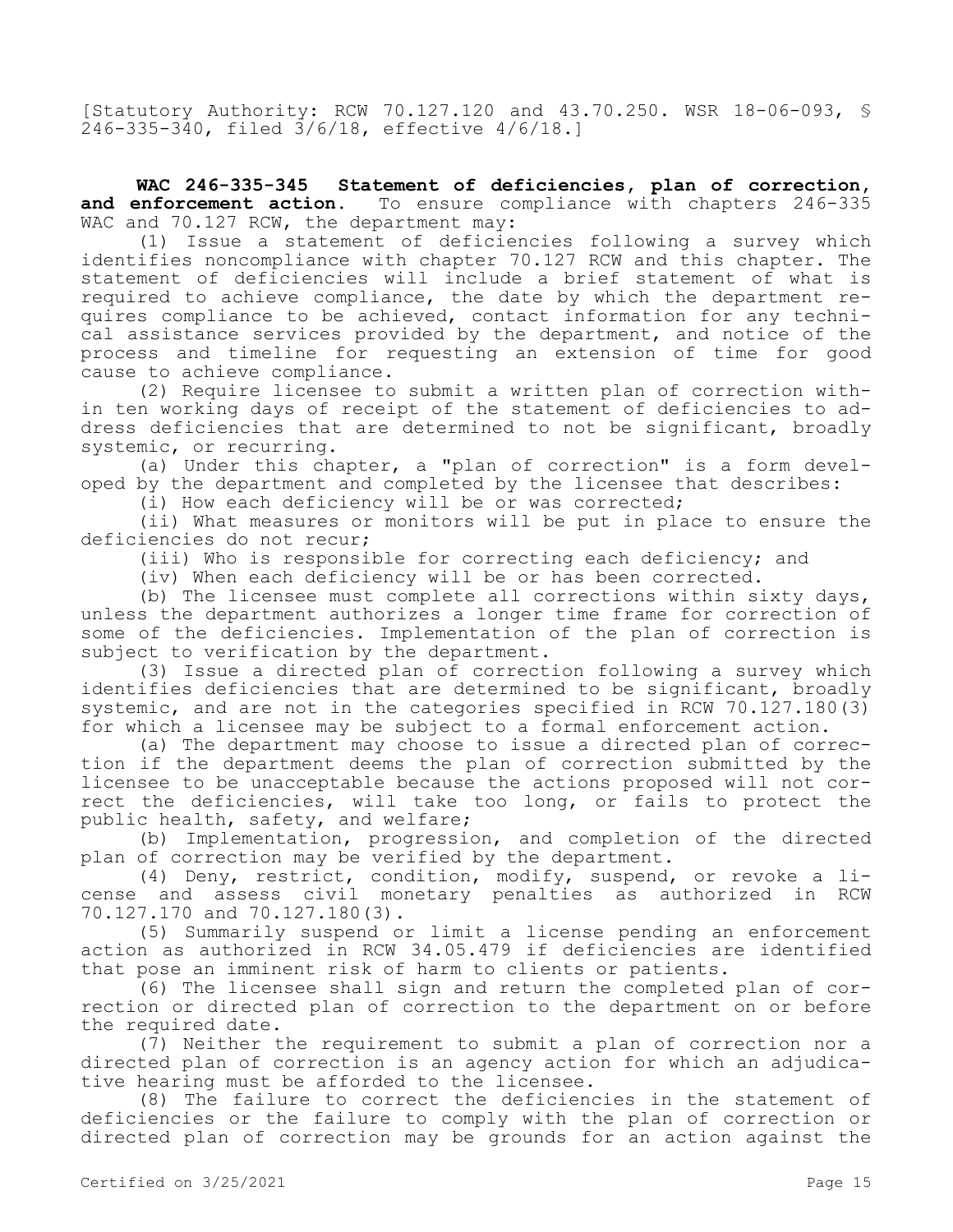[Statutory Authority: RCW 70.127.120 and 43.70.250. WSR 18-06-093, § 246-335-340, filed 3/6/18, effective 4/6/18.]

**WAC 246-335-345 Statement of deficiencies, plan of correction,**  and enforcement action. To ensure compliance with chapters 246-335 WAC and 70.127 RCW, the department may:

(1) Issue a statement of deficiencies following a survey which identifies noncompliance with chapter 70.127 RCW and this chapter. The statement of deficiencies will include a brief statement of what is required to achieve compliance, the date by which the department requires compliance to be achieved, contact information for any technical assistance services provided by the department, and notice of the process and timeline for requesting an extension of time for good cause to achieve compliance.

(2) Require licensee to submit a written plan of correction within ten working days of receipt of the statement of deficiencies to address deficiencies that are determined to not be significant, broadly systemic, or recurring.

(a) Under this chapter, a "plan of correction" is a form developed by the department and completed by the licensee that describes:

(i) How each deficiency will be or was corrected;

(ii) What measures or monitors will be put in place to ensure the deficiencies do not recur;

(iii) Who is responsible for correcting each deficiency; and

(iv) When each deficiency will be or has been corrected.

(b) The licensee must complete all corrections within sixty days, unless the department authorizes a longer time frame for correction of some of the deficiencies. Implementation of the plan of correction is subject to verification by the department.

(3) Issue a directed plan of correction following a survey which identifies deficiencies that are determined to be significant, broadly systemic, and are not in the categories specified in RCW 70.127.180(3) for which a licensee may be subject to a formal enforcement action.

(a) The department may choose to issue a directed plan of correction if the department deems the plan of correction submitted by the licensee to be unacceptable because the actions proposed will not correct the deficiencies, will take too long, or fails to protect the public health, safety, and welfare;

(b) Implementation, progression, and completion of the directed plan of correction may be verified by the department.

(4) Deny, restrict, condition, modify, suspend, or revoke a license and assess civil monetary penalties as authorized in RCW 70.127.170 and 70.127.180(3).

(5) Summarily suspend or limit a license pending an enforcement action as authorized in RCW 34.05.479 if deficiencies are identified that pose an imminent risk of harm to clients or patients.

(6) The licensee shall sign and return the completed plan of correction or directed plan of correction to the department on or before the required date.

(7) Neither the requirement to submit a plan of correction nor a directed plan of correction is an agency action for which an adjudicative hearing must be afforded to the licensee.

(8) The failure to correct the deficiencies in the statement of deficiencies or the failure to comply with the plan of correction or directed plan of correction may be grounds for an action against the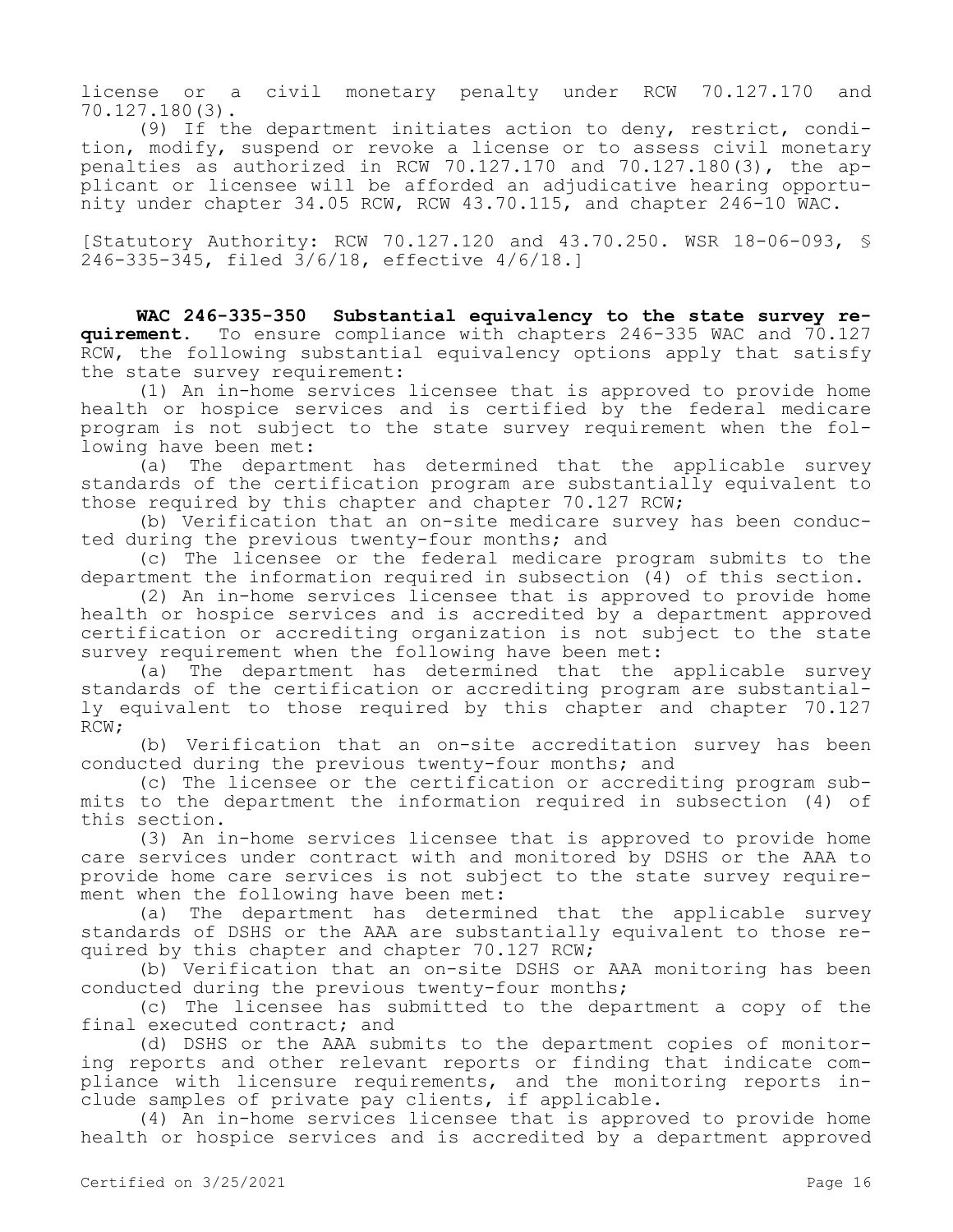license or a civil monetary penalty under RCW 70.127.170 and 70.127.180(3).

(9) If the department initiates action to deny, restrict, condition, modify, suspend or revoke a license or to assess civil monetary penalties as authorized in RCW 70.127.170 and 70.127.180(3), the applicant or licensee will be afforded an adjudicative hearing opportunity under chapter 34.05 RCW, RCW 43.70.115, and chapter 246-10 WAC.

[Statutory Authority: RCW 70.127.120 and 43.70.250. WSR 18-06-093, § 246-335-345, filed 3/6/18, effective 4/6/18.]

**WAC 246-335-350 Substantial equivalency to the state survey requirement.** To ensure compliance with chapters 246-335 WAC and 70.127 RCW, the following substantial equivalency options apply that satisfy the state survey requirement:

(1) An in-home services licensee that is approved to provide home health or hospice services and is certified by the federal medicare program is not subject to the state survey requirement when the following have been met:

(a) The department has determined that the applicable survey standards of the certification program are substantially equivalent to those required by this chapter and chapter 70.127 RCW;

(b) Verification that an on-site medicare survey has been conducted during the previous twenty-four months; and

(c) The licensee or the federal medicare program submits to the department the information required in subsection (4) of this section.

(2) An in-home services licensee that is approved to provide home health or hospice services and is accredited by a department approved certification or accrediting organization is not subject to the state survey requirement when the following have been met:

(a) The department has determined that the applicable survey standards of the certification or accrediting program are substantially equivalent to those required by this chapter and chapter 70.127 RCW;

(b) Verification that an on-site accreditation survey has been conducted during the previous twenty-four months; and

(c) The licensee or the certification or accrediting program submits to the department the information required in subsection (4) of this section.

(3) An in-home services licensee that is approved to provide home care services under contract with and monitored by DSHS or the AAA to provide home care services is not subject to the state survey requirement when the following have been met:

(a) The department has determined that the applicable survey standards of DSHS or the AAA are substantially equivalent to those required by this chapter and chapter 70.127 RCW;

(b) Verification that an on-site DSHS or AAA monitoring has been conducted during the previous twenty-four months;

(c) The licensee has submitted to the department a copy of the final executed contract; and

(d) DSHS or the AAA submits to the department copies of monitoring reports and other relevant reports or finding that indicate compliance with licensure requirements, and the monitoring reports include samples of private pay clients, if applicable.

(4) An in-home services licensee that is approved to provide home health or hospice services and is accredited by a department approved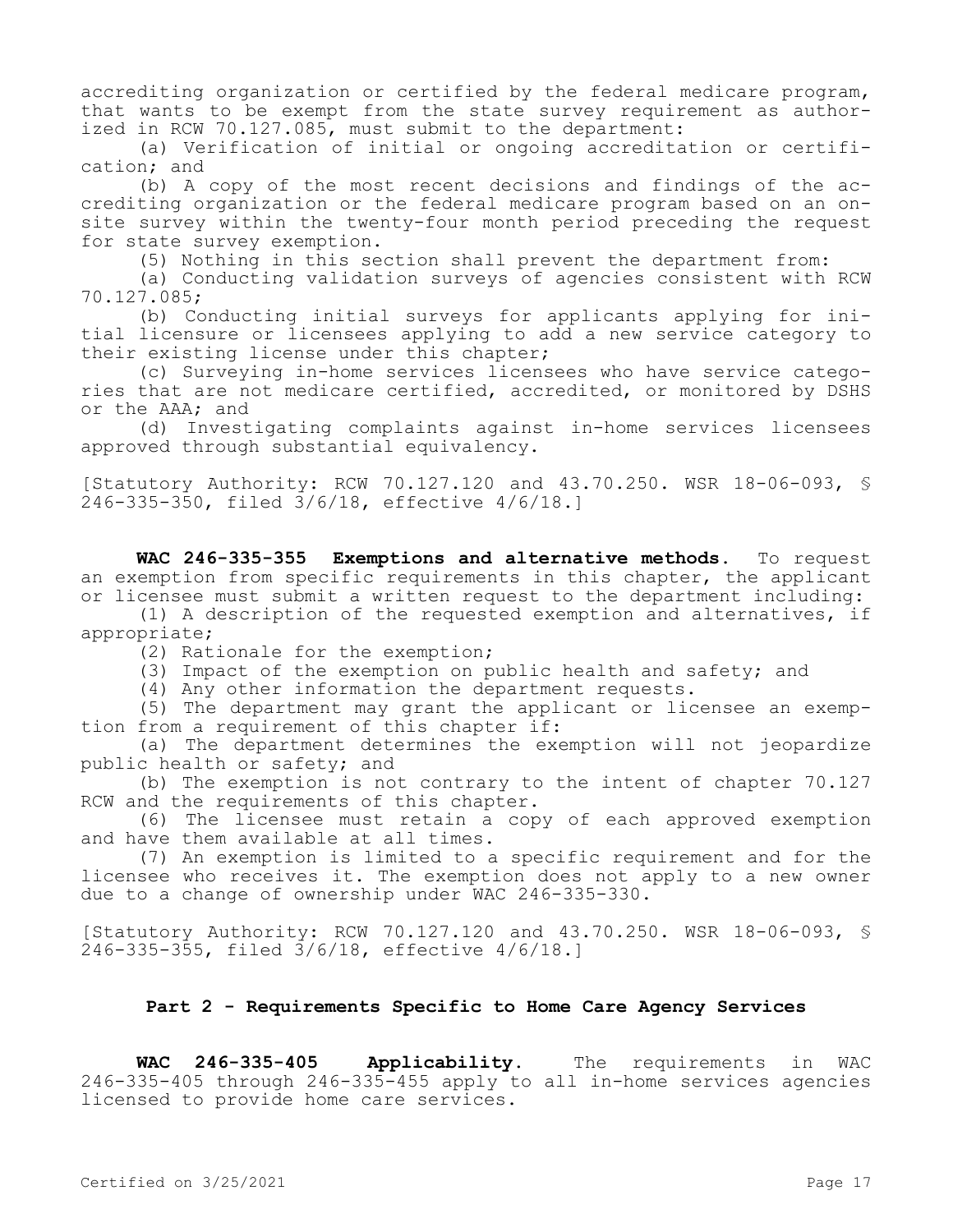accrediting organization or certified by the federal medicare program, that wants to be exempt from the state survey requirement as authorized in RCW 70.127.085, must submit to the department:

(a) Verification of initial or ongoing accreditation or certification; and

(b) A copy of the most recent decisions and findings of the accrediting organization or the federal medicare program based on an onsite survey within the twenty-four month period preceding the request for state survey exemption.

(5) Nothing in this section shall prevent the department from:

(a) Conducting validation surveys of agencies consistent with RCW 70.127.085;

(b) Conducting initial surveys for applicants applying for initial licensure or licensees applying to add a new service category to their existing license under this chapter;

(c) Surveying in-home services licensees who have service categories that are not medicare certified, accredited, or monitored by DSHS or the AAA; and

(d) Investigating complaints against in-home services licensees approved through substantial equivalency.

[Statutory Authority: RCW 70.127.120 and 43.70.250. WSR 18-06-093, § 246-335-350, filed 3/6/18, effective 4/6/18.]

**WAC 246-335-355 Exemptions and alternative methods.** To request an exemption from specific requirements in this chapter, the applicant or licensee must submit a written request to the department including:

(1) A description of the requested exemption and alternatives, if appropriate;

(2) Rationale for the exemption;

(3) Impact of the exemption on public health and safety; and

(4) Any other information the department requests.

(5) The department may grant the applicant or licensee an exemption from a requirement of this chapter if:

(a) The department determines the exemption will not jeopardize public health or safety; and

(b) The exemption is not contrary to the intent of chapter 70.127 RCW and the requirements of this chapter.

(6) The licensee must retain a copy of each approved exemption and have them available at all times.

(7) An exemption is limited to a specific requirement and for the licensee who receives it. The exemption does not apply to a new owner due to a change of ownership under WAC 246-335-330.

[Statutory Authority: RCW 70.127.120 and 43.70.250. WSR 18-06-093, § 246-335-355, filed 3/6/18, effective 4/6/18.]

## **Part 2 - Requirements Specific to Home Care Agency Services**

**WAC 246-335-405 Applicability.** The requirements in WAC 246-335-405 through 246-335-455 apply to all in-home services agencies licensed to provide home care services.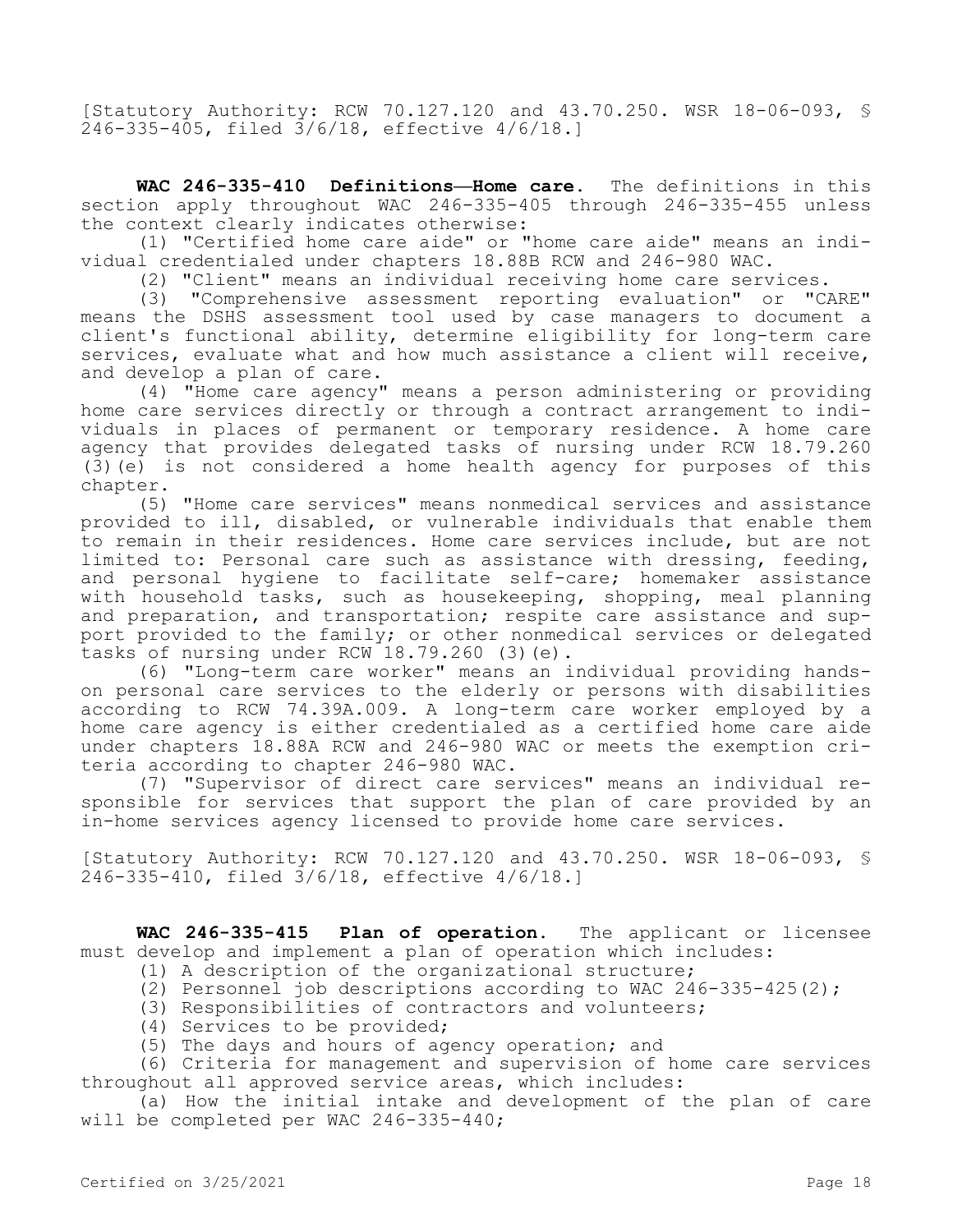[Statutory Authority: RCW 70.127.120 and 43.70.250. WSR 18-06-093, § 246-335-405, filed 3/6/18, effective 4/6/18.]

**WAC 246-335-410 Definitions—Home care.** The definitions in this section apply throughout WAC 246-335-405 through 246-335-455 unless the context clearly indicates otherwise:

(1) "Certified home care aide" or "home care aide" means an individual credentialed under chapters 18.88B RCW and 246-980 WAC.

(2) "Client" means an individual receiving home care services.

(3) "Comprehensive assessment reporting evaluation" or "CARE" means the DSHS assessment tool used by case managers to document a client's functional ability, determine eligibility for long-term care services, evaluate what and how much assistance a client will receive, and develop a plan of care.

(4) "Home care agency" means a person administering or providing home care services directly or through a contract arrangement to individuals in places of permanent or temporary residence. A home care agency that provides delegated tasks of nursing under RCW 18.79.260 (3)(e) is not considered a home health agency for purposes of this chapter.

(5) "Home care services" means nonmedical services and assistance provided to ill, disabled, or vulnerable individuals that enable them to remain in their residences. Home care services include, but are not limited to: Personal care such as assistance with dressing, feeding, and personal hygiene to facilitate self-care; homemaker assistance with household tasks, such as housekeeping, shopping, meal planning and preparation, and transportation; respite care assistance and support provided to the family; or other nonmedical services or delegated tasks of nursing under RCW 18.79.260 (3)(e).

(6) "Long-term care worker" means an individual providing handson personal care services to the elderly or persons with disabilities according to RCW 74.39A.009. A long-term care worker employed by a home care agency is either credentialed as a certified home care aide under chapters 18.88A RCW and 246-980 WAC or meets the exemption criteria according to chapter 246-980 WAC.

(7) "Supervisor of direct care services" means an individual responsible for services that support the plan of care provided by an in-home services agency licensed to provide home care services.

[Statutory Authority: RCW 70.127.120 and 43.70.250. WSR 18-06-093, § 246-335-410, filed 3/6/18, effective 4/6/18.]

**WAC 246-335-415 Plan of operation.** The applicant or licensee must develop and implement a plan of operation which includes:

- (1) A description of the organizational structure;
- (2) Personnel job descriptions according to WAC 246-335-425(2);
- (3) Responsibilities of contractors and volunteers;
- (4) Services to be provided;
- (5) The days and hours of agency operation; and

(6) Criteria for management and supervision of home care services throughout all approved service areas, which includes:

(a) How the initial intake and development of the plan of care will be completed per WAC 246-335-440;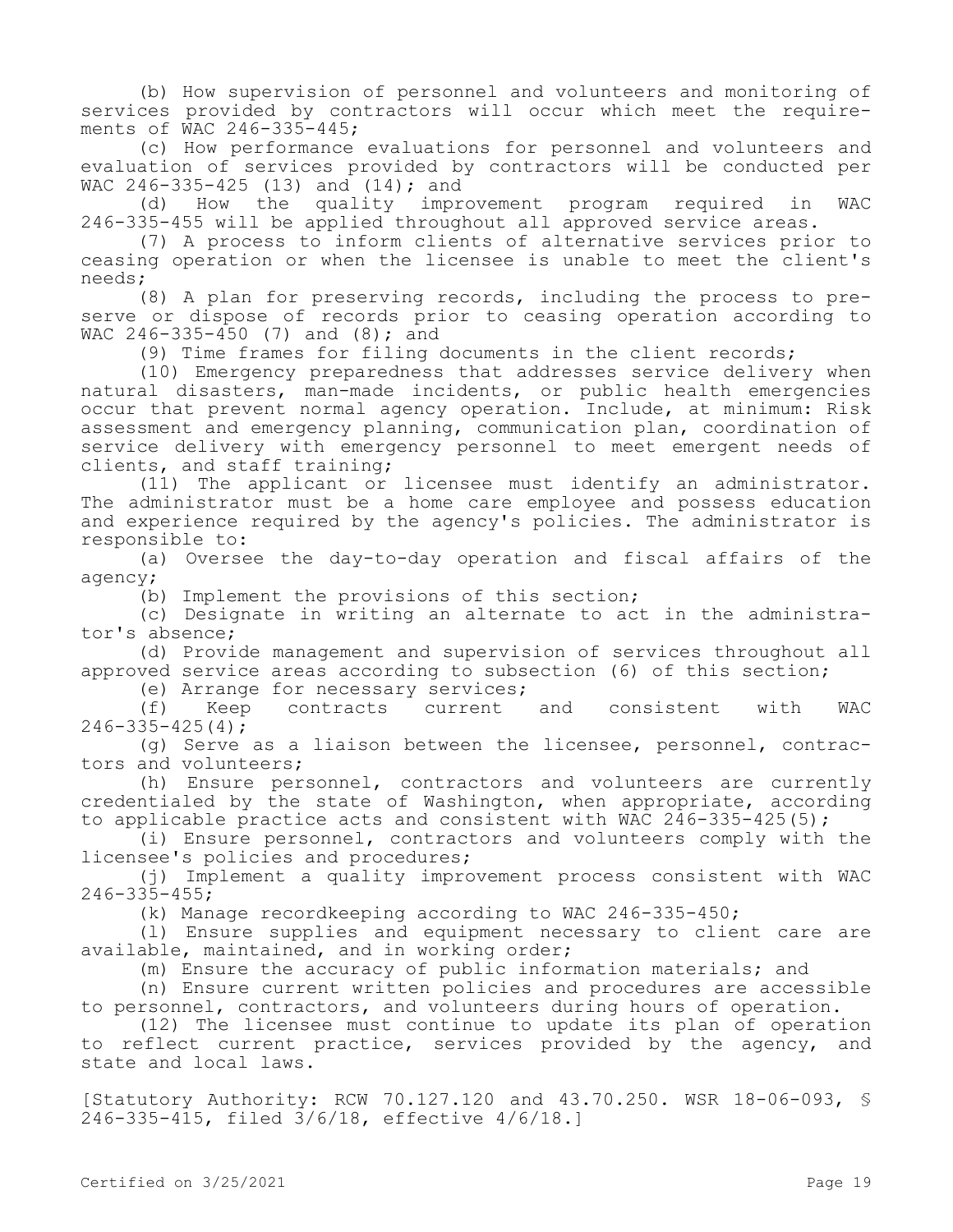(b) How supervision of personnel and volunteers and monitoring of services provided by contractors will occur which meet the requirements of WAC 246-335-445;

(c) How performance evaluations for personnel and volunteers and evaluation of services provided by contractors will be conducted per WAC 246-335-425 (13) and (14); and

(d) How the quality improvement program required in WAC 246-335-455 will be applied throughout all approved service areas.

(7) A process to inform clients of alternative services prior to ceasing operation or when the licensee is unable to meet the client's needs;

(8) A plan for preserving records, including the process to preserve or dispose of records prior to ceasing operation according to WAC 246-335-450 (7) and  $(8)$ ; and

(9) Time frames for filing documents in the client records;

(10) Emergency preparedness that addresses service delivery when natural disasters, man-made incidents, or public health emergencies occur that prevent normal agency operation. Include, at minimum: Risk assessment and emergency planning, communication plan, coordination of service delivery with emergency personnel to meet emergent needs of clients, and staff training;

(11) The applicant or licensee must identify an administrator. The administrator must be a home care employee and possess education and experience required by the agency's policies. The administrator is responsible to:

(a) Oversee the day-to-day operation and fiscal affairs of the agency;

(b) Implement the provisions of this section;

(c) Designate in writing an alternate to act in the administrator's absence;

(d) Provide management and supervision of services throughout all approved service areas according to subsection (6) of this section;

(e) Arrange for necessary services;<br>(f) Keep contracts current

(f) Keep contracts current and consistent with WAC  $246 - 335 - 425(4)$ ;

(g) Serve as a liaison between the licensee, personnel, contractors and volunteers;

(h) Ensure personnel, contractors and volunteers are currently credentialed by the state of Washington, when appropriate, according to applicable practice acts and consistent with WAC 246-335-425(5);

(i) Ensure personnel, contractors and volunteers comply with the licensee's policies and procedures;

(j) Implement a quality improvement process consistent with WAC  $246 - 335 - 455;$ 

(k) Manage recordkeeping according to WAC 246-335-450;

(l) Ensure supplies and equipment necessary to client care are available, maintained, and in working order;

(m) Ensure the accuracy of public information materials; and

(n) Ensure current written policies and procedures are accessible to personnel, contractors, and volunteers during hours of operation.

(12) The licensee must continue to update its plan of operation to reflect current practice, services provided by the agency, and state and local laws.

[Statutory Authority: RCW 70.127.120 and 43.70.250. WSR 18-06-093, § 246-335-415, filed 3/6/18, effective 4/6/18.]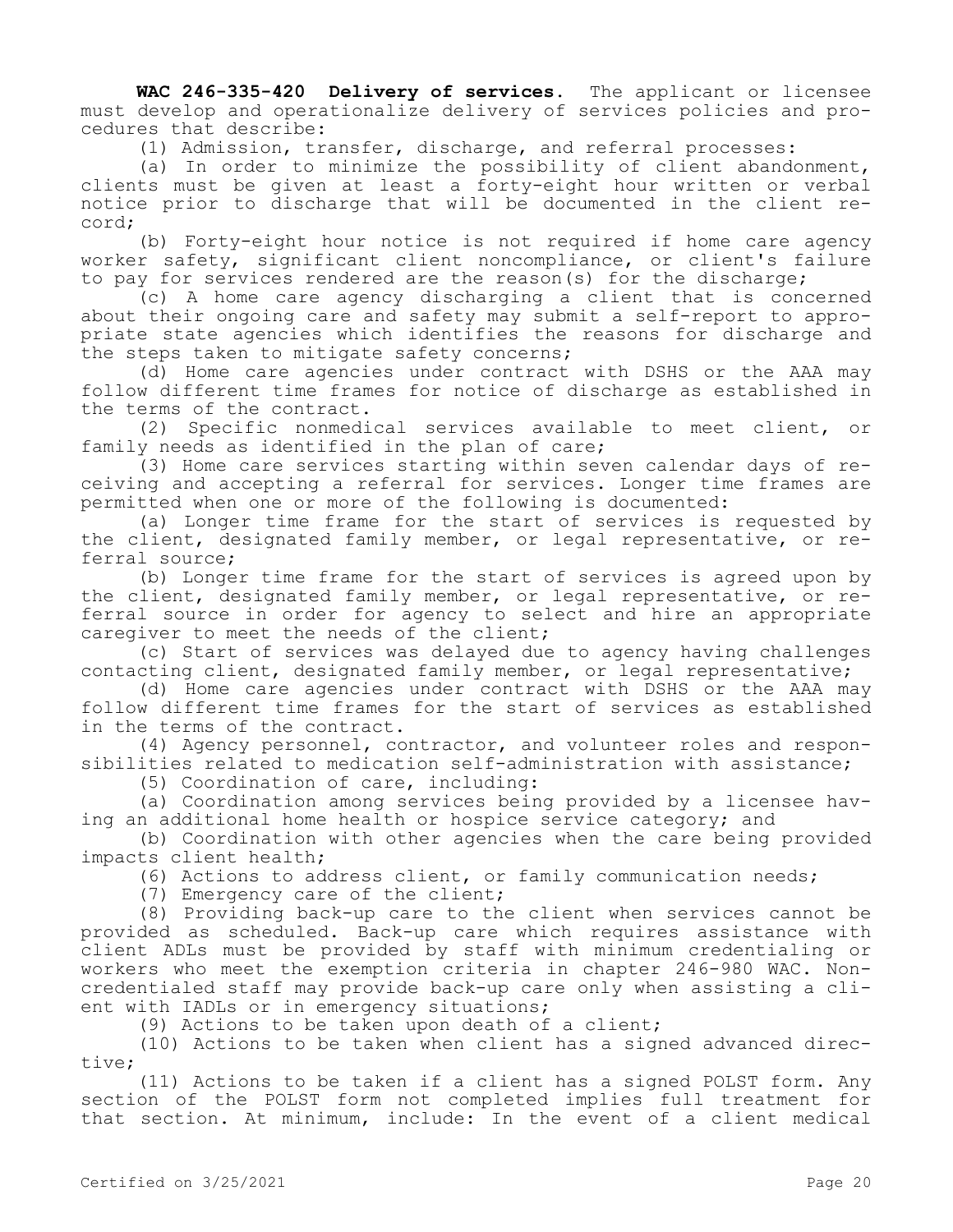**WAC 246-335-420 Delivery of services.** The applicant or licensee must develop and operationalize delivery of services policies and procedures that describe:

(1) Admission, transfer, discharge, and referral processes:

(a) In order to minimize the possibility of client abandonment, clients must be given at least a forty-eight hour written or verbal notice prior to discharge that will be documented in the client record;

(b) Forty-eight hour notice is not required if home care agency worker safety, significant client noncompliance, or client's failure to pay for services rendered are the reason(s) for the discharge;

(c) A home care agency discharging a client that is concerned about their ongoing care and safety may submit a self-report to appropriate state agencies which identifies the reasons for discharge and the steps taken to mitigate safety concerns;

(d) Home care agencies under contract with DSHS or the AAA may follow different time frames for notice of discharge as established in the terms of the contract.

(2) Specific nonmedical services available to meet client, or family needs as identified in the plan of care;

(3) Home care services starting within seven calendar days of receiving and accepting a referral for services. Longer time frames are permitted when one or more of the following is documented:

(a) Longer time frame for the start of services is requested by the client, designated family member, or legal representative, or referral source;

(b) Longer time frame for the start of services is agreed upon by the client, designated family member, or legal representative, or referral source in order for agency to select and hire an appropriate caregiver to meet the needs of the client;

(c) Start of services was delayed due to agency having challenges contacting client, designated family member, or legal representative;

(d) Home care agencies under contract with DSHS or the AAA may follow different time frames for the start of services as established in the terms of the contract.

(4) Agency personnel, contractor, and volunteer roles and responsibilities related to medication self-administration with assistance;

(5) Coordination of care, including:

(a) Coordination among services being provided by a licensee having an additional home health or hospice service category; and

(b) Coordination with other agencies when the care being provided impacts client health;

(6) Actions to address client, or family communication needs;

(7) Emergency care of the client;

(8) Providing back-up care to the client when services cannot be provided as scheduled. Back-up care which requires assistance with client ADLs must be provided by staff with minimum credentialing or workers who meet the exemption criteria in chapter 246-980 WAC. Noncredentialed staff may provide back-up care only when assisting a client with IADLs or in emergency situations;

(9) Actions to be taken upon death of a client;

(10) Actions to be taken when client has a signed advanced directive;

(11) Actions to be taken if a client has a signed POLST form. Any section of the POLST form not completed implies full treatment for that section. At minimum, include: In the event of a client medical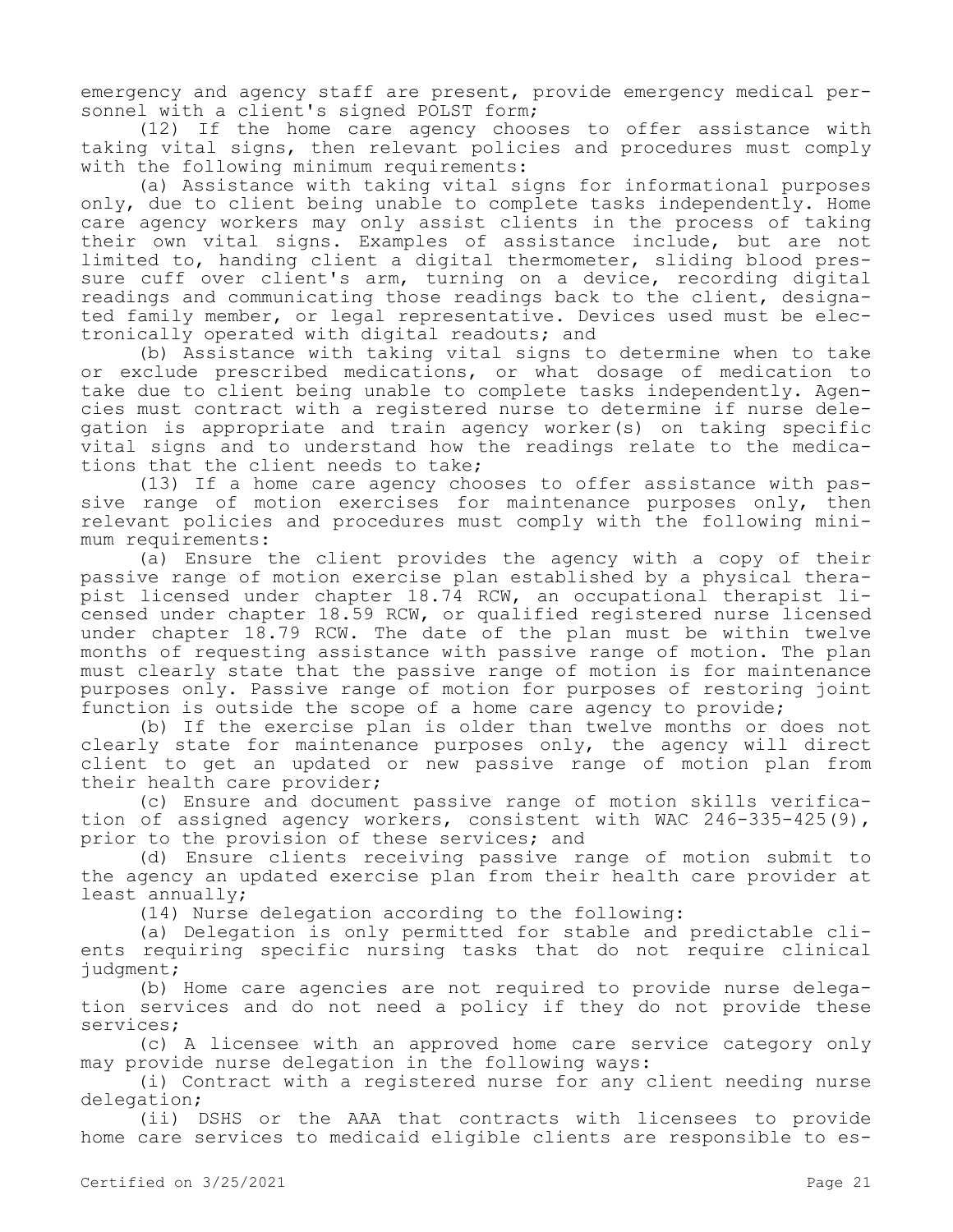emergency and agency staff are present, provide emergency medical personnel with a client's signed POLST form;

(12) If the home care agency chooses to offer assistance with taking vital signs, then relevant policies and procedures must comply with the following minimum requirements:

(a) Assistance with taking vital signs for informational purposes only, due to client being unable to complete tasks independently. Home care agency workers may only assist clients in the process of taking their own vital signs. Examples of assistance include, but are not limited to, handing client a digital thermometer, sliding blood pressure cuff over client's arm, turning on a device, recording digital readings and communicating those readings back to the client, designated family member, or legal representative. Devices used must be electronically operated with digital readouts; and

(b) Assistance with taking vital signs to determine when to take or exclude prescribed medications, or what dosage of medication to take due to client being unable to complete tasks independently. Agencies must contract with a registered nurse to determine if nurse delegation is appropriate and train agency worker(s) on taking specific vital signs and to understand how the readings relate to the medications that the client needs to take;

(13) If a home care agency chooses to offer assistance with passive range of motion exercises for maintenance purposes only, then relevant policies and procedures must comply with the following minimum requirements:

(a) Ensure the client provides the agency with a copy of their passive range of motion exercise plan established by a physical therapist licensed under chapter 18.74 RCW, an occupational therapist licensed under chapter 18.59 RCW, or qualified registered nurse licensed under chapter 18.79 RCW. The date of the plan must be within twelve months of requesting assistance with passive range of motion. The plan must clearly state that the passive range of motion is for maintenance purposes only. Passive range of motion for purposes of restoring joint function is outside the scope of a home care agency to provide;

(b) If the exercise plan is older than twelve months or does not clearly state for maintenance purposes only, the agency will direct client to get an updated or new passive range of motion plan from their health care provider;

(c) Ensure and document passive range of motion skills verification of assigned agency workers, consistent with WAC 246-335-425(9), prior to the provision of these services; and

(d) Ensure clients receiving passive range of motion submit to the agency an updated exercise plan from their health care provider at least annually;

(14) Nurse delegation according to the following:

(a) Delegation is only permitted for stable and predictable clients requiring specific nursing tasks that do not require clinical judgment;

(b) Home care agencies are not required to provide nurse delegation services and do not need a policy if they do not provide these services;

(c) A licensee with an approved home care service category only may provide nurse delegation in the following ways:

(i) Contract with a registered nurse for any client needing nurse delegation;

(ii) DSHS or the AAA that contracts with licensees to provide home care services to medicaid eligible clients are responsible to es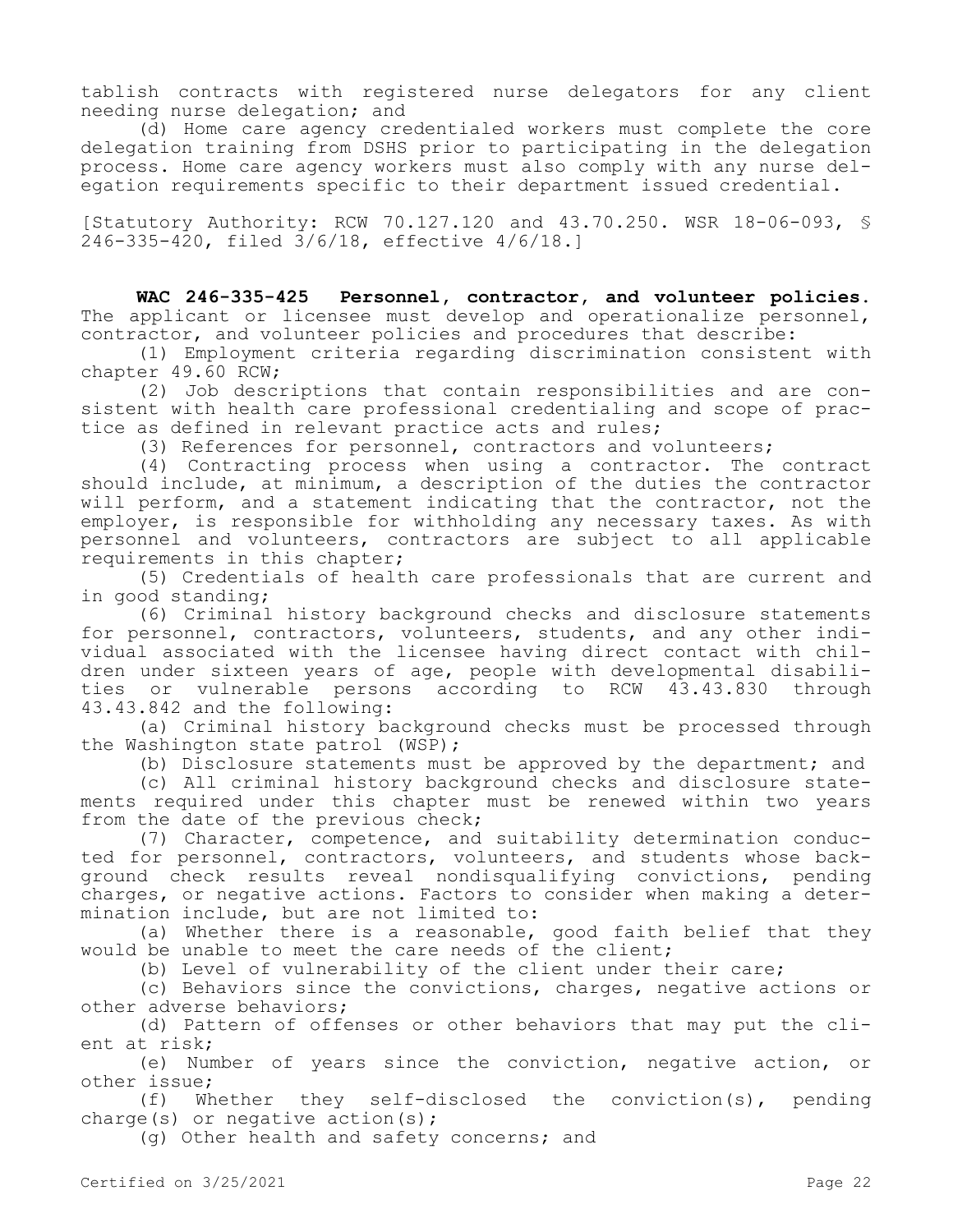tablish contracts with registered nurse delegators for any client needing nurse delegation; and

(d) Home care agency credentialed workers must complete the core delegation training from DSHS prior to participating in the delegation process. Home care agency workers must also comply with any nurse delegation requirements specific to their department issued credential.

[Statutory Authority: RCW 70.127.120 and 43.70.250. WSR 18-06-093, § 246-335-420, filed 3/6/18, effective 4/6/18.]

**WAC 246-335-425 Personnel, contractor, and volunteer policies.**  The applicant or licensee must develop and operationalize personnel, contractor, and volunteer policies and procedures that describe:

(1) Employment criteria regarding discrimination consistent with chapter 49.60 RCW;

(2) Job descriptions that contain responsibilities and are consistent with health care professional credentialing and scope of practice as defined in relevant practice acts and rules;

(3) References for personnel, contractors and volunteers;

(4) Contracting process when using a contractor. The contract should include, at minimum, a description of the duties the contractor will perform, and a statement indicating that the contractor, not the employer, is responsible for withholding any necessary taxes. As with personnel and volunteers, contractors are subject to all applicable requirements in this chapter;

(5) Credentials of health care professionals that are current and in good standing;

(6) Criminal history background checks and disclosure statements for personnel, contractors, volunteers, students, and any other individual associated with the licensee having direct contact with children under sixteen years of age, people with developmental disabilities or vulnerable persons according to RCW 43.43.830 through 43.43.842 and the following:

(a) Criminal history background checks must be processed through the Washington state patrol (WSP);

(b) Disclosure statements must be approved by the department; and

(c) All criminal history background checks and disclosure statements required under this chapter must be renewed within two years from the date of the previous check;

(7) Character, competence, and suitability determination conducted for personnel, contractors, volunteers, and students whose background check results reveal nondisqualifying convictions, pending charges, or negative actions. Factors to consider when making a determination include, but are not limited to:

(a) Whether there is a reasonable, good faith belief that they would be unable to meet the care needs of the client;

(b) Level of vulnerability of the client under their care;

(c) Behaviors since the convictions, charges, negative actions or other adverse behaviors;

(d) Pattern of offenses or other behaviors that may put the client at risk;

(e) Number of years since the conviction, negative action, or other issue;

(f) Whether they self-disclosed the conviction(s), pending charge(s) or negative action(s);

(g) Other health and safety concerns; and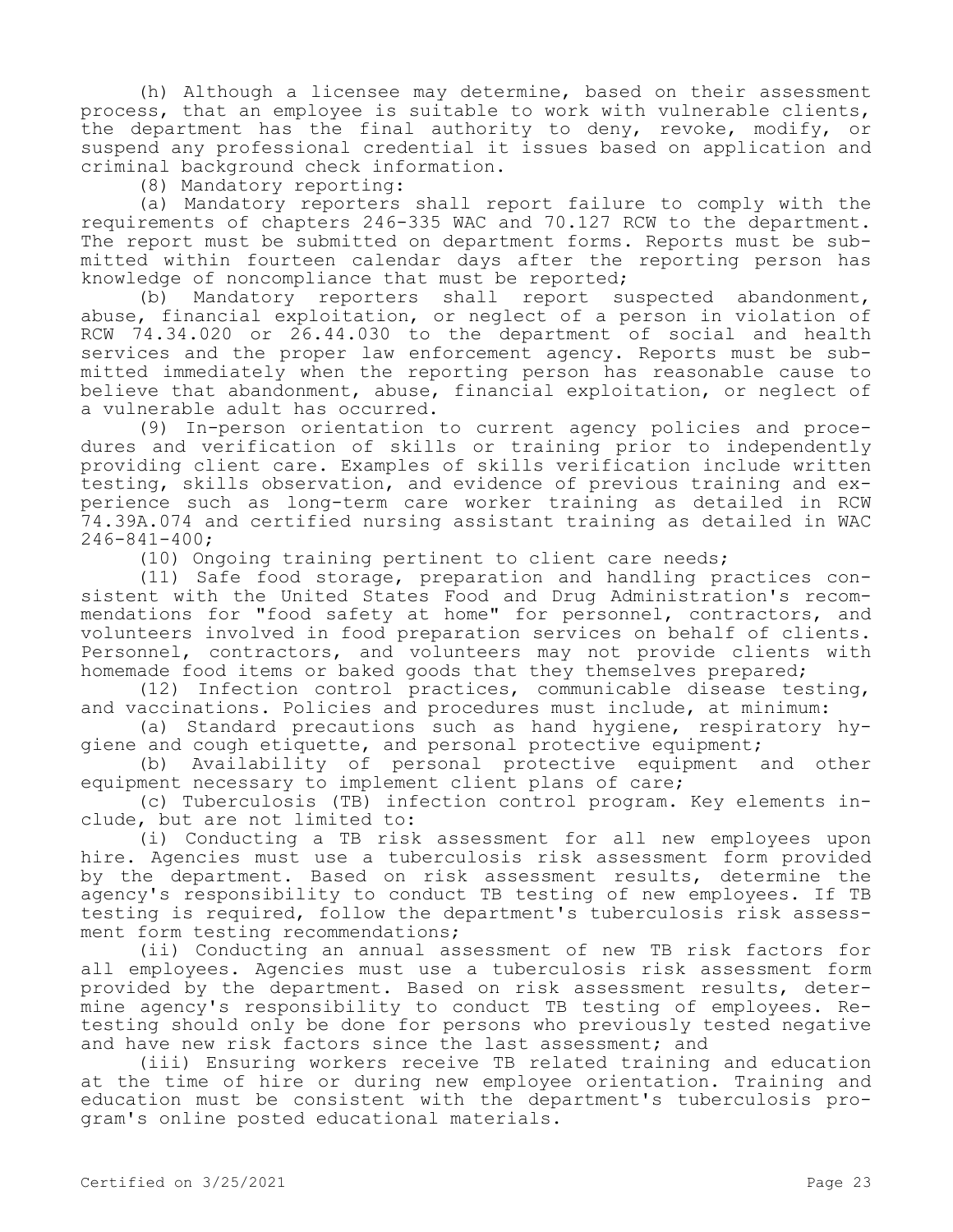(h) Although a licensee may determine, based on their assessment process, that an employee is suitable to work with vulnerable clients, the department has the final authority to deny, revoke, modify, or suspend any professional credential it issues based on application and criminal background check information.

(8) Mandatory reporting:

(a) Mandatory reporters shall report failure to comply with the requirements of chapters 246-335 WAC and 70.127 RCW to the department. The report must be submitted on department forms. Reports must be submitted within fourteen calendar days after the reporting person has knowledge of noncompliance that must be reported;<br>(b) Mandatory reporters shall report su

Mandatory reporters shall report suspected abandonment, abuse, financial exploitation, or neglect of a person in violation of RCW 74.34.020 or 26.44.030 to the department of social and health services and the proper law enforcement agency. Reports must be submitted immediately when the reporting person has reasonable cause to believe that abandonment, abuse, financial exploitation, or neglect of a vulnerable adult has occurred.

(9) In-person orientation to current agency policies and procedures and verification of skills or training prior to independently providing client care. Examples of skills verification include written testing, skills observation, and evidence of previous training and experience such as long-term care worker training as detailed in RCW 74.39A.074 and certified nursing assistant training as detailed in WAC 246-841-400;

(10) Ongoing training pertinent to client care needs;

(11) Safe food storage, preparation and handling practices consistent with the United States Food and Drug Administration's recommendations for "food safety at home" for personnel, contractors, and volunteers involved in food preparation services on behalf of clients. Personnel, contractors, and volunteers may not provide clients with homemade food items or baked goods that they themselves prepared;

(12) Infection control practices, communicable disease testing, and vaccinations. Policies and procedures must include, at minimum:

(a) Standard precautions such as hand hygiene, respiratory hygiene and cough etiquette, and personal protective equipment;

(b) Availability of personal protective equipment and other equipment necessary to implement client plans of care;

(c) Tuberculosis (TB) infection control program. Key elements include, but are not limited to:

(i) Conducting a TB risk assessment for all new employees upon hire. Agencies must use a tuberculosis risk assessment form provided by the department. Based on risk assessment results, determine the agency's responsibility to conduct TB testing of new employees. If TB testing is required, follow the department's tuberculosis risk assessment form testing recommendations;

(ii) Conducting an annual assessment of new TB risk factors for all employees. Agencies must use a tuberculosis risk assessment form provided by the department. Based on risk assessment results, determine agency's responsibility to conduct TB testing of employees. Retesting should only be done for persons who previously tested negative and have new risk factors since the last assessment; and

(iii) Ensuring workers receive TB related training and education at the time of hire or during new employee orientation. Training and education must be consistent with the department's tuberculosis program's online posted educational materials.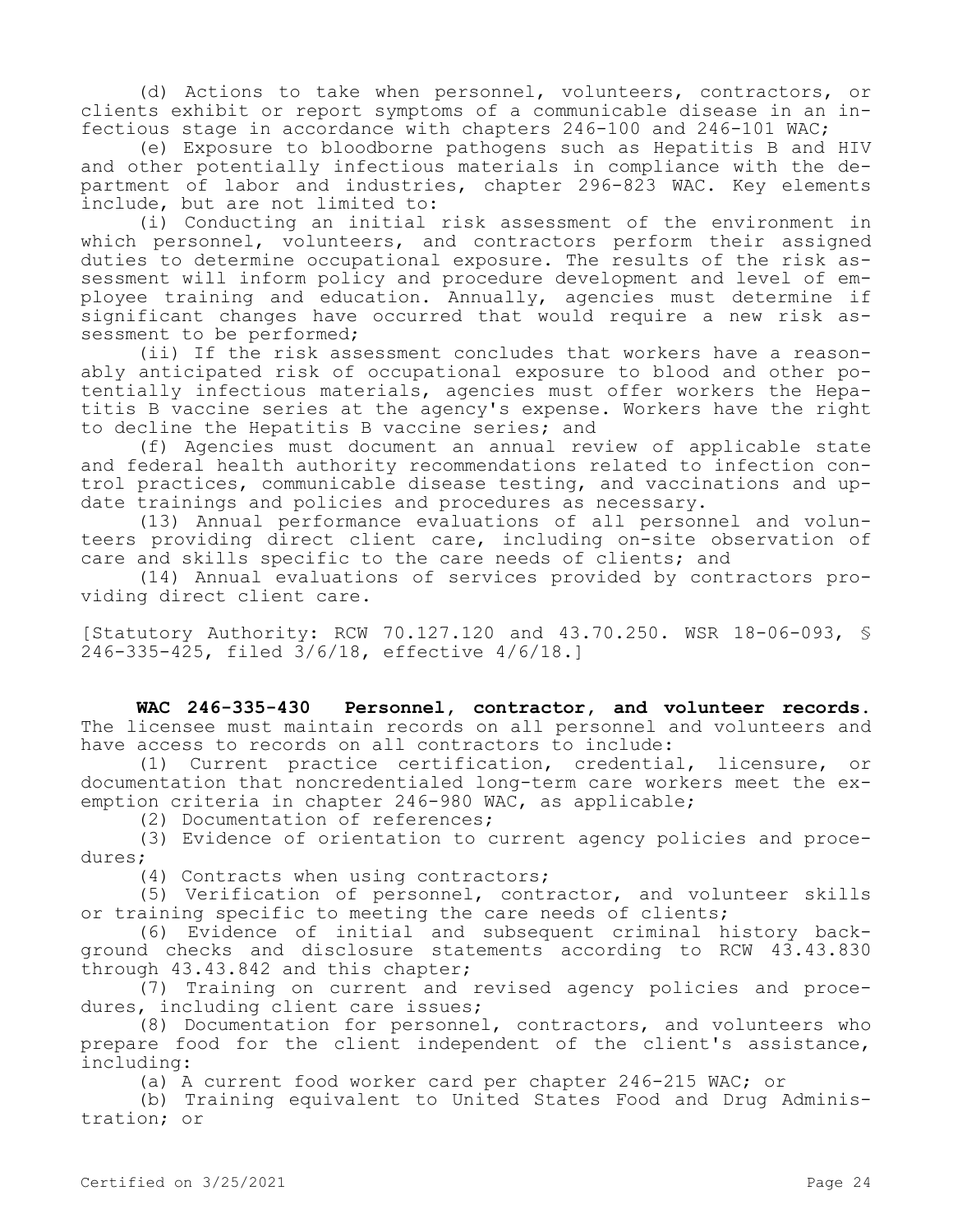(d) Actions to take when personnel, volunteers, contractors, or clients exhibit or report symptoms of a communicable disease in an infectious stage in accordance with chapters 246-100 and 246-101 WAC;

(e) Exposure to bloodborne pathogens such as Hepatitis B and HIV and other potentially infectious materials in compliance with the department of labor and industries, chapter 296-823 WAC. Key elements include, but are not limited to:

(i) Conducting an initial risk assessment of the environment in which personnel, volunteers, and contractors perform their assigned duties to determine occupational exposure. The results of the risk assessment will inform policy and procedure development and level of employee training and education. Annually, agencies must determine if significant changes have occurred that would require a new risk assessment to be performed;

(ii) If the risk assessment concludes that workers have a reasonably anticipated risk of occupational exposure to blood and other potentially infectious materials, agencies must offer workers the Hepatitis B vaccine series at the agency's expense. Workers have the right to decline the Hepatitis B vaccine series; and

(f) Agencies must document an annual review of applicable state and federal health authority recommendations related to infection control practices, communicable disease testing, and vaccinations and update trainings and policies and procedures as necessary.

(13) Annual performance evaluations of all personnel and volunteers providing direct client care, including on-site observation of care and skills specific to the care needs of clients; and

(14) Annual evaluations of services provided by contractors providing direct client care.

[Statutory Authority: RCW 70.127.120 and 43.70.250. WSR 18-06-093, § 246-335-425, filed 3/6/18, effective 4/6/18.]

**WAC 246-335-430 Personnel, contractor, and volunteer records.**  The licensee must maintain records on all personnel and volunteers and have access to records on all contractors to include:

(1) Current practice certification, credential, licensure, or documentation that noncredentialed long-term care workers meet the exemption criteria in chapter 246-980 WAC, as applicable;

(2) Documentation of references;

(3) Evidence of orientation to current agency policies and procedures;

(4) Contracts when using contractors;

(5) Verification of personnel, contractor, and volunteer skills or training specific to meeting the care needs of clients;

(6) Evidence of initial and subsequent criminal history background checks and disclosure statements according to RCW 43.43.830 through 43.43.842 and this chapter;

(7) Training on current and revised agency policies and procedures, including client care issues;

(8) Documentation for personnel, contractors, and volunteers who prepare food for the client independent of the client's assistance, including:

(a) A current food worker card per chapter 246-215 WAC; or

(b) Training equivalent to United States Food and Drug Administration; or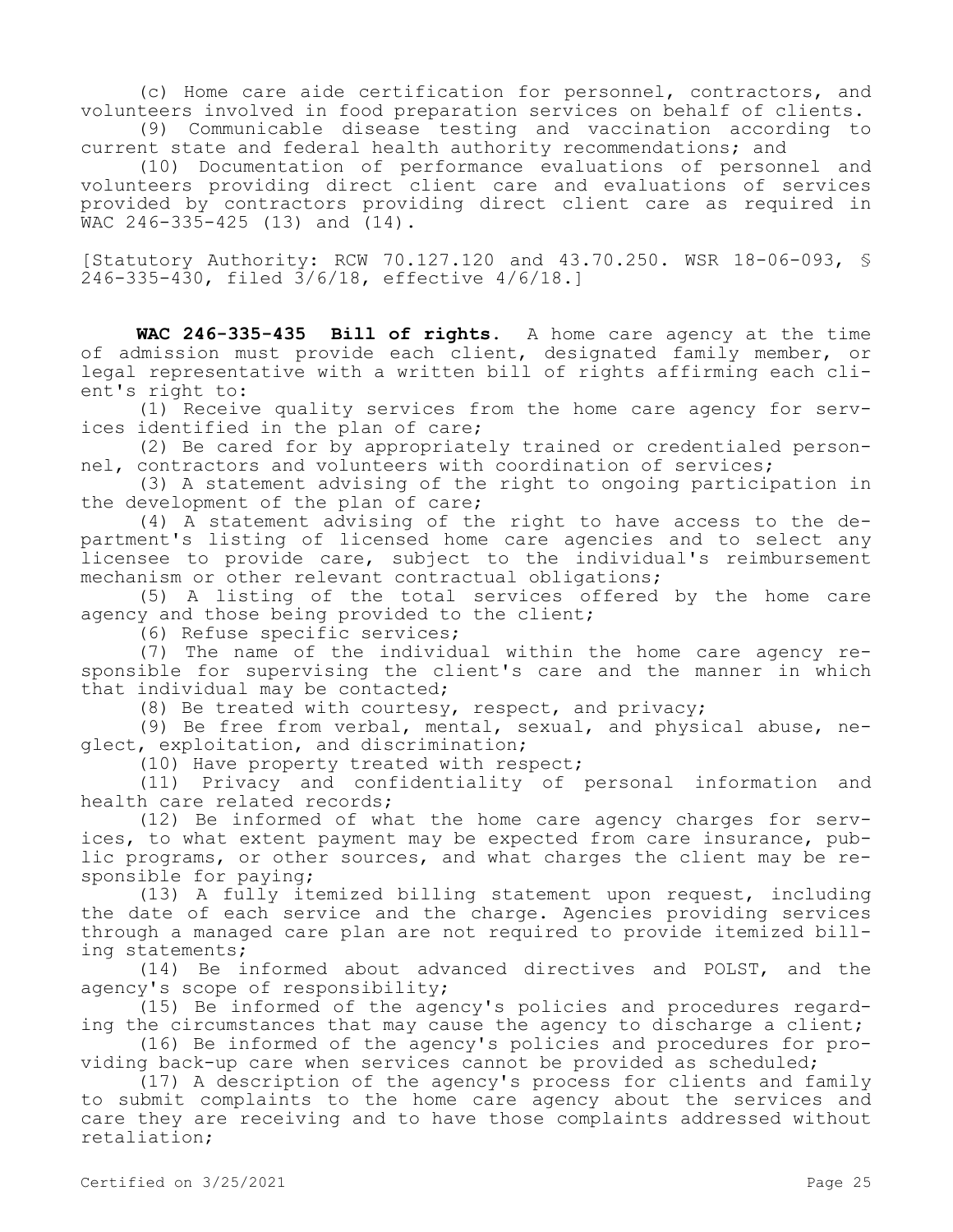(c) Home care aide certification for personnel, contractors, and volunteers involved in food preparation services on behalf of clients. (9) Communicable disease testing and vaccination according to

current state and federal health authority recommendations; and

(10) Documentation of performance evaluations of personnel and volunteers providing direct client care and evaluations of services provided by contractors providing direct client care as required in  $WAC$  246-335-425 (13) and  $(14)$ .

[Statutory Authority: RCW 70.127.120 and 43.70.250. WSR 18-06-093, § 246-335-430, filed 3/6/18, effective 4/6/18.]

**WAC 246-335-435 Bill of rights.** A home care agency at the time of admission must provide each client, designated family member, or legal representative with a written bill of rights affirming each client's right to:

(1) Receive quality services from the home care agency for services identified in the plan of care;

(2) Be cared for by appropriately trained or credentialed personnel, contractors and volunteers with coordination of services;

(3) A statement advising of the right to ongoing participation in the development of the plan of care;

(4) A statement advising of the right to have access to the department's listing of licensed home care agencies and to select any licensee to provide care, subject to the individual's reimbursement mechanism or other relevant contractual obligations;

(5) A listing of the total services offered by the home care agency and those being provided to the client;

(6) Refuse specific services;

(7) The name of the individual within the home care agency responsible for supervising the client's care and the manner in which that individual may be contacted;

(8) Be treated with courtesy, respect, and privacy;

(9) Be free from verbal, mental, sexual, and physical abuse, neglect, exploitation, and discrimination;

(10) Have property treated with respect;

(11) Privacy and confidentiality of personal information and health care related records;

(12) Be informed of what the home care agency charges for services, to what extent payment may be expected from care insurance, public programs, or other sources, and what charges the client may be responsible for paying;

(13) A fully itemized billing statement upon request, including the date of each service and the charge. Agencies providing services through a managed care plan are not required to provide itemized billing statements;

(14) Be informed about advanced directives and POLST, and the agency's scope of responsibility;

(15) Be informed of the agency's policies and procedures regarding the circumstances that may cause the agency to discharge a client;

(16) Be informed of the agency's policies and procedures for providing back-up care when services cannot be provided as scheduled;

(17) A description of the agency's process for clients and family to submit complaints to the home care agency about the services and care they are receiving and to have those complaints addressed without retaliation;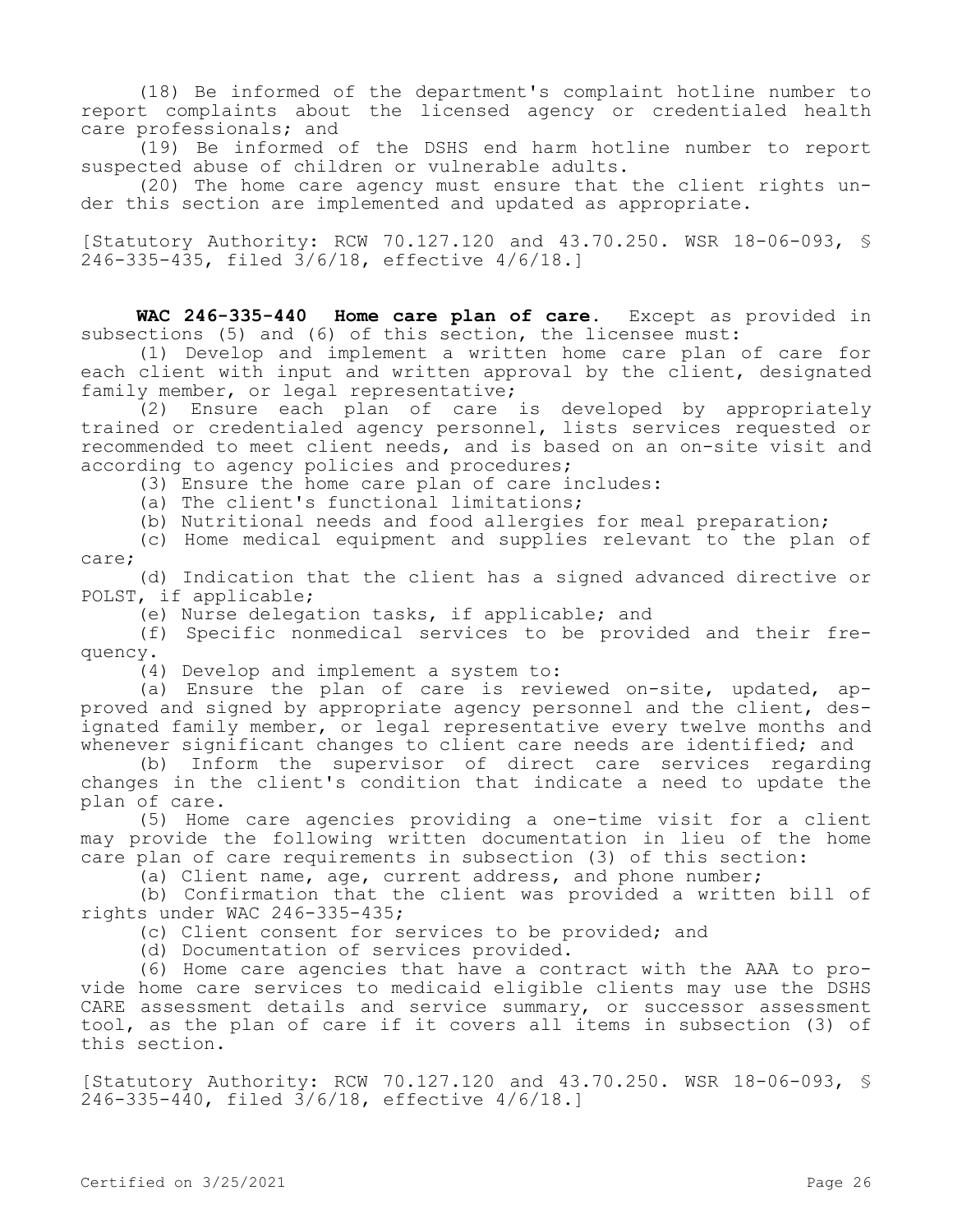(18) Be informed of the department's complaint hotline number to report complaints about the licensed agency or credentialed health care professionals; and

(19) Be informed of the DSHS end harm hotline number to report suspected abuse of children or vulnerable adults.

(20) The home care agency must ensure that the client rights under this section are implemented and updated as appropriate.

[Statutory Authority: RCW 70.127.120 and 43.70.250. WSR 18-06-093, § 246-335-435, filed 3/6/18, effective 4/6/18.]

**WAC 246-335-440 Home care plan of care.** Except as provided in subsections (5) and (6) of this section, the licensee must:

(1) Develop and implement a written home care plan of care for each client with input and written approval by the client, designated family member, or legal representative;

(2) Ensure each plan of care is developed by appropriately trained or credentialed agency personnel, lists services requested or recommended to meet client needs, and is based on an on-site visit and according to agency policies and procedures;

(3) Ensure the home care plan of care includes:

(a) The client's functional limitations;

(b) Nutritional needs and food allergies for meal preparation;

(c) Home medical equipment and supplies relevant to the plan of care;

(d) Indication that the client has a signed advanced directive or POLST, if applicable;

(e) Nurse delegation tasks, if applicable; and

(f) Specific nonmedical services to be provided and their frequency.

(4) Develop and implement a system to:

(a) Ensure the plan of care is reviewed on-site, updated, approved and signed by appropriate agency personnel and the client, designated family member, or legal representative every twelve months and whenever significant changes to client care needs are identified; and

(b) Inform the supervisor of direct care services regarding changes in the client's condition that indicate a need to update the plan of care.

(5) Home care agencies providing a one-time visit for a client may provide the following written documentation in lieu of the home care plan of care requirements in subsection (3) of this section:

(a) Client name, age, current address, and phone number;

(b) Confirmation that the client was provided a written bill of rights under WAC 246-335-435;

(c) Client consent for services to be provided; and

(d) Documentation of services provided.

(6) Home care agencies that have a contract with the AAA to provide home care services to medicaid eligible clients may use the DSHS CARE assessment details and service summary, or successor assessment tool, as the plan of care if it covers all items in subsection (3) of this section.

[Statutory Authority: RCW 70.127.120 and 43.70.250. WSR 18-06-093, § 246-335-440, filed 3/6/18, effective 4/6/18.]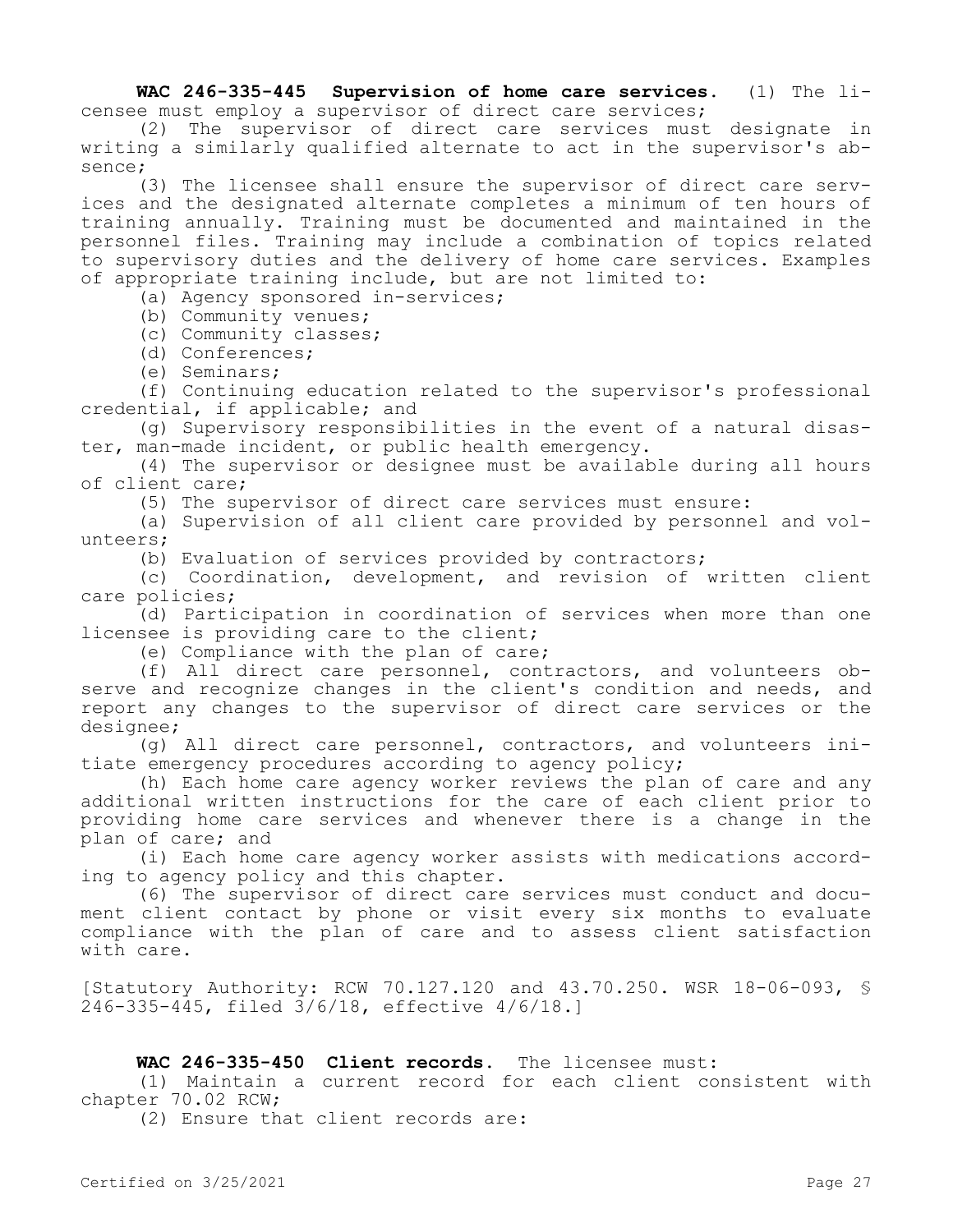**WAC 246-335-445 Supervision of home care services.** (1) The licensee must employ a supervisor of direct care services;

(2) The supervisor of direct care services must designate in writing a similarly qualified alternate to act in the supervisor's absence;

(3) The licensee shall ensure the supervisor of direct care services and the designated alternate completes a minimum of ten hours of training annually. Training must be documented and maintained in the personnel files. Training may include a combination of topics related to supervisory duties and the delivery of home care services. Examples of appropriate training include, but are not limited to:

(a) Agency sponsored in-services;

(b) Community venues;

(c) Community classes;

(d) Conferences;

(e) Seminars;

(f) Continuing education related to the supervisor's professional credential, if applicable; and

(g) Supervisory responsibilities in the event of a natural disaster, man-made incident, or public health emergency.

(4) The supervisor or designee must be available during all hours of client care;

(5) The supervisor of direct care services must ensure:

(a) Supervision of all client care provided by personnel and volunteers;

(b) Evaluation of services provided by contractors;

(c) Coordination, development, and revision of written client care policies;

(d) Participation in coordination of services when more than one licensee is providing care to the client;

(e) Compliance with the plan of care;

(f) All direct care personnel, contractors, and volunteers observe and recognize changes in the client's condition and needs, and report any changes to the supervisor of direct care services or the designee;

(g) All direct care personnel, contractors, and volunteers initiate emergency procedures according to agency policy;

(h) Each home care agency worker reviews the plan of care and any additional written instructions for the care of each client prior to providing home care services and whenever there is a change in the plan of care; and

(i) Each home care agency worker assists with medications according to agency policy and this chapter.

(6) The supervisor of direct care services must conduct and document client contact by phone or visit every six months to evaluate compliance with the plan of care and to assess client satisfaction with care.

[Statutory Authority: RCW 70.127.120 and 43.70.250. WSR 18-06-093, § 246-335-445, filed 3/6/18, effective 4/6/18.]

# **WAC 246-335-450 Client records.** The licensee must:

(1) Maintain a current record for each client consistent with chapter 70.02 RCW;

(2) Ensure that client records are: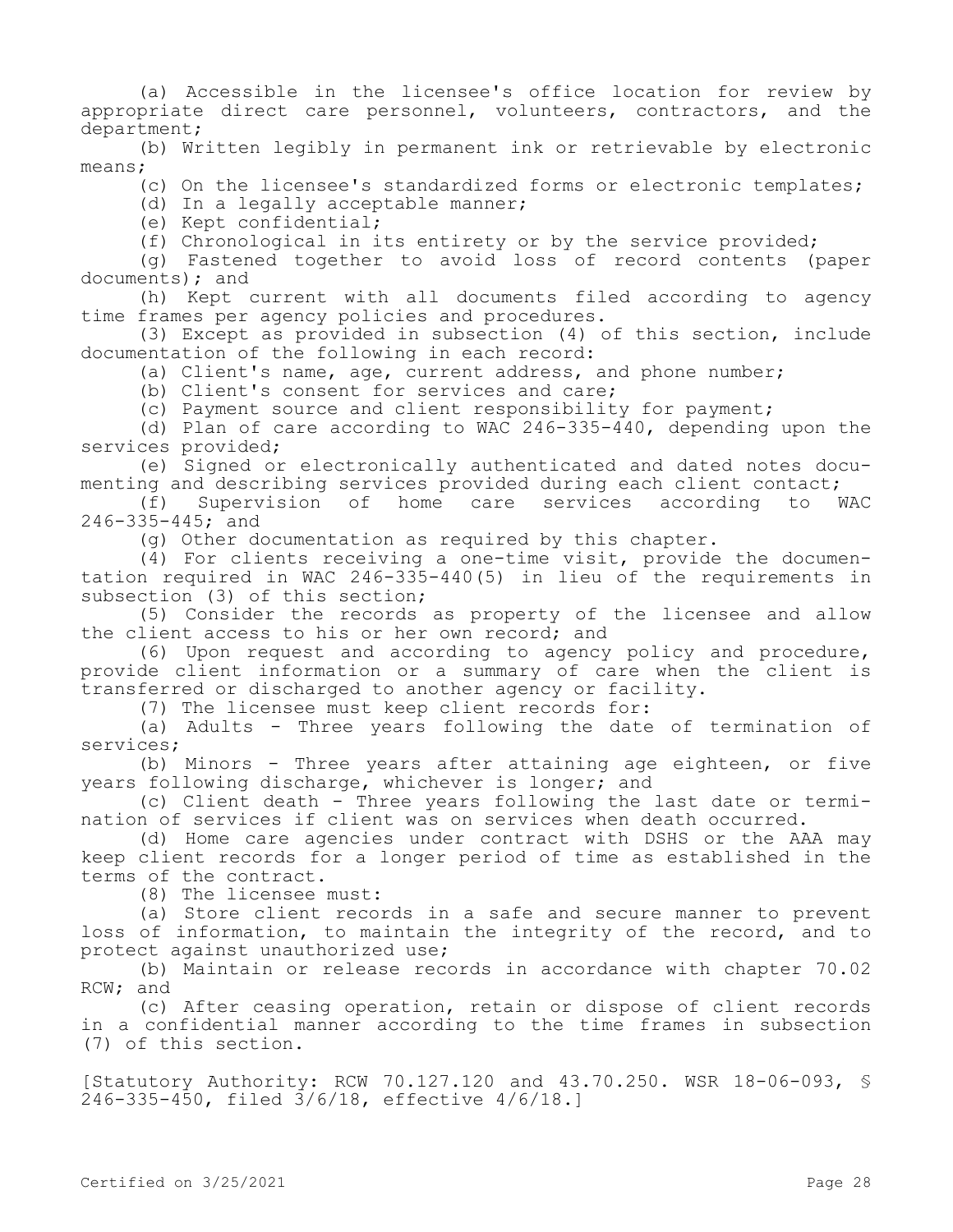(a) Accessible in the licensee's office location for review by appropriate direct care personnel, volunteers, contractors, and the department;

(b) Written legibly in permanent ink or retrievable by electronic means;

(c) On the licensee's standardized forms or electronic templates;

(d) In a legally acceptable manner;

(e) Kept confidential;

(f) Chronological in its entirety or by the service provided;

(g) Fastened together to avoid loss of record contents (paper documents); and

(h) Kept current with all documents filed according to agency time frames per agency policies and procedures.

(3) Except as provided in subsection (4) of this section, include documentation of the following in each record:

(a) Client's name, age, current address, and phone number;

(b) Client's consent for services and care;

(c) Payment source and client responsibility for payment;

(d) Plan of care according to WAC 246-335-440, depending upon the services provided;

(e) Signed or electronically authenticated and dated notes documenting and describing services provided during each client contact;

(f) Supervision of home care services according to WAC 246-335-445; and

(g) Other documentation as required by this chapter.

(4) For clients receiving a one-time visit, provide the documentation required in WAC 246-335-440(5) in lieu of the requirements in subsection (3) of this section;

(5) Consider the records as property of the licensee and allow the client access to his or her own record; and

(6) Upon request and according to agency policy and procedure, provide client information or a summary of care when the client is transferred or discharged to another agency or facility.

(7) The licensee must keep client records for:

(a) Adults - Three years following the date of termination of services;

(b) Minors - Three years after attaining age eighteen, or five years following discharge, whichever is longer; and

(c) Client death - Three years following the last date or termination of services if client was on services when death occurred.

(d) Home care agencies under contract with DSHS or the AAA may keep client records for a longer period of time as established in the terms of the contract.

(8) The licensee must:

(a) Store client records in a safe and secure manner to prevent loss of information, to maintain the integrity of the record, and to protect against unauthorized use;

(b) Maintain or release records in accordance with chapter 70.02 RCW; and

(c) After ceasing operation, retain or dispose of client records in a confidential manner according to the time frames in subsection (7) of this section.

[Statutory Authority: RCW 70.127.120 and 43.70.250. WSR 18-06-093, § 246-335-450, filed 3/6/18, effective 4/6/18.]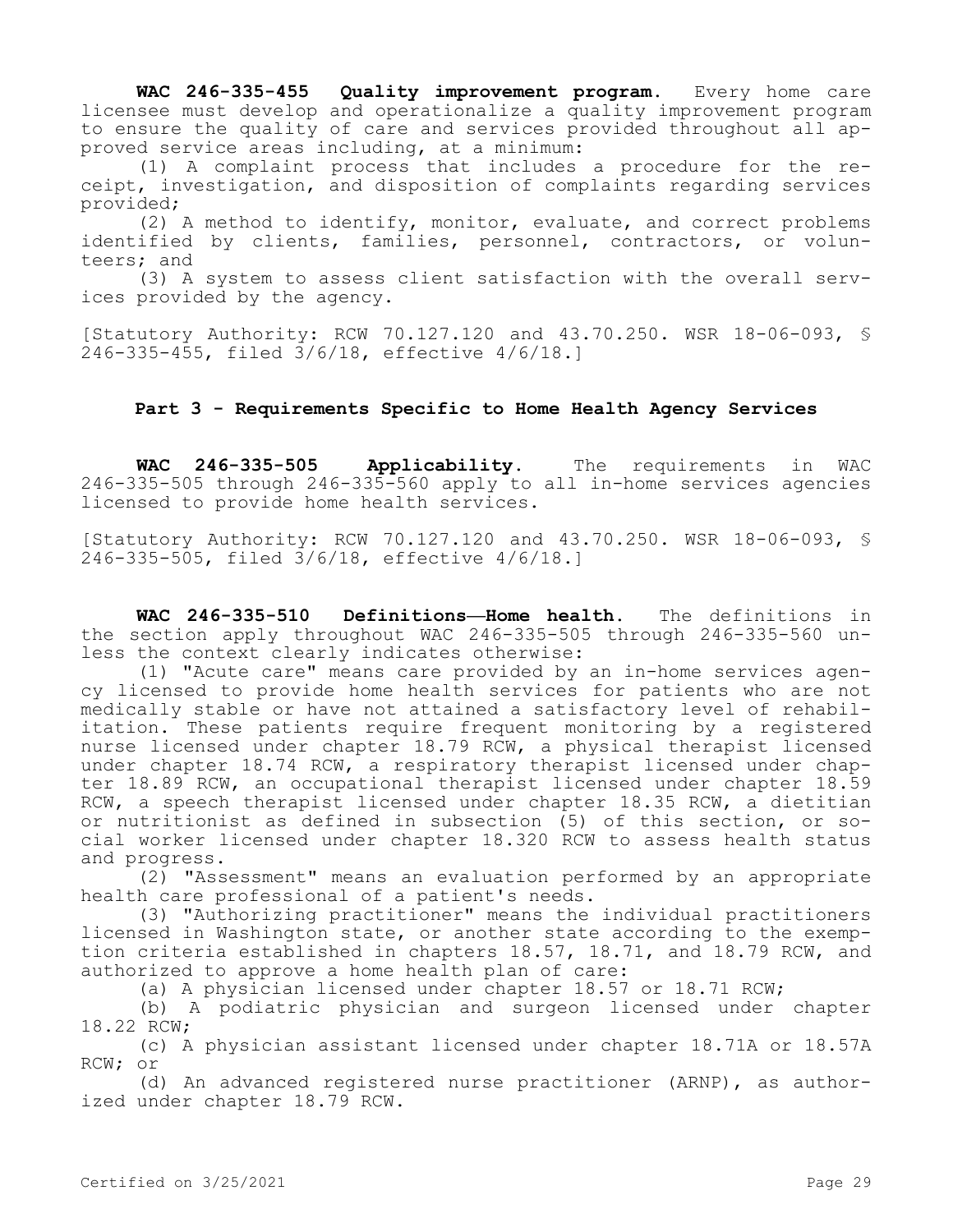**WAC 246-335-455 Quality improvement program.** Every home care licensee must develop and operationalize a quality improvement program to ensure the quality of care and services provided throughout all approved service areas including, at a minimum:

(1) A complaint process that includes a procedure for the receipt, investigation, and disposition of complaints regarding services provided;

(2) A method to identify, monitor, evaluate, and correct problems identified by clients, families, personnel, contractors, or volunteers; and

(3) A system to assess client satisfaction with the overall services provided by the agency.

[Statutory Authority: RCW 70.127.120 and 43.70.250. WSR 18-06-093, § 246-335-455, filed 3/6/18, effective 4/6/18.]

## **Part 3 - Requirements Specific to Home Health Agency Services**

**WAC 246-335-505 Applicability.** The requirements in WAC 246-335-505 through 246-335-560 apply to all in-home services agencies licensed to provide home health services.

[Statutory Authority: RCW 70.127.120 and 43.70.250. WSR 18-06-093, § 246-335-505, filed 3/6/18, effective 4/6/18.]

**WAC 246-335-510 Definitions—Home health.** The definitions in the section apply throughout WAC 246-335-505 through 246-335-560 unless the context clearly indicates otherwise:

(1) "Acute care" means care provided by an in-home services agency licensed to provide home health services for patients who are not medically stable or have not attained a satisfactory level of rehabilitation. These patients require frequent monitoring by a registered nurse licensed under chapter 18.79 RCW, a physical therapist licensed under chapter 18.74 RCW, a respiratory therapist licensed under chapter 18.89 RCW, an occupational therapist licensed under chapter 18.59 RCW, a speech therapist licensed under chapter 18.35 RCW, a dietitian or nutritionist as defined in subsection (5) of this section, or social worker licensed under chapter 18.320 RCW to assess health status and progress.

(2) "Assessment" means an evaluation performed by an appropriate health care professional of a patient's needs.

(3) "Authorizing practitioner" means the individual practitioners licensed in Washington state, or another state according to the exemption criteria established in chapters 18.57, 18.71, and 18.79 RCW, and authorized to approve a home health plan of care:

(a) A physician licensed under chapter 18.57 or 18.71 RCW;

(b) A podiatric physician and surgeon licensed under chapter 18.22 RCW;

(c) A physician assistant licensed under chapter 18.71A or 18.57A RCW; or

(d) An advanced registered nurse practitioner (ARNP), as authorized under chapter 18.79 RCW.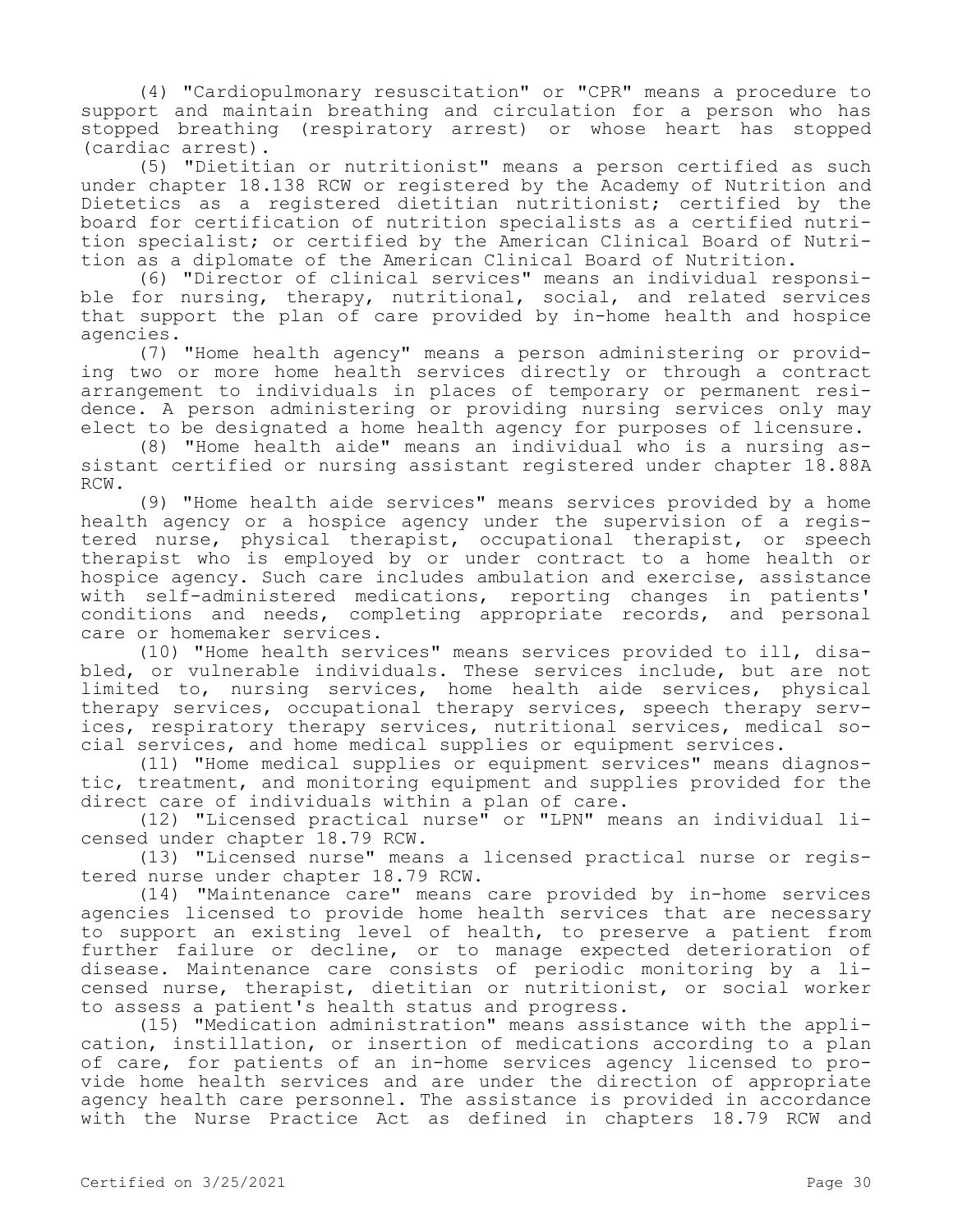(4) "Cardiopulmonary resuscitation" or "CPR" means a procedure to support and maintain breathing and circulation for a person who has stopped breathing (respiratory arrest) or whose heart has stopped (cardiac arrest).

(5) "Dietitian or nutritionist" means a person certified as such under chapter 18.138 RCW or registered by the Academy of Nutrition and Dietetics as a registered dietitian nutritionist; certified by the board for certification of nutrition specialists as a certified nutrition specialist; or certified by the American Clinical Board of Nutrition as a diplomate of the American Clinical Board of Nutrition.

(6) "Director of clinical services" means an individual responsible for nursing, therapy, nutritional, social, and related services that support the plan of care provided by in-home health and hospice agencies.

(7) "Home health agency" means a person administering or providing two or more home health services directly or through a contract arrangement to individuals in places of temporary or permanent residence. A person administering or providing nursing services only may elect to be designated a home health agency for purposes of licensure.

(8) "Home health aide" means an individual who is a nursing assistant certified or nursing assistant registered under chapter 18.88A RCW.

(9) "Home health aide services" means services provided by a home health agency or a hospice agency under the supervision of a registered nurse, physical therapist, occupational therapist, or speech therapist who is employed by or under contract to a home health or hospice agency. Such care includes ambulation and exercise, assistance with self-administered medications, reporting changes in patients' conditions and needs, completing appropriate records, and personal care or homemaker services.

(10) "Home health services" means services provided to ill, disabled, or vulnerable individuals. These services include, but are not limited to, nursing services, home health aide services, physical therapy services, occupational therapy services, speech therapy services, respiratory therapy services, nutritional services, medical social services, and home medical supplies or equipment services.

(11) "Home medical supplies or equipment services" means diagnostic, treatment, and monitoring equipment and supplies provided for the direct care of individuals within a plan of care.

(12) "Licensed practical nurse" or "LPN" means an individual licensed under chapter 18.79 RCW.

(13) "Licensed nurse" means a licensed practical nurse or registered nurse under chapter 18.79 RCW.

(14) "Maintenance care" means care provided by in-home services agencies licensed to provide home health services that are necessary to support an existing level of health, to preserve a patient from further failure or decline, or to manage expected deterioration of disease. Maintenance care consists of periodic monitoring by a licensed nurse, therapist, dietitian or nutritionist, or social worker to assess a patient's health status and progress.

(15) "Medication administration" means assistance with the application, instillation, or insertion of medications according to a plan of care, for patients of an in-home services agency licensed to provide home health services and are under the direction of appropriate agency health care personnel. The assistance is provided in accordance with the Nurse Practice Act as defined in chapters 18.79 RCW and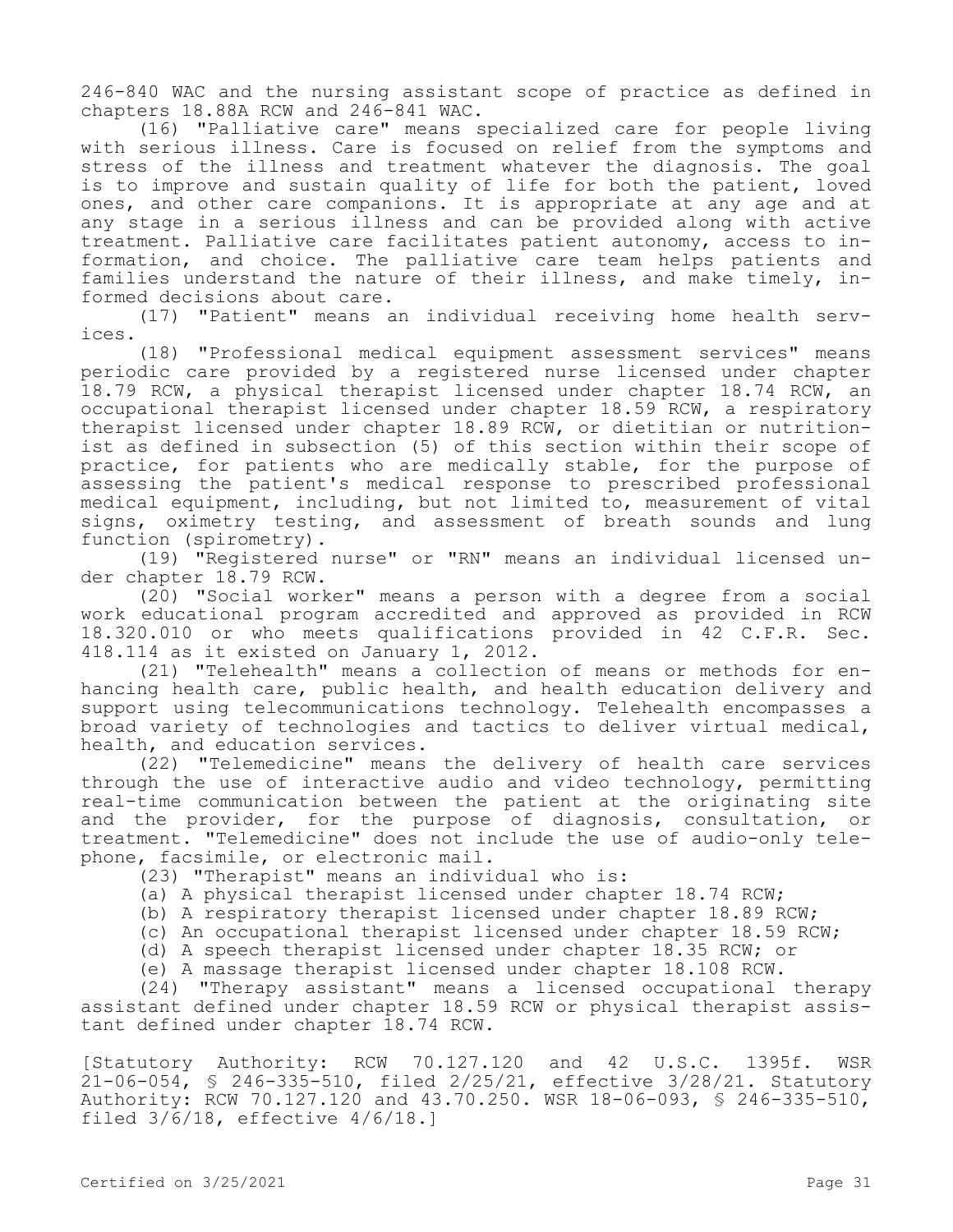246-840 WAC and the nursing assistant scope of practice as defined in chapters 18.88A RCW and 246-841 WAC.

(16) "Palliative care" means specialized care for people living with serious illness. Care is focused on relief from the symptoms and stress of the illness and treatment whatever the diagnosis. The goal is to improve and sustain quality of life for both the patient, loved ones, and other care companions. It is appropriate at any age and at any stage in a serious illness and can be provided along with active treatment. Palliative care facilitates patient autonomy, access to information, and choice. The palliative care team helps patients and families understand the nature of their illness, and make timely, informed decisions about care.

(17) "Patient" means an individual receiving home health services.

(18) "Professional medical equipment assessment services" means periodic care provided by a registered nurse licensed under chapter 18.79 RCW, a physical therapist licensed under chapter 18.74 RCW, an occupational therapist licensed under chapter 18.59 RCW, a respiratory therapist licensed under chapter 18.89 RCW, or dietitian or nutritionist as defined in subsection (5) of this section within their scope of practice, for patients who are medically stable, for the purpose of assessing the patient's medical response to prescribed professional medical equipment, including, but not limited to, measurement of vital signs, oximetry testing, and assessment of breath sounds and lung function (spirometry).

(19) "Registered nurse" or "RN" means an individual licensed under chapter 18.79 RCW.

(20) "Social worker" means a person with a degree from a social work educational program accredited and approved as provided in RCW 18.320.010 or who meets qualifications provided in 42 C.F.R. Sec. 418.114 as it existed on January 1, 2012.

(21) "Telehealth" means a collection of means or methods for enhancing health care, public health, and health education delivery and support using telecommunications technology. Telehealth encompasses a broad variety of technologies and tactics to deliver virtual medical, health, and education services.

(22) "Telemedicine" means the delivery of health care services through the use of interactive audio and video technology, permitting real-time communication between the patient at the originating site and the provider, for the purpose of diagnosis, consultation, or treatment. "Telemedicine" does not include the use of audio-only telephone, facsimile, or electronic mail.

(23) "Therapist" means an individual who is:

- (a) A physical therapist licensed under chapter 18.74 RCW;
- (b) A respiratory therapist licensed under chapter 18.89 RCW;
- (c) An occupational therapist licensed under chapter 18.59 RCW;
- (d) A speech therapist licensed under chapter 18.35 RCW; or
- (e) A massage therapist licensed under chapter 18.108 RCW.

(24) "Therapy assistant" means a licensed occupational therapy assistant defined under chapter 18.59 RCW or physical therapist assistant defined under chapter 18.74 RCW.

[Statutory Authority: RCW 70.127.120 and 42 U.S.C. 1395f. WSR 21-06-054, § 246-335-510, filed 2/25/21, effective 3/28/21. Statutory Authority: RCW 70.127.120 and 43.70.250. WSR 18-06-093, § 246-335-510, filed  $3/6/18$ , effective  $4/6/18$ .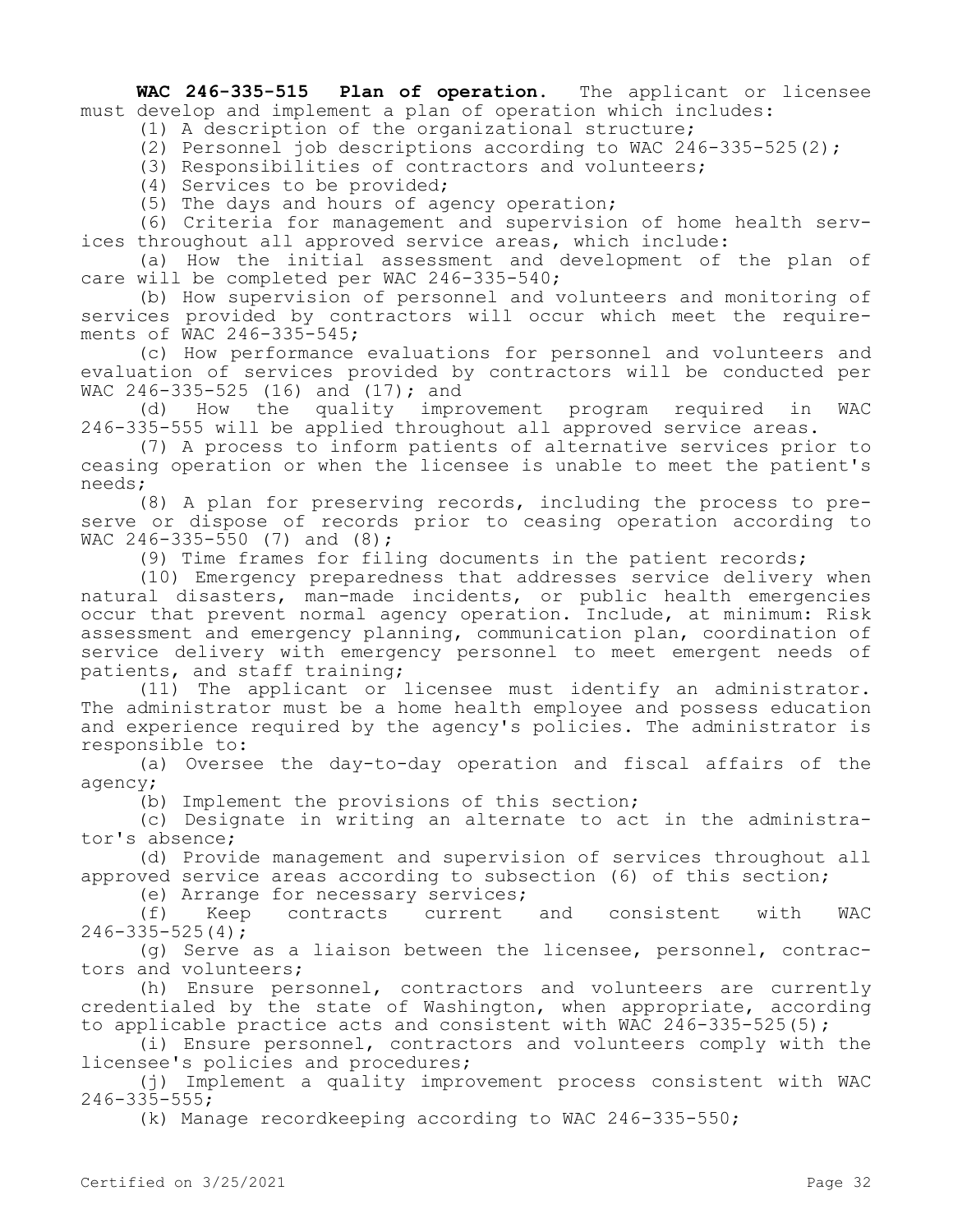**WAC 246-335-515 Plan of operation.** The applicant or licensee must develop and implement a plan of operation which includes:

(1) A description of the organizational structure;

(2) Personnel job descriptions according to WAC 246-335-525(2);

(3) Responsibilities of contractors and volunteers;

(4) Services to be provided;

(5) The days and hours of agency operation;

(6) Criteria for management and supervision of home health services throughout all approved service areas, which include:

(a) How the initial assessment and development of the plan of care will be completed per WAC 246-335-540;

(b) How supervision of personnel and volunteers and monitoring of services provided by contractors will occur which meet the requirements of WAC 246-335-545;

(c) How performance evaluations for personnel and volunteers and evaluation of services provided by contractors will be conducted per WAC 246-335-525 (16) and (17); and

(d) How the quality improvement program required in WAC 246-335-555 will be applied throughout all approved service areas.

(7) A process to inform patients of alternative services prior to ceasing operation or when the licensee is unable to meet the patient's needs;

(8) A plan for preserving records, including the process to preserve or dispose of records prior to ceasing operation according to WAC 246-335-550 (7) and (8);

(9) Time frames for filing documents in the patient records;

(10) Emergency preparedness that addresses service delivery when natural disasters, man-made incidents, or public health emergencies occur that prevent normal agency operation. Include, at minimum: Risk assessment and emergency planning, communication plan, coordination of service delivery with emergency personnel to meet emergent needs of patients, and staff training;

(11) The applicant or licensee must identify an administrator. The administrator must be a home health employee and possess education and experience required by the agency's policies. The administrator is responsible to:

(a) Oversee the day-to-day operation and fiscal affairs of the agency;

(b) Implement the provisions of this section;

(c) Designate in writing an alternate to act in the administrator's absence;

(d) Provide management and supervision of services throughout all approved service areas according to subsection (6) of this section;

(e) Arrange for necessary services;

(f) Keep contracts current and consistent with WAC  $246 - 335 - 525(4)$ ;

(g) Serve as a liaison between the licensee, personnel, contractors and volunteers;

(h) Ensure personnel, contractors and volunteers are currently credentialed by the state of Washington, when appropriate, according to applicable practice acts and consistent with WAC 246-335-525(5);

(i) Ensure personnel, contractors and volunteers comply with the licensee's policies and procedures;

(j) Implement a quality improvement process consistent with WAC 246-335-555;

(k) Manage recordkeeping according to WAC 246-335-550;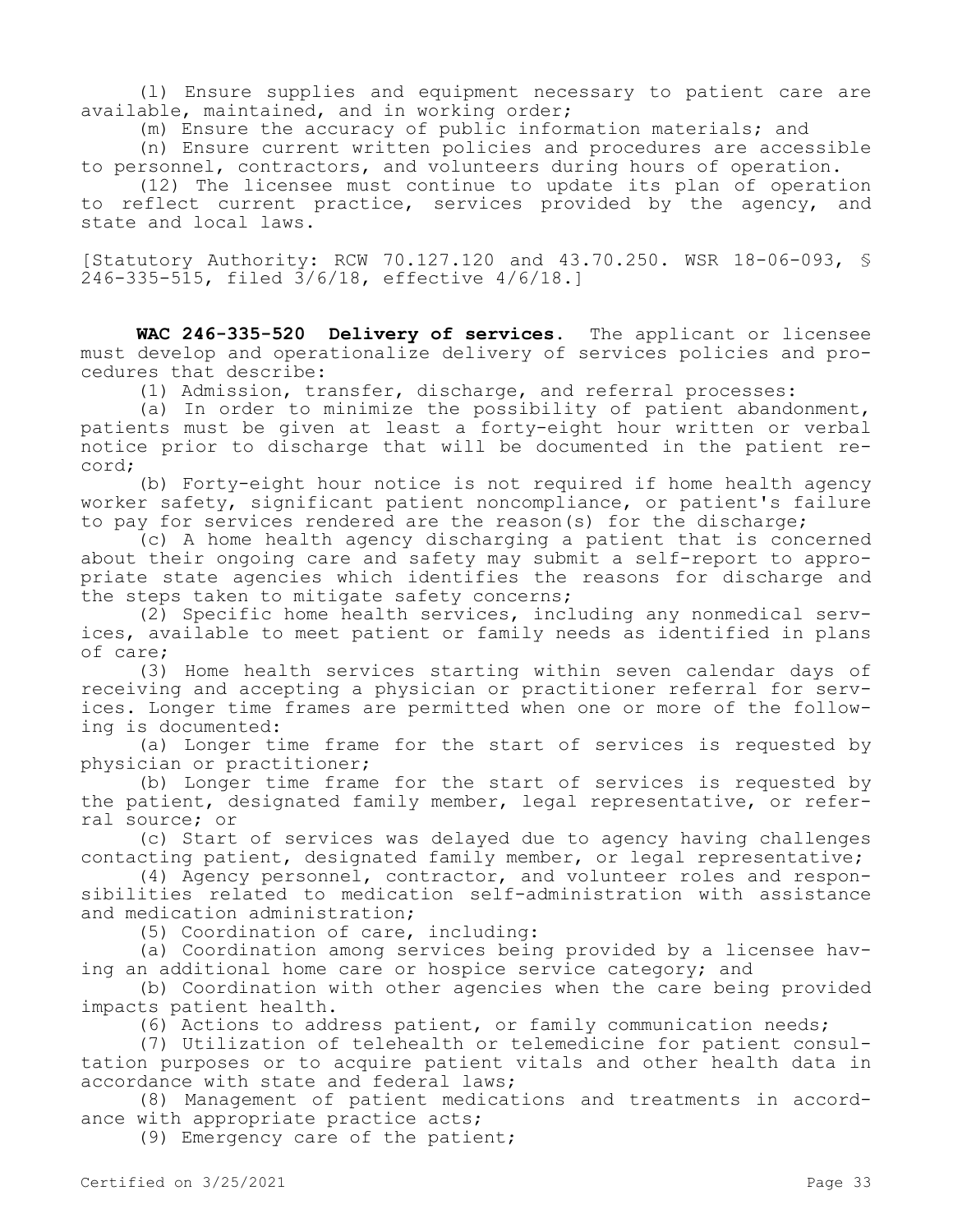(l) Ensure supplies and equipment necessary to patient care are available, maintained, and in working order;

(m) Ensure the accuracy of public information materials; and

(n) Ensure current written policies and procedures are accessible to personnel, contractors, and volunteers during hours of operation.

(12) The licensee must continue to update its plan of operation to reflect current practice, services provided by the agency, and state and local laws.

[Statutory Authority: RCW 70.127.120 and 43.70.250. WSR 18-06-093, § 246-335-515, filed 3/6/18, effective 4/6/18.]

**WAC 246-335-520 Delivery of services.** The applicant or licensee must develop and operationalize delivery of services policies and procedures that describe:

(1) Admission, transfer, discharge, and referral processes:

(a) In order to minimize the possibility of patient abandonment, patients must be given at least a forty-eight hour written or verbal notice prior to discharge that will be documented in the patient record;

(b) Forty-eight hour notice is not required if home health agency worker safety, significant patient noncompliance, or patient's failure to pay for services rendered are the reason(s) for the discharge;

(c) A home health agency discharging a patient that is concerned about their ongoing care and safety may submit a self-report to appropriate state agencies which identifies the reasons for discharge and the steps taken to mitigate safety concerns;

(2) Specific home health services, including any nonmedical services, available to meet patient or family needs as identified in plans of care;

(3) Home health services starting within seven calendar days of receiving and accepting a physician or practitioner referral for services. Longer time frames are permitted when one or more of the following is documented:

(a) Longer time frame for the start of services is requested by physician or practitioner;

(b) Longer time frame for the start of services is requested by the patient, designated family member, legal representative, or referral source; or

(c) Start of services was delayed due to agency having challenges contacting patient, designated family member, or legal representative;

(4) Agency personnel, contractor, and volunteer roles and responsibilities related to medication self-administration with assistance and medication administration;

(5) Coordination of care, including:

(a) Coordination among services being provided by a licensee having an additional home care or hospice service category; and

(b) Coordination with other agencies when the care being provided impacts patient health.

(6) Actions to address patient, or family communication needs;

(7) Utilization of telehealth or telemedicine for patient consultation purposes or to acquire patient vitals and other health data in accordance with state and federal laws;

(8) Management of patient medications and treatments in accordance with appropriate practice acts;

(9) Emergency care of the patient;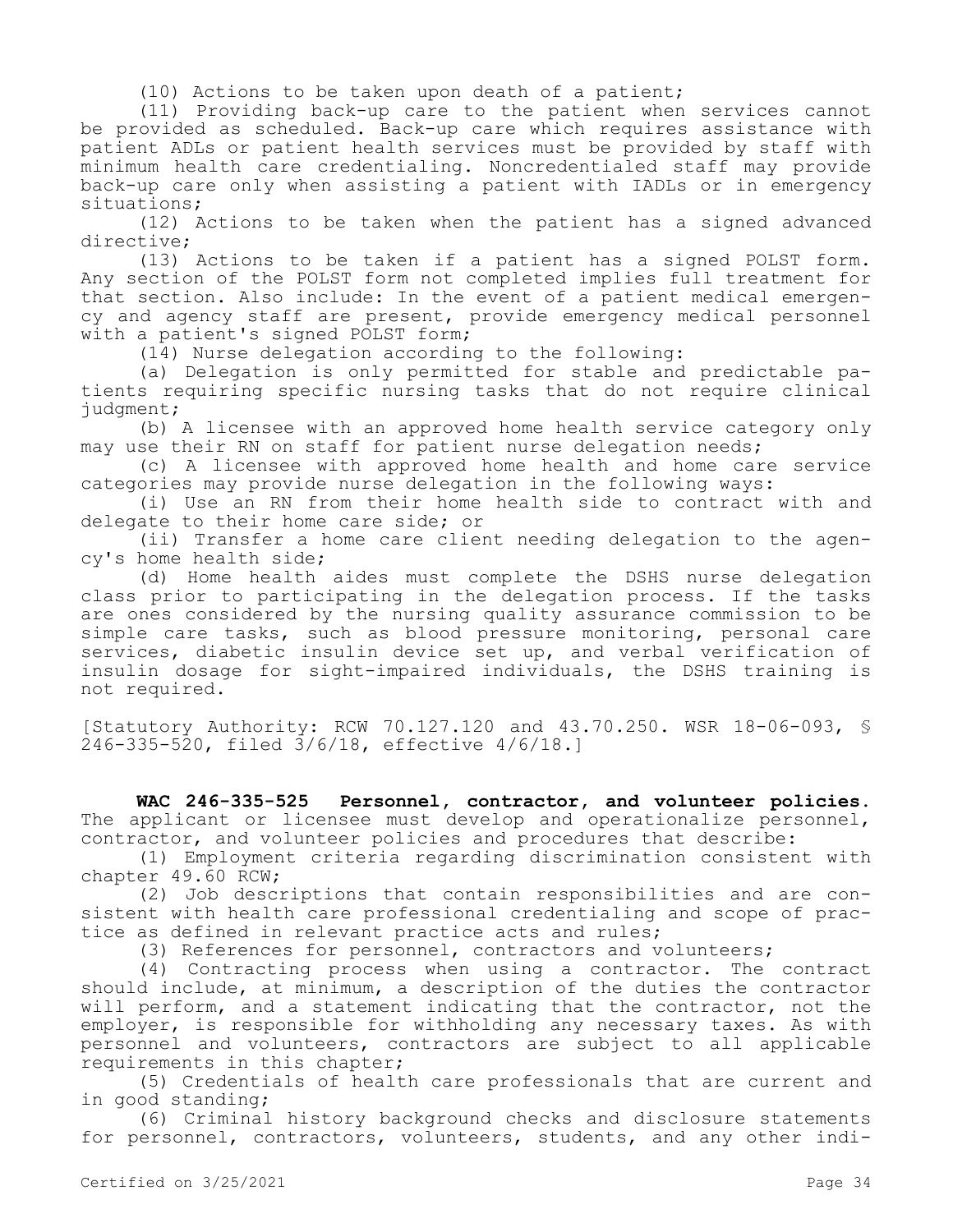(10) Actions to be taken upon death of a patient;

(11) Providing back-up care to the patient when services cannot be provided as scheduled. Back-up care which requires assistance with patient ADLs or patient health services must be provided by staff with minimum health care credentialing. Noncredentialed staff may provide back-up care only when assisting a patient with IADLs or in emergency situations;

(12) Actions to be taken when the patient has a signed advanced directive;

(13) Actions to be taken if a patient has a signed POLST form. Any section of the POLST form not completed implies full treatment for that section. Also include: In the event of a patient medical emergency and agency staff are present, provide emergency medical personnel with a patient's signed POLST form;

(14) Nurse delegation according to the following:

(a) Delegation is only permitted for stable and predictable patients requiring specific nursing tasks that do not require clinical judgment;

(b) A licensee with an approved home health service category only may use their RN on staff for patient nurse delegation needs;

(c) A licensee with approved home health and home care service categories may provide nurse delegation in the following ways:

(i) Use an RN from their home health side to contract with and delegate to their home care side; or

(ii) Transfer a home care client needing delegation to the agency's home health side;

(d) Home health aides must complete the DSHS nurse delegation class prior to participating in the delegation process. If the tasks are ones considered by the nursing quality assurance commission to be simple care tasks, such as blood pressure monitoring, personal care services, diabetic insulin device set up, and verbal verification of insulin dosage for sight-impaired individuals, the DSHS training is not required.

[Statutory Authority: RCW 70.127.120 and 43.70.250. WSR 18-06-093, § 246-335-520, filed 3/6/18, effective 4/6/18.]

**WAC 246-335-525 Personnel, contractor, and volunteer policies.**  The applicant or licensee must develop and operationalize personnel, contractor, and volunteer policies and procedures that describe:

(1) Employment criteria regarding discrimination consistent with chapter 49.60 RCW;

(2) Job descriptions that contain responsibilities and are consistent with health care professional credentialing and scope of practice as defined in relevant practice acts and rules;

(3) References for personnel, contractors and volunteers;

(4) Contracting process when using a contractor. The contract should include, at minimum, a description of the duties the contractor will perform, and a statement indicating that the contractor, not the employer, is responsible for withholding any necessary taxes. As with personnel and volunteers, contractors are subject to all applicable requirements in this chapter;

(5) Credentials of health care professionals that are current and in good standing;

(6) Criminal history background checks and disclosure statements for personnel, contractors, volunteers, students, and any other indi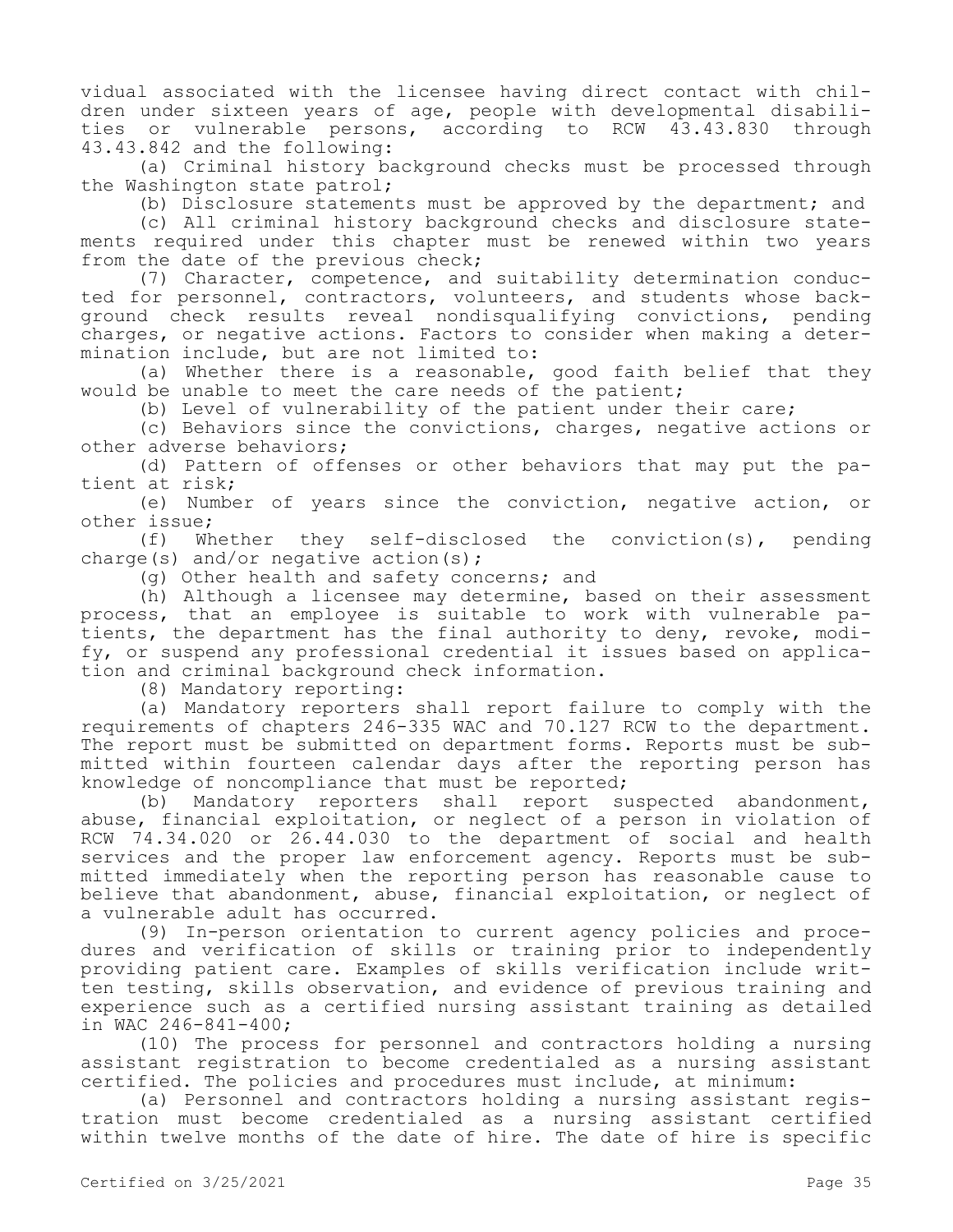vidual associated with the licensee having direct contact with children under sixteen years of age, people with developmental disabilities or vulnerable persons, according to RCW 43.43.830 through 43.43.842 and the following:

(a) Criminal history background checks must be processed through the Washington state patrol;

(b) Disclosure statements must be approved by the department; and

(c) All criminal history background checks and disclosure statements required under this chapter must be renewed within two years from the date of the previous check;

(7) Character, competence, and suitability determination conducted for personnel, contractors, volunteers, and students whose background check results reveal nondisqualifying convictions, pending charges, or negative actions. Factors to consider when making a determination include, but are not limited to:

(a) Whether there is a reasonable, good faith belief that they would be unable to meet the care needs of the patient;

(b) Level of vulnerability of the patient under their care;

(c) Behaviors since the convictions, charges, negative actions or other adverse behaviors;

(d) Pattern of offenses or other behaviors that may put the patient at risk;

(e) Number of years since the conviction, negative action, or other issue;

(f) Whether they self-disclosed the conviction(s), pending charge(s) and/or negative action(s);

(g) Other health and safety concerns; and

(h) Although a licensee may determine, based on their assessment process, that an employee is suitable to work with vulnerable patients, the department has the final authority to deny, revoke, modify, or suspend any professional credential it issues based on application and criminal background check information.

(8) Mandatory reporting:

(a) Mandatory reporters shall report failure to comply with the requirements of chapters 246-335 WAC and 70.127 RCW to the department. The report must be submitted on department forms. Reports must be submitted within fourteen calendar days after the reporting person has knowledge of noncompliance that must be reported;

(b) Mandatory reporters shall report suspected abandonment, abuse, financial exploitation, or neglect of a person in violation of RCW 74.34.020 or 26.44.030 to the department of social and health services and the proper law enforcement agency. Reports must be submitted immediately when the reporting person has reasonable cause to believe that abandonment, abuse, financial exploitation, or neglect of a vulnerable adult has occurred.

(9) In-person orientation to current agency policies and procedures and verification of skills or training prior to independently providing patient care. Examples of skills verification include written testing, skills observation, and evidence of previous training and experience such as a certified nursing assistant training as detailed in WAC 246-841-400;

(10) The process for personnel and contractors holding a nursing assistant registration to become credentialed as a nursing assistant certified. The policies and procedures must include, at minimum:

(a) Personnel and contractors holding a nursing assistant registration must become credentialed as a nursing assistant certified within twelve months of the date of hire. The date of hire is specific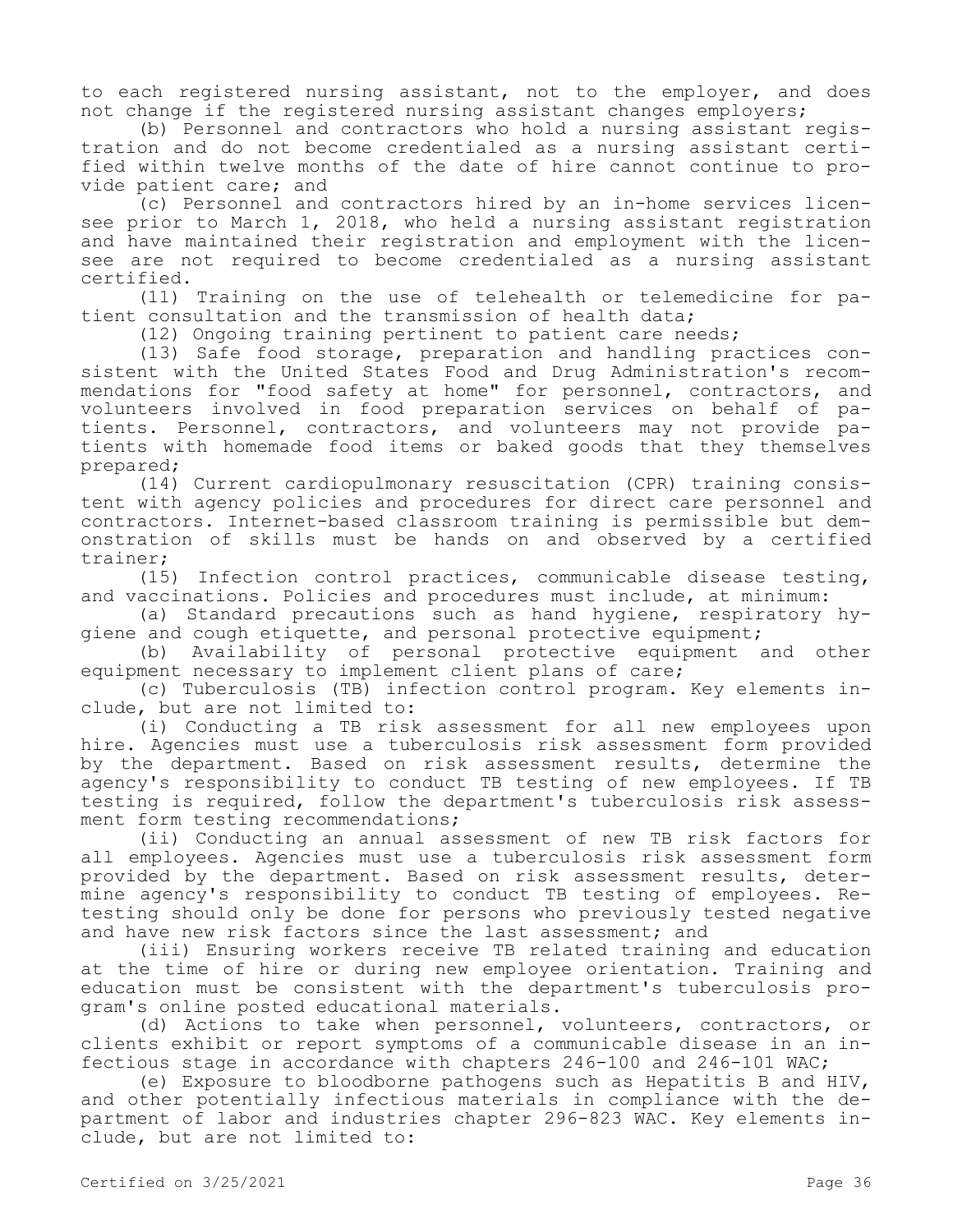to each registered nursing assistant, not to the employer, and does not change if the registered nursing assistant changes employers;

(b) Personnel and contractors who hold a nursing assistant registration and do not become credentialed as a nursing assistant certified within twelve months of the date of hire cannot continue to provide patient care; and

(c) Personnel and contractors hired by an in-home services licensee prior to March 1, 2018, who held a nursing assistant registration and have maintained their registration and employment with the licensee are not required to become credentialed as a nursing assistant certified.

(11) Training on the use of telehealth or telemedicine for patient consultation and the transmission of health data;

(12) Ongoing training pertinent to patient care needs;

(13) Safe food storage, preparation and handling practices consistent with the United States Food and Drug Administration's recommendations for "food safety at home" for personnel, contractors, and volunteers involved in food preparation services on behalf of patients. Personnel, contractors, and volunteers may not provide patients with homemade food items or baked goods that they themselves prepared;

(14) Current cardiopulmonary resuscitation (CPR) training consistent with agency policies and procedures for direct care personnel and contractors. Internet-based classroom training is permissible but demonstration of skills must be hands on and observed by a certified trainer;

(15) Infection control practices, communicable disease testing, and vaccinations. Policies and procedures must include, at minimum:

(a) Standard precautions such as hand hygiene, respiratory hygiene and cough etiquette, and personal protective equipment;

(b) Availability of personal protective equipment and other equipment necessary to implement client plans of care;

(c) Tuberculosis (TB) infection control program. Key elements include, but are not limited to:

(i) Conducting a TB risk assessment for all new employees upon hire. Agencies must use a tuberculosis risk assessment form provided by the department. Based on risk assessment results, determine the agency's responsibility to conduct TB testing of new employees. If TB testing is required, follow the department's tuberculosis risk assessment form testing recommendations;

(ii) Conducting an annual assessment of new TB risk factors for all employees. Agencies must use a tuberculosis risk assessment form provided by the department. Based on risk assessment results, determine agency's responsibility to conduct TB testing of employees. Retesting should only be done for persons who previously tested negative and have new risk factors since the last assessment; and

(iii) Ensuring workers receive TB related training and education at the time of hire or during new employee orientation. Training and education must be consistent with the department's tuberculosis program's online posted educational materials.

(d) Actions to take when personnel, volunteers, contractors, or clients exhibit or report symptoms of a communicable disease in an infectious stage in accordance with chapters 246-100 and 246-101 WAC;

(e) Exposure to bloodborne pathogens such as Hepatitis B and HIV, and other potentially infectious materials in compliance with the department of labor and industries chapter 296-823 WAC. Key elements include, but are not limited to: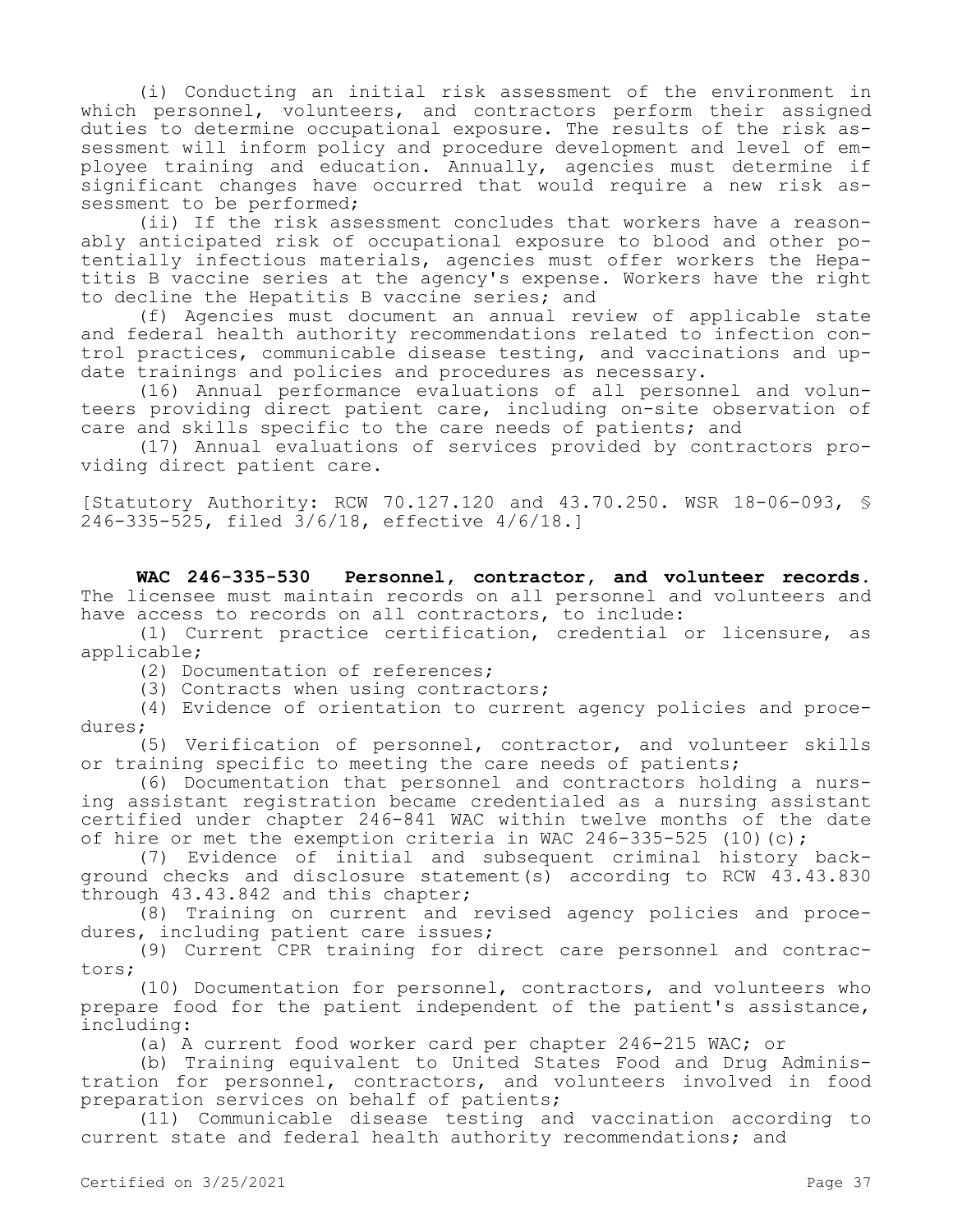(i) Conducting an initial risk assessment of the environment in which personnel, volunteers, and contractors perform their assigned duties to determine occupational exposure. The results of the risk assessment will inform policy and procedure development and level of employee training and education. Annually, agencies must determine if significant changes have occurred that would require a new risk assessment to be performed;

(ii) If the risk assessment concludes that workers have a reasonably anticipated risk of occupational exposure to blood and other potentially infectious materials, agencies must offer workers the Hepatitis B vaccine series at the agency's expense. Workers have the right to decline the Hepatitis B vaccine series; and

(f) Agencies must document an annual review of applicable state and federal health authority recommendations related to infection control practices, communicable disease testing, and vaccinations and update trainings and policies and procedures as necessary.

(16) Annual performance evaluations of all personnel and volunteers providing direct patient care, including on-site observation of care and skills specific to the care needs of patients; and

(17) Annual evaluations of services provided by contractors providing direct patient care.

[Statutory Authority: RCW 70.127.120 and 43.70.250. WSR 18-06-093, § 246-335-525, filed 3/6/18, effective 4/6/18.]

**WAC 246-335-530 Personnel, contractor, and volunteer records.**  The licensee must maintain records on all personnel and volunteers and have access to records on all contractors, to include:

(1) Current practice certification, credential or licensure, as applicable;

(2) Documentation of references;

(3) Contracts when using contractors;

(4) Evidence of orientation to current agency policies and procedures;

(5) Verification of personnel, contractor, and volunteer skills or training specific to meeting the care needs of patients;

(6) Documentation that personnel and contractors holding a nursing assistant registration became credentialed as a nursing assistant certified under chapter 246-841 WAC within twelve months of the date of hire or met the exemption criteria in WAC 246-335-525 (10)(c);

(7) Evidence of initial and subsequent criminal history background checks and disclosure statement(s) according to RCW 43.43.830 through 43.43.842 and this chapter;

(8) Training on current and revised agency policies and procedures, including patient care issues;

(9) Current CPR training for direct care personnel and contractors;

(10) Documentation for personnel, contractors, and volunteers who prepare food for the patient independent of the patient's assistance, including:

(a) A current food worker card per chapter 246-215 WAC; or

(b) Training equivalent to United States Food and Drug Administration for personnel, contractors, and volunteers involved in food preparation services on behalf of patients;

(11) Communicable disease testing and vaccination according to current state and federal health authority recommendations; and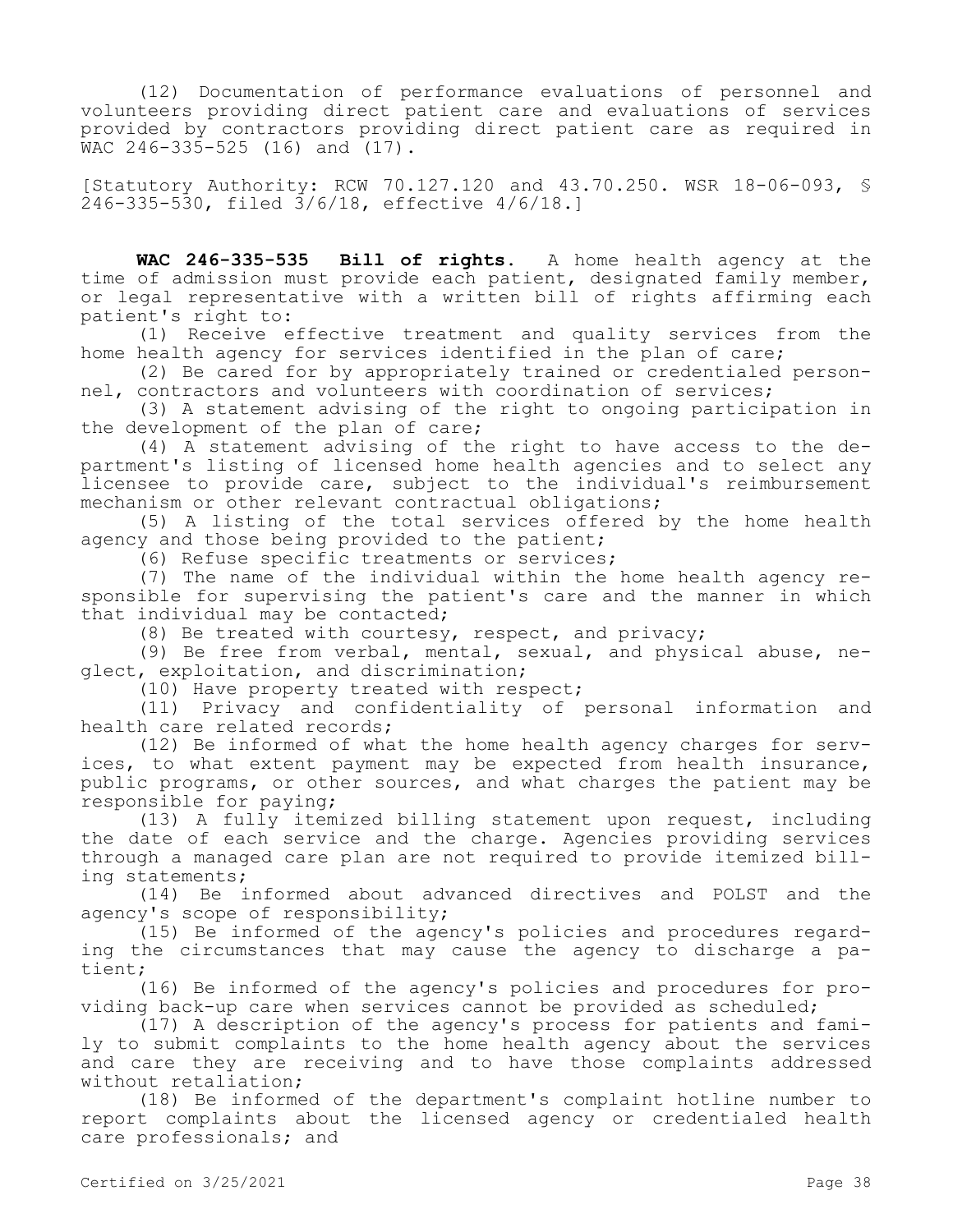(12) Documentation of performance evaluations of personnel and volunteers providing direct patient care and evaluations of services provided by contractors providing direct patient care as required in  $WAC$  246-335-525 (16) and (17).

[Statutory Authority: RCW 70.127.120 and 43.70.250. WSR 18-06-093, § 246-335-530, filed 3/6/18, effective 4/6/18.]

**WAC 246-335-535 Bill of rights.** A home health agency at the time of admission must provide each patient, designated family member, or legal representative with a written bill of rights affirming each patient's right to:

(1) Receive effective treatment and quality services from the home health agency for services identified in the plan of care;

(2) Be cared for by appropriately trained or credentialed personnel, contractors and volunteers with coordination of services;

(3) A statement advising of the right to ongoing participation in the development of the plan of care;

(4) A statement advising of the right to have access to the department's listing of licensed home health agencies and to select any licensee to provide care, subject to the individual's reimbursement mechanism or other relevant contractual obligations;

(5) A listing of the total services offered by the home health agency and those being provided to the patient;

(6) Refuse specific treatments or services;

(7) The name of the individual within the home health agency responsible for supervising the patient's care and the manner in which that individual may be contacted;

(8) Be treated with courtesy, respect, and privacy;

(9) Be free from verbal, mental, sexual, and physical abuse, neglect, exploitation, and discrimination;

(10) Have property treated with respect;

(11) Privacy and confidentiality of personal information and health care related records;

(12) Be informed of what the home health agency charges for services, to what extent payment may be expected from health insurance, public programs, or other sources, and what charges the patient may be responsible for paying;

(13) A fully itemized billing statement upon request, including the date of each service and the charge. Agencies providing services through a managed care plan are not required to provide itemized billing statements;

(14) Be informed about advanced directives and POLST and the agency's scope of responsibility;

(15) Be informed of the agency's policies and procedures regarding the circumstances that may cause the agency to discharge a patient;

(16) Be informed of the agency's policies and procedures for providing back-up care when services cannot be provided as scheduled;

(17) A description of the agency's process for patients and family to submit complaints to the home health agency about the services and care they are receiving and to have those complaints addressed without retaliation;

(18) Be informed of the department's complaint hotline number to report complaints about the licensed agency or credentialed health care professionals; and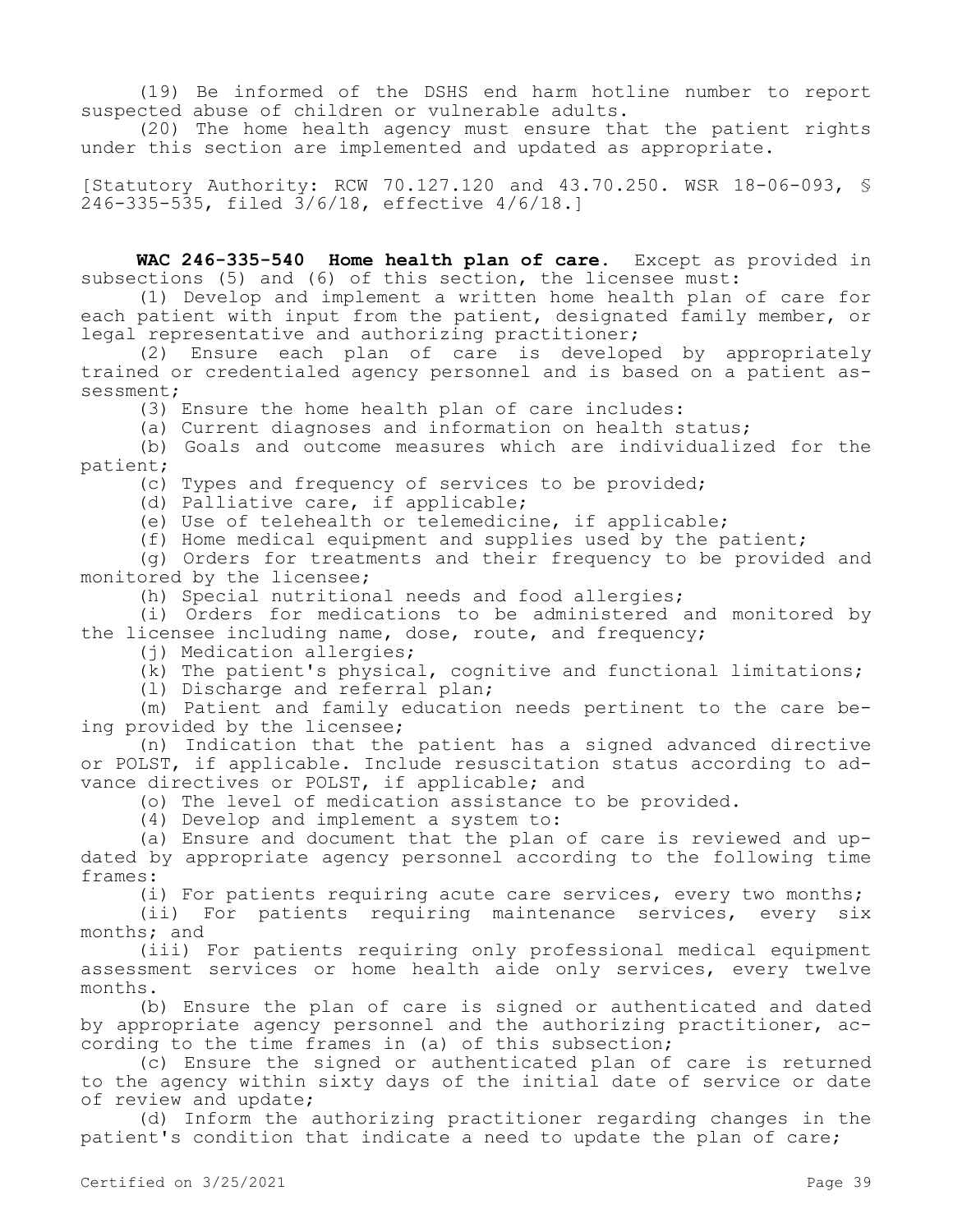(19) Be informed of the DSHS end harm hotline number to report suspected abuse of children or vulnerable adults.

(20) The home health agency must ensure that the patient rights under this section are implemented and updated as appropriate.

[Statutory Authority: RCW 70.127.120 and 43.70.250. WSR 18-06-093, § 246-335-535, filed 3/6/18, effective 4/6/18.]

**WAC 246-335-540 Home health plan of care.** Except as provided in subsections (5) and (6) of this section, the licensee must:

(1) Develop and implement a written home health plan of care for each patient with input from the patient, designated family member, or legal representative and authorizing practitioner;

(2) Ensure each plan of care is developed by appropriately trained or credentialed agency personnel and is based on a patient assessment;

(3) Ensure the home health plan of care includes:

(a) Current diagnoses and information on health status;

(b) Goals and outcome measures which are individualized for the patient;

(c) Types and frequency of services to be provided;

(d) Palliative care, if applicable;

(e) Use of telehealth or telemedicine, if applicable;

(f) Home medical equipment and supplies used by the patient;

(g) Orders for treatments and their frequency to be provided and monitored by the licensee;

(h) Special nutritional needs and food allergies;

(i) Orders for medications to be administered and monitored by the licensee including name, dose, route, and frequency;

(i) Medication allergies;

(k) The patient's physical, cognitive and functional limitations;

(l) Discharge and referral plan;

(m) Patient and family education needs pertinent to the care being provided by the licensee;

(n) Indication that the patient has a signed advanced directive or POLST, if applicable. Include resuscitation status according to advance directives or POLST, if applicable; and

(o) The level of medication assistance to be provided.

(4) Develop and implement a system to:

(a) Ensure and document that the plan of care is reviewed and updated by appropriate agency personnel according to the following time frames:

(i) For patients requiring acute care services, every two months;

(ii) For patients requiring maintenance services, every six months; and

(iii) For patients requiring only professional medical equipment assessment services or home health aide only services, every twelve months.

(b) Ensure the plan of care is signed or authenticated and dated by appropriate agency personnel and the authorizing practitioner, according to the time frames in (a) of this subsection;

(c) Ensure the signed or authenticated plan of care is returned to the agency within sixty days of the initial date of service or date of review and update;

(d) Inform the authorizing practitioner regarding changes in the patient's condition that indicate a need to update the plan of care;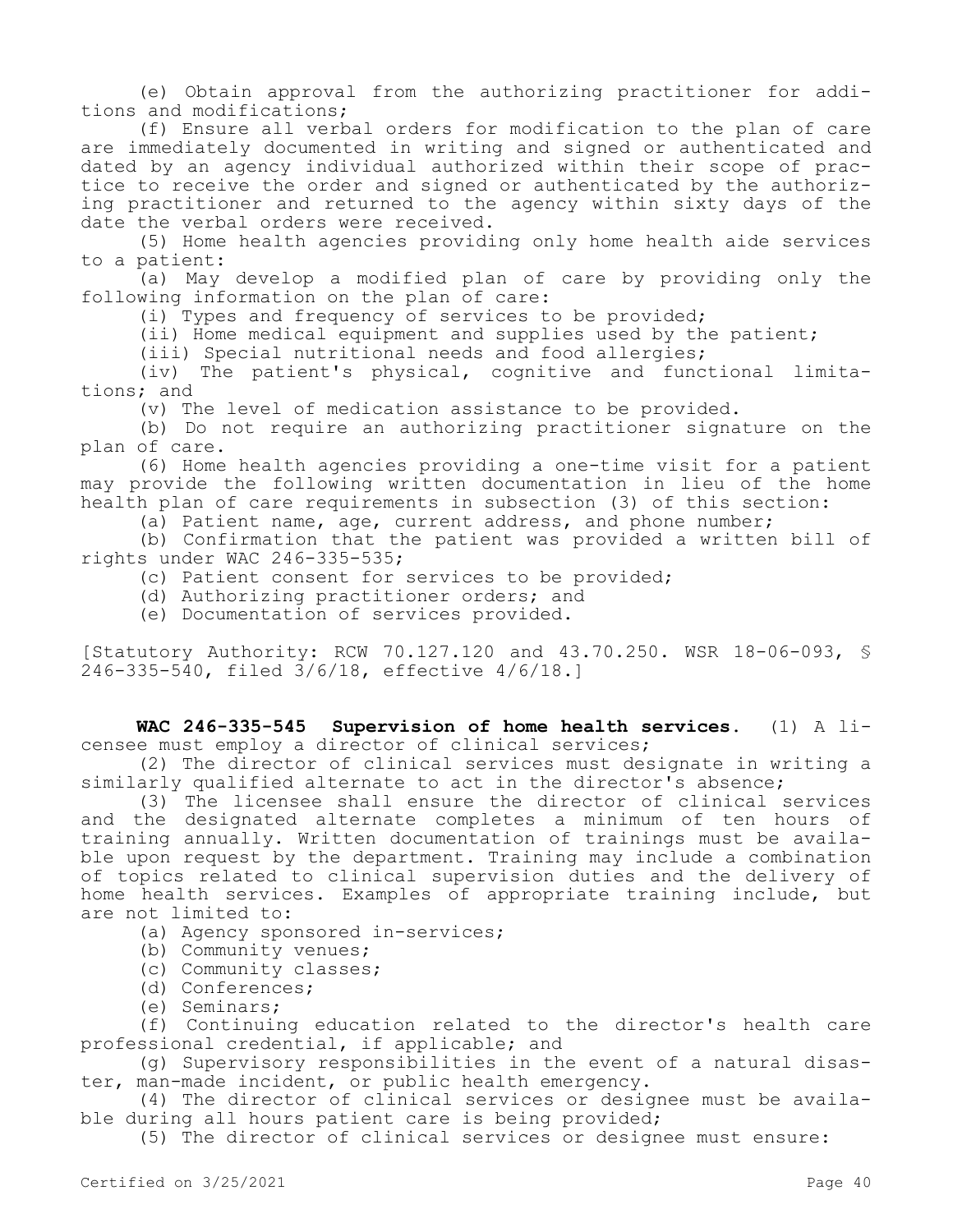(e) Obtain approval from the authorizing practitioner for additions and modifications;

(f) Ensure all verbal orders for modification to the plan of care are immediately documented in writing and signed or authenticated and dated by an agency individual authorized within their scope of practice to receive the order and signed or authenticated by the authorizing practitioner and returned to the agency within sixty days of the date the verbal orders were received.

(5) Home health agencies providing only home health aide services to a patient:

(a) May develop a modified plan of care by providing only the following information on the plan of care:

(i) Types and frequency of services to be provided;

(ii) Home medical equipment and supplies used by the patient;

(iii) Special nutritional needs and food allergies;

(iv) The patient's physical, cognitive and functional limitations; and

(v) The level of medication assistance to be provided.

(b) Do not require an authorizing practitioner signature on the plan of care.

(6) Home health agencies providing a one-time visit for a patient may provide the following written documentation in lieu of the home health plan of care requirements in subsection (3) of this section:

(a) Patient name, age, current address, and phone number;

(b) Confirmation that the patient was provided a written bill of rights under WAC 246-335-535;

- (c) Patient consent for services to be provided;
- (d) Authorizing practitioner orders; and
- (e) Documentation of services provided.

[Statutory Authority: RCW 70.127.120 and 43.70.250. WSR 18-06-093, § 246-335-540, filed 3/6/18, effective 4/6/18.]

**WAC 246-335-545 Supervision of home health services.** (1) A licensee must employ a director of clinical services;

(2) The director of clinical services must designate in writing a similarly qualified alternate to act in the director's absence;

(3) The licensee shall ensure the director of clinical services and the designated alternate completes a minimum of ten hours of training annually. Written documentation of trainings must be available upon request by the department. Training may include a combination of topics related to clinical supervision duties and the delivery of home health services. Examples of appropriate training include, but are not limited to:

(a) Agency sponsored in-services;

- (b) Community venues;
- (c) Community classes;
- (d) Conferences;
- (e) Seminars;

(f) Continuing education related to the director's health care professional credential, if applicable; and

(g) Supervisory responsibilities in the event of a natural disaster, man-made incident, or public health emergency.

(4) The director of clinical services or designee must be available during all hours patient care is being provided;

(5) The director of clinical services or designee must ensure: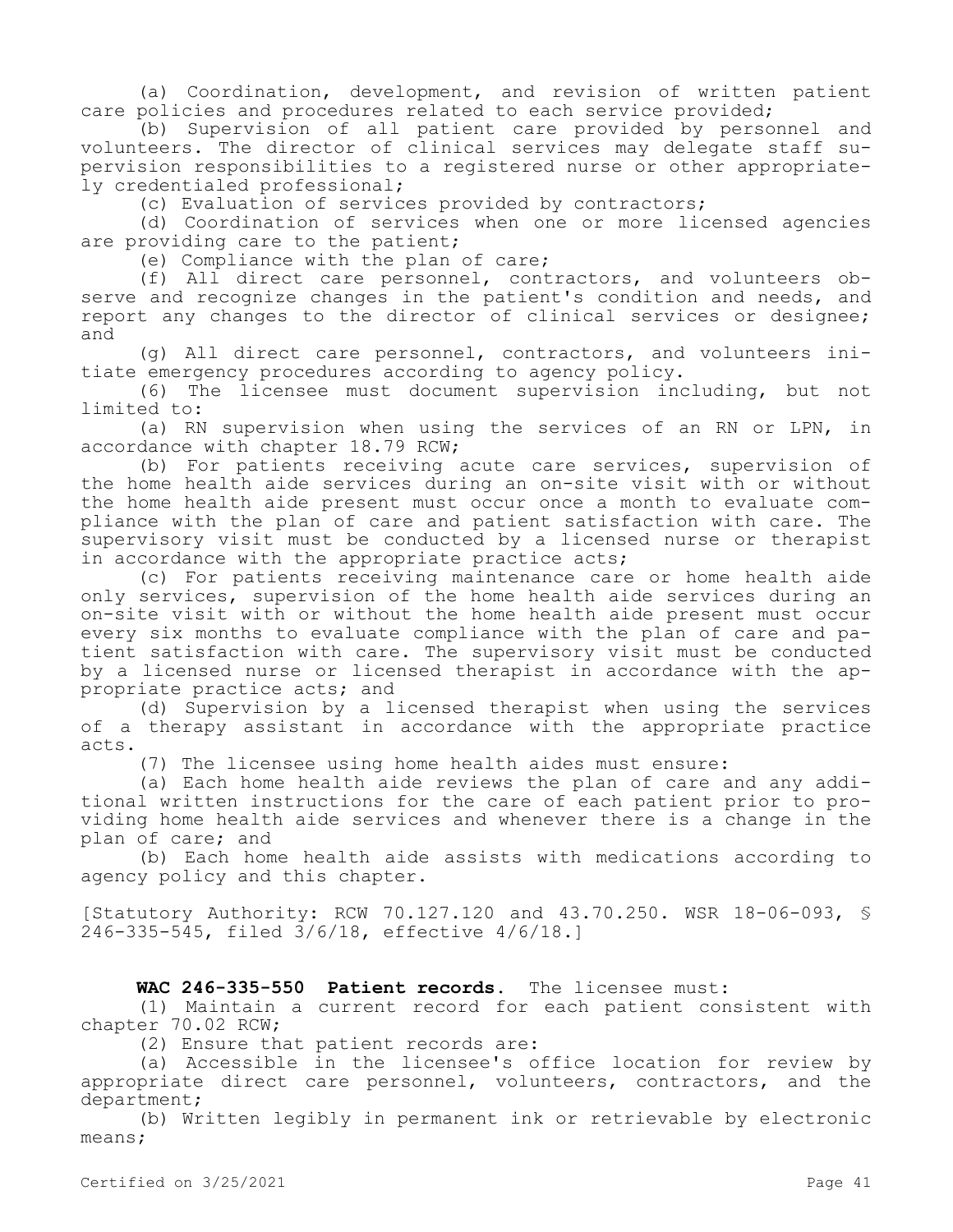(a) Coordination, development, and revision of written patient care policies and procedures related to each service provided;

(b) Supervision of all patient care provided by personnel and volunteers. The director of clinical services may delegate staff supervision responsibilities to a registered nurse or other appropriately credentialed professional;

(c) Evaluation of services provided by contractors;

(d) Coordination of services when one or more licensed agencies are providing care to the patient;

(e) Compliance with the plan of care;

(f) All direct care personnel, contractors, and volunteers observe and recognize changes in the patient's condition and needs, and report any changes to the director of clinical services or designee; and

(g) All direct care personnel, contractors, and volunteers initiate emergency procedures according to agency policy.

(6) The licensee must document supervision including, but not limited to:

(a) RN supervision when using the services of an RN or LPN, in accordance with chapter 18.79 RCW;

(b) For patients receiving acute care services, supervision of the home health aide services during an on-site visit with or without the home health aide present must occur once a month to evaluate compliance with the plan of care and patient satisfaction with care. The supervisory visit must be conducted by a licensed nurse or therapist in accordance with the appropriate practice acts;

(c) For patients receiving maintenance care or home health aide only services, supervision of the home health aide services during an on-site visit with or without the home health aide present must occur every six months to evaluate compliance with the plan of care and patient satisfaction with care. The supervisory visit must be conducted by a licensed nurse or licensed therapist in accordance with the appropriate practice acts; and

(d) Supervision by a licensed therapist when using the services of a therapy assistant in accordance with the appropriate practice acts.

(7) The licensee using home health aides must ensure:

(a) Each home health aide reviews the plan of care and any additional written instructions for the care of each patient prior to providing home health aide services and whenever there is a change in the plan of care; and

(b) Each home health aide assists with medications according to agency policy and this chapter.

[Statutory Authority: RCW 70.127.120 and 43.70.250. WSR 18-06-093, § 246-335-545, filed 3/6/18, effective 4/6/18.]

# **WAC 246-335-550 Patient records.** The licensee must:

(1) Maintain a current record for each patient consistent with chapter 70.02 RCW;

(2) Ensure that patient records are:

(a) Accessible in the licensee's office location for review by appropriate direct care personnel, volunteers, contractors, and the department;

(b) Written legibly in permanent ink or retrievable by electronic means;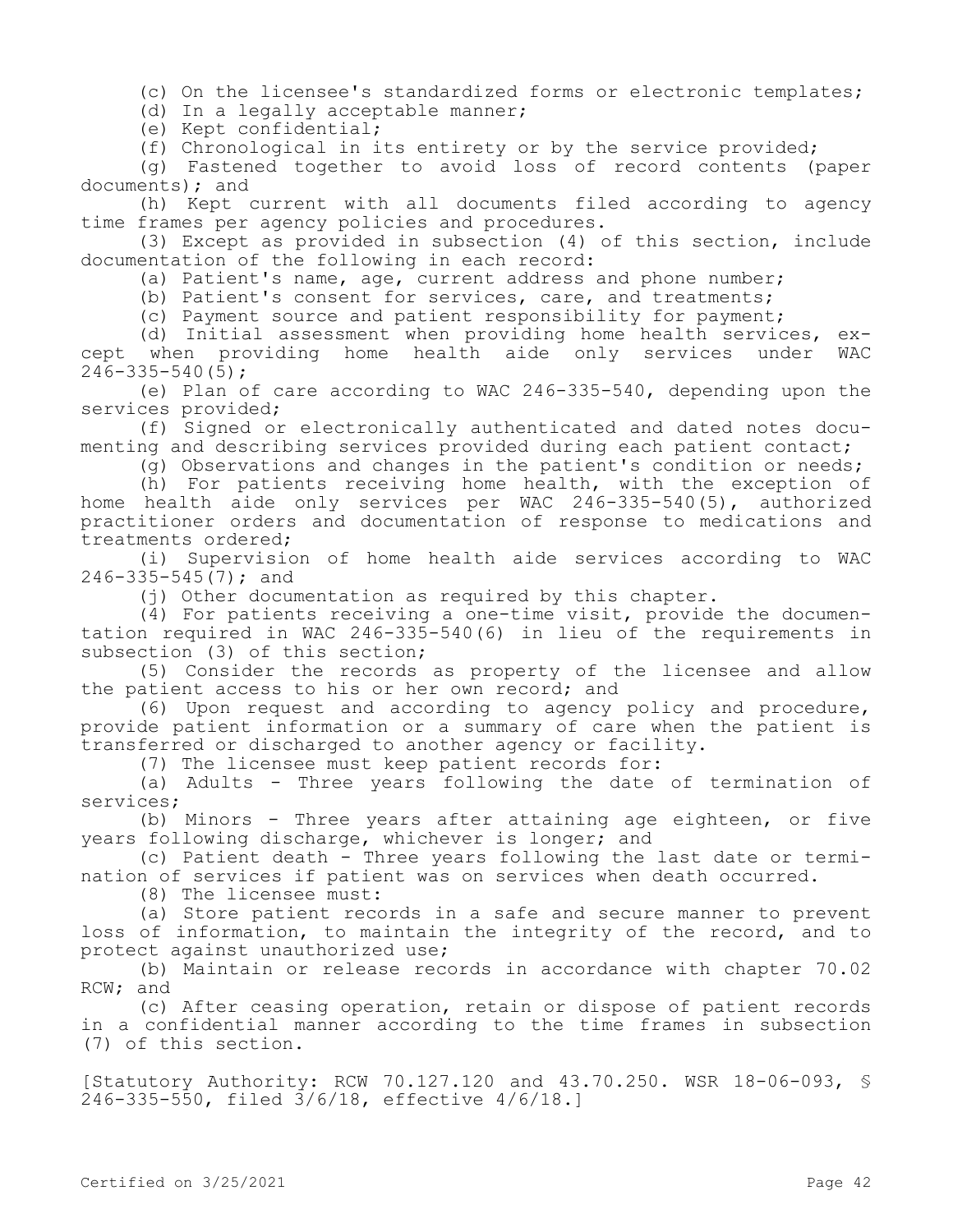(c) On the licensee's standardized forms or electronic templates;

(d) In a legally acceptable manner;

(e) Kept confidential;

(f) Chronological in its entirety or by the service provided;

(g) Fastened together to avoid loss of record contents (paper documents); and

(h) Kept current with all documents filed according to agency time frames per agency policies and procedures.

(3) Except as provided in subsection (4) of this section, include documentation of the following in each record:

(a) Patient's name, age, current address and phone number;

(b) Patient's consent for services, care, and treatments;

(c) Payment source and patient responsibility for payment;

(d) Initial assessment when providing home health services, except when providing home health aide only services under WAC 246-335-540(5);

(e) Plan of care according to WAC 246-335-540, depending upon the services provided;

(f) Signed or electronically authenticated and dated notes documenting and describing services provided during each patient contact;

(g) Observations and changes in the patient's condition or needs;

(h) For patients receiving home health, with the exception of home health aide only services per WAC 246-335-540(5), authorized practitioner orders and documentation of response to medications and treatments ordered;

(i) Supervision of home health aide services according to WAC 246-335-545(7); and

(i) Other documentation as required by this chapter.

(4) For patients receiving a one-time visit, provide the documentation required in WAC 246-335-540(6) in lieu of the requirements in subsection (3) of this section;

(5) Consider the records as property of the licensee and allow the patient access to his or her own record; and

(6) Upon request and according to agency policy and procedure, provide patient information or a summary of care when the patient is transferred or discharged to another agency or facility.

(7) The licensee must keep patient records for:

(a) Adults - Three years following the date of termination of services;

(b) Minors - Three years after attaining age eighteen, or five years following discharge, whichever is longer; and

(c) Patient death - Three years following the last date or termination of services if patient was on services when death occurred.

(8) The licensee must:

(a) Store patient records in a safe and secure manner to prevent loss of information, to maintain the integrity of the record, and to protect against unauthorized use;

(b) Maintain or release records in accordance with chapter 70.02 RCW; and

(c) After ceasing operation, retain or dispose of patient records in a confidential manner according to the time frames in subsection (7) of this section.

[Statutory Authority: RCW 70.127.120 and 43.70.250. WSR 18-06-093, § 246-335-550, filed 3/6/18, effective 4/6/18.]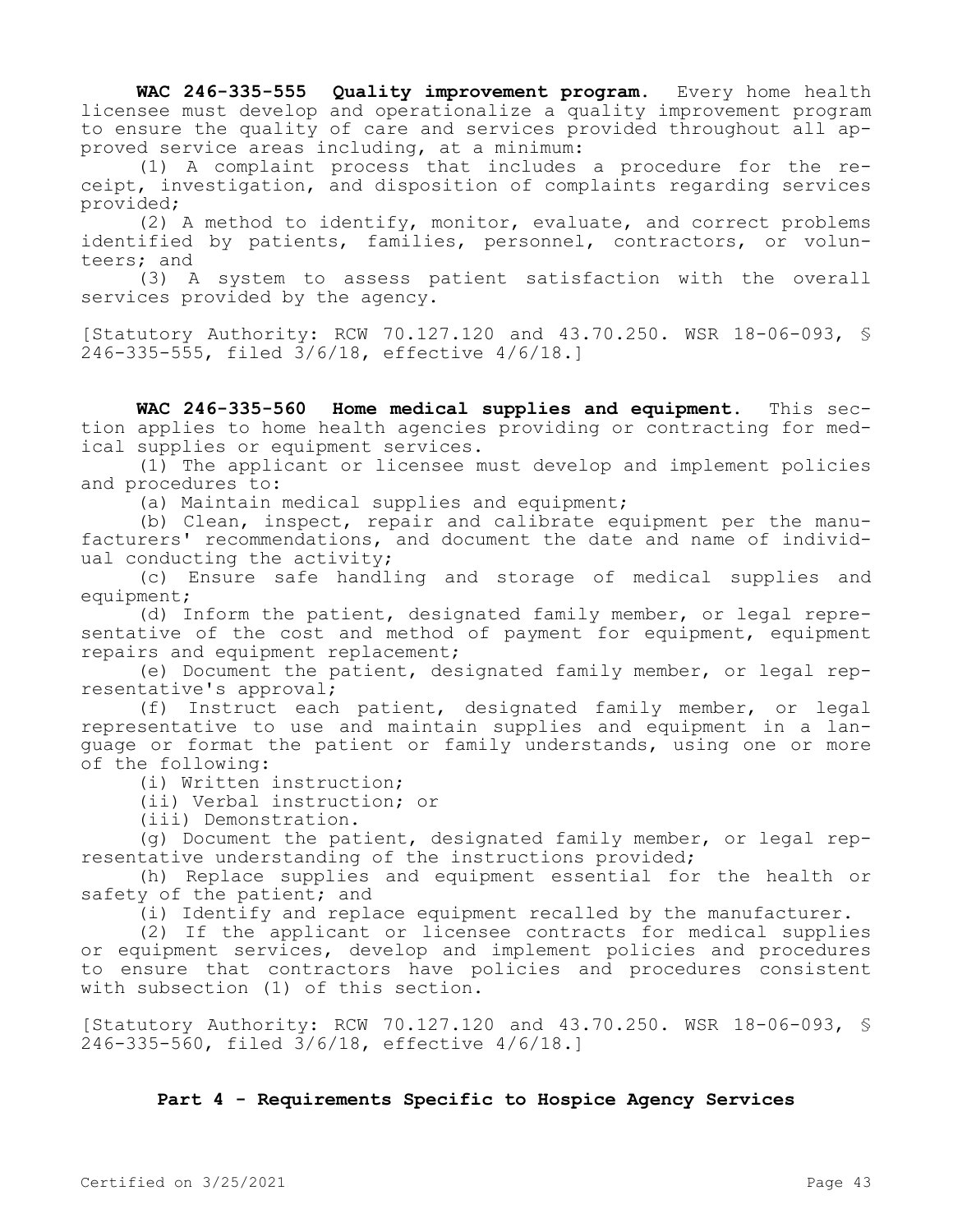**WAC 246-335-555 Quality improvement program.** Every home health licensee must develop and operationalize a quality improvement program to ensure the quality of care and services provided throughout all approved service areas including, at a minimum:

(1) A complaint process that includes a procedure for the receipt, investigation, and disposition of complaints regarding services provided;

(2) A method to identify, monitor, evaluate, and correct problems identified by patients, families, personnel, contractors, or volunteers; and

(3) A system to assess patient satisfaction with the overall services provided by the agency.

[Statutory Authority: RCW 70.127.120 and 43.70.250. WSR 18-06-093, § 246-335-555, filed 3/6/18, effective 4/6/18.]

**WAC 246-335-560 Home medical supplies and equipment.** This section applies to home health agencies providing or contracting for medical supplies or equipment services.

(1) The applicant or licensee must develop and implement policies and procedures to:

(a) Maintain medical supplies and equipment;

(b) Clean, inspect, repair and calibrate equipment per the manufacturers' recommendations, and document the date and name of individual conducting the activity;

(c) Ensure safe handling and storage of medical supplies and equipment;

(d) Inform the patient, designated family member, or legal representative of the cost and method of payment for equipment, equipment repairs and equipment replacement;

(e) Document the patient, designated family member, or legal representative's approval;

(f) Instruct each patient, designated family member, or legal representative to use and maintain supplies and equipment in a language or format the patient or family understands, using one or more of the following:

(i) Written instruction;

(ii) Verbal instruction; or

(iii) Demonstration.

(g) Document the patient, designated family member, or legal representative understanding of the instructions provided;

(h) Replace supplies and equipment essential for the health or safety of the patient; and

(i) Identify and replace equipment recalled by the manufacturer.

(2) If the applicant or licensee contracts for medical supplies or equipment services, develop and implement policies and procedures to ensure that contractors have policies and procedures consistent with subsection (1) of this section.

[Statutory Authority: RCW 70.127.120 and 43.70.250. WSR 18-06-093, § 246-335-560, filed 3/6/18, effective 4/6/18.]

# **Part 4 - Requirements Specific to Hospice Agency Services**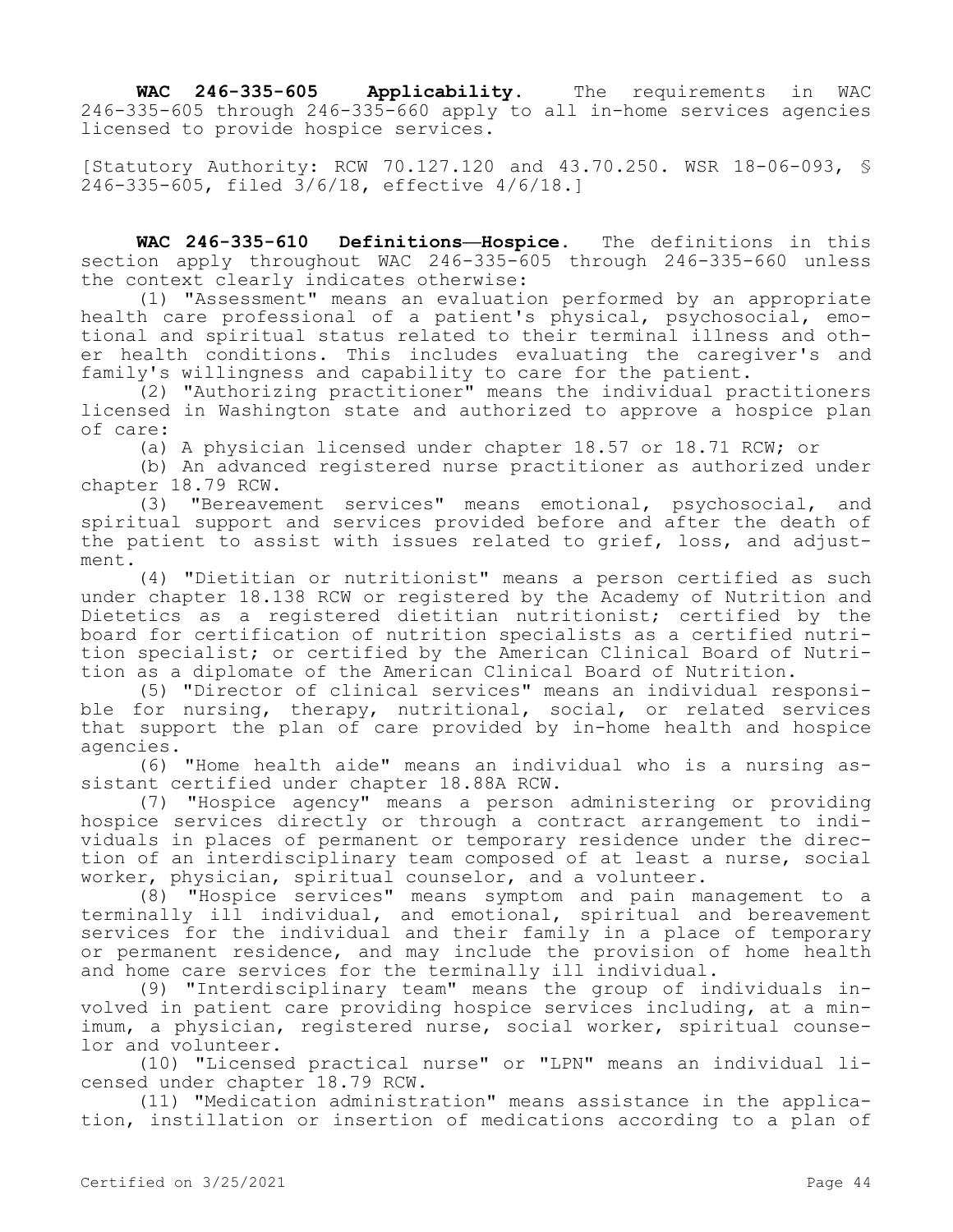WAC 246-335-605 Applicability. The requirements in WAC 246-335-605 through 246-335-660 apply to all in-home services agencies licensed to provide hospice services.

[Statutory Authority: RCW 70.127.120 and 43.70.250. WSR 18-06-093, § 246-335-605, filed 3/6/18, effective 4/6/18.]

**WAC 246-335-610 Definitions—Hospice.** The definitions in this section apply throughout WAC 246-335-605 through 246-335-660 unless the context clearly indicates otherwise:

(1) "Assessment" means an evaluation performed by an appropriate health care professional of a patient's physical, psychosocial, emotional and spiritual status related to their terminal illness and other health conditions. This includes evaluating the caregiver's and family's willingness and capability to care for the patient.

(2) "Authorizing practitioner" means the individual practitioners licensed in Washington state and authorized to approve a hospice plan of care:

(a) A physician licensed under chapter 18.57 or 18.71 RCW; or

(b) An advanced registered nurse practitioner as authorized under chapter 18.79 RCW.

(3) "Bereavement services" means emotional, psychosocial, and spiritual support and services provided before and after the death of the patient to assist with issues related to grief, loss, and adjustment.

(4) "Dietitian or nutritionist" means a person certified as such under chapter 18.138 RCW or registered by the Academy of Nutrition and Dietetics as a registered dietitian nutritionist; certified by the board for certification of nutrition specialists as a certified nutrition specialist; or certified by the American Clinical Board of Nutrition as a diplomate of the American Clinical Board of Nutrition.

(5) "Director of clinical services" means an individual responsible for nursing, therapy, nutritional, social, or related services that support the plan of care provided by in-home health and hospice agencies.

(6) "Home health aide" means an individual who is a nursing assistant certified under chapter 18.88A RCW.

(7) "Hospice agency" means a person administering or providing hospice services directly or through a contract arrangement to individuals in places of permanent or temporary residence under the direction of an interdisciplinary team composed of at least a nurse, social worker, physician, spiritual counselor, and a volunteer.

(8) "Hospice services" means symptom and pain management to a terminally ill individual, and emotional, spiritual and bereavement services for the individual and their family in a place of temporary or permanent residence, and may include the provision of home health and home care services for the terminally ill individual.

(9) "Interdisciplinary team" means the group of individuals involved in patient care providing hospice services including, at a minimum, a physician, registered nurse, social worker, spiritual counselor and volunteer.

(10) "Licensed practical nurse" or "LPN" means an individual licensed under chapter 18.79 RCW.

(11) "Medication administration" means assistance in the application, instillation or insertion of medications according to a plan of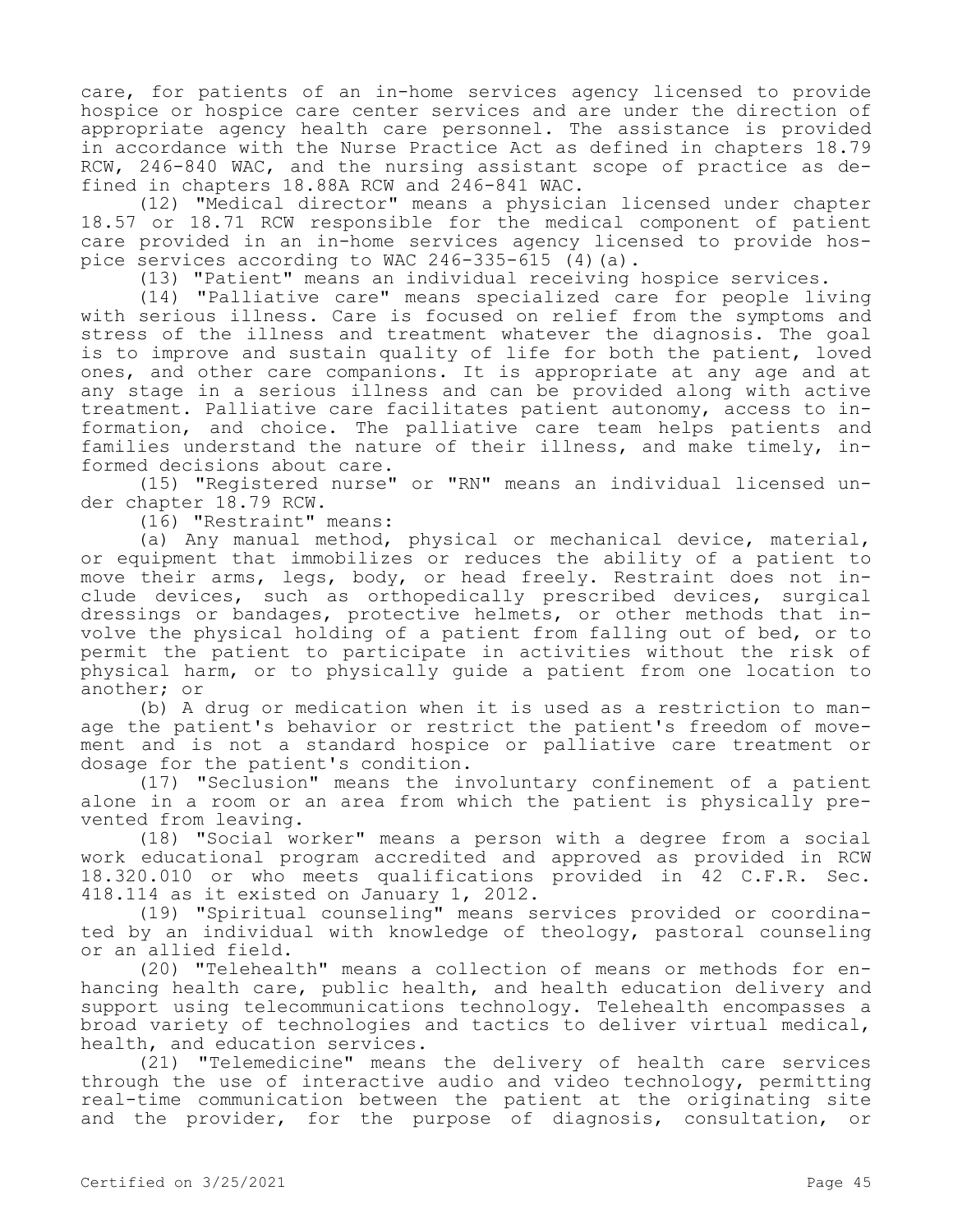care, for patients of an in-home services agency licensed to provide hospice or hospice care center services and are under the direction of appropriate agency health care personnel. The assistance is provided in accordance with the Nurse Practice Act as defined in chapters 18.79 RCW, 246-840 WAC, and the nursing assistant scope of practice as defined in chapters 18.88A RCW and 246-841 WAC.

(12) "Medical director" means a physician licensed under chapter 18.57 or 18.71 RCW responsible for the medical component of patient care provided in an in-home services agency licensed to provide hospice services according to WAC  $246-335-615$  (4)(a).

(13) "Patient" means an individual receiving hospice services.

(14) "Palliative care" means specialized care for people living with serious illness. Care is focused on relief from the symptoms and stress of the illness and treatment whatever the diagnosis. The goal is to improve and sustain quality of life for both the patient, loved ones, and other care companions. It is appropriate at any age and at any stage in a serious illness and can be provided along with active treatment. Palliative care facilitates patient autonomy, access to information, and choice. The palliative care team helps patients and families understand the nature of their illness, and make timely, informed decisions about care.

(15) "Registered nurse" or "RN" means an individual licensed under chapter 18.79 RCW.

(16) "Restraint" means:

(a) Any manual method, physical or mechanical device, material, or equipment that immobilizes or reduces the ability of a patient to move their arms, legs, body, or head freely. Restraint does not include devices, such as orthopedically prescribed devices, surgical dressings or bandages, protective helmets, or other methods that involve the physical holding of a patient from falling out of bed, or to permit the patient to participate in activities without the risk of physical harm, or to physically guide a patient from one location to another; or

(b) A drug or medication when it is used as a restriction to manage the patient's behavior or restrict the patient's freedom of movement and is not a standard hospice or palliative care treatment or dosage for the patient's condition.

(17) "Seclusion" means the involuntary confinement of a patient alone in a room or an area from which the patient is physically prevented from leaving.

(18) "Social worker" means a person with a degree from a social work educational program accredited and approved as provided in RCW 18.320.010 or who meets qualifications provided in 42 C.F.R. Sec. 418.114 as it existed on January 1, 2012.

(19) "Spiritual counseling" means services provided or coordinated by an individual with knowledge of theology, pastoral counseling or an allied field.

(20) "Telehealth" means a collection of means or methods for enhancing health care, public health, and health education delivery and support using telecommunications technology. Telehealth encompasses a broad variety of technologies and tactics to deliver virtual medical, health, and education services.

(21) "Telemedicine" means the delivery of health care services through the use of interactive audio and video technology, permitting real-time communication between the patient at the originating site and the provider, for the purpose of diagnosis, consultation, or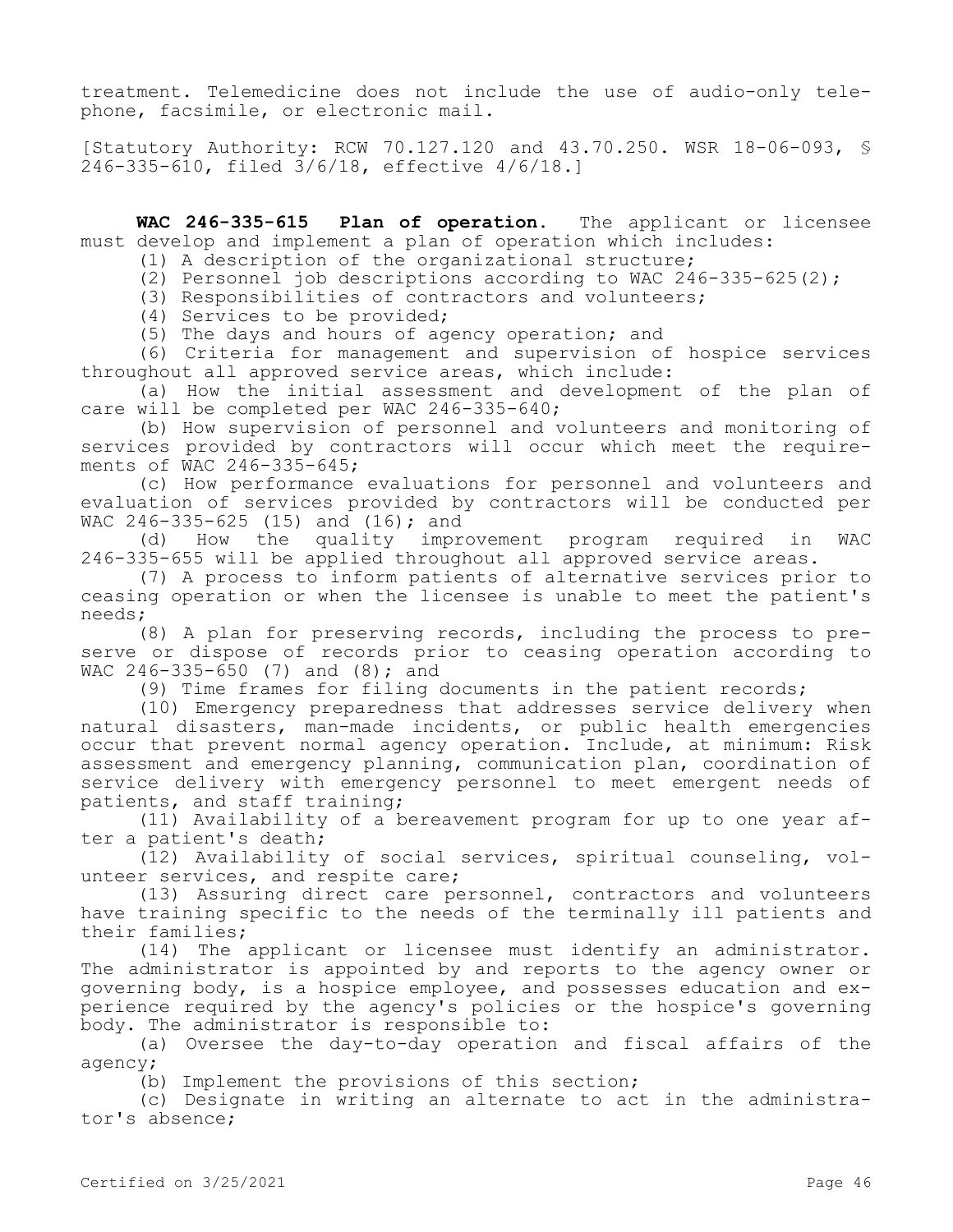treatment. Telemedicine does not include the use of audio-only telephone, facsimile, or electronic mail.

[Statutory Authority: RCW 70.127.120 and 43.70.250. WSR 18-06-093, § 246-335-610, filed 3/6/18, effective 4/6/18.]

**WAC 246-335-615 Plan of operation.** The applicant or licensee must develop and implement a plan of operation which includes:

(1) A description of the organizational structure;

(2) Personnel job descriptions according to WAC 246-335-625(2);

(3) Responsibilities of contractors and volunteers;

(4) Services to be provided;

(5) The days and hours of agency operation; and

(6) Criteria for management and supervision of hospice services throughout all approved service areas, which include:

(a) How the initial assessment and development of the plan of care will be completed per WAC 246-335-640;

(b) How supervision of personnel and volunteers and monitoring of services provided by contractors will occur which meet the requirements of WAC 246-335-645;

(c) How performance evaluations for personnel and volunteers and evaluation of services provided by contractors will be conducted per WAC 246-335-625 (15) and (16); and

(d) How the quality improvement program required in WAC 246-335-655 will be applied throughout all approved service areas.

(7) A process to inform patients of alternative services prior to ceasing operation or when the licensee is unable to meet the patient's needs;

(8) A plan for preserving records, including the process to preserve or dispose of records prior to ceasing operation according to WAC 246-335-650 (7) and (8); and

(9) Time frames for filing documents in the patient records;

(10) Emergency preparedness that addresses service delivery when natural disasters, man-made incidents, or public health emergencies occur that prevent normal agency operation. Include, at minimum: Risk assessment and emergency planning, communication plan, coordination of service delivery with emergency personnel to meet emergent needs of patients, and staff training;

(11) Availability of a bereavement program for up to one year after a patient's death;

(12) Availability of social services, spiritual counseling, volunteer services, and respite care;

(13) Assuring direct care personnel, contractors and volunteers have training specific to the needs of the terminally ill patients and their families;

(14) The applicant or licensee must identify an administrator. The administrator is appointed by and reports to the agency owner or governing body, is a hospice employee, and possesses education and experience required by the agency's policies or the hospice's governing body. The administrator is responsible to:

(a) Oversee the day-to-day operation and fiscal affairs of the agency;

(b) Implement the provisions of this section;

(c) Designate in writing an alternate to act in the administrator's absence;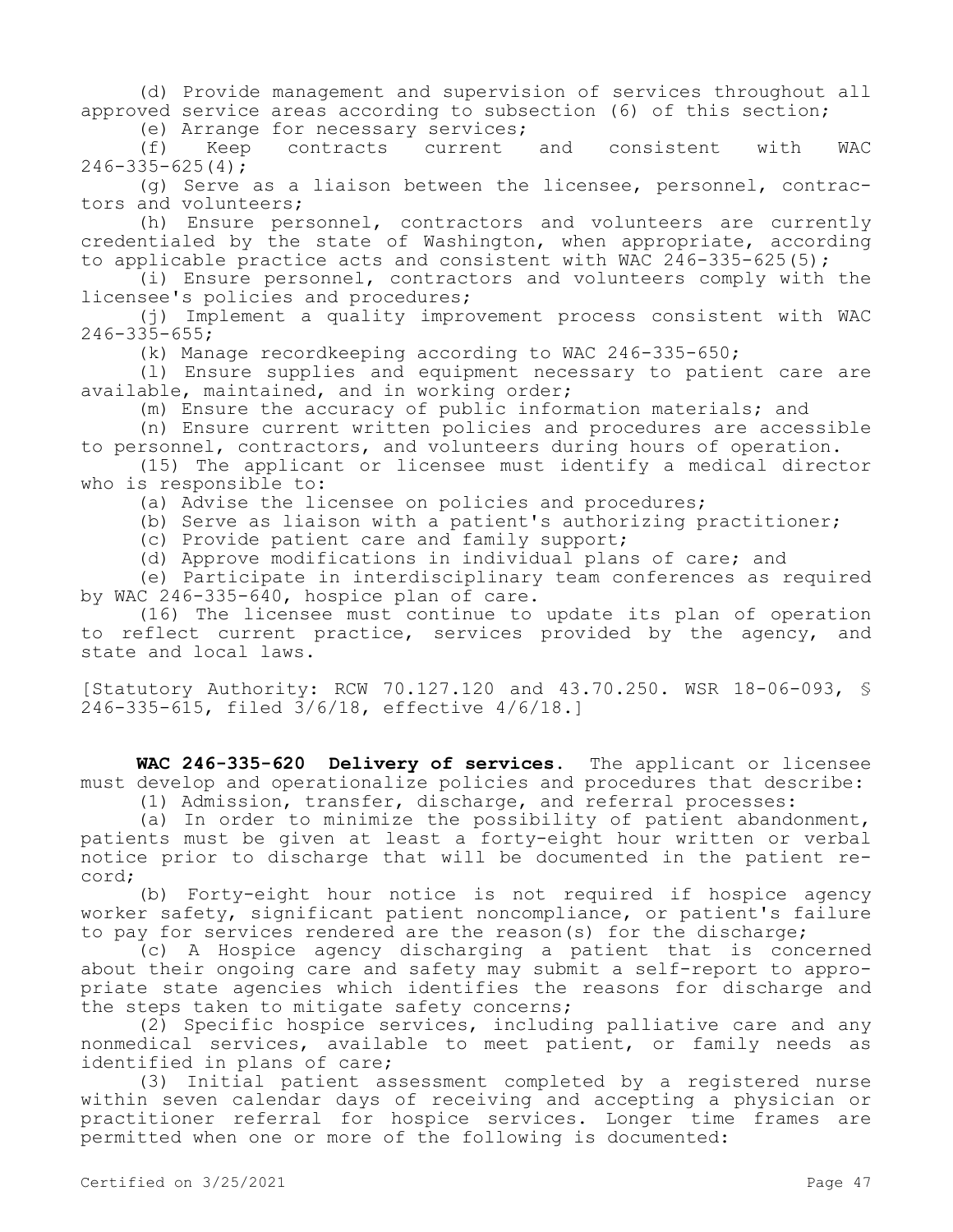(d) Provide management and supervision of services throughout all approved service areas according to subsection (6) of this section;

(e) Arrange for necessary services;

(f) Keep contracts current and consistent with WAC  $246 - 335 - 625(4)$ ;

(g) Serve as a liaison between the licensee, personnel, contractors and volunteers;

(h) Ensure personnel, contractors and volunteers are currently credentialed by the state of Washington, when appropriate, according to applicable practice acts and consistent with WAC  $246-335-625(5)$ ;

(i) Ensure personnel, contractors and volunteers comply with the licensee's policies and procedures;

(j) Implement a quality improvement process consistent with WAC  $246 - 335 - 655$ ;

(k) Manage recordkeeping according to WAC 246-335-650;

(l) Ensure supplies and equipment necessary to patient care are available, maintained, and in working order;

(m) Ensure the accuracy of public information materials; and

(n) Ensure current written policies and procedures are accessible to personnel, contractors, and volunteers during hours of operation.

(15) The applicant or licensee must identify a medical director who is responsible to:

(a) Advise the licensee on policies and procedures;

(b) Serve as liaison with a patient's authorizing practitioner;

(c) Provide patient care and family support;

(d) Approve modifications in individual plans of care; and

(e) Participate in interdisciplinary team conferences as required by WAC 246-335-640, hospice plan of care.

(16) The licensee must continue to update its plan of operation to reflect current practice, services provided by the agency, and state and local laws.

[Statutory Authority: RCW 70.127.120 and 43.70.250. WSR 18-06-093, § 246-335-615, filed 3/6/18, effective 4/6/18.]

**WAC 246-335-620 Delivery of services.** The applicant or licensee must develop and operationalize policies and procedures that describe:

(1) Admission, transfer, discharge, and referral processes:

(a) In order to minimize the possibility of patient abandonment, patients must be given at least a forty-eight hour written or verbal notice prior to discharge that will be documented in the patient record;

(b) Forty-eight hour notice is not required if hospice agency worker safety, significant patient noncompliance, or patient's failure to pay for services rendered are the reason(s) for the discharge;

(c) A Hospice agency discharging a patient that is concerned about their ongoing care and safety may submit a self-report to appropriate state agencies which identifies the reasons for discharge and the steps taken to mitigate safety concerns;

(2) Specific hospice services, including palliative care and any nonmedical services, available to meet patient, or family needs as identified in plans of care;

(3) Initial patient assessment completed by a registered nurse within seven calendar days of receiving and accepting a physician or practitioner referral for hospice services. Longer time frames are permitted when one or more of the following is documented: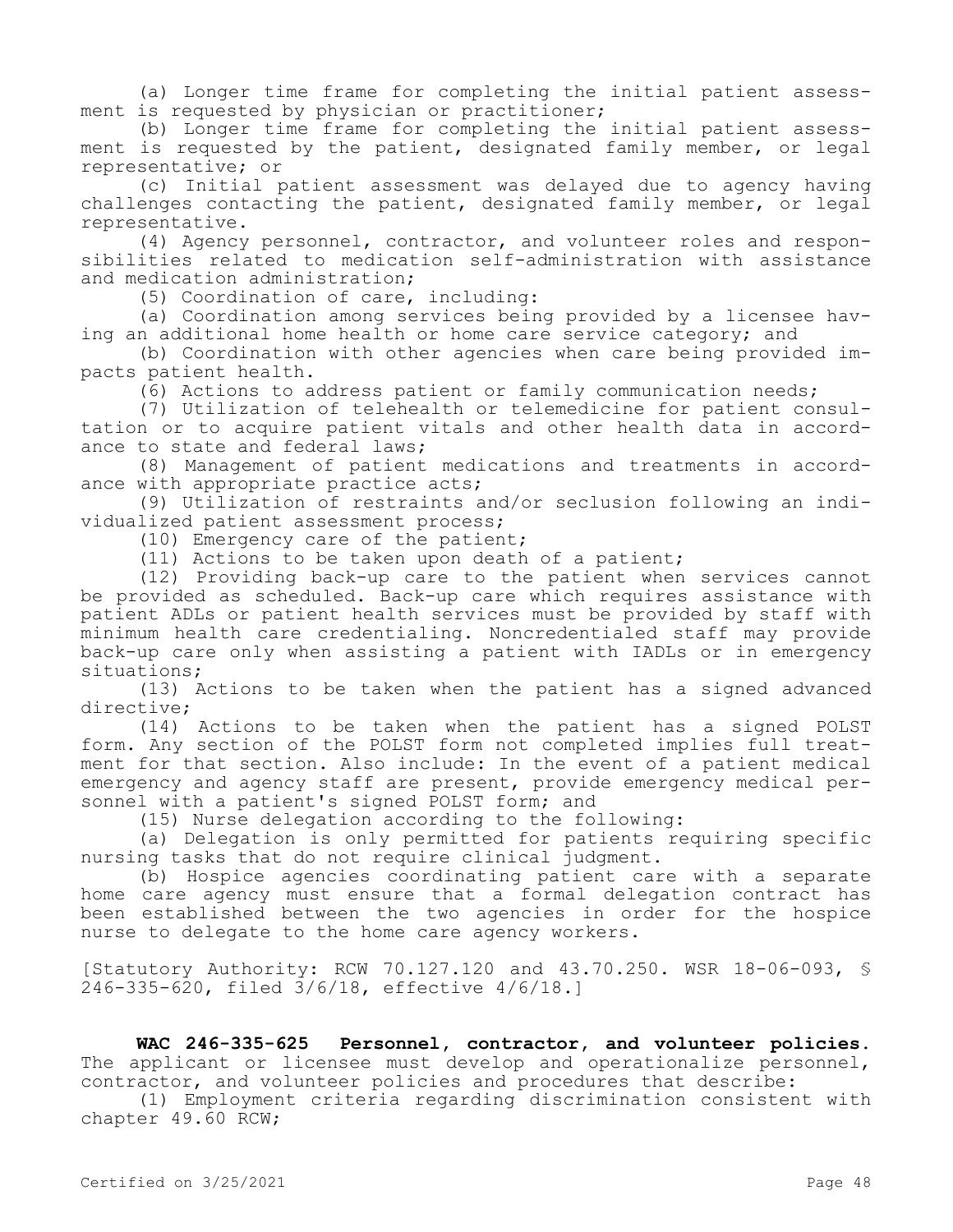(a) Longer time frame for completing the initial patient assessment is requested by physician or practitioner;

(b) Longer time frame for completing the initial patient assessment is requested by the patient, designated family member, or legal representative; or

(c) Initial patient assessment was delayed due to agency having challenges contacting the patient, designated family member, or legal representative.

(4) Agency personnel, contractor, and volunteer roles and responsibilities related to medication self-administration with assistance and medication administration;

(5) Coordination of care, including:

(a) Coordination among services being provided by a licensee having an additional home health or home care service category; and

(b) Coordination with other agencies when care being provided impacts patient health.

(6) Actions to address patient or family communication needs;

(7) Utilization of telehealth or telemedicine for patient consultation or to acquire patient vitals and other health data in accordance to state and federal laws;

(8) Management of patient medications and treatments in accordance with appropriate practice acts;

(9) Utilization of restraints and/or seclusion following an individualized patient assessment process;

(10) Emergency care of the patient;

(11) Actions to be taken upon death of a patient;

(12) Providing back-up care to the patient when services cannot be provided as scheduled. Back-up care which requires assistance with patient ADLs or patient health services must be provided by staff with minimum health care credentialing. Noncredentialed staff may provide back-up care only when assisting a patient with IADLs or in emergency situations;

(13) Actions to be taken when the patient has a signed advanced directive;

(14) Actions to be taken when the patient has a signed POLST form. Any section of the POLST form not completed implies full treatment for that section. Also include: In the event of a patient medical emergency and agency staff are present, provide emergency medical personnel with a patient's signed POLST form; and

(15) Nurse delegation according to the following:

(a) Delegation is only permitted for patients requiring specific nursing tasks that do not require clinical judgment.

(b) Hospice agencies coordinating patient care with a separate home care agency must ensure that a formal delegation contract has been established between the two agencies in order for the hospice nurse to delegate to the home care agency workers.

[Statutory Authority: RCW 70.127.120 and 43.70.250. WSR 18-06-093, § 246-335-620, filed 3/6/18, effective 4/6/18.]

**WAC 246-335-625 Personnel, contractor, and volunteer policies.**  The applicant or licensee must develop and operationalize personnel, contractor, and volunteer policies and procedures that describe:

(1) Employment criteria regarding discrimination consistent with chapter 49.60 RCW;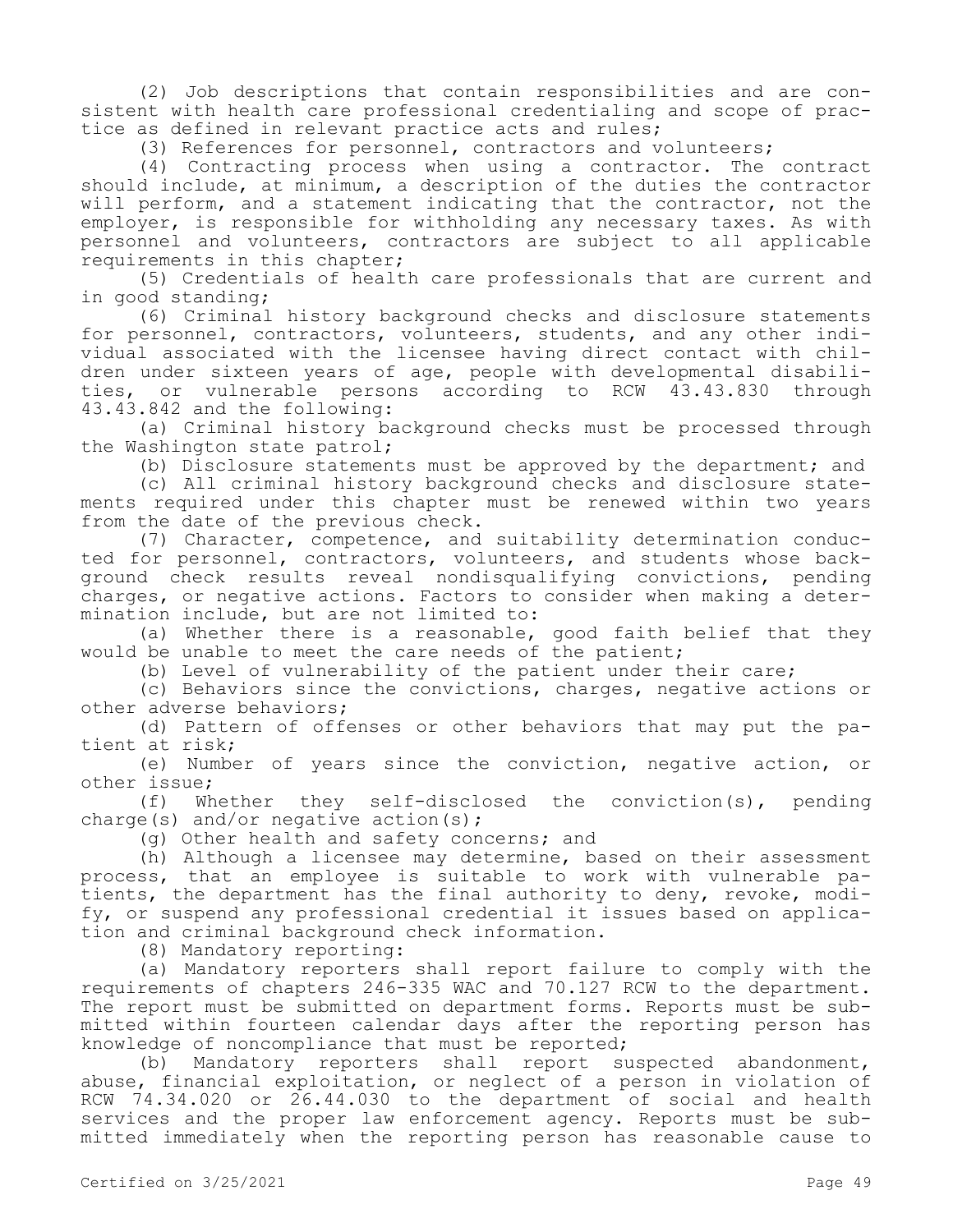(2) Job descriptions that contain responsibilities and are consistent with health care professional credentialing and scope of practice as defined in relevant practice acts and rules;

(3) References for personnel, contractors and volunteers;

(4) Contracting process when using a contractor. The contract should include, at minimum, a description of the duties the contractor will perform, and a statement indicating that the contractor, not the employer, is responsible for withholding any necessary taxes. As with personnel and volunteers, contractors are subject to all applicable requirements in this chapter;

(5) Credentials of health care professionals that are current and in good standing;

(6) Criminal history background checks and disclosure statements for personnel, contractors, volunteers, students, and any other individual associated with the licensee having direct contact with children under sixteen years of age, people with developmental disabilities, or vulnerable persons according to RCW 43.43.830 through 43.43.842 and the following:

(a) Criminal history background checks must be processed through the Washington state patrol;

(b) Disclosure statements must be approved by the department; and

(c) All criminal history background checks and disclosure statements required under this chapter must be renewed within two years from the date of the previous check.

(7) Character, competence, and suitability determination conducted for personnel, contractors, volunteers, and students whose background check results reveal nondisqualifying convictions, pending charges, or negative actions. Factors to consider when making a determination include, but are not limited to:

(a) Whether there is a reasonable, good faith belief that they would be unable to meet the care needs of the patient;

(b) Level of vulnerability of the patient under their care;

(c) Behaviors since the convictions, charges, negative actions or other adverse behaviors;

(d) Pattern of offenses or other behaviors that may put the patient at risk;

(e) Number of years since the conviction, negative action, or other issue;

(f) Whether they self-disclosed the conviction(s), pending charge(s) and/or negative action(s);

(g) Other health and safety concerns; and

(h) Although a licensee may determine, based on their assessment process, that an employee is suitable to work with vulnerable patients, the department has the final authority to deny, revoke, modify, or suspend any professional credential it issues based on application and criminal background check information.

(8) Mandatory reporting:

(a) Mandatory reporters shall report failure to comply with the requirements of chapters 246-335 WAC and 70.127 RCW to the department. The report must be submitted on department forms. Reports must be submitted within fourteen calendar days after the reporting person has knowledge of noncompliance that must be reported;

(b) Mandatory reporters shall report suspected abandonment, abuse, financial exploitation, or neglect of a person in violation of RCW 74.34.020 or 26.44.030 to the department of social and health services and the proper law enforcement agency. Reports must be submitted immediately when the reporting person has reasonable cause to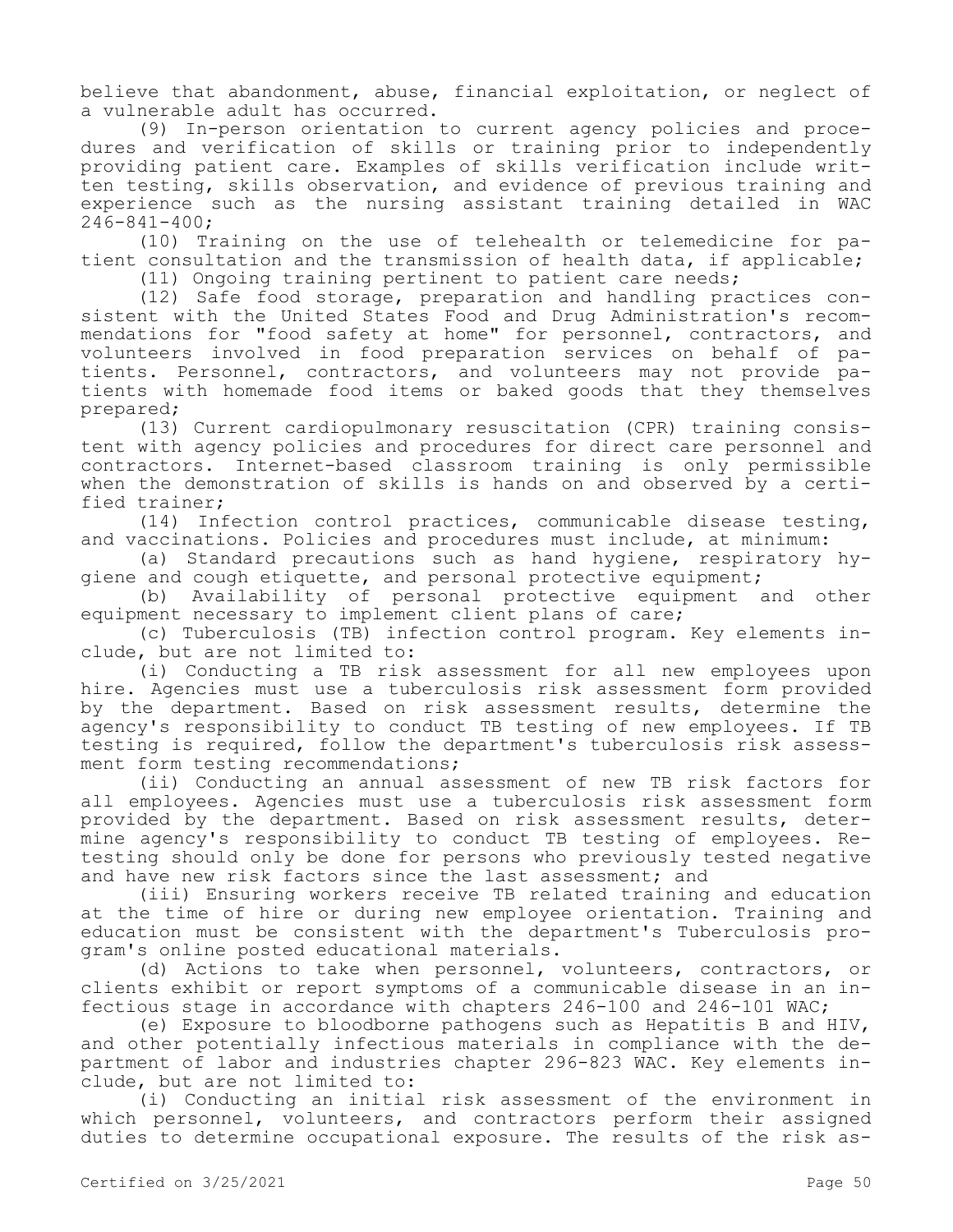believe that abandonment, abuse, financial exploitation, or neglect of a vulnerable adult has occurred.

(9) In-person orientation to current agency policies and procedures and verification of skills or training prior to independently providing patient care. Examples of skills verification include written testing, skills observation, and evidence of previous training and experience such as the nursing assistant training detailed in WAC 246-841-400;

(10) Training on the use of telehealth or telemedicine for patient consultation and the transmission of health data, if applicable;

(11) Ongoing training pertinent to patient care needs;

(12) Safe food storage, preparation and handling practices consistent with the United States Food and Drug Administration's recommendations for "food safety at home" for personnel, contractors, and volunteers involved in food preparation services on behalf of patients. Personnel, contractors, and volunteers may not provide patients with homemade food items or baked goods that they themselves prepared;

(13) Current cardiopulmonary resuscitation (CPR) training consistent with agency policies and procedures for direct care personnel and contractors. Internet-based classroom training is only permissible when the demonstration of skills is hands on and observed by a certified trainer;

(14) Infection control practices, communicable disease testing, and vaccinations. Policies and procedures must include, at minimum:

(a) Standard precautions such as hand hygiene, respiratory hygiene and cough etiquette, and personal protective equipment;

(b) Availability of personal protective equipment and other equipment necessary to implement client plans of care;

(c) Tuberculosis (TB) infection control program. Key elements include, but are not limited to:

(i) Conducting a TB risk assessment for all new employees upon hire. Agencies must use a tuberculosis risk assessment form provided by the department. Based on risk assessment results, determine the agency's responsibility to conduct TB testing of new employees. If TB testing is required, follow the department's tuberculosis risk assessment form testing recommendations;

(ii) Conducting an annual assessment of new TB risk factors for all employees. Agencies must use a tuberculosis risk assessment form provided by the department. Based on risk assessment results, determine agency's responsibility to conduct TB testing of employees. Retesting should only be done for persons who previously tested negative and have new risk factors since the last assessment; and

(iii) Ensuring workers receive TB related training and education at the time of hire or during new employee orientation. Training and education must be consistent with the department's Tuberculosis program's online posted educational materials.

(d) Actions to take when personnel, volunteers, contractors, or clients exhibit or report symptoms of a communicable disease in an infectious stage in accordance with chapters 246-100 and 246-101 WAC;

(e) Exposure to bloodborne pathogens such as Hepatitis B and HIV, and other potentially infectious materials in compliance with the department of labor and industries chapter 296-823 WAC. Key elements include, but are not limited to:

(i) Conducting an initial risk assessment of the environment in which personnel, volunteers, and contractors perform their assigned duties to determine occupational exposure. The results of the risk as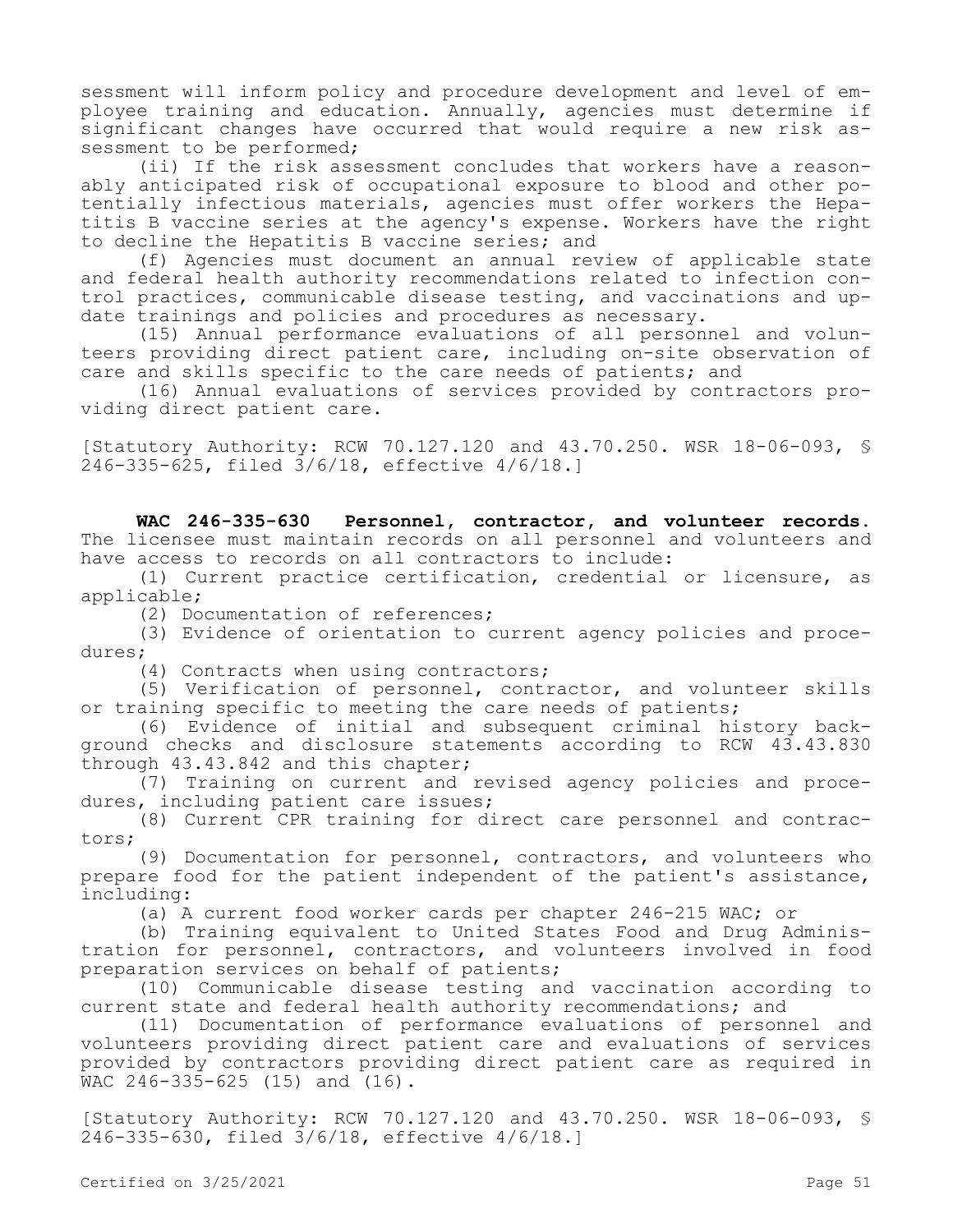sessment will inform policy and procedure development and level of employee training and education. Annually, agencies must determine if significant changes have occurred that would require a new risk assessment to be performed;

(ii) If the risk assessment concludes that workers have a reasonably anticipated risk of occupational exposure to blood and other potentially infectious materials, agencies must offer workers the Hepatitis B vaccine series at the agency's expense. Workers have the right to decline the Hepatitis B vaccine series; and

(f) Agencies must document an annual review of applicable state and federal health authority recommendations related to infection control practices, communicable disease testing, and vaccinations and update trainings and policies and procedures as necessary.

(15) Annual performance evaluations of all personnel and volunteers providing direct patient care, including on-site observation of care and skills specific to the care needs of patients; and

(16) Annual evaluations of services provided by contractors providing direct patient care.

[Statutory Authority: RCW 70.127.120 and 43.70.250. WSR 18-06-093, § 246-335-625, filed 3/6/18, effective 4/6/18.]

**WAC 246-335-630 Personnel, contractor, and volunteer records.**  The licensee must maintain records on all personnel and volunteers and have access to records on all contractors to include:

(1) Current practice certification, credential or licensure, as applicable;

(2) Documentation of references;

(3) Evidence of orientation to current agency policies and procedures;

(4) Contracts when using contractors;

(5) Verification of personnel, contractor, and volunteer skills or training specific to meeting the care needs of patients;

(6) Evidence of initial and subsequent criminal history background checks and disclosure statements according to RCW 43.43.830 through 43.43.842 and this chapter;

(7) Training on current and revised agency policies and procedures, including patient care issues;

(8) Current CPR training for direct care personnel and contractors;

(9) Documentation for personnel, contractors, and volunteers who prepare food for the patient independent of the patient's assistance, including:

(a) A current food worker cards per chapter 246-215 WAC; or

(b) Training equivalent to United States Food and Drug Administration for personnel, contractors, and volunteers involved in food preparation services on behalf of patients;

(10) Communicable disease testing and vaccination according to current state and federal health authority recommendations; and

(11) Documentation of performance evaluations of personnel and volunteers providing direct patient care and evaluations of services provided by contractors providing direct patient care as required in WAC 246-335-625 (15) and (16).

[Statutory Authority: RCW 70.127.120 and 43.70.250. WSR 18-06-093, § 246-335-630, filed 3/6/18, effective 4/6/18.]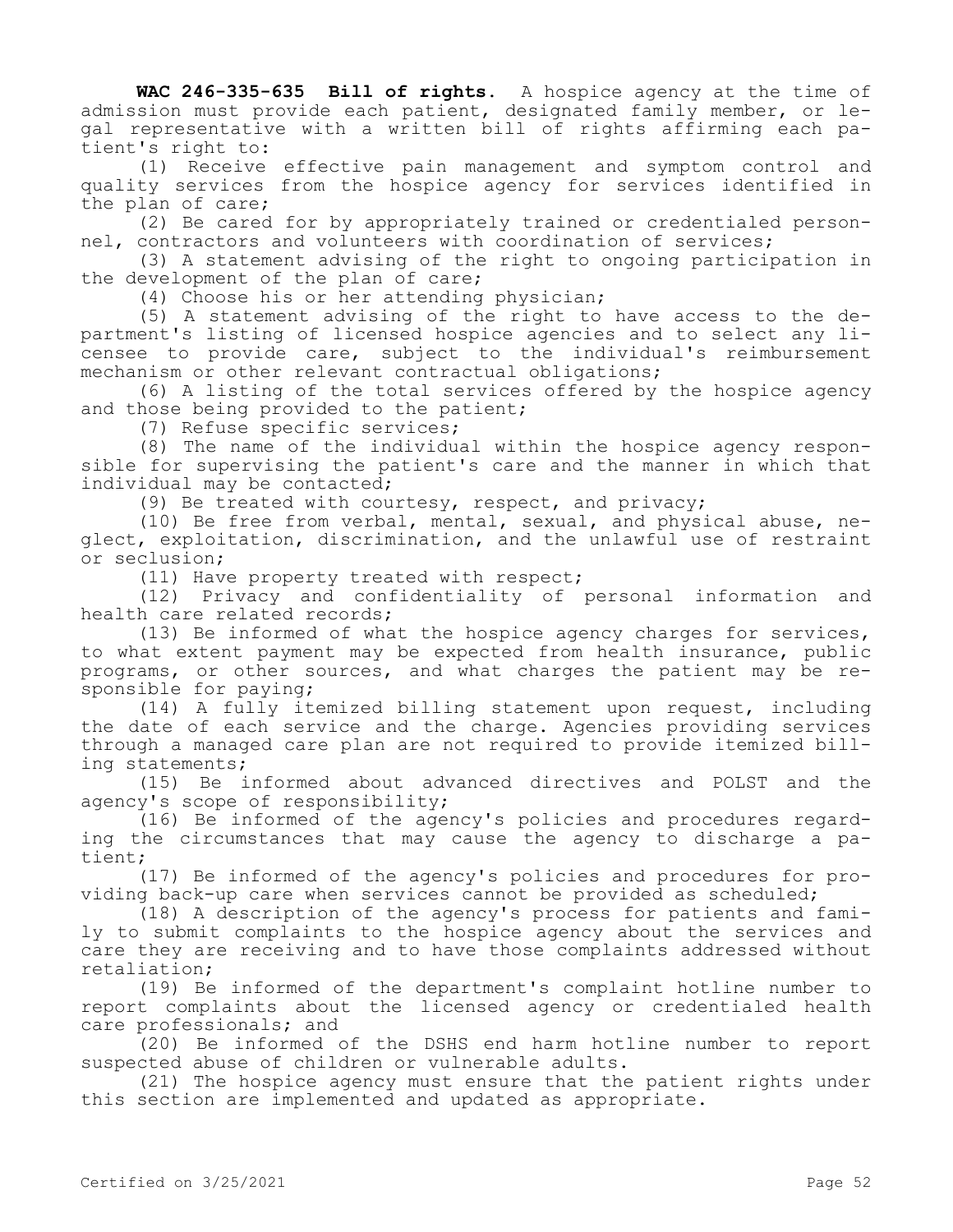**WAC 246-335-635 Bill of rights.** A hospice agency at the time of admission must provide each patient, designated family member, or legal representative with a written bill of rights affirming each patient's right to:

(1) Receive effective pain management and symptom control and quality services from the hospice agency for services identified in the plan of care;

(2) Be cared for by appropriately trained or credentialed personnel, contractors and volunteers with coordination of services;

(3) A statement advising of the right to ongoing participation in the development of the plan of care;

(4) Choose his or her attending physician;

(5) A statement advising of the right to have access to the department's listing of licensed hospice agencies and to select any licensee to provide care, subject to the individual's reimbursement mechanism or other relevant contractual obligations;

(6) A listing of the total services offered by the hospice agency and those being provided to the patient;

(7) Refuse specific services;

(8) The name of the individual within the hospice agency responsible for supervising the patient's care and the manner in which that individual may be contacted;

(9) Be treated with courtesy, respect, and privacy;

(10) Be free from verbal, mental, sexual, and physical abuse, neglect, exploitation, discrimination, and the unlawful use of restraint or seclusion;

(11) Have property treated with respect;

(12) Privacy and confidentiality of personal information and health care related records;

(13) Be informed of what the hospice agency charges for services, to what extent payment may be expected from health insurance, public programs, or other sources, and what charges the patient may be responsible for paying;

(14) A fully itemized billing statement upon request, including the date of each service and the charge. Agencies providing services through a managed care plan are not required to provide itemized billing statements;

(15) Be informed about advanced directives and POLST and the agency's scope of responsibility;

(16) Be informed of the agency's policies and procedures regarding the circumstances that may cause the agency to discharge a patient;

(17) Be informed of the agency's policies and procedures for providing back-up care when services cannot be provided as scheduled;

(18) A description of the agency's process for patients and family to submit complaints to the hospice agency about the services and care they are receiving and to have those complaints addressed without retaliation;

(19) Be informed of the department's complaint hotline number to report complaints about the licensed agency or credentialed health care professionals; and

(20) Be informed of the DSHS end harm hotline number to report suspected abuse of children or vulnerable adults.

(21) The hospice agency must ensure that the patient rights under this section are implemented and updated as appropriate.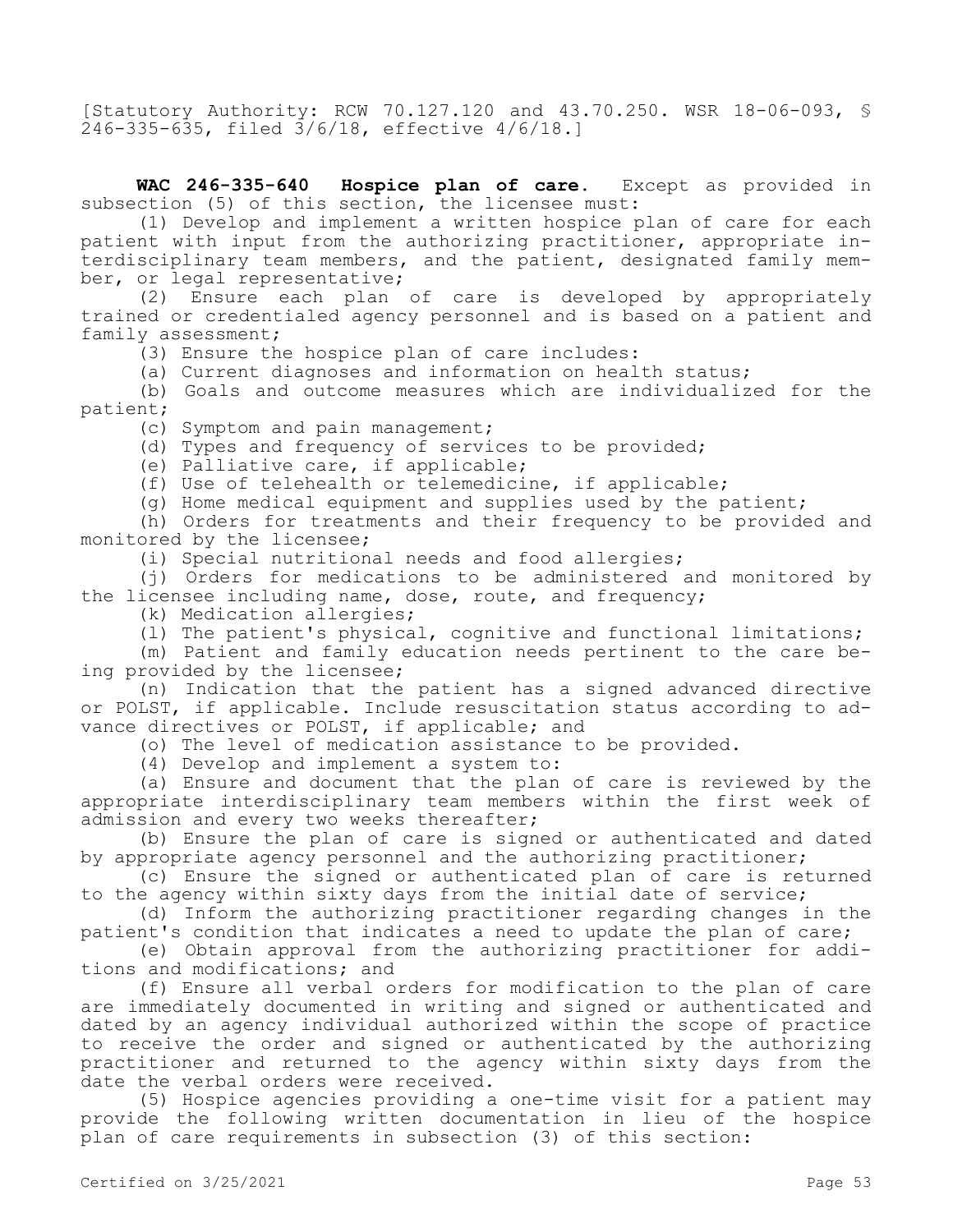[Statutory Authority: RCW 70.127.120 and 43.70.250. WSR 18-06-093, § 246-335-635, filed 3/6/18, effective 4/6/18.]

**WAC 246-335-640 Hospice plan of care.** Except as provided in subsection (5) of this section, the licensee must:

(1) Develop and implement a written hospice plan of care for each patient with input from the authorizing practitioner, appropriate interdisciplinary team members, and the patient, designated family member, or legal representative;

(2) Ensure each plan of care is developed by appropriately trained or credentialed agency personnel and is based on a patient and family assessment;

(3) Ensure the hospice plan of care includes:

(a) Current diagnoses and information on health status;

(b) Goals and outcome measures which are individualized for the patient;

(c) Symptom and pain management;

(d) Types and frequency of services to be provided;

(e) Palliative care, if applicable;

(f) Use of telehealth or telemedicine, if applicable;

(g) Home medical equipment and supplies used by the patient;

(h) Orders for treatments and their frequency to be provided and monitored by the licensee;

(i) Special nutritional needs and food allergies;

(j) Orders for medications to be administered and monitored by the licensee including name, dose, route, and frequency;

(k) Medication allergies;

(l) The patient's physical, cognitive and functional limitations;

(m) Patient and family education needs pertinent to the care being provided by the licensee;

(n) Indication that the patient has a signed advanced directive or POLST, if applicable. Include resuscitation status according to advance directives or POLST, if applicable; and

(o) The level of medication assistance to be provided.

(4) Develop and implement a system to:

(a) Ensure and document that the plan of care is reviewed by the appropriate interdisciplinary team members within the first week of admission and every two weeks thereafter;

(b) Ensure the plan of care is signed or authenticated and dated by appropriate agency personnel and the authorizing practitioner;

(c) Ensure the signed or authenticated plan of care is returned to the agency within sixty days from the initial date of service;

(d) Inform the authorizing practitioner regarding changes in the patient's condition that indicates a need to update the plan of care;

(e) Obtain approval from the authorizing practitioner for additions and modifications; and

(f) Ensure all verbal orders for modification to the plan of care are immediately documented in writing and signed or authenticated and dated by an agency individual authorized within the scope of practice to receive the order and signed or authenticated by the authorizing practitioner and returned to the agency within sixty days from the date the verbal orders were received.

(5) Hospice agencies providing a one-time visit for a patient may provide the following written documentation in lieu of the hospice plan of care requirements in subsection (3) of this section: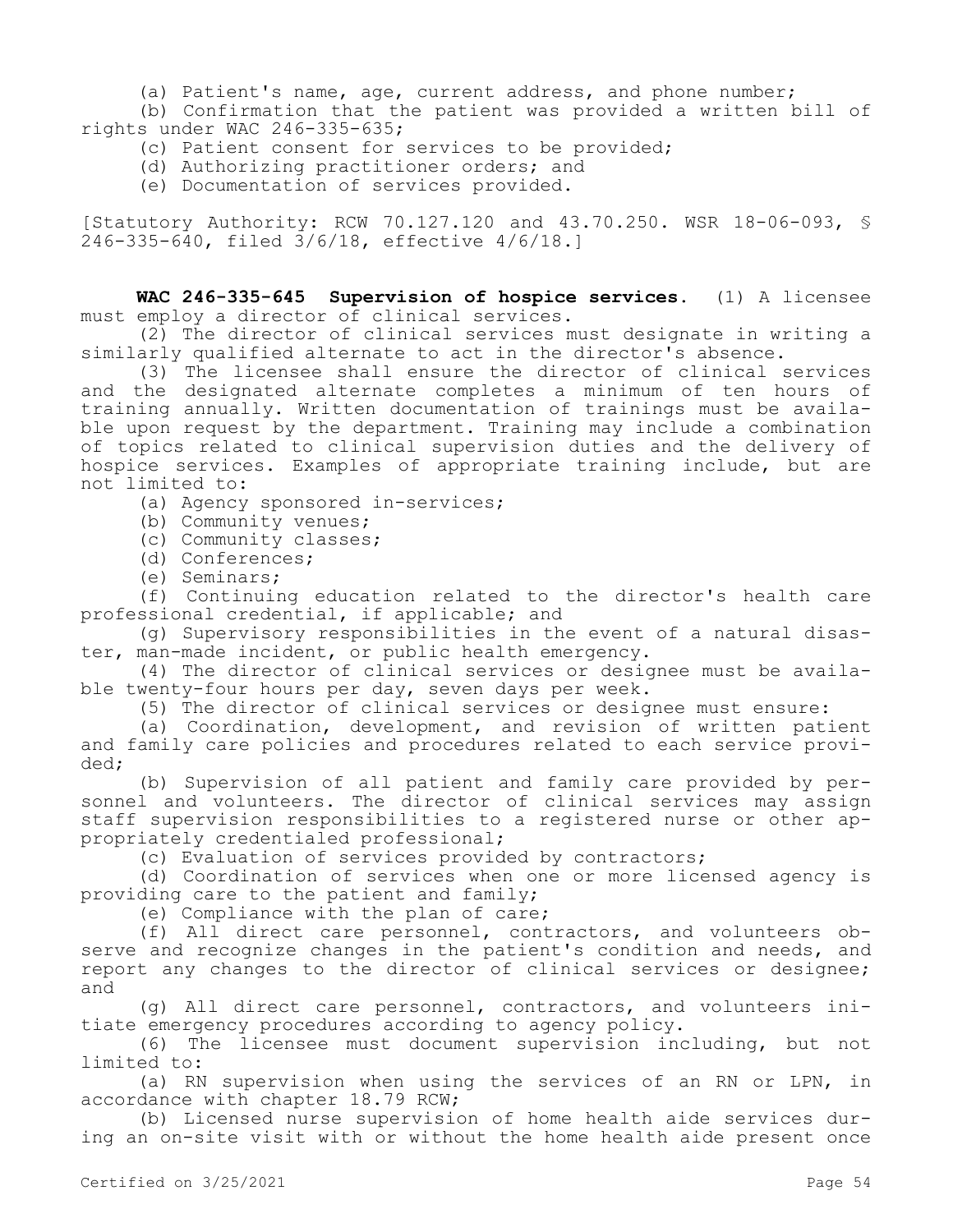(a) Patient's name, age, current address, and phone number;

(b) Confirmation that the patient was provided a written bill of rights under WAC 246-335-635;

(c) Patient consent for services to be provided;

(d) Authorizing practitioner orders; and

(e) Documentation of services provided.

[Statutory Authority: RCW 70.127.120 and 43.70.250. WSR 18-06-093, § 246-335-640, filed 3/6/18, effective 4/6/18.]

**WAC 246-335-645 Supervision of hospice services.** (1) A licensee must employ a director of clinical services.

(2) The director of clinical services must designate in writing a similarly qualified alternate to act in the director's absence.

(3) The licensee shall ensure the director of clinical services and the designated alternate completes a minimum of ten hours of training annually. Written documentation of trainings must be available upon request by the department. Training may include a combination of topics related to clinical supervision duties and the delivery of hospice services. Examples of appropriate training include, but are not limited to:

(a) Agency sponsored in-services;

- (b) Community venues;
- (c) Community classes;
- (d) Conferences;
- (e) Seminars;

(f) Continuing education related to the director's health care professional credential, if applicable; and

(g) Supervisory responsibilities in the event of a natural disaster, man-made incident, or public health emergency.

(4) The director of clinical services or designee must be available twenty-four hours per day, seven days per week.

(5) The director of clinical services or designee must ensure:

(a) Coordination, development, and revision of written patient and family care policies and procedures related to each service provided;

(b) Supervision of all patient and family care provided by personnel and volunteers. The director of clinical services may assign staff supervision responsibilities to a registered nurse or other appropriately credentialed professional;

(c) Evaluation of services provided by contractors;

(d) Coordination of services when one or more licensed agency is providing care to the patient and family;

(e) Compliance with the plan of care;

(f) All direct care personnel, contractors, and volunteers observe and recognize changes in the patient's condition and needs, and report any changes to the director of clinical services or designee; and

(g) All direct care personnel, contractors, and volunteers initiate emergency procedures according to agency policy.

(6) The licensee must document supervision including, but not limited to:

(a) RN supervision when using the services of an RN or LPN, in accordance with chapter 18.79 RCW;

(b) Licensed nurse supervision of home health aide services during an on-site visit with or without the home health aide present once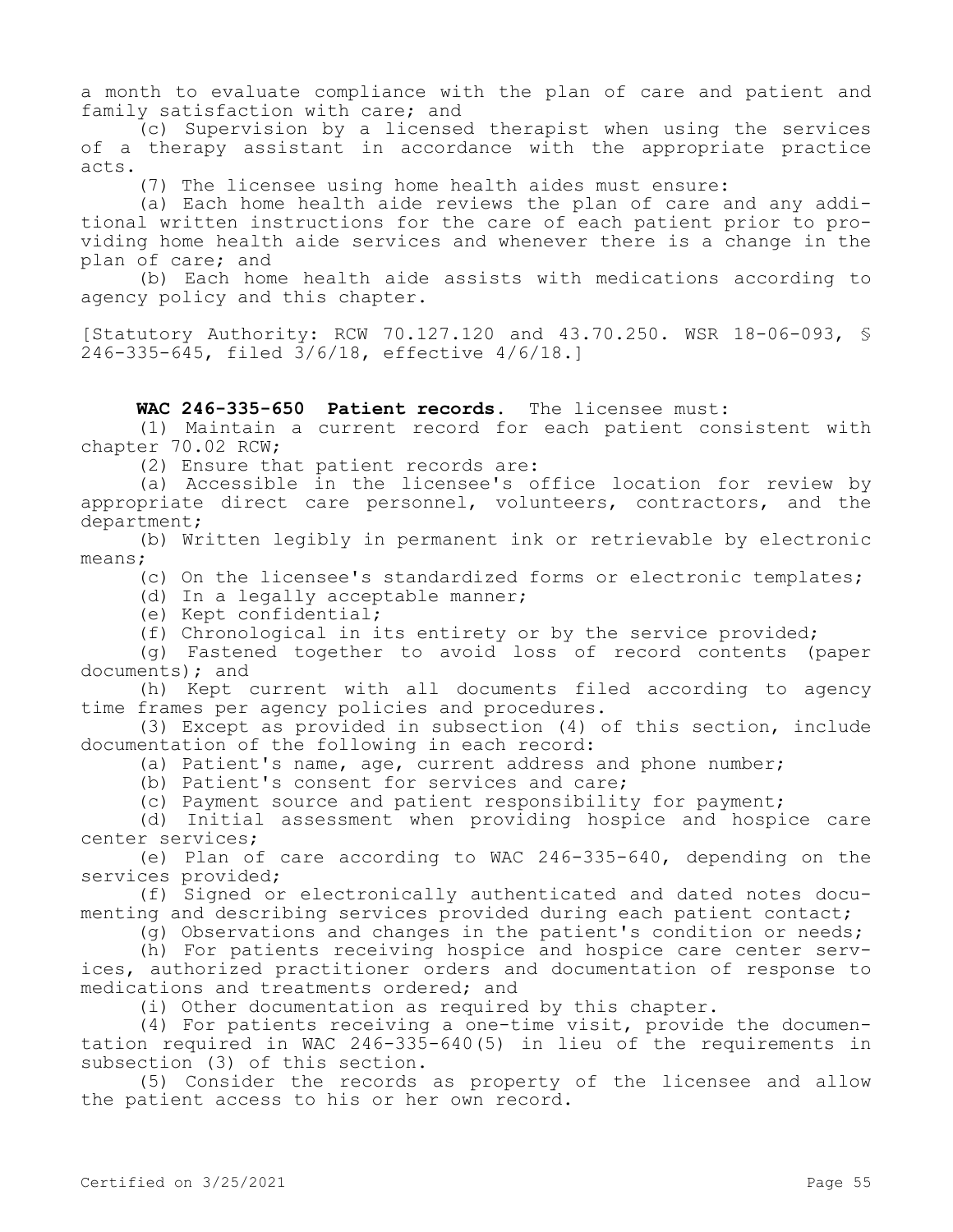a month to evaluate compliance with the plan of care and patient and family satisfaction with care; and

(c) Supervision by a licensed therapist when using the services of a therapy assistant in accordance with the appropriate practice acts.

(7) The licensee using home health aides must ensure:

(a) Each home health aide reviews the plan of care and any additional written instructions for the care of each patient prior to providing home health aide services and whenever there is a change in the plan of care; and

(b) Each home health aide assists with medications according to agency policy and this chapter.

[Statutory Authority: RCW 70.127.120 and 43.70.250. WSR 18-06-093, § 246-335-645, filed 3/6/18, effective 4/6/18.]

**WAC 246-335-650 Patient records.** The licensee must:

(1) Maintain a current record for each patient consistent with chapter 70.02 RCW;

(2) Ensure that patient records are:

(a) Accessible in the licensee's office location for review by appropriate direct care personnel, volunteers, contractors, and the department;

(b) Written legibly in permanent ink or retrievable by electronic means;

(c) On the licensee's standardized forms or electronic templates;

(d) In a legally acceptable manner;

(e) Kept confidential;

(f) Chronological in its entirety or by the service provided;

(g) Fastened together to avoid loss of record contents (paper documents); and

(h) Kept current with all documents filed according to agency time frames per agency policies and procedures.

(3) Except as provided in subsection (4) of this section, include documentation of the following in each record:

(a) Patient's name, age, current address and phone number;

(b) Patient's consent for services and care;

(c) Payment source and patient responsibility for payment;

(d) Initial assessment when providing hospice and hospice care center services;

(e) Plan of care according to WAC 246-335-640, depending on the services provided;

(f) Signed or electronically authenticated and dated notes documenting and describing services provided during each patient contact;

(g) Observations and changes in the patient's condition or needs;

(h) For patients receiving hospice and hospice care center services, authorized practitioner orders and documentation of response to medications and treatments ordered; and

(i) Other documentation as required by this chapter.

(4) For patients receiving a one-time visit, provide the documentation required in WAC 246-335-640(5) in lieu of the requirements in subsection (3) of this section.

(5) Consider the records as property of the licensee and allow the patient access to his or her own record.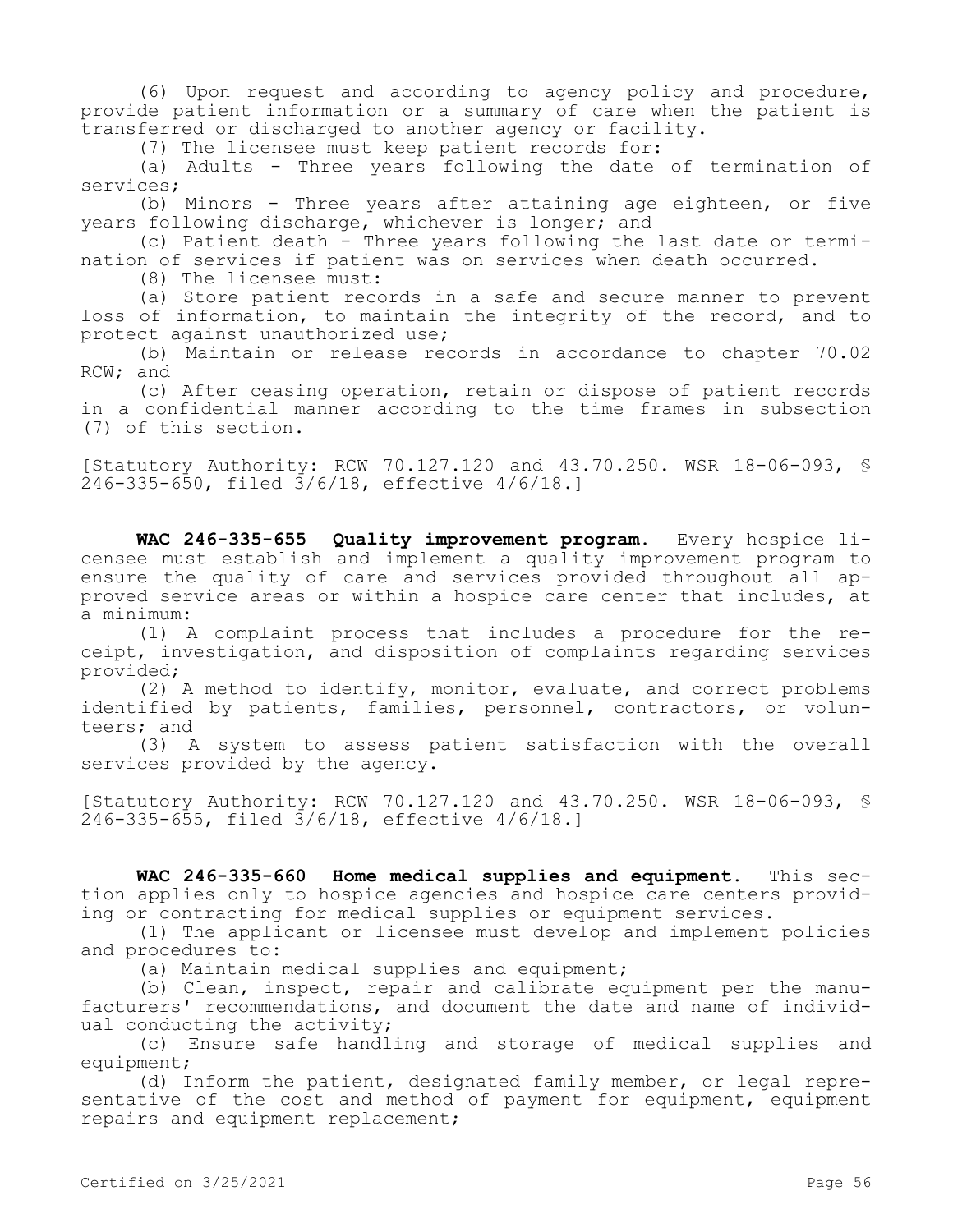(6) Upon request and according to agency policy and procedure, provide patient information or a summary of care when the patient is transferred or discharged to another agency or facility.

(7) The licensee must keep patient records for:

(a) Adults - Three years following the date of termination of services;

(b) Minors - Three years after attaining age eighteen, or five years following discharge, whichever is longer; and

(c) Patient death - Three years following the last date or termination of services if patient was on services when death occurred.

(8) The licensee must:

(a) Store patient records in a safe and secure manner to prevent loss of information, to maintain the integrity of the record, and to protect against unauthorized use;

(b) Maintain or release records in accordance to chapter 70.02 RCW; and

(c) After ceasing operation, retain or dispose of patient records in a confidential manner according to the time frames in subsection (7) of this section.

[Statutory Authority: RCW 70.127.120 and 43.70.250. WSR 18-06-093, § 246-335-650, filed 3/6/18, effective 4/6/18.]

**WAC 246-335-655 Quality improvement program.** Every hospice licensee must establish and implement a quality improvement program to ensure the quality of care and services provided throughout all approved service areas or within a hospice care center that includes, at a minimum:

(1) A complaint process that includes a procedure for the receipt, investigation, and disposition of complaints regarding services provided;

(2) A method to identify, monitor, evaluate, and correct problems identified by patients, families, personnel, contractors, or volunteers; and

(3) A system to assess patient satisfaction with the overall services provided by the agency.

[Statutory Authority: RCW 70.127.120 and 43.70.250. WSR 18-06-093, § 246-335-655, filed 3/6/18, effective 4/6/18.]

**WAC 246-335-660 Home medical supplies and equipment.** This section applies only to hospice agencies and hospice care centers providing or contracting for medical supplies or equipment services.

(1) The applicant or licensee must develop and implement policies and procedures to:

(a) Maintain medical supplies and equipment;

(b) Clean, inspect, repair and calibrate equipment per the manufacturers' recommendations, and document the date and name of individual conducting the activity;

(c) Ensure safe handling and storage of medical supplies and equipment;

(d) Inform the patient, designated family member, or legal representative of the cost and method of payment for equipment, equipment repairs and equipment replacement;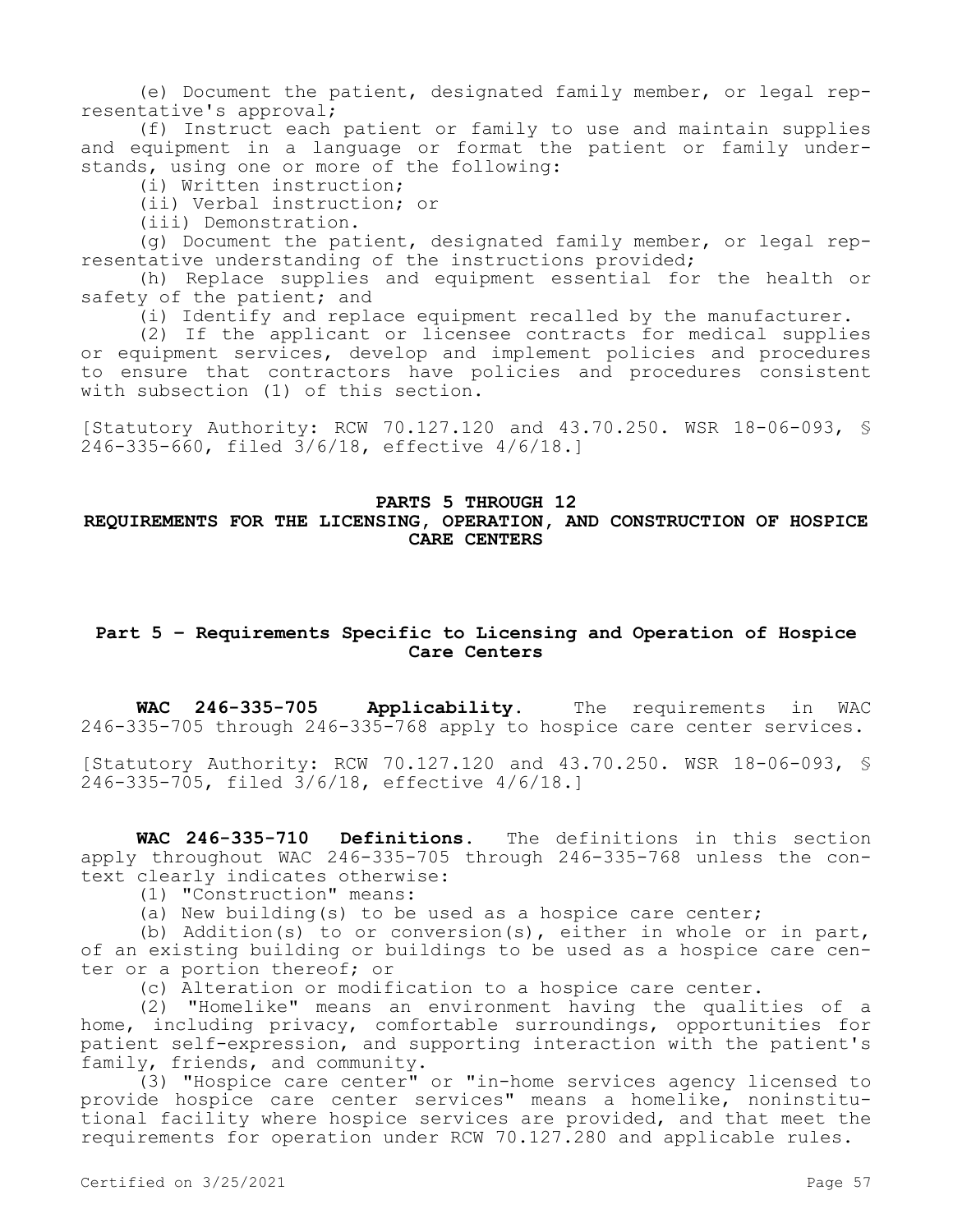(e) Document the patient, designated family member, or legal representative's approval;

(f) Instruct each patient or family to use and maintain supplies and equipment in a language or format the patient or family understands, using one or more of the following:

(i) Written instruction;

(ii) Verbal instruction; or

(iii) Demonstration.

(g) Document the patient, designated family member, or legal representative understanding of the instructions provided;

(h) Replace supplies and equipment essential for the health or safety of the patient; and

(i) Identify and replace equipment recalled by the manufacturer.

(2) If the applicant or licensee contracts for medical supplies or equipment services, develop and implement policies and procedures to ensure that contractors have policies and procedures consistent with subsection (1) of this section.

[Statutory Authority: RCW 70.127.120 and 43.70.250. WSR 18-06-093, § 246-335-660, filed 3/6/18, effective 4/6/18.]

#### **PARTS 5 THROUGH 12**

# **REQUIREMENTS FOR THE LICENSING, OPERATION, AND CONSTRUCTION OF HOSPICE CARE CENTERS**

# **Part 5 – Requirements Specific to Licensing and Operation of Hospice Care Centers**

**WAC 246-335-705 Applicability.** The requirements in WAC 246-335-705 through 246-335-768 apply to hospice care center services.

[Statutory Authority: RCW 70.127.120 and 43.70.250. WSR 18-06-093, § 246-335-705, filed 3/6/18, effective 4/6/18.]

**WAC 246-335-710 Definitions.** The definitions in this section apply throughout WAC 246-335-705 through 246-335-768 unless the context clearly indicates otherwise:

(1) "Construction" means:

(a) New building(s) to be used as a hospice care center;

(b) Addition(s) to or conversion(s), either in whole or in part, of an existing building or buildings to be used as a hospice care center or a portion thereof; or

(c) Alteration or modification to a hospice care center.

(2) "Homelike" means an environment having the qualities of a home, including privacy, comfortable surroundings, opportunities for patient self-expression, and supporting interaction with the patient's family, friends, and community.

(3) "Hospice care center" or "in-home services agency licensed to provide hospice care center services" means a homelike, noninstitutional facility where hospice services are provided, and that meet the requirements for operation under RCW 70.127.280 and applicable rules.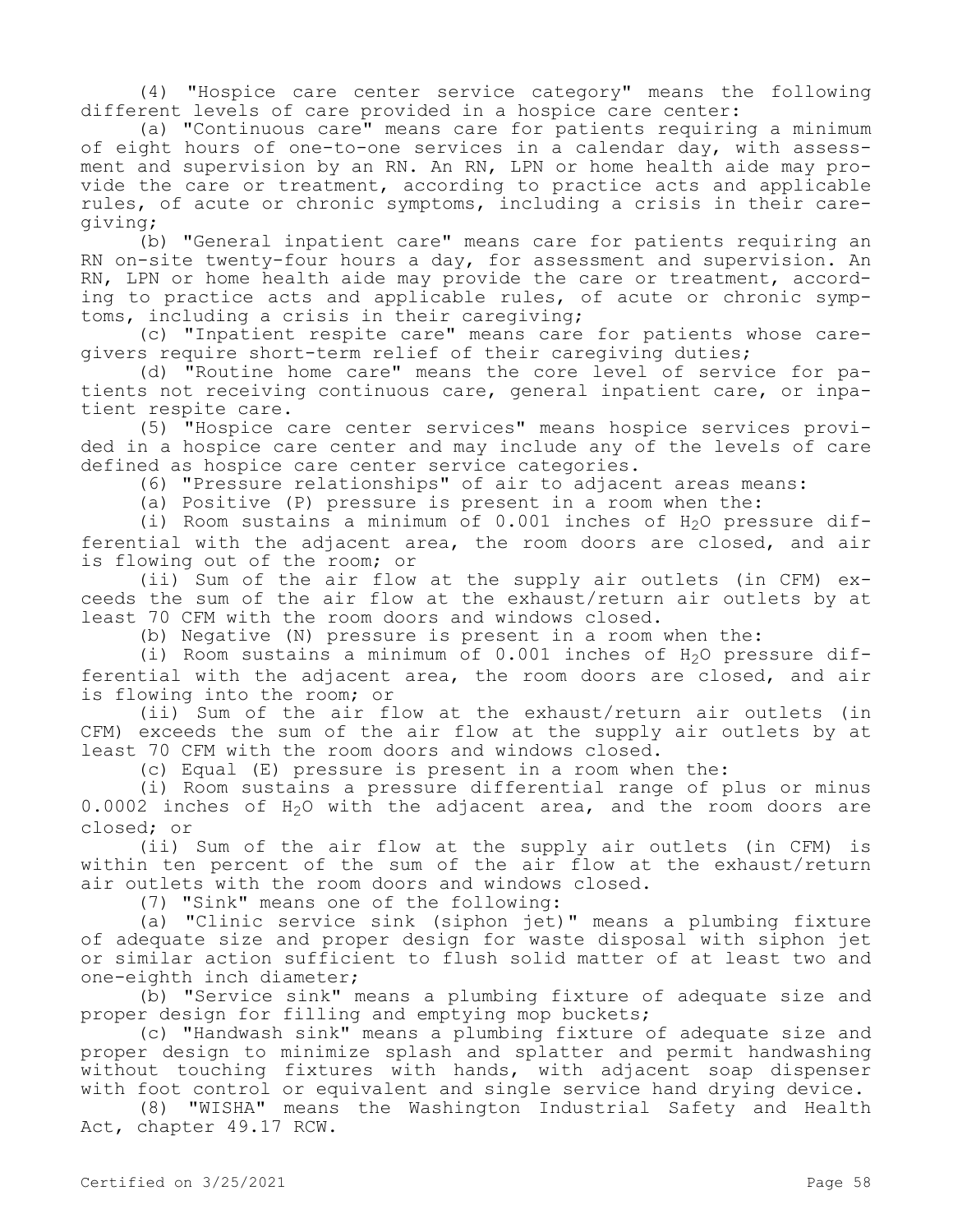(4) "Hospice care center service category" means the following different levels of care provided in a hospice care center:

(a) "Continuous care" means care for patients requiring a minimum of eight hours of one-to-one services in a calendar day, with assessment and supervision by an RN. An RN, LPN or home health aide may provide the care or treatment, according to practice acts and applicable rules, of acute or chronic symptoms, including a crisis in their caregiving;

(b) "General inpatient care" means care for patients requiring an RN on-site twenty-four hours a day, for assessment and supervision. An RN, LPN or home health aide may provide the care or treatment, according to practice acts and applicable rules, of acute or chronic symptoms, including a crisis in their caregiving;

(c) "Inpatient respite care" means care for patients whose caregivers require short-term relief of their caregiving duties;

(d) "Routine home care" means the core level of service for patients not receiving continuous care, general inpatient care, or inpatient respite care.

(5) "Hospice care center services" means hospice services provided in a hospice care center and may include any of the levels of care defined as hospice care center service categories.

(6) "Pressure relationships" of air to adjacent areas means:

(a) Positive (P) pressure is present in a room when the:

(i) Room sustains a minimum of  $0.001$  inches of  $H<sub>2</sub>O$  pressure differential with the adjacent area, the room doors are closed, and air is flowing out of the room; or

(ii) Sum of the air flow at the supply air outlets (in CFM) exceeds the sum of the air flow at the exhaust/return air outlets by at least 70 CFM with the room doors and windows closed.

(b) Negative (N) pressure is present in a room when the:

(i) Room sustains a minimum of  $0.001$  inches of  $H<sub>2</sub>O$  pressure differential with the adjacent area, the room doors are closed, and air is flowing into the room; or

(ii) Sum of the air flow at the exhaust/return air outlets (in CFM) exceeds the sum of the air flow at the supply air outlets by at least 70 CFM with the room doors and windows closed.

(c) Equal (E) pressure is present in a room when the:

(i) Room sustains a pressure differential range of plus or minus 0.0002 inches of H<sub>2</sub>O with the adjacent area, and the room doors are closed; or

(ii) Sum of the air flow at the supply air outlets (in CFM) is within ten percent of the sum of the air flow at the exhaust/return air outlets with the room doors and windows closed.

(7) "Sink" means one of the following:

(a) "Clinic service sink (siphon jet)" means a plumbing fixture of adequate size and proper design for waste disposal with siphon jet or similar action sufficient to flush solid matter of at least two and one-eighth inch diameter;

(b) "Service sink" means a plumbing fixture of adequate size and proper design for filling and emptying mop buckets;

(c) "Handwash sink" means a plumbing fixture of adequate size and proper design to minimize splash and splatter and permit handwashing without touching fixtures with hands, with adjacent soap dispenser with foot control or equivalent and single service hand drying device.

(8) "WISHA" means the Washington Industrial Safety and Health Act, chapter 49.17 RCW.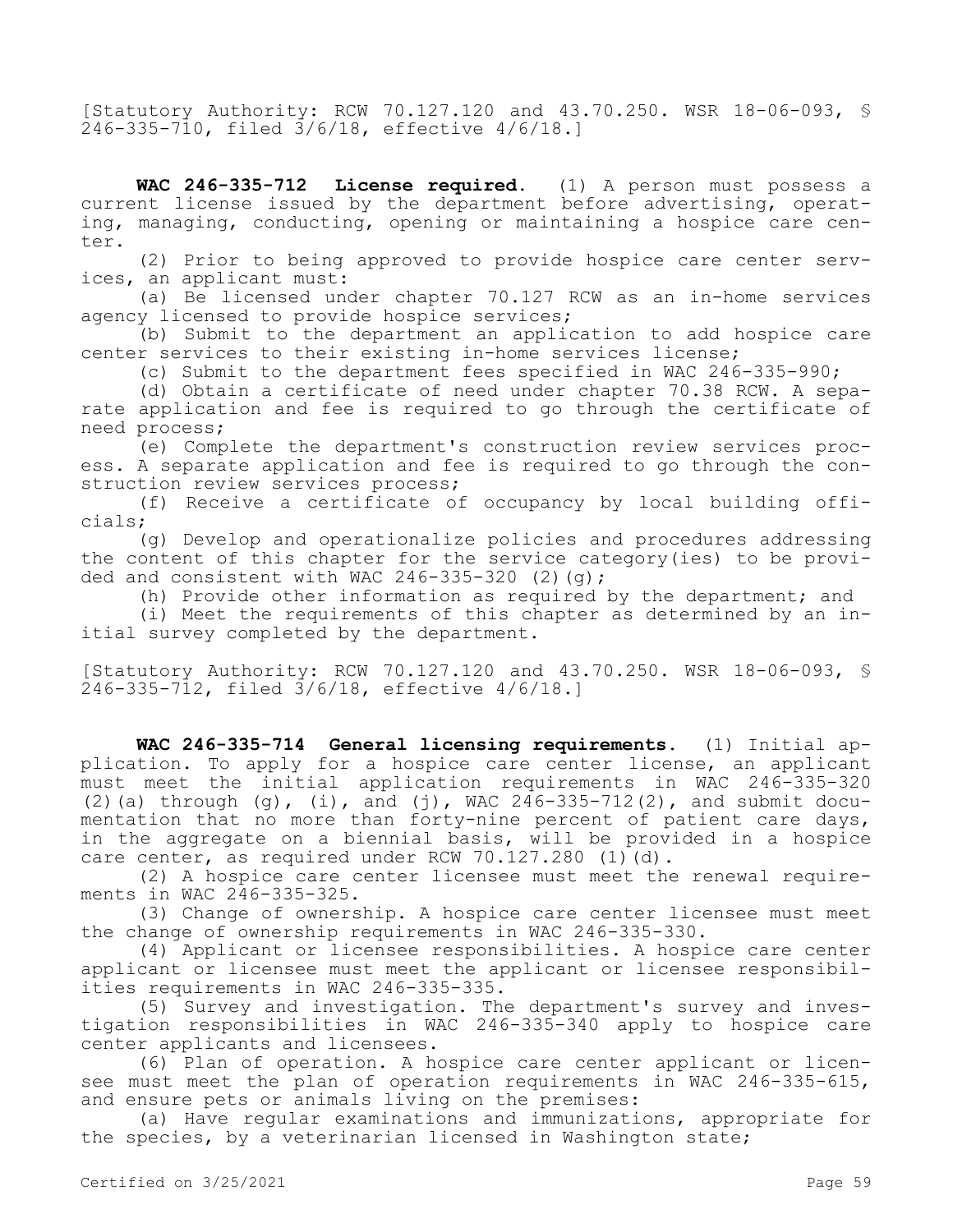[Statutory Authority: RCW 70.127.120 and 43.70.250. WSR 18-06-093, § 246-335-710, filed 3/6/18, effective 4/6/18.]

**WAC 246-335-712 License required.** (1) A person must possess a current license issued by the department before advertising, operating, managing, conducting, opening or maintaining a hospice care center.

(2) Prior to being approved to provide hospice care center services, an applicant must:

(a) Be licensed under chapter 70.127 RCW as an in-home services agency licensed to provide hospice services;

(b) Submit to the department an application to add hospice care center services to their existing in-home services license;

(c) Submit to the department fees specified in WAC 246-335-990;

(d) Obtain a certificate of need under chapter 70.38 RCW. A separate application and fee is required to go through the certificate of need process;

(e) Complete the department's construction review services process. A separate application and fee is required to go through the construction review services process;

(f) Receive a certificate of occupancy by local building officials;

(g) Develop and operationalize policies and procedures addressing the content of this chapter for the service category(ies) to be provided and consistent with WAC  $246-335-320$  (2)(q);

(h) Provide other information as required by the department; and

(i) Meet the requirements of this chapter as determined by an initial survey completed by the department.

[Statutory Authority: RCW 70.127.120 and 43.70.250. WSR 18-06-093, § 246-335-712, filed 3/6/18, effective 4/6/18.]

**WAC 246-335-714 General licensing requirements.** (1) Initial application. To apply for a hospice care center license, an applicant must meet the initial application requirements in WAC 246-335-320 (2)(a) through (g), (i), and (j), WAC 246-335-712(2), and submit documentation that no more than forty-nine percent of patient care days, in the aggregate on a biennial basis, will be provided in a hospice care center, as required under RCW 70.127.280 (1)(d).

(2) A hospice care center licensee must meet the renewal requirements in WAC 246-335-325.

(3) Change of ownership. A hospice care center licensee must meet the change of ownership requirements in WAC 246-335-330.

(4) Applicant or licensee responsibilities. A hospice care center applicant or licensee must meet the applicant or licensee responsibilities requirements in WAC 246-335-335.

(5) Survey and investigation. The department's survey and investigation responsibilities in WAC 246-335-340 apply to hospice care center applicants and licensees.

(6) Plan of operation. A hospice care center applicant or licensee must meet the plan of operation requirements in WAC 246-335-615, and ensure pets or animals living on the premises:

(a) Have regular examinations and immunizations, appropriate for the species, by a veterinarian licensed in Washington state;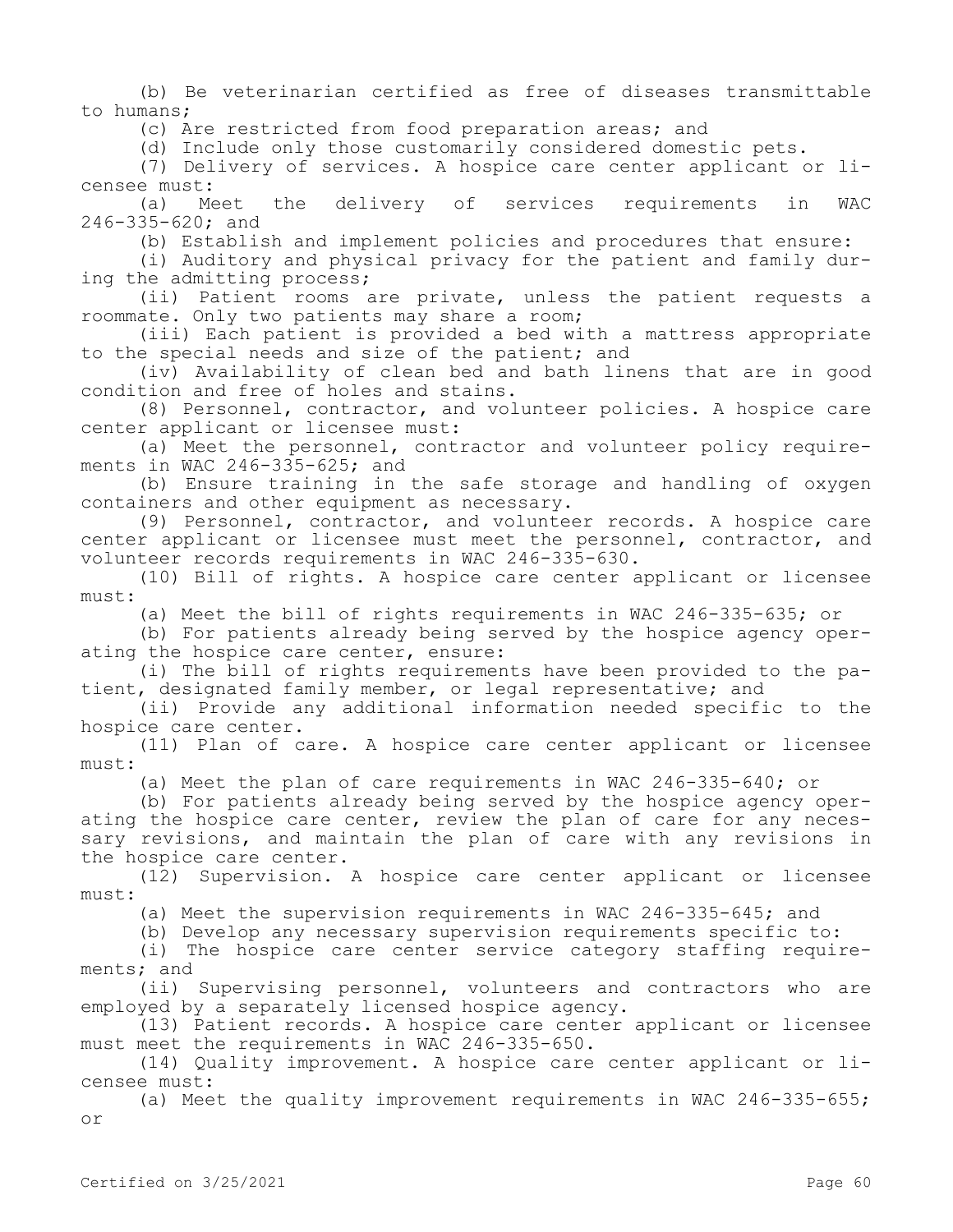(b) Be veterinarian certified as free of diseases transmittable to humans;

(c) Are restricted from food preparation areas; and

(d) Include only those customarily considered domestic pets.

(7) Delivery of services. A hospice care center applicant or li-

censee must:<br>(a) Meet the (a) Meet the delivery of services requirements in WAC 246-335-620; and

(b) Establish and implement policies and procedures that ensure:

(i) Auditory and physical privacy for the patient and family during the admitting process;

(ii) Patient rooms are private, unless the patient requests a roommate. Only two patients may share a room;

(iii) Each patient is provided a bed with a mattress appropriate to the special needs and size of the patient; and

(iv) Availability of clean bed and bath linens that are in good condition and free of holes and stains.

(8) Personnel, contractor, and volunteer policies. A hospice care center applicant or licensee must:

(a) Meet the personnel, contractor and volunteer policy requirements in WAC 246-335-625; and

(b) Ensure training in the safe storage and handling of oxygen containers and other equipment as necessary.

(9) Personnel, contractor, and volunteer records. A hospice care center applicant or licensee must meet the personnel, contractor, and volunteer records requirements in WAC 246-335-630.

(10) Bill of rights. A hospice care center applicant or licensee must:

(a) Meet the bill of rights requirements in WAC 246-335-635; or

(b) For patients already being served by the hospice agency operating the hospice care center, ensure:

(i) The bill of rights requirements have been provided to the patient, designated family member, or legal representative; and

(ii) Provide any additional information needed specific to the hospice care center.

(11) Plan of care. A hospice care center applicant or licensee must:

(a) Meet the plan of care requirements in WAC 246-335-640; or

(b) For patients already being served by the hospice agency operating the hospice care center, review the plan of care for any necessary revisions, and maintain the plan of care with any revisions in the hospice care center.

(12) Supervision. A hospice care center applicant or licensee must:

(a) Meet the supervision requirements in WAC 246-335-645; and

(b) Develop any necessary supervision requirements specific to:

(i) The hospice care center service category staffing requirements; and

(ii) Supervising personnel, volunteers and contractors who are employed by a separately licensed hospice agency.

(13) Patient records. A hospice care center applicant or licensee must meet the requirements in WAC 246-335-650.

(14) Quality improvement. A hospice care center applicant or licensee must:

(a) Meet the quality improvement requirements in WAC 246-335-655; or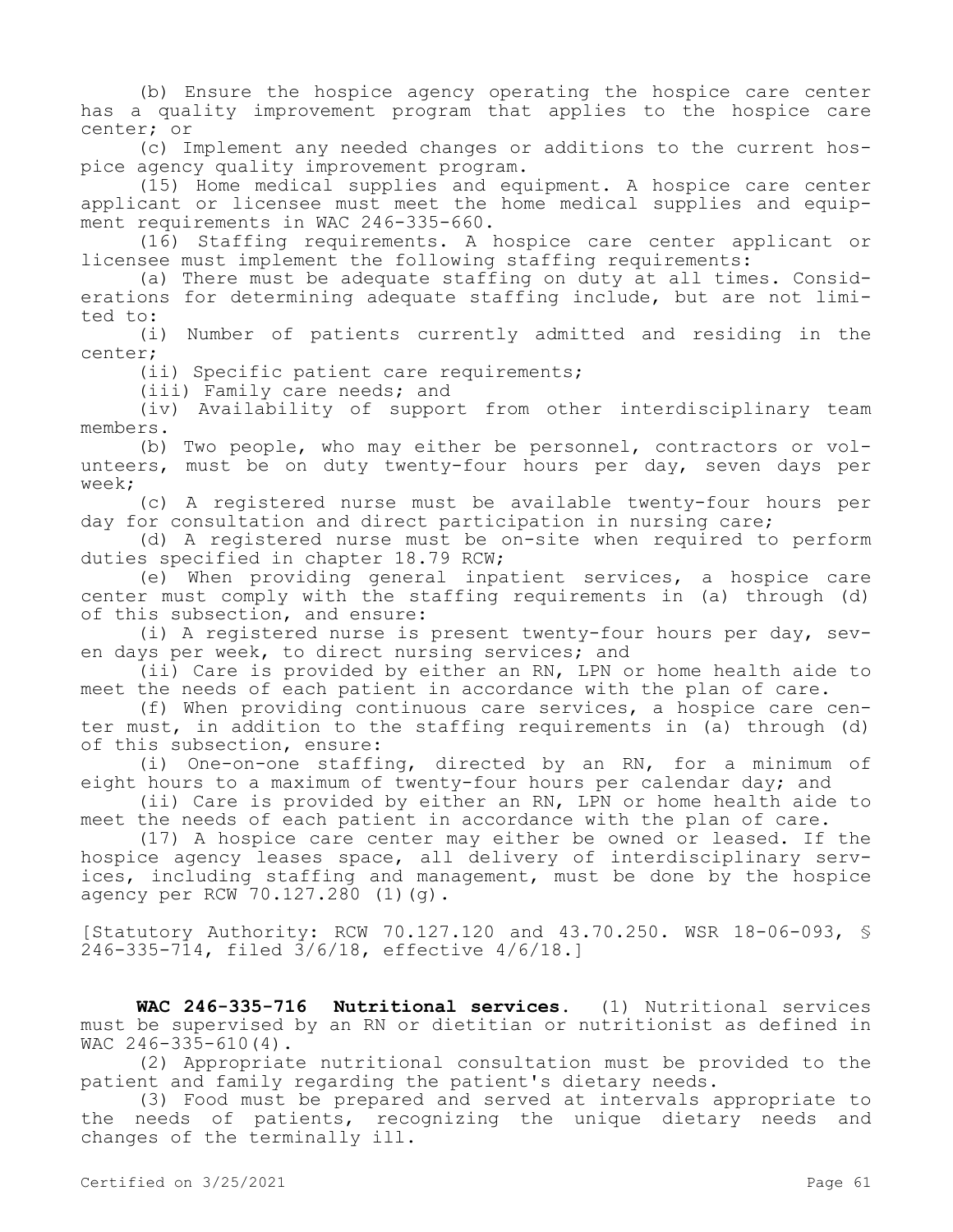(b) Ensure the hospice agency operating the hospice care center has a quality improvement program that applies to the hospice care center; or

(c) Implement any needed changes or additions to the current hospice agency quality improvement program.

(15) Home medical supplies and equipment. A hospice care center applicant or licensee must meet the home medical supplies and equipment requirements in WAC 246-335-660.

(16) Staffing requirements. A hospice care center applicant or licensee must implement the following staffing requirements:

(a) There must be adequate staffing on duty at all times. Considerations for determining adequate staffing include, but are not limited to:

(i) Number of patients currently admitted and residing in the center;

(ii) Specific patient care requirements;

(iii) Family care needs; and

(iv) Availability of support from other interdisciplinary team members.

(b) Two people, who may either be personnel, contractors or volunteers, must be on duty twenty-four hours per day, seven days per week;

(c) A registered nurse must be available twenty-four hours per day for consultation and direct participation in nursing care;

(d) A registered nurse must be on-site when required to perform duties specified in chapter 18.79 RCW;

(e) When providing general inpatient services, a hospice care center must comply with the staffing requirements in (a) through (d) of this subsection, and ensure:

(i) A registered nurse is present twenty-four hours per day, seven days per week, to direct nursing services; and

(ii) Care is provided by either an RN, LPN or home health aide to meet the needs of each patient in accordance with the plan of care.

(f) When providing continuous care services, a hospice care center must, in addition to the staffing requirements in (a) through (d) of this subsection, ensure:

(i) One-on-one staffing, directed by an RN, for a minimum of eight hours to a maximum of twenty-four hours per calendar day; and

(ii) Care is provided by either an RN, LPN or home health aide to meet the needs of each patient in accordance with the plan of care.

(17) A hospice care center may either be owned or leased. If the hospice agency leases space, all delivery of interdisciplinary services, including staffing and management, must be done by the hospice agency per RCW 70.127.280 (1)(g).

[Statutory Authority: RCW 70.127.120 and 43.70.250. WSR 18-06-093, § 246-335-714, filed 3/6/18, effective 4/6/18.]

**WAC 246-335-716 Nutritional services.** (1) Nutritional services must be supervised by an RN or dietitian or nutritionist as defined in WAC 246-335-610(4).

(2) Appropriate nutritional consultation must be provided to the patient and family regarding the patient's dietary needs.

(3) Food must be prepared and served at intervals appropriate to the needs of patients, recognizing the unique dietary needs and changes of the terminally ill.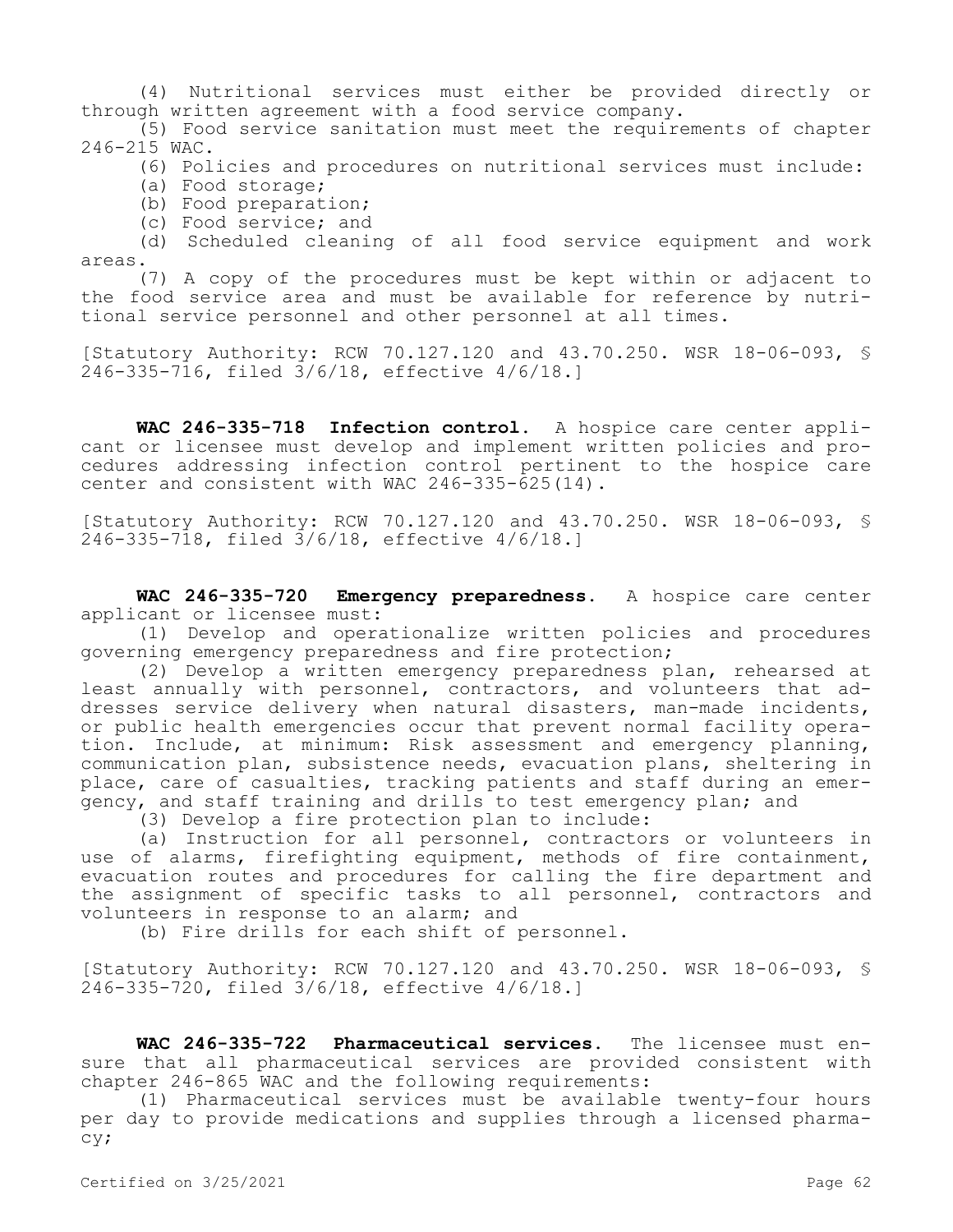(4) Nutritional services must either be provided directly or through written agreement with a food service company.

(5) Food service sanitation must meet the requirements of chapter 246-215 WAC.

(6) Policies and procedures on nutritional services must include:

- (a) Food storage;
- (b) Food preparation;
- (c) Food service; and

(d) Scheduled cleaning of all food service equipment and work areas.

(7) A copy of the procedures must be kept within or adjacent to the food service area and must be available for reference by nutritional service personnel and other personnel at all times.

[Statutory Authority: RCW 70.127.120 and 43.70.250. WSR 18-06-093, § 246-335-716, filed 3/6/18, effective 4/6/18.]

**WAC 246-335-718 Infection control.** A hospice care center applicant or licensee must develop and implement written policies and procedures addressing infection control pertinent to the hospice care center and consistent with WAC 246-335-625(14).

[Statutory Authority: RCW 70.127.120 and 43.70.250. WSR 18-06-093, § 246-335-718, filed 3/6/18, effective 4/6/18.]

**WAC 246-335-720 Emergency preparedness.** A hospice care center applicant or licensee must:

(1) Develop and operationalize written policies and procedures governing emergency preparedness and fire protection;

(2) Develop a written emergency preparedness plan, rehearsed at least annually with personnel, contractors, and volunteers that addresses service delivery when natural disasters, man-made incidents, or public health emergencies occur that prevent normal facility operation. Include, at minimum: Risk assessment and emergency planning, communication plan, subsistence needs, evacuation plans, sheltering in place, care of casualties, tracking patients and staff during an emergency, and staff training and drills to test emergency plan; and

(3) Develop a fire protection plan to include:

(a) Instruction for all personnel, contractors or volunteers in use of alarms, firefighting equipment, methods of fire containment, evacuation routes and procedures for calling the fire department and the assignment of specific tasks to all personnel, contractors and volunteers in response to an alarm; and

(b) Fire drills for each shift of personnel.

[Statutory Authority: RCW 70.127.120 and 43.70.250. WSR 18-06-093, § 246-335-720, filed 3/6/18, effective 4/6/18.]

**WAC 246-335-722 Pharmaceutical services.** The licensee must ensure that all pharmaceutical services are provided consistent with chapter 246-865 WAC and the following requirements:

(1) Pharmaceutical services must be available twenty-four hours per day to provide medications and supplies through a licensed pharmacy;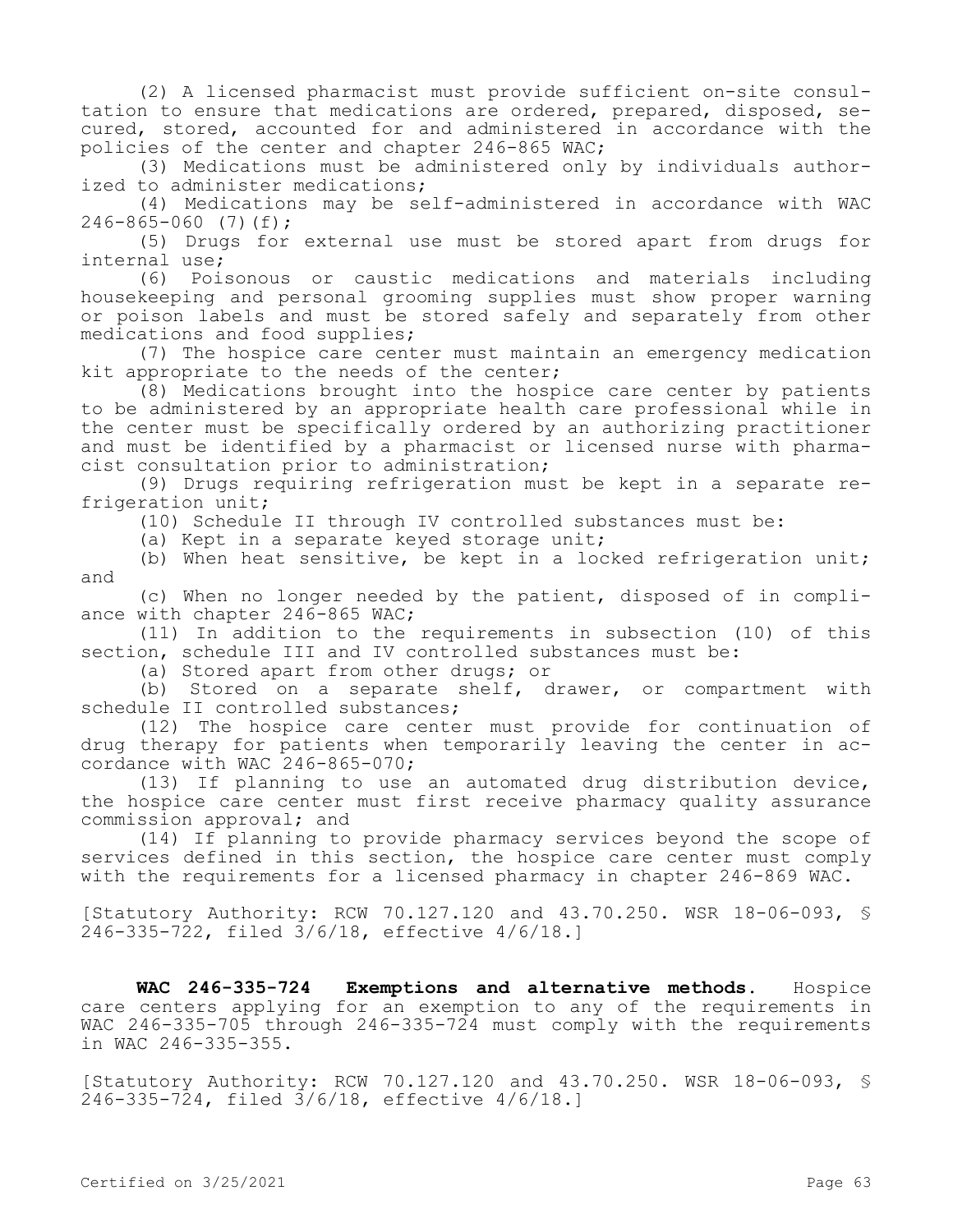(2) A licensed pharmacist must provide sufficient on-site consultation to ensure that medications are ordered, prepared, disposed, secured, stored, accounted for and administered in accordance with the policies of the center and chapter 246-865 WAC;

(3) Medications must be administered only by individuals authorized to administer medications;

(4) Medications may be self-administered in accordance with WAC  $246 - 865 - 060$  (7)(f);

(5) Drugs for external use must be stored apart from drugs for internal use;

(6) Poisonous or caustic medications and materials including housekeeping and personal grooming supplies must show proper warning or poison labels and must be stored safely and separately from other medications and food supplies;

(7) The hospice care center must maintain an emergency medication kit appropriate to the needs of the center;

(8) Medications brought into the hospice care center by patients to be administered by an appropriate health care professional while in the center must be specifically ordered by an authorizing practitioner and must be identified by a pharmacist or licensed nurse with pharmacist consultation prior to administration;

(9) Drugs requiring refrigeration must be kept in a separate refrigeration unit;

(10) Schedule II through IV controlled substances must be:

(a) Kept in a separate keyed storage unit;

(b) When heat sensitive, be kept in a locked refrigeration unit; and

(c) When no longer needed by the patient, disposed of in compliance with chapter 246-865 WAC;

(11) In addition to the requirements in subsection (10) of this section, schedule III and IV controlled substances must be:

(a) Stored apart from other drugs; or

(b) Stored on a separate shelf, drawer, or compartment with schedule II controlled substances;

(12) The hospice care center must provide for continuation of drug therapy for patients when temporarily leaving the center in accordance with WAC 246-865-070;

(13) If planning to use an automated drug distribution device, the hospice care center must first receive pharmacy quality assurance commission approval; and

(14) If planning to provide pharmacy services beyond the scope of services defined in this section, the hospice care center must comply with the requirements for a licensed pharmacy in chapter 246-869 WAC.

[Statutory Authority: RCW 70.127.120 and 43.70.250. WSR 18-06-093, § 246-335-722, filed 3/6/18, effective 4/6/18.]

**WAC 246-335-724 Exemptions and alternative methods.** Hospice care centers applying for an exemption to any of the requirements in WAC 246-335-705 through 246-335-724 must comply with the requirements in WAC 246-335-355.

[Statutory Authority: RCW 70.127.120 and 43.70.250. WSR 18-06-093, § 246-335-724, filed 3/6/18, effective 4/6/18.]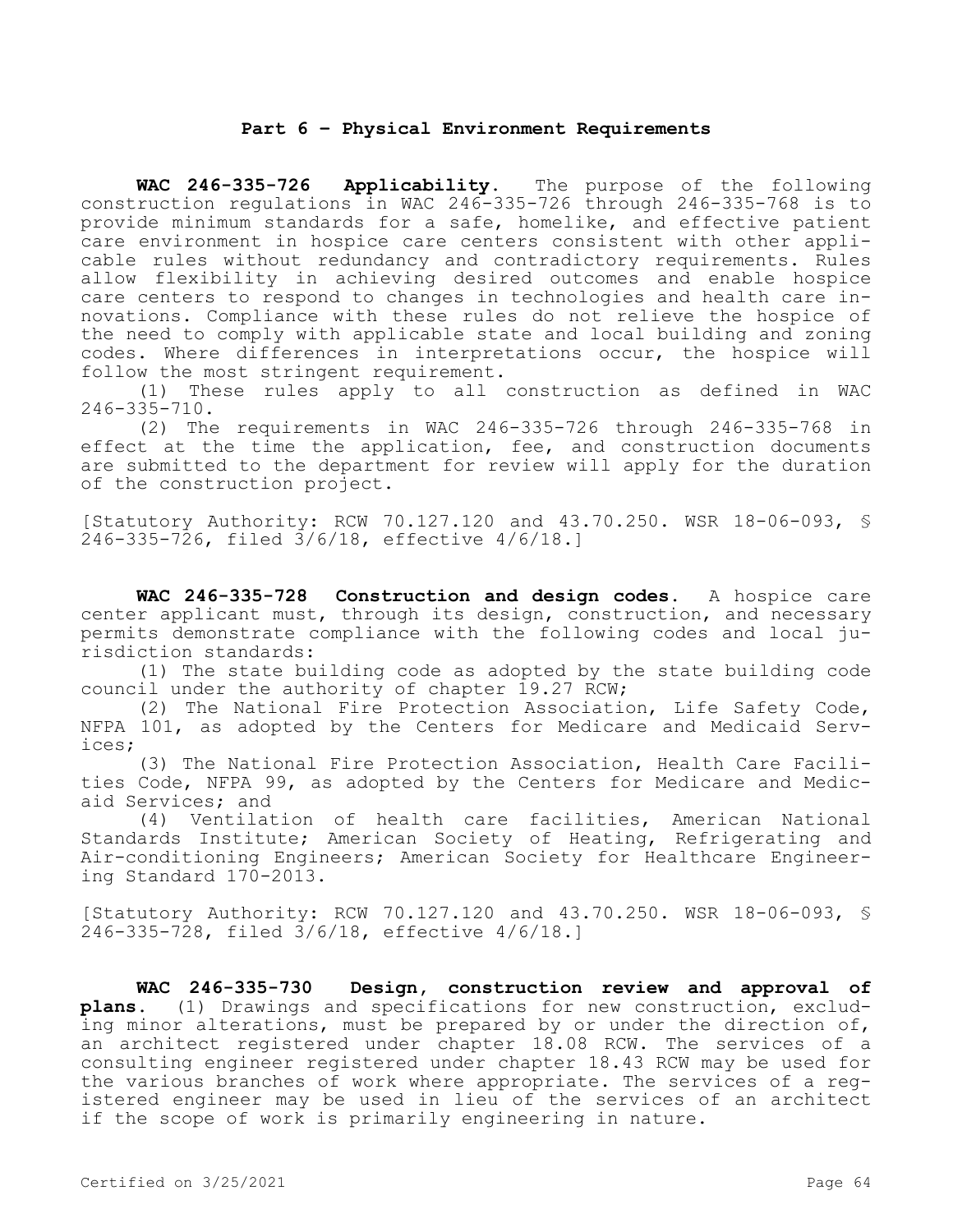### **Part 6 – Physical Environment Requirements**

**WAC 246-335-726 Applicability.** The purpose of the following construction regulations in WAC 246-335-726 through 246-335-768 is to provide minimum standards for a safe, homelike, and effective patient care environment in hospice care centers consistent with other applicable rules without redundancy and contradictory requirements. Rules allow flexibility in achieving desired outcomes and enable hospice care centers to respond to changes in technologies and health care innovations. Compliance with these rules do not relieve the hospice of the need to comply with applicable state and local building and zoning codes. Where differences in interpretations occur, the hospice will follow the most stringent requirement.

(1) These rules apply to all construction as defined in WAC 246-335-710.

(2) The requirements in WAC 246-335-726 through 246-335-768 in effect at the time the application, fee, and construction documents are submitted to the department for review will apply for the duration of the construction project.

[Statutory Authority: RCW 70.127.120 and 43.70.250. WSR 18-06-093, § 246-335-726, filed 3/6/18, effective 4/6/18.]

**WAC 246-335-728 Construction and design codes.** A hospice care center applicant must, through its design, construction, and necessary permits demonstrate compliance with the following codes and local jurisdiction standards:

(1) The state building code as adopted by the state building code council under the authority of chapter 19.27 RCW;

(2) The National Fire Protection Association, Life Safety Code, NFPA 101, as adopted by the Centers for Medicare and Medicaid Services;

(3) The National Fire Protection Association, Health Care Facilities Code, NFPA 99, as adopted by the Centers for Medicare and Medicaid Services; and

(4) Ventilation of health care facilities, American National Standards Institute; American Society of Heating, Refrigerating and Air-conditioning Engineers; American Society for Healthcare Engineering Standard 170-2013.

[Statutory Authority: RCW 70.127.120 and 43.70.250. WSR 18-06-093, § 246-335-728, filed 3/6/18, effective 4/6/18.]

**WAC 246-335-730 Design, construction review and approval of plans.** (1) Drawings and specifications for new construction, excluding minor alterations, must be prepared by or under the direction of, an architect registered under chapter 18.08 RCW. The services of a consulting engineer registered under chapter 18.43 RCW may be used for the various branches of work where appropriate. The services of a registered engineer may be used in lieu of the services of an architect if the scope of work is primarily engineering in nature.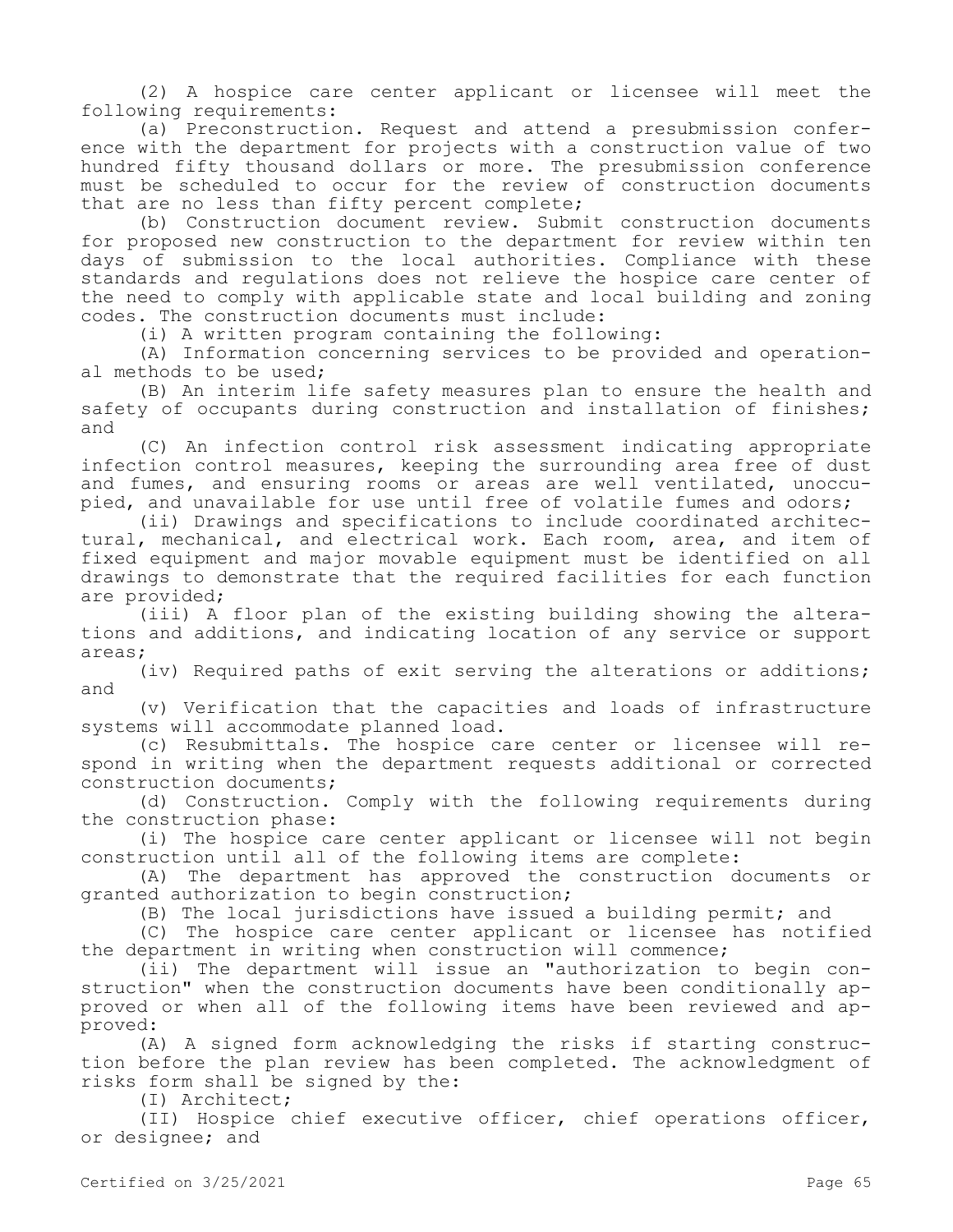(2) A hospice care center applicant or licensee will meet the following requirements:

(a) Preconstruction. Request and attend a presubmission conference with the department for projects with a construction value of two hundred fifty thousand dollars or more. The presubmission conference must be scheduled to occur for the review of construction documents that are no less than fifty percent complete;

(b) Construction document review. Submit construction documents for proposed new construction to the department for review within ten days of submission to the local authorities. Compliance with these standards and regulations does not relieve the hospice care center of the need to comply with applicable state and local building and zoning codes. The construction documents must include:

(i) A written program containing the following:

(A) Information concerning services to be provided and operational methods to be used;

(B) An interim life safety measures plan to ensure the health and safety of occupants during construction and installation of finishes; and

(C) An infection control risk assessment indicating appropriate infection control measures, keeping the surrounding area free of dust and fumes, and ensuring rooms or areas are well ventilated, unoccupied, and unavailable for use until free of volatile fumes and odors;

(ii) Drawings and specifications to include coordinated architectural, mechanical, and electrical work. Each room, area, and item of fixed equipment and major movable equipment must be identified on all drawings to demonstrate that the required facilities for each function are provided;

(iii) A floor plan of the existing building showing the alterations and additions, and indicating location of any service or support areas;

(iv) Required paths of exit serving the alterations or additions; and

(v) Verification that the capacities and loads of infrastructure systems will accommodate planned load.

(c) Resubmittals. The hospice care center or licensee will respond in writing when the department requests additional or corrected construction documents;

(d) Construction. Comply with the following requirements during the construction phase:

(i) The hospice care center applicant or licensee will not begin construction until all of the following items are complete:

(A) The department has approved the construction documents or granted authorization to begin construction;

(B) The local jurisdictions have issued a building permit; and

(C) The hospice care center applicant or licensee has notified the department in writing when construction will commence;

(ii) The department will issue an "authorization to begin construction" when the construction documents have been conditionally approved or when all of the following items have been reviewed and approved:

(A) A signed form acknowledging the risks if starting construction before the plan review has been completed. The acknowledgment of risks form shall be signed by the:

(I) Architect;

(II) Hospice chief executive officer, chief operations officer, or designee; and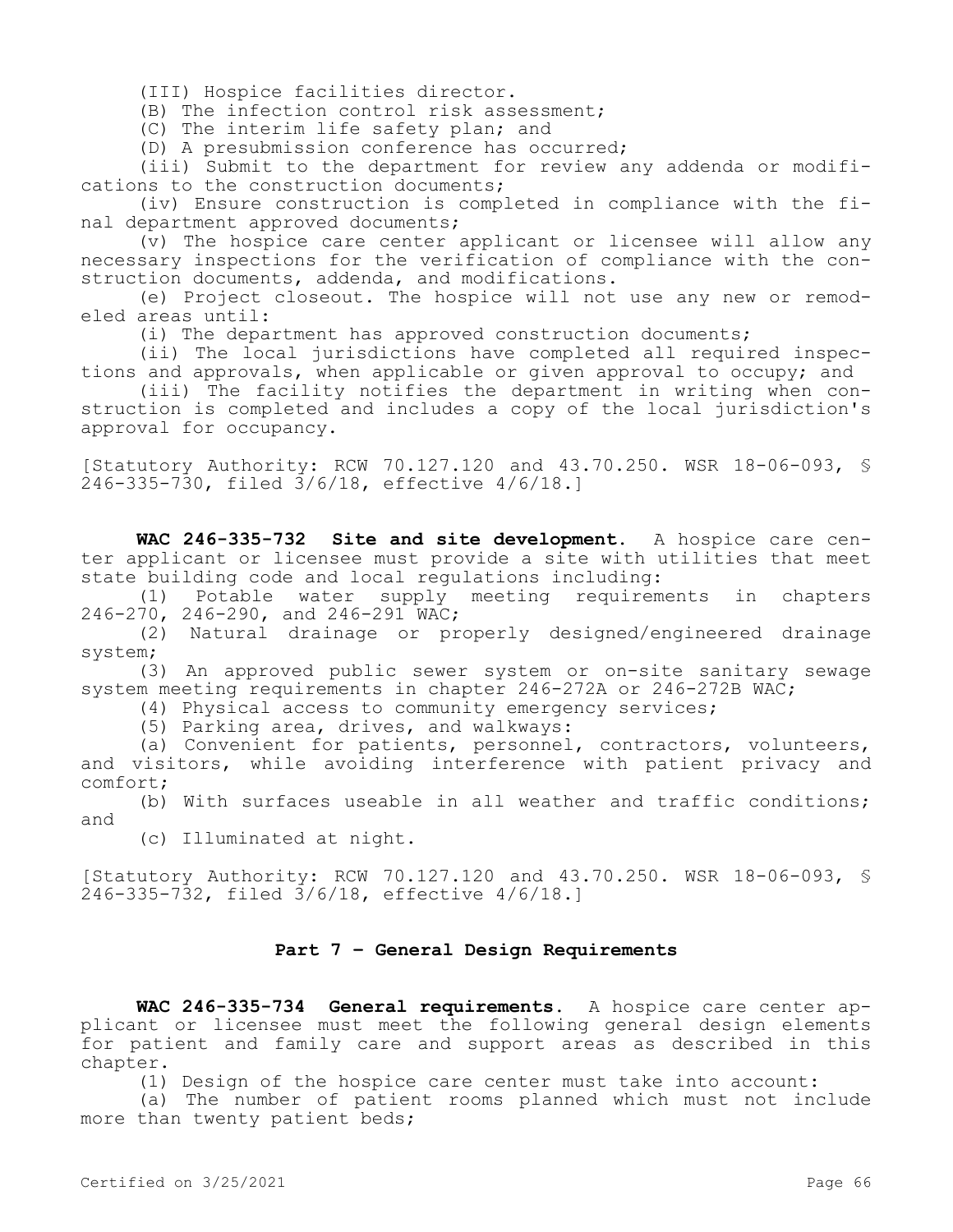(III) Hospice facilities director.

(B) The infection control risk assessment;

(C) The interim life safety plan; and

(D) A presubmission conference has occurred;

(iii) Submit to the department for review any addenda or modifications to the construction documents;

(iv) Ensure construction is completed in compliance with the final department approved documents;

(v) The hospice care center applicant or licensee will allow any necessary inspections for the verification of compliance with the construction documents, addenda, and modifications.

(e) Project closeout. The hospice will not use any new or remodeled areas until:

(i) The department has approved construction documents;

(ii) The local jurisdictions have completed all required inspections and approvals, when applicable or given approval to occupy; and

(iii) The facility notifies the department in writing when construction is completed and includes a copy of the local jurisdiction's approval for occupancy.

[Statutory Authority: RCW 70.127.120 and 43.70.250. WSR 18-06-093, § 246-335-730, filed 3/6/18, effective 4/6/18.]

**WAC 246-335-732 Site and site development.** A hospice care center applicant or licensee must provide a site with utilities that meet state building code and local regulations including:

(1) Potable water supply meeting requirements in chapters 246-270, 246-290, and 246-291 WAC;

(2) Natural drainage or properly designed/engineered drainage system;

(3) An approved public sewer system or on-site sanitary sewage system meeting requirements in chapter 246-272A or 246-272B WAC;

(4) Physical access to community emergency services;

(5) Parking area, drives, and walkways:

(a) Convenient for patients, personnel, contractors, volunteers, and visitors, while avoiding interference with patient privacy and comfort;

(b) With surfaces useable in all weather and traffic conditions; and

(c) Illuminated at night.

[Statutory Authority: RCW 70.127.120 and 43.70.250. WSR 18-06-093, § 246-335-732, filed 3/6/18, effective 4/6/18.]

# **Part 7 – General Design Requirements**

**WAC 246-335-734 General requirements.** A hospice care center applicant or licensee must meet the following general design elements for patient and family care and support areas as described in this chapter.

(1) Design of the hospice care center must take into account:

(a) The number of patient rooms planned which must not include more than twenty patient beds;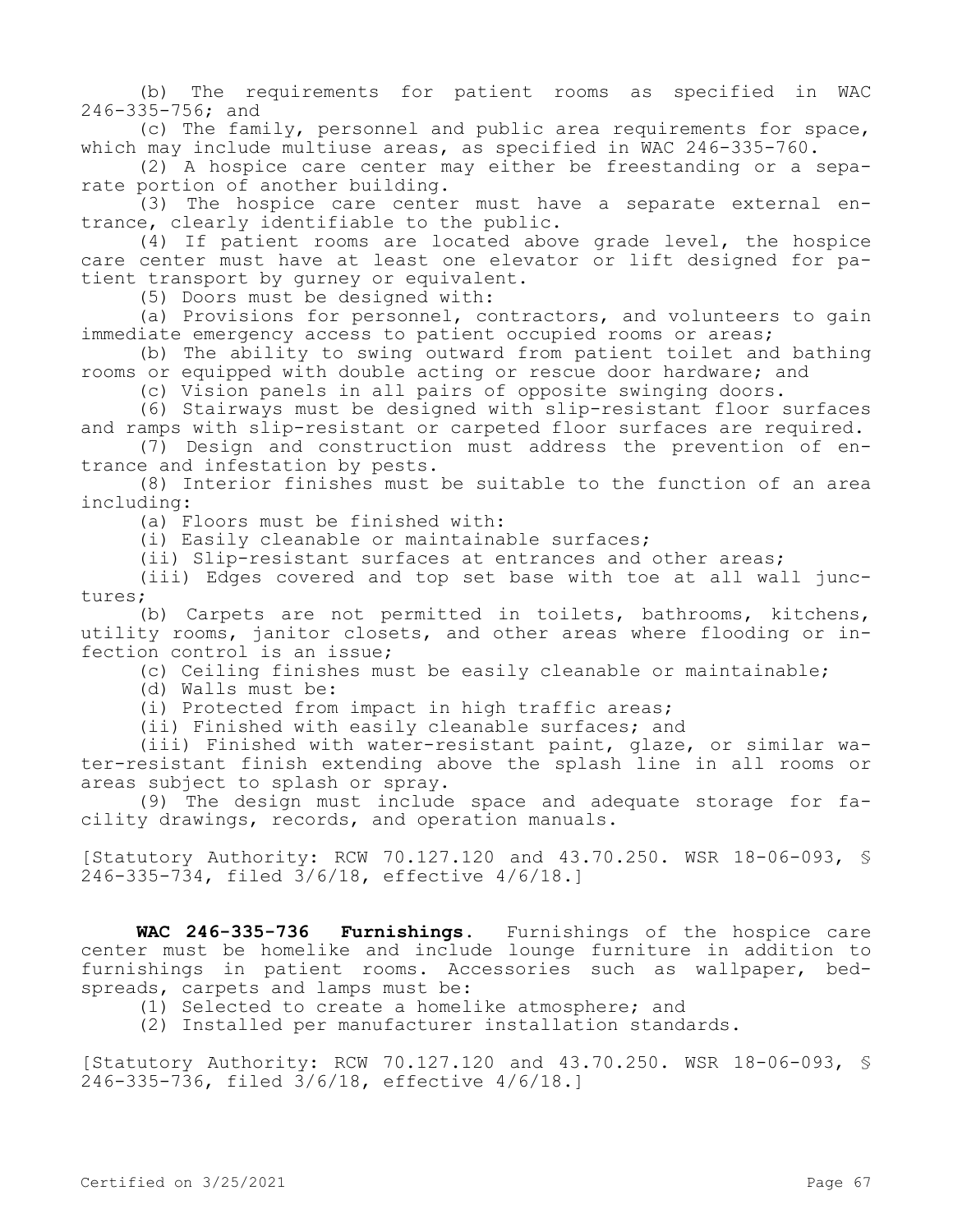(b) The requirements for patient rooms as specified in WAC 246-335-756; and

(c) The family, personnel and public area requirements for space, which may include multiuse areas, as specified in WAC 246-335-760.

(2) A hospice care center may either be freestanding or a separate portion of another building.

(3) The hospice care center must have a separate external entrance, clearly identifiable to the public.

(4) If patient rooms are located above grade level, the hospice care center must have at least one elevator or lift designed for patient transport by gurney or equivalent.

(5) Doors must be designed with:

(a) Provisions for personnel, contractors, and volunteers to gain immediate emergency access to patient occupied rooms or areas;

(b) The ability to swing outward from patient toilet and bathing rooms or equipped with double acting or rescue door hardware; and

(c) Vision panels in all pairs of opposite swinging doors.

(6) Stairways must be designed with slip-resistant floor surfaces and ramps with slip-resistant or carpeted floor surfaces are required.

(7) Design and construction must address the prevention of entrance and infestation by pests.

(8) Interior finishes must be suitable to the function of an area including:

(a) Floors must be finished with:

(i) Easily cleanable or maintainable surfaces;

(ii) Slip-resistant surfaces at entrances and other areas;

(iii) Edges covered and top set base with toe at all wall junctures;

(b) Carpets are not permitted in toilets, bathrooms, kitchens, utility rooms, janitor closets, and other areas where flooding or infection control is an issue;

(c) Ceiling finishes must be easily cleanable or maintainable;

(d) Walls must be:

(i) Protected from impact in high traffic areas;

(ii) Finished with easily cleanable surfaces; and

(iii) Finished with water-resistant paint, glaze, or similar water-resistant finish extending above the splash line in all rooms or areas subject to splash or spray.

(9) The design must include space and adequate storage for facility drawings, records, and operation manuals.

[Statutory Authority: RCW 70.127.120 and 43.70.250. WSR 18-06-093, § 246-335-734, filed 3/6/18, effective 4/6/18.]

**WAC 246-335-736 Furnishings.** Furnishings of the hospice care center must be homelike and include lounge furniture in addition to furnishings in patient rooms. Accessories such as wallpaper, bedspreads, carpets and lamps must be:

(1) Selected to create a homelike atmosphere; and

(2) Installed per manufacturer installation standards.

[Statutory Authority: RCW 70.127.120 and 43.70.250. WSR 18-06-093, § 246-335-736, filed 3/6/18, effective 4/6/18.]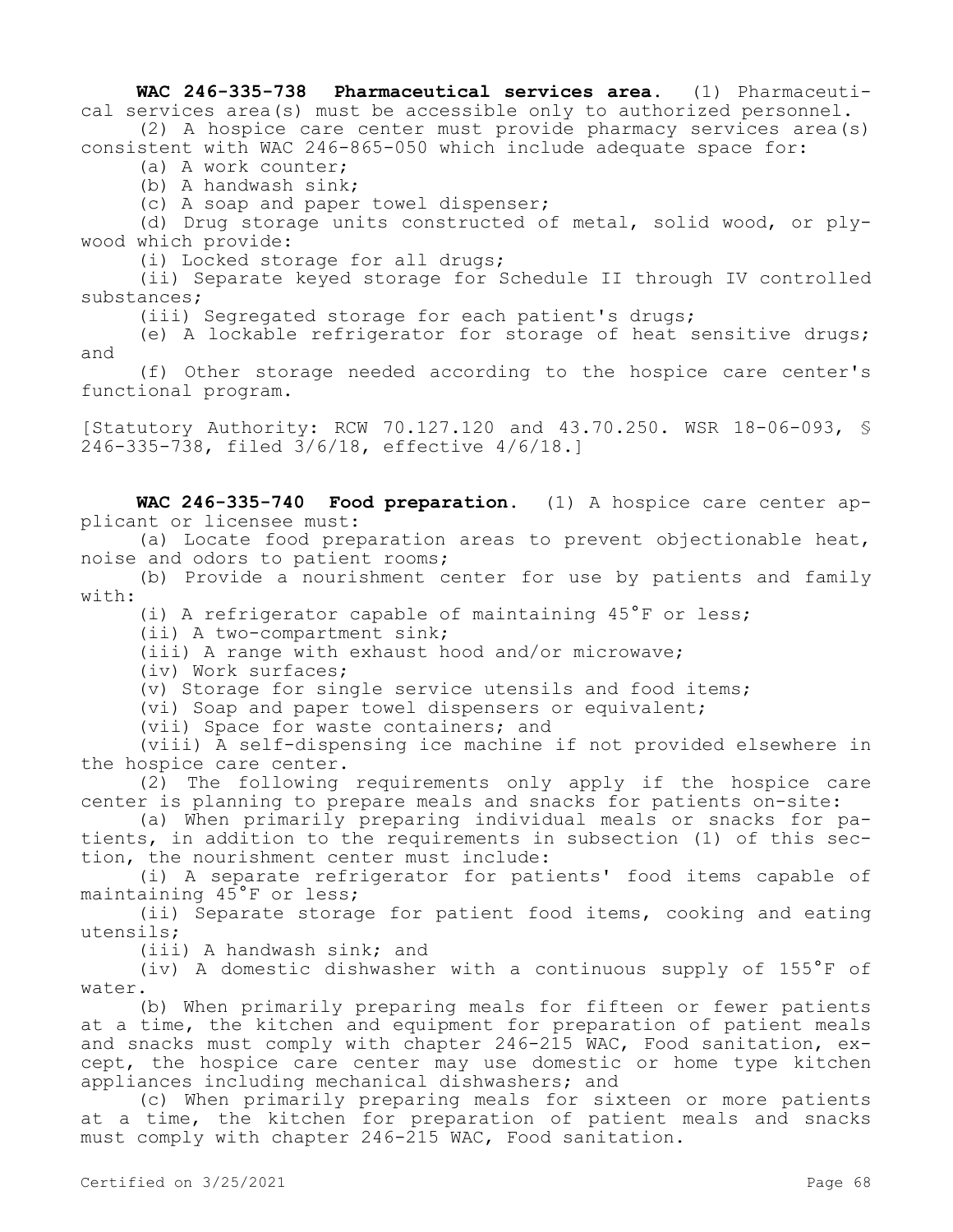**WAC 246-335-738 Pharmaceutical services area.** (1) Pharmaceutical services area(s) must be accessible only to authorized personnel. (2) A hospice care center must provide pharmacy services area(s)

consistent with WAC 246-865-050 which include adequate space for:

(a) A work counter;

(b) A handwash sink;

(c) A soap and paper towel dispenser;

(d) Drug storage units constructed of metal, solid wood, or plywood which provide:

(i) Locked storage for all drugs;

(ii) Separate keyed storage for Schedule II through IV controlled substances;

(iii) Segregated storage for each patient's drugs;

(e) A lockable refrigerator for storage of heat sensitive drugs; and

(f) Other storage needed according to the hospice care center's functional program.

[Statutory Authority: RCW 70.127.120 and 43.70.250. WSR 18-06-093, § 246-335-738, filed 3/6/18, effective 4/6/18.]

**WAC 246-335-740 Food preparation.** (1) A hospice care center applicant or licensee must:

(a) Locate food preparation areas to prevent objectionable heat, noise and odors to patient rooms;

(b) Provide a nourishment center for use by patients and family with:

(i) A refrigerator capable of maintaining 45°F or less;

(ii) A two-compartment sink;

(iii) A range with exhaust hood and/or microwave;

(iv) Work surfaces;

(v) Storage for single service utensils and food items;

(vi) Soap and paper towel dispensers or equivalent;

(vii) Space for waste containers; and

(viii) A self-dispensing ice machine if not provided elsewhere in the hospice care center.

(2) The following requirements only apply if the hospice care center is planning to prepare meals and snacks for patients on-site:

(a) When primarily preparing individual meals or snacks for patients, in addition to the requirements in subsection (1) of this section, the nourishment center must include:

(i) A separate refrigerator for patients' food items capable of maintaining 45°F or less;

(ii) Separate storage for patient food items, cooking and eating utensils;

(iii) A handwash sink; and

(iv) A domestic dishwasher with a continuous supply of 155°F of water.

(b) When primarily preparing meals for fifteen or fewer patients at a time, the kitchen and equipment for preparation of patient meals and snacks must comply with chapter 246-215 WAC, Food sanitation, except, the hospice care center may use domestic or home type kitchen appliances including mechanical dishwashers; and

(c) When primarily preparing meals for sixteen or more patients at a time, the kitchen for preparation of patient meals and snacks must comply with chapter 246-215 WAC, Food sanitation.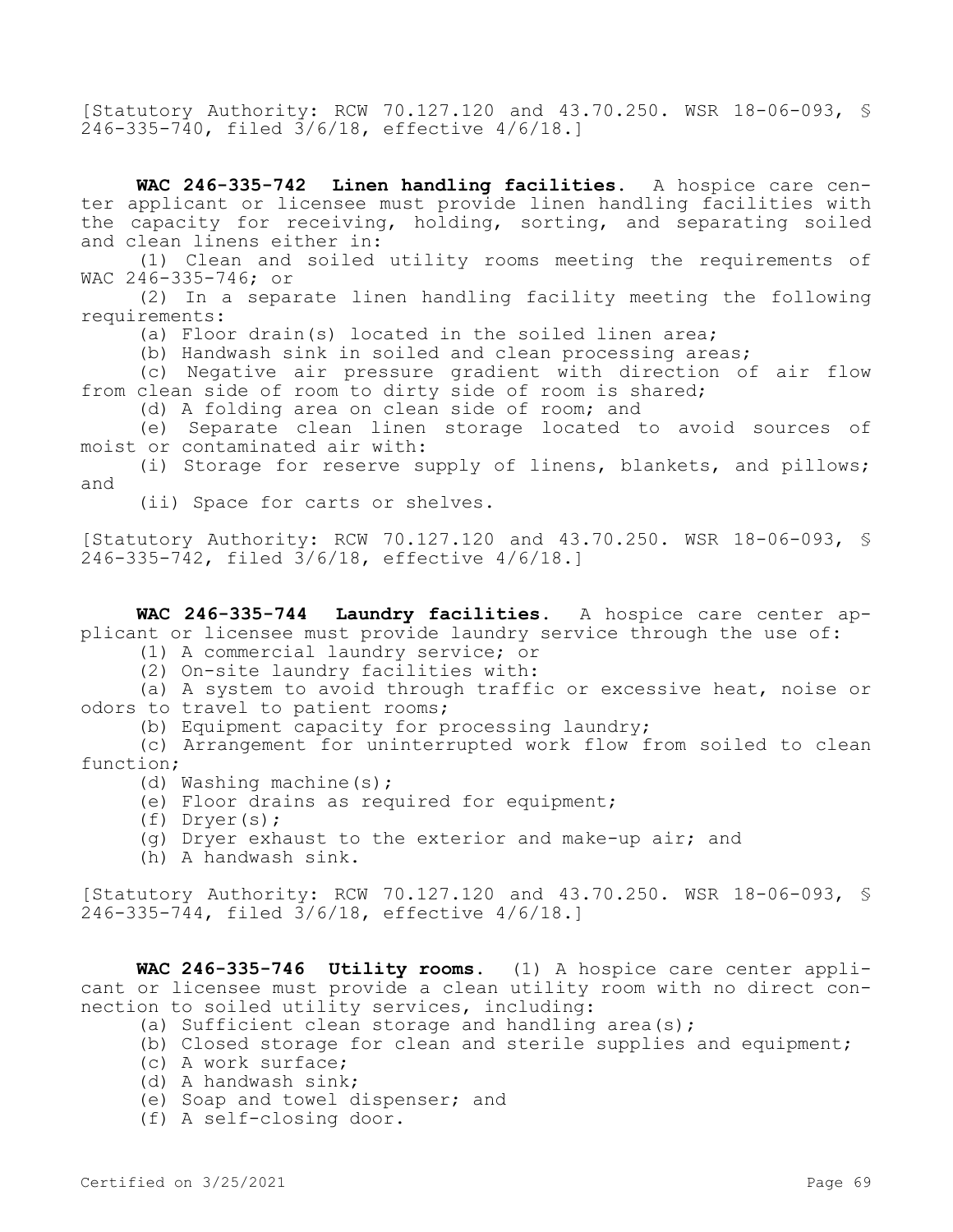[Statutory Authority: RCW 70.127.120 and 43.70.250. WSR 18-06-093, § 246-335-740, filed 3/6/18, effective 4/6/18.]

**WAC 246-335-742 Linen handling facilities.** A hospice care center applicant or licensee must provide linen handling facilities with the capacity for receiving, holding, sorting, and separating soiled and clean linens either in:

(1) Clean and soiled utility rooms meeting the requirements of WAC 246-335-746; or

(2) In a separate linen handling facility meeting the following requirements:

(a) Floor drain(s) located in the soiled linen area;

(b) Handwash sink in soiled and clean processing areas;

(c) Negative air pressure gradient with direction of air flow from clean side of room to dirty side of room is shared;

(d) A folding area on clean side of room; and

(e) Separate clean linen storage located to avoid sources of moist or contaminated air with:

(i) Storage for reserve supply of linens, blankets, and pillows; and

(ii) Space for carts or shelves.

[Statutory Authority: RCW 70.127.120 and 43.70.250. WSR 18-06-093, § 246-335-742, filed 3/6/18, effective 4/6/18.]

**WAC 246-335-744 Laundry facilities.** A hospice care center applicant or licensee must provide laundry service through the use of:

(1) A commercial laundry service; or

(2) On-site laundry facilities with:

(a) A system to avoid through traffic or excessive heat, noise or odors to travel to patient rooms;

(b) Equipment capacity for processing laundry;

(c) Arrangement for uninterrupted work flow from soiled to clean function;

- (d) Washing machine(s);
- (e) Floor drains as required for equipment;
- (f) Dryer(s);
- (g) Dryer exhaust to the exterior and make-up air; and
- (h) A handwash sink.

[Statutory Authority: RCW 70.127.120 and 43.70.250. WSR 18-06-093, § 246-335-744, filed 3/6/18, effective 4/6/18.]

**WAC 246-335-746 Utility rooms.** (1) A hospice care center applicant or licensee must provide a clean utility room with no direct connection to soiled utility services, including:

- (a) Sufficient clean storage and handling area(s);
- (b) Closed storage for clean and sterile supplies and equipment;
- (c) A work surface;
- (d) A handwash sink;
- (e) Soap and towel dispenser; and
- (f) A self-closing door.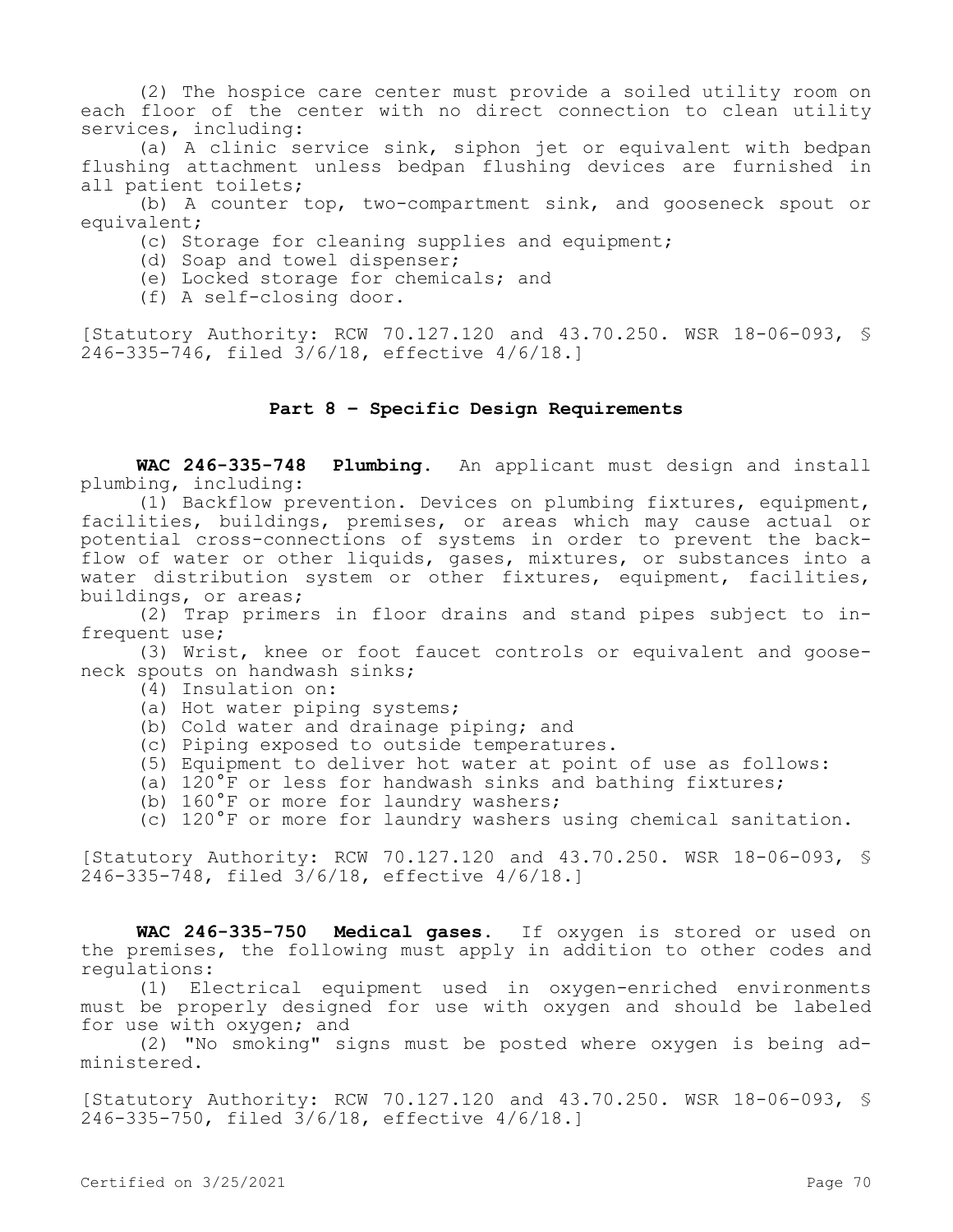(2) The hospice care center must provide a soiled utility room on each floor of the center with no direct connection to clean utility services, including:

(a) A clinic service sink, siphon jet or equivalent with bedpan flushing attachment unless bedpan flushing devices are furnished in all patient toilets;

(b) A counter top, two-compartment sink, and gooseneck spout or equivalent;

- (c) Storage for cleaning supplies and equipment;
- (d) Soap and towel dispenser;
- (e) Locked storage for chemicals; and
- (f) A self-closing door.

[Statutory Authority: RCW 70.127.120 and 43.70.250. WSR 18-06-093, § 246-335-746, filed 3/6/18, effective 4/6/18.]

### **Part 8 – Specific Design Requirements**

**WAC 246-335-748 Plumbing.** An applicant must design and install plumbing, including:

(1) Backflow prevention. Devices on plumbing fixtures, equipment, facilities, buildings, premises, or areas which may cause actual or potential cross-connections of systems in order to prevent the backflow of water or other liquids, gases, mixtures, or substances into a water distribution system or other fixtures, equipment, facilities, buildings, or areas;

(2) Trap primers in floor drains and stand pipes subject to infrequent use;

(3) Wrist, knee or foot faucet controls or equivalent and gooseneck spouts on handwash sinks;

- (4) Insulation on:
- (a) Hot water piping systems;
- (b) Cold water and drainage piping; and
- (c) Piping exposed to outside temperatures.
- (5) Equipment to deliver hot water at point of use as follows:
- (a) 120°F or less for handwash sinks and bathing fixtures;
- (b) 160°F or more for laundry washers;
- (c) 120°F or more for laundry washers using chemical sanitation.

[Statutory Authority: RCW 70.127.120 and 43.70.250. WSR 18-06-093, § 246-335-748, filed 3/6/18, effective 4/6/18.]

**WAC 246-335-750 Medical gases.** If oxygen is stored or used on the premises, the following must apply in addition to other codes and regulations:

(1) Electrical equipment used in oxygen-enriched environments must be properly designed for use with oxygen and should be labeled for use with oxygen; and

(2) "No smoking" signs must be posted where oxygen is being administered.

[Statutory Authority: RCW 70.127.120 and 43.70.250. WSR 18-06-093, § 246-335-750, filed 3/6/18, effective 4/6/18.]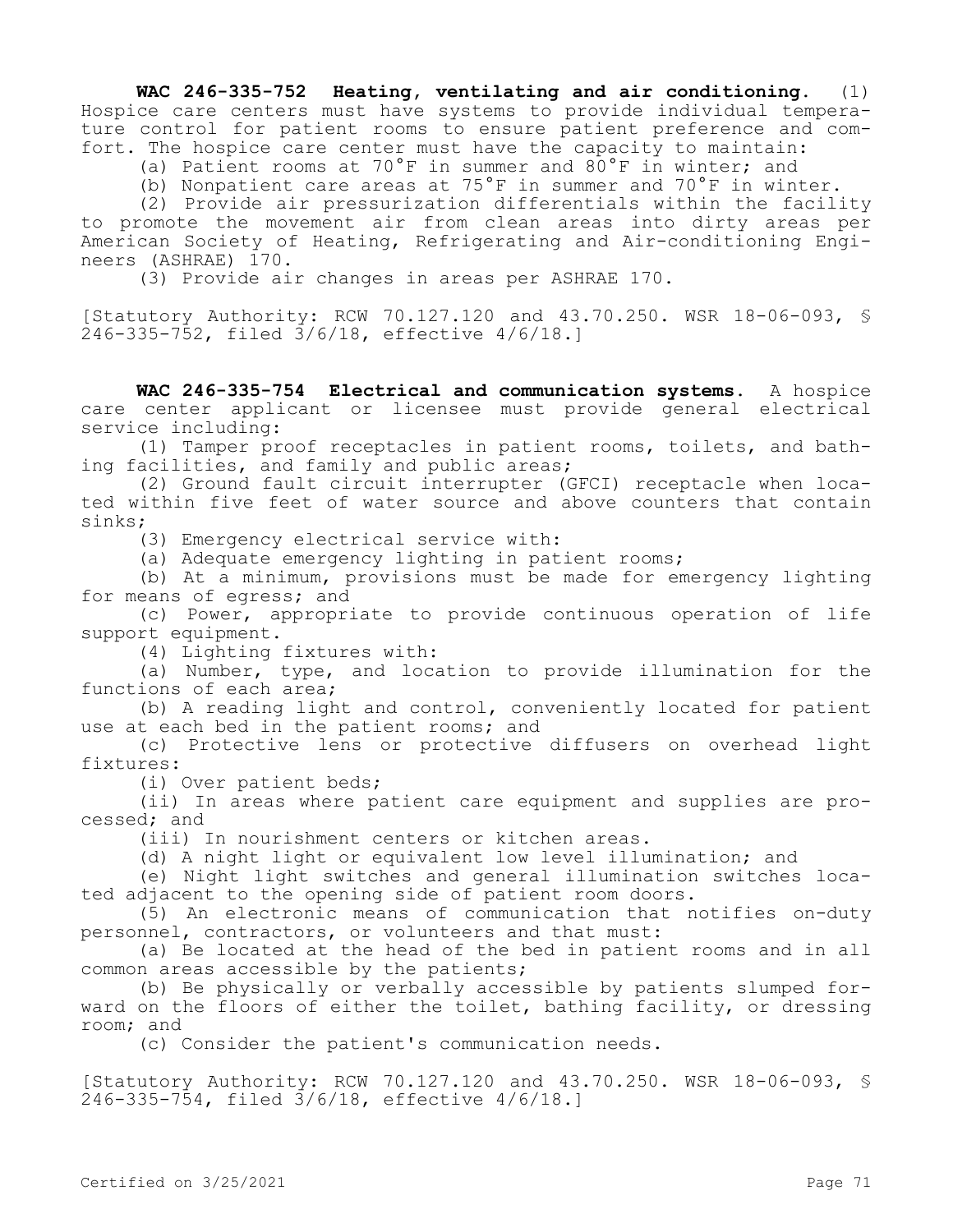**WAC 246-335-752 Heating, ventilating and air conditioning.** (1) Hospice care centers must have systems to provide individual temperature control for patient rooms to ensure patient preference and comfort. The hospice care center must have the capacity to maintain:

(a) Patient rooms at 70°F in summer and 80°F in winter; and

(b) Nonpatient care areas at 75°F in summer and 70°F in winter.

(2) Provide air pressurization differentials within the facility to promote the movement air from clean areas into dirty areas per American Society of Heating, Refrigerating and Air-conditioning Engineers (ASHRAE) 170.

(3) Provide air changes in areas per ASHRAE 170.

[Statutory Authority: RCW 70.127.120 and 43.70.250. WSR 18-06-093, § 246-335-752, filed 3/6/18, effective 4/6/18.]

**WAC 246-335-754 Electrical and communication systems.** A hospice care center applicant or licensee must provide general electrical service including:

(1) Tamper proof receptacles in patient rooms, toilets, and bathing facilities, and family and public areas;

(2) Ground fault circuit interrupter (GFCI) receptacle when located within five feet of water source and above counters that contain sinks;

(3) Emergency electrical service with:

(a) Adequate emergency lighting in patient rooms;

(b) At a minimum, provisions must be made for emergency lighting for means of egress; and

(c) Power, appropriate to provide continuous operation of life support equipment.

(4) Lighting fixtures with:

(a) Number, type, and location to provide illumination for the functions of each area;

(b) A reading light and control, conveniently located for patient use at each bed in the patient rooms; and

(c) Protective lens or protective diffusers on overhead light fixtures:

(i) Over patient beds;

(ii) In areas where patient care equipment and supplies are processed; and

(iii) In nourishment centers or kitchen areas.

(d) A night light or equivalent low level illumination; and

(e) Night light switches and general illumination switches located adjacent to the opening side of patient room doors.

(5) An electronic means of communication that notifies on-duty personnel, contractors, or volunteers and that must:

(a) Be located at the head of the bed in patient rooms and in all common areas accessible by the patients;

(b) Be physically or verbally accessible by patients slumped forward on the floors of either the toilet, bathing facility, or dressing room; and

(c) Consider the patient's communication needs.

[Statutory Authority: RCW 70.127.120 and 43.70.250. WSR 18-06-093, § 246-335-754, filed 3/6/18, effective 4/6/18.]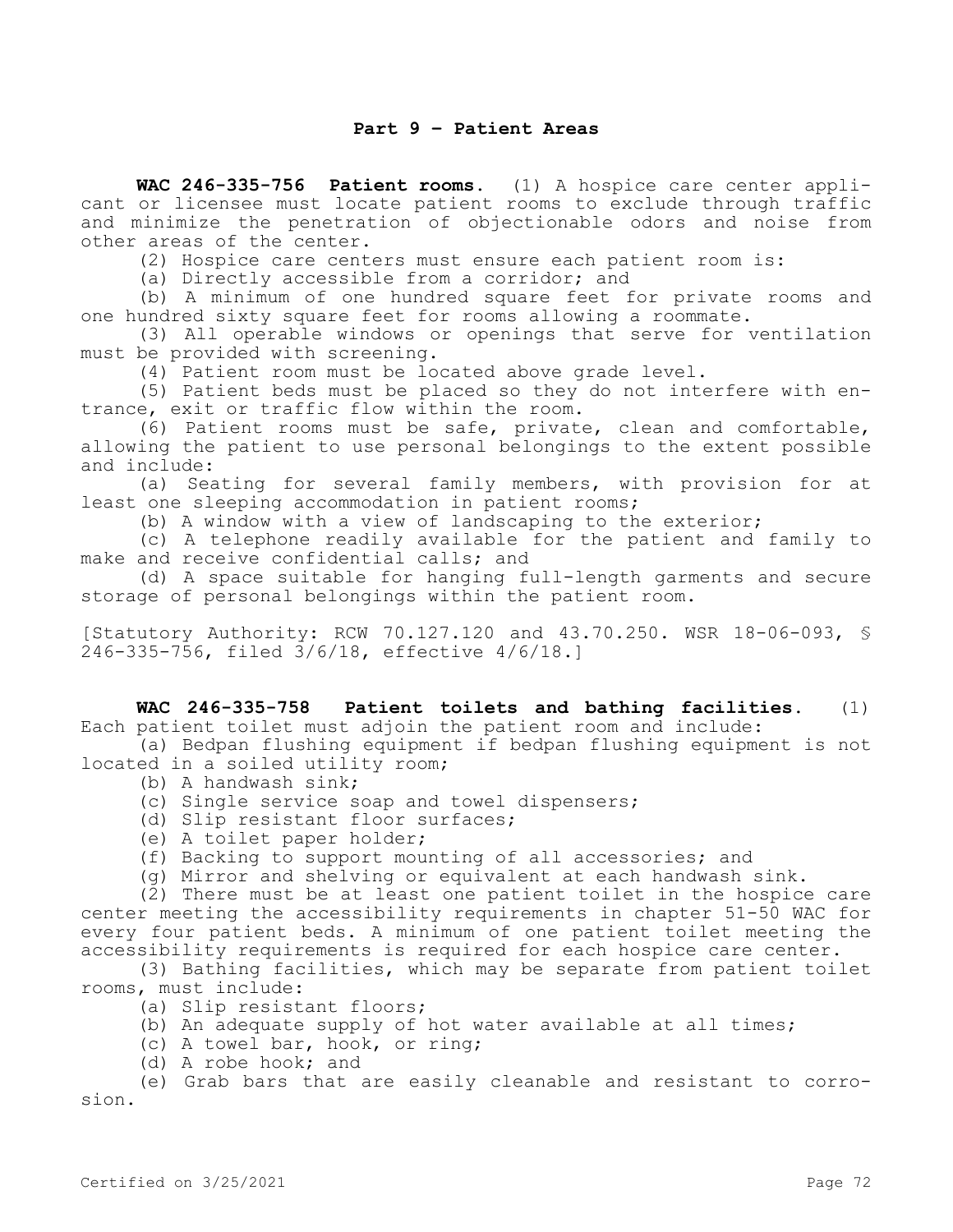# **Part 9 – Patient Areas**

**WAC 246-335-756 Patient rooms.** (1) A hospice care center applicant or licensee must locate patient rooms to exclude through traffic and minimize the penetration of objectionable odors and noise from other areas of the center.

(2) Hospice care centers must ensure each patient room is:

(a) Directly accessible from a corridor; and

(b) A minimum of one hundred square feet for private rooms and one hundred sixty square feet for rooms allowing a roommate.

(3) All operable windows or openings that serve for ventilation must be provided with screening.

(4) Patient room must be located above grade level.

(5) Patient beds must be placed so they do not interfere with entrance, exit or traffic flow within the room.

(6) Patient rooms must be safe, private, clean and comfortable, allowing the patient to use personal belongings to the extent possible and include:

(a) Seating for several family members, with provision for at least one sleeping accommodation in patient rooms;

(b) A window with a view of landscaping to the exterior;

(c) A telephone readily available for the patient and family to make and receive confidential calls; and

(d) A space suitable for hanging full-length garments and secure storage of personal belongings within the patient room.

[Statutory Authority: RCW 70.127.120 and 43.70.250. WSR 18-06-093, § 246-335-756, filed 3/6/18, effective 4/6/18.]

**WAC 246-335-758 Patient toilets and bathing facilities.** (1) Each patient toilet must adjoin the patient room and include:

(a) Bedpan flushing equipment if bedpan flushing equipment is not located in a soiled utility room;

- (b) A handwash sink;
- (c) Single service soap and towel dispensers;
- (d) Slip resistant floor surfaces;
- (e) A toilet paper holder;

(f) Backing to support mounting of all accessories; and

(g) Mirror and shelving or equivalent at each handwash sink.

(2) There must be at least one patient toilet in the hospice care center meeting the accessibility requirements in chapter 51-50 WAC for every four patient beds. A minimum of one patient toilet meeting the accessibility requirements is required for each hospice care center.

(3) Bathing facilities, which may be separate from patient toilet rooms, must include:

(a) Slip resistant floors;

- (b) An adequate supply of hot water available at all times;
- (c) A towel bar, hook, or ring;
- (d) A robe hook; and

(e) Grab bars that are easily cleanable and resistant to corrosion.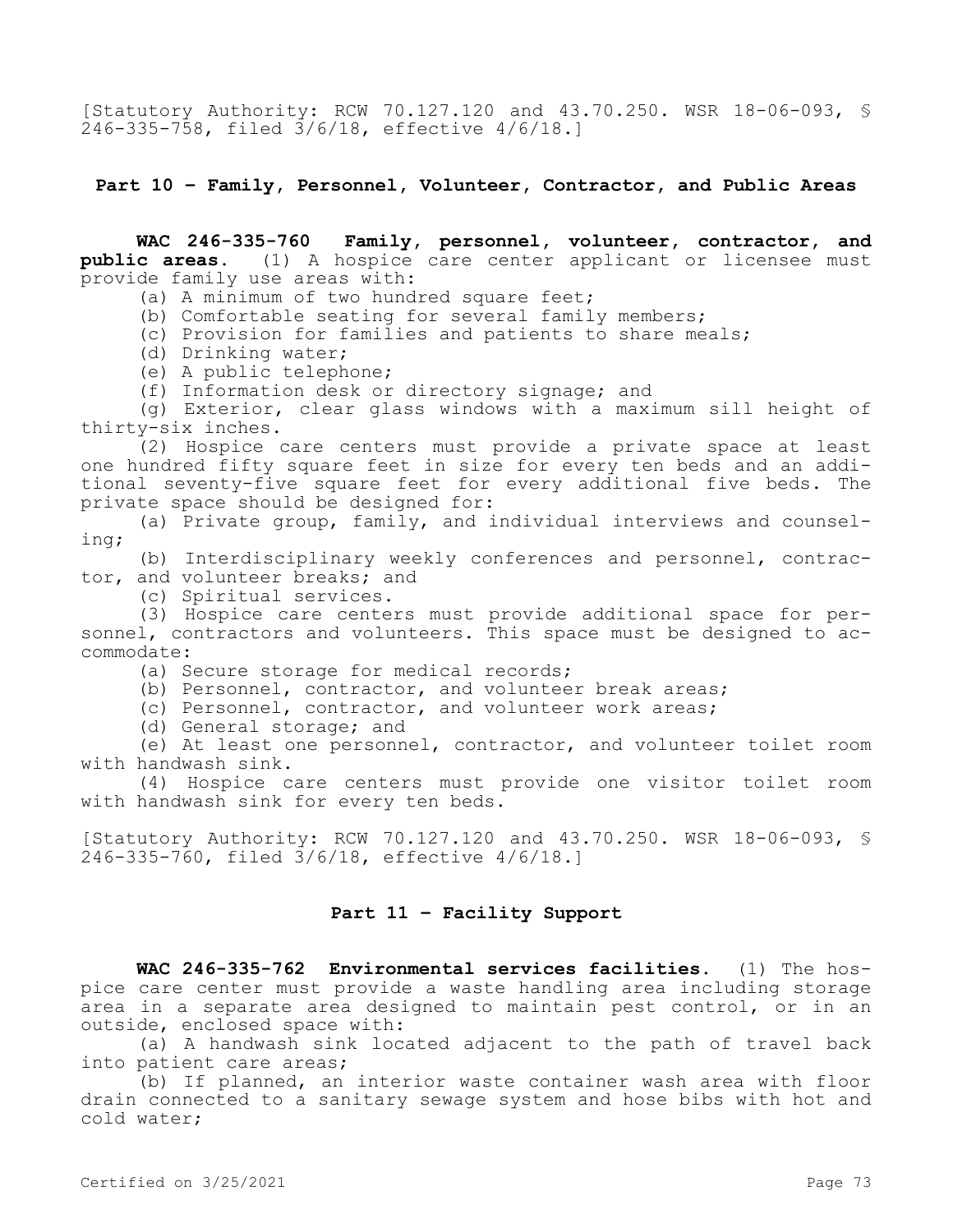[Statutory Authority: RCW 70.127.120 and 43.70.250. WSR 18-06-093, § 246-335-758, filed 3/6/18, effective 4/6/18.]

**Part 10 – Family, Personnel, Volunteer, Contractor, and Public Areas**

**WAC 246-335-760 Family, personnel, volunteer, contractor, and public areas.** (1) A hospice care center applicant or licensee must provide family use areas with:

(a) A minimum of two hundred square feet;

(b) Comfortable seating for several family members;

(c) Provision for families and patients to share meals;

(d) Drinking water;

(e) A public telephone;

(f) Information desk or directory signage; and

(g) Exterior, clear glass windows with a maximum sill height of thirty-six inches.

(2) Hospice care centers must provide a private space at least one hundred fifty square feet in size for every ten beds and an additional seventy-five square feet for every additional five beds. The private space should be designed for:

(a) Private group, family, and individual interviews and counseling;

(b) Interdisciplinary weekly conferences and personnel, contractor, and volunteer breaks; and

(c) Spiritual services.

(3) Hospice care centers must provide additional space for personnel, contractors and volunteers. This space must be designed to accommodate:

(a) Secure storage for medical records;

(b) Personnel, contractor, and volunteer break areas;

(c) Personnel, contractor, and volunteer work areas;

(d) General storage; and

(e) At least one personnel, contractor, and volunteer toilet room with handwash sink.

(4) Hospice care centers must provide one visitor toilet room with handwash sink for every ten beds.

[Statutory Authority: RCW 70.127.120 and 43.70.250. WSR 18-06-093, § 246-335-760, filed 3/6/18, effective 4/6/18.]

## **Part 11 – Facility Support**

**WAC 246-335-762 Environmental services facilities.** (1) The hospice care center must provide a waste handling area including storage area in a separate area designed to maintain pest control, or in an outside, enclosed space with:

(a) A handwash sink located adjacent to the path of travel back into patient care areas;

(b) If planned, an interior waste container wash area with floor drain connected to a sanitary sewage system and hose bibs with hot and cold water;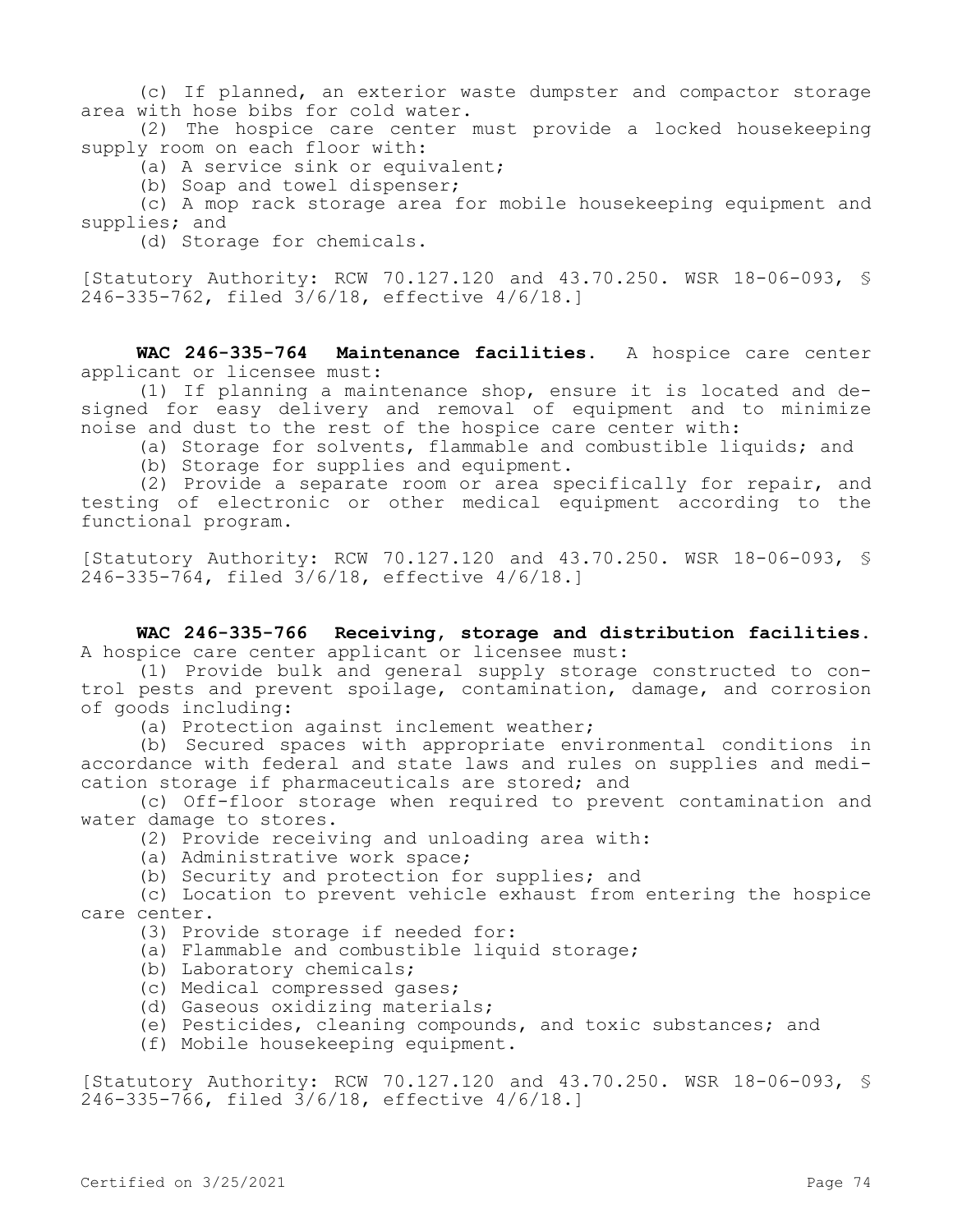(c) If planned, an exterior waste dumpster and compactor storage area with hose bibs for cold water.

(2) The hospice care center must provide a locked housekeeping supply room on each floor with:

(a) A service sink or equivalent;

(b) Soap and towel dispenser;

(c) A mop rack storage area for mobile housekeeping equipment and supplies; and

(d) Storage for chemicals.

[Statutory Authority: RCW 70.127.120 and 43.70.250. WSR 18-06-093, §  $246 - 335 - 762$ , filed  $3/6/18$ , effective  $4/6/18$ .]

**WAC 246-335-764 Maintenance facilities.** A hospice care center applicant or licensee must:

(1) If planning a maintenance shop, ensure it is located and designed for easy delivery and removal of equipment and to minimize noise and dust to the rest of the hospice care center with:

(a) Storage for solvents, flammable and combustible liquids; and

(b) Storage for supplies and equipment.

(2) Provide a separate room or area specifically for repair, and testing of electronic or other medical equipment according to the functional program.

[Statutory Authority: RCW 70.127.120 and 43.70.250. WSR 18-06-093, § 246-335-764, filed 3/6/18, effective 4/6/18.]

**WAC 246-335-766 Receiving, storage and distribution facilities.**  A hospice care center applicant or licensee must:

(1) Provide bulk and general supply storage constructed to control pests and prevent spoilage, contamination, damage, and corrosion of goods including:

(a) Protection against inclement weather;

(b) Secured spaces with appropriate environmental conditions in accordance with federal and state laws and rules on supplies and medication storage if pharmaceuticals are stored; and

(c) Off-floor storage when required to prevent contamination and water damage to stores.

(2) Provide receiving and unloading area with:

(a) Administrative work space;

(b) Security and protection for supplies; and

(c) Location to prevent vehicle exhaust from entering the hospice care center.

(3) Provide storage if needed for:

(a) Flammable and combustible liquid storage;

(b) Laboratory chemicals;

(c) Medical compressed gases;

(d) Gaseous oxidizing materials;

(e) Pesticides, cleaning compounds, and toxic substances; and

(f) Mobile housekeeping equipment.

[Statutory Authority: RCW 70.127.120 and 43.70.250. WSR 18-06-093, § 246-335-766, filed 3/6/18, effective 4/6/18.]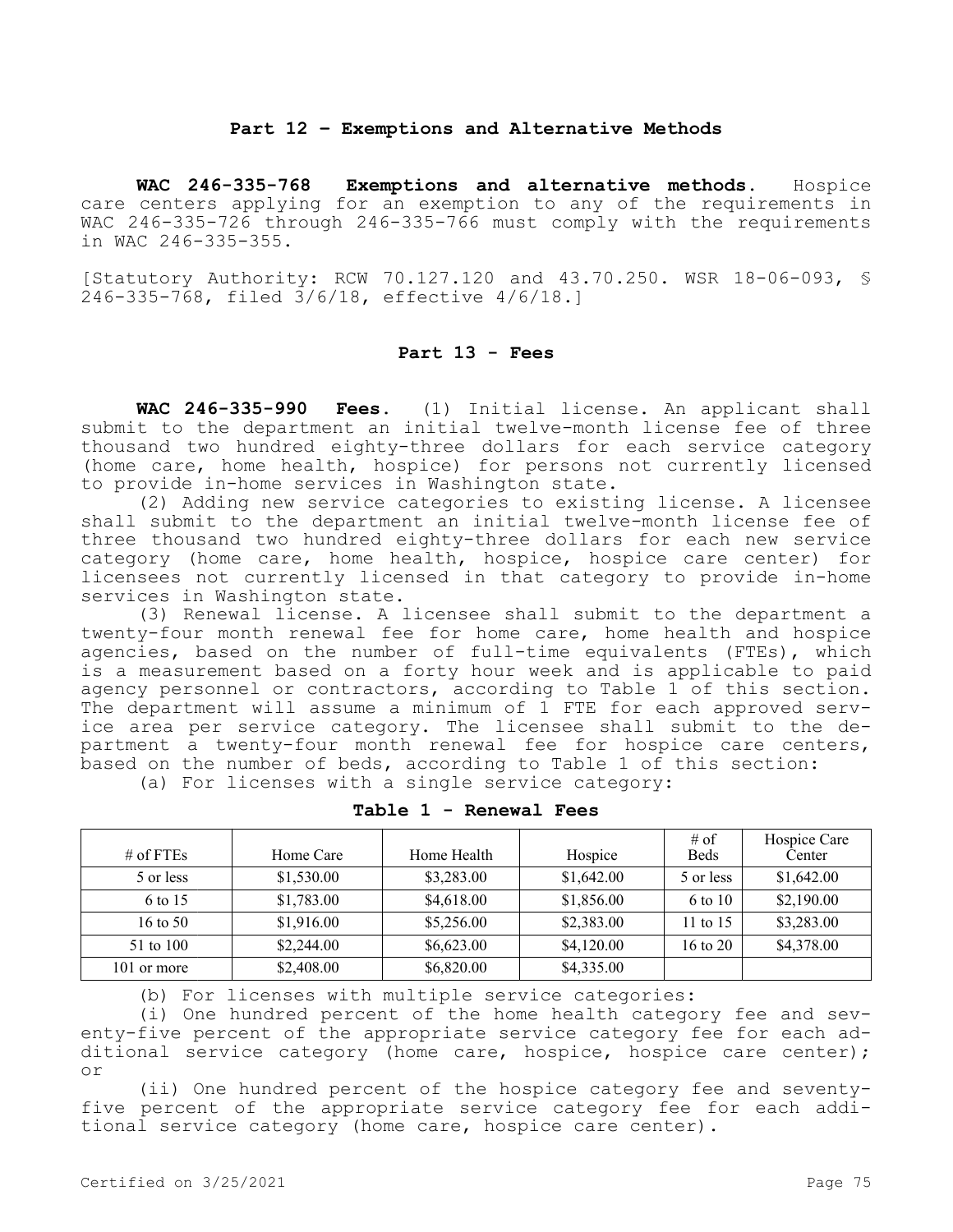## **Part 12 – Exemptions and Alternative Methods**

**WAC 246-335-768 Exemptions and alternative methods.** Hospice care centers applying for an exemption to any of the requirements in WAC 246-335-726 through 246-335-766 must comply with the requirements in WAC 246-335-355.

[Statutory Authority: RCW 70.127.120 and 43.70.250. WSR 18-06-093, § 246-335-768, filed 3/6/18, effective 4/6/18.]

## **Part 13 - Fees**

**WAC 246-335-990 Fees.** (1) Initial license. An applicant shall submit to the department an initial twelve-month license fee of three thousand two hundred eighty-three dollars for each service category (home care, home health, hospice) for persons not currently licensed to provide in-home services in Washington state.

(2) Adding new service categories to existing license. A licensee shall submit to the department an initial twelve-month license fee of three thousand two hundred eighty-three dollars for each new service category (home care, home health, hospice, hospice care center) for licensees not currently licensed in that category to provide in-home services in Washington state.

(3) Renewal license. A licensee shall submit to the department a twenty-four month renewal fee for home care, home health and hospice agencies, based on the number of full-time equivalents (FTEs), which is a measurement based on a forty hour week and is applicable to paid agency personnel or contractors, according to Table 1 of this section. The department will assume a minimum of 1 FTE for each approved service area per service category. The licensee shall submit to the department a twenty-four month renewal fee for hospice care centers, based on the number of beds, according to Table 1 of this section:

|  |  |  |  |  |  |  | (a) For licenses with a single service category: |
|--|--|--|--|--|--|--|--------------------------------------------------|
|--|--|--|--|--|--|--|--------------------------------------------------|

| # of FTEs           | Home Care  | Home Health | Hospice    | $#$ of<br><b>Beds</b> | Hospice Care<br>Center |
|---------------------|------------|-------------|------------|-----------------------|------------------------|
| 5 or less           | \$1,530.00 | \$3,283.00  | \$1,642.00 | 5 or less             | \$1,642.00             |
| 6 to 15             | \$1,783.00 | \$4,618.00  | \$1,856.00 | 6 to 10               | \$2,190.00             |
| $16 \text{ to } 50$ | \$1,916.00 | \$5,256.00  | \$2,383.00 | 11 to $15$            | \$3,283.00             |
| 51 to 100           | \$2,244.00 | \$6,623.00  | \$4,120.00 | $16 \text{ to } 20$   | \$4,378.00             |
| 101 or more         | \$2,408.00 | \$6,820.00  | \$4,335.00 |                       |                        |

**Table 1 - Renewal Fees**

(b) For licenses with multiple service categories:

(i) One hundred percent of the home health category fee and seventy-five percent of the appropriate service category fee for each additional service category (home care, hospice, hospice care center); or

(ii) One hundred percent of the hospice category fee and seventyfive percent of the appropriate service category fee for each additional service category (home care, hospice care center).